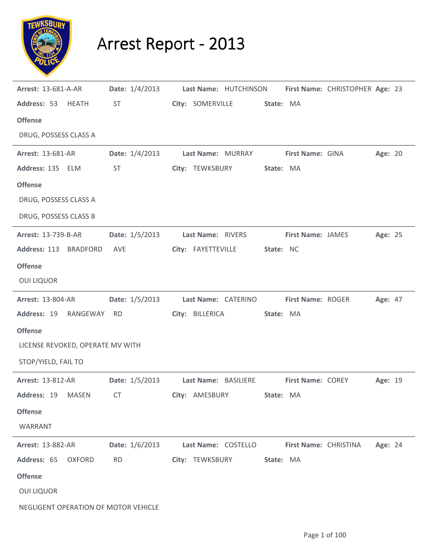

## Arrest Report - 2013

| <b>Arrest: 13-681-A-AR</b>           | <b>Date:</b> $1/4/2013$ | Last Name: HUTCHINSON                         |           |                          | First Name: CHRISTOPHER Age: 23 |         |  |
|--------------------------------------|-------------------------|-----------------------------------------------|-----------|--------------------------|---------------------------------|---------|--|
| Address: 53 HEATH                    | <b>ST</b>               | City: SOMERVILLE                              | State: MA |                          |                                 |         |  |
| <b>Offense</b>                       |                         |                                               |           |                          |                                 |         |  |
| DRUG, POSSESS CLASS A                |                         |                                               |           |                          |                                 |         |  |
| <b>Arrest: 13-681-AR</b>             | Date: 1/4/2013          | Last Name: MURRAY                             |           | First Name: GINA         |                                 | Age: 20 |  |
| Address: 135 ELM                     | <b>ST</b>               | City: TEWKSBURY                               | State: MA |                          |                                 |         |  |
| <b>Offense</b>                       |                         |                                               |           |                          |                                 |         |  |
| DRUG, POSSESS CLASS A                |                         |                                               |           |                          |                                 |         |  |
| DRUG, POSSESS CLASS B                |                         |                                               |           |                          |                                 |         |  |
| Arrest: 13-739-B-AR                  | <b>Date:</b> 1/5/2013   | Last Name: RIVERS                             |           | <b>First Name: JAMES</b> |                                 | Age: 25 |  |
| Address: 113<br><b>BRADFORD</b>      | AVE                     | City: FAYETTEVILLE                            | State: NC |                          |                                 |         |  |
| <b>Offense</b>                       |                         |                                               |           |                          |                                 |         |  |
| <b>OUI LIQUOR</b>                    |                         |                                               |           |                          |                                 |         |  |
| <b>Arrest: 13-804-AR</b>             | Date: 1/5/2013          | Last Name: CATERINO                           |           | First Name: ROGER        |                                 | Age: 47 |  |
| Address: 19<br>RANGEWAY              | RD.                     | City: BILLERICA                               | State: MA |                          |                                 |         |  |
| <b>Offense</b>                       |                         |                                               |           |                          |                                 |         |  |
| LICENSE REVOKED, OPERATE MV WITH     |                         |                                               |           |                          |                                 |         |  |
| STOP/YIELD, FAIL TO                  |                         |                                               |           |                          |                                 |         |  |
| <b>Arrest: 13-812-AR</b>             | Date: 1/5/2013          | Last Name: BASILIERE                          |           | <b>First Name: COREY</b> |                                 | Age: 19 |  |
|                                      |                         | Address: 19 MASEN CT City: AMESBURY State: MA |           |                          |                                 |         |  |
| <b>Offense</b>                       |                         |                                               |           |                          |                                 |         |  |
| WARRANT                              |                         |                                               |           |                          |                                 |         |  |
| <b>Arrest: 13-882-AR</b>             | <b>Date:</b> 1/6/2013   | Last Name: COSTELLO                           |           | First Name: CHRISTINA    |                                 | Age: 24 |  |
| Address: 65<br><b>OXFORD</b>         | <b>RD</b>               | City: TEWKSBURY                               | State: MA |                          |                                 |         |  |
| <b>Offense</b>                       |                         |                                               |           |                          |                                 |         |  |
| <b>OUI LIQUOR</b>                    |                         |                                               |           |                          |                                 |         |  |
| NEGLIGENT OPERATION OF MOTOR VEHICLE |                         |                                               |           |                          |                                 |         |  |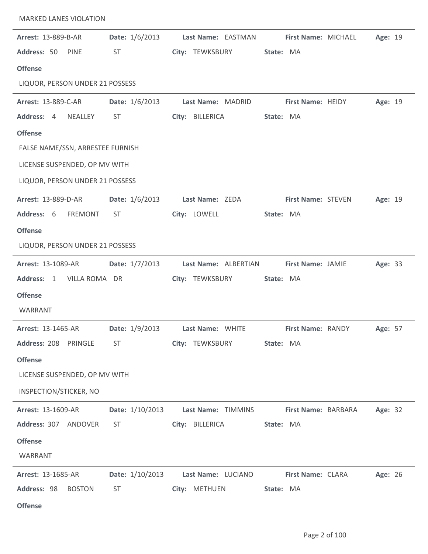| <b>MARKED LANES VIOLATION</b>    |                                                                                                                                                                                                                                |                                        |           |                           |                                  |         |  |
|----------------------------------|--------------------------------------------------------------------------------------------------------------------------------------------------------------------------------------------------------------------------------|----------------------------------------|-----------|---------------------------|----------------------------------|---------|--|
| Arrest: 13-889-B-AR              | Date: 1/6/2013                                                                                                                                                                                                                 | Last Name: EASTMAN                     |           | First Name: MICHAEL       |                                  | Age: 19 |  |
| Address: 50 PINE                 | <b>ST</b>                                                                                                                                                                                                                      | City: TEWKSBURY                        | State: MA |                           |                                  |         |  |
| <b>Offense</b>                   |                                                                                                                                                                                                                                |                                        |           |                           |                                  |         |  |
| LIQUOR, PERSON UNDER 21 POSSESS  |                                                                                                                                                                                                                                |                                        |           |                           |                                  |         |  |
| Arrest: 13-889-C-AR              | <b>Date:</b> $1/6/2013$                                                                                                                                                                                                        | Last Name: MADRID                      |           | <b>First Name: HEIDY</b>  |                                  | Age: 19 |  |
| Address: 4<br>NEALLEY            | ST                                                                                                                                                                                                                             | City: BILLERICA                        | State: MA |                           |                                  |         |  |
| <b>Offense</b>                   |                                                                                                                                                                                                                                |                                        |           |                           |                                  |         |  |
| FALSE NAME/SSN, ARRESTEE FURNISH |                                                                                                                                                                                                                                |                                        |           |                           |                                  |         |  |
| LICENSE SUSPENDED, OP MV WITH    |                                                                                                                                                                                                                                |                                        |           |                           |                                  |         |  |
| LIQUOR, PERSON UNDER 21 POSSESS  |                                                                                                                                                                                                                                |                                        |           |                           |                                  |         |  |
| <b>Arrest: 13-889-D-AR</b>       | Date: 1/6/2013                                                                                                                                                                                                                 | Last Name: ZEDA                        |           | <b>First Name: STEVEN</b> |                                  | Age: 19 |  |
| Address: 6<br>FREMONT            | ST                                                                                                                                                                                                                             | City: LOWELL                           | State: MA |                           |                                  |         |  |
| <b>Offense</b>                   |                                                                                                                                                                                                                                |                                        |           |                           |                                  |         |  |
| LIQUOR, PERSON UNDER 21 POSSESS  |                                                                                                                                                                                                                                |                                        |           |                           |                                  |         |  |
| <b>Arrest: 13-1089-AR</b>        | Date: 1/7/2013                                                                                                                                                                                                                 | Last Name: ALBERTIAN                   |           | First Name: JAMIE         |                                  | Age: 33 |  |
| Address: 1 VILLA ROMA DR         |                                                                                                                                                                                                                                | City: TEWKSBURY                        | State: MA |                           |                                  |         |  |
| <b>Offense</b>                   |                                                                                                                                                                                                                                |                                        |           |                           |                                  |         |  |
| WARRANT                          |                                                                                                                                                                                                                                |                                        |           |                           |                                  |         |  |
| <b>Arrest: 13-1465-AR</b>        | <b>Date:</b> 1/9/2013                                                                                                                                                                                                          | Last Name: WHITE                       |           |                           | <b>First Name: RANDY Age: 57</b> |         |  |
| Address: 208 PRINGLE ST          |                                                                                                                                                                                                                                | City: TEWKSBURY State: MA              |           |                           |                                  |         |  |
| <b>Offense</b>                   |                                                                                                                                                                                                                                |                                        |           |                           |                                  |         |  |
| LICENSE SUSPENDED, OP MV WITH    |                                                                                                                                                                                                                                |                                        |           |                           |                                  |         |  |
| <b>INSPECTION/STICKER, NO</b>    |                                                                                                                                                                                                                                |                                        |           |                           |                                  |         |  |
| <b>Arrest: 13-1609-AR</b>        | Date: 1/10/2013                                                                                                                                                                                                                | Last Name: TIMMINS First Name: BARBARA |           |                           |                                  | Age: 32 |  |
| Address: 307 ANDOVER             | ST and the state of the state of the state of the state of the state of the state of the state of the state of the state of the state of the state of the state of the state of the state of the state of the state of the sta | City: BILLERICA State: MA              |           |                           |                                  |         |  |
| <b>Offense</b>                   |                                                                                                                                                                                                                                |                                        |           |                           |                                  |         |  |
| WARRANT                          |                                                                                                                                                                                                                                |                                        |           |                           |                                  |         |  |
| <b>Arrest: 13-1685-AR</b>        |                                                                                                                                                                                                                                | Date: 1/10/2013 Last Name: LUCIANO     |           |                           | <b>First Name: CLARA</b>         | Age: 26 |  |
| Address: 98 BOSTON               | ST and the state of the state of the state of the state of the state of the state of the state of the state of the state of the state of the state of the state of the state of the state of the state of the state of the sta | City: METHUEN                          | State: MA |                           |                                  |         |  |
| <b>Offense</b>                   |                                                                                                                                                                                                                                |                                        |           |                           |                                  |         |  |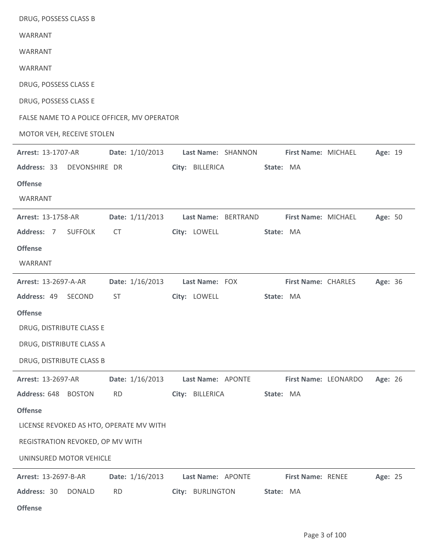| DRUG, POSSESS CLASS B                       |                   |                     |                          |         |
|---------------------------------------------|-------------------|---------------------|--------------------------|---------|
| WARRANT                                     |                   |                     |                          |         |
| WARRANT                                     |                   |                     |                          |         |
| WARRANT                                     |                   |                     |                          |         |
| DRUG, POSSESS CLASS E                       |                   |                     |                          |         |
| DRUG, POSSESS CLASS E                       |                   |                     |                          |         |
| FALSE NAME TO A POLICE OFFICER, MV OPERATOR |                   |                     |                          |         |
| MOTOR VEH, RECEIVE STOLEN                   |                   |                     |                          |         |
| <b>Arrest: 13-1707-AR</b>                   | Date: 1/10/2013   | Last Name: SHANNON  | First Name: MICHAEL      | Age: 19 |
| Address: 33<br>DEVONSHIRE DR                |                   | City: BILLERICA     | State: MA                |         |
| <b>Offense</b>                              |                   |                     |                          |         |
| <b>WARRANT</b>                              |                   |                     |                          |         |
| <b>Arrest: 13-1758-AR</b>                   | Date: $1/11/2013$ | Last Name: BERTRAND | First Name: MICHAEL      | Age: 50 |
| Address: 7<br><b>SUFFOLK</b>                | CT                | City: LOWELL        | State: MA                |         |
| <b>Offense</b>                              |                   |                     |                          |         |
| WARRANT                                     |                   |                     |                          |         |
| Arrest: 13-2697-A-AR                        | Date: 1/16/2013   | Last Name: FOX      | First Name: CHARLES      | Age: 36 |
| Address: 49<br>SECOND                       | <b>ST</b>         | City: LOWELL        | State: MA                |         |
| <b>Offense</b>                              |                   |                     |                          |         |
| DRUG, DISTRIBUTE CLASS E                    |                   |                     |                          |         |
| DRUG, DISTRIBUTE CLASS A                    |                   |                     |                          |         |
| DRUG, DISTRIBUTE CLASS B                    |                   |                     |                          |         |
| Arrest: 13-2697-AR                          | Date: 1/16/2013   | Last Name: APONTE   | First Name: LEONARDO     | Age: 26 |
| Address: 648 BOSTON                         | <b>RD</b>         | City: BILLERICA     | State: MA                |         |
| <b>Offense</b>                              |                   |                     |                          |         |
| LICENSE REVOKED AS HTO, OPERATE MV WITH     |                   |                     |                          |         |
| REGISTRATION REVOKED, OP MV WITH            |                   |                     |                          |         |
| UNINSURED MOTOR VEHICLE                     |                   |                     |                          |         |
| Arrest: 13-2697-B-AR                        | Date: 1/16/2013   | Last Name: APONTE   | <b>First Name: RENEE</b> | Age: 25 |
| Address: 30<br><b>DONALD</b>                | <b>RD</b>         | City: BURLINGTON    | State: MA                |         |
| <b>Offense</b>                              |                   |                     |                          |         |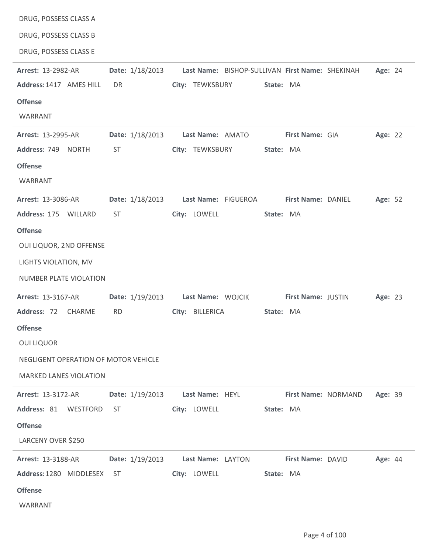| DRUG, POSSESS CLASS A                |                 |                                                 |                     |         |  |
|--------------------------------------|-----------------|-------------------------------------------------|---------------------|---------|--|
| DRUG, POSSESS CLASS B                |                 |                                                 |                     |         |  |
| DRUG, POSSESS CLASS E                |                 |                                                 |                     |         |  |
| Arrest: 13-2982-AR                   | Date: 1/18/2013 | Last Name: BISHOP-SULLIVAN First Name: SHEKINAH |                     | Age: 24 |  |
| Address: 1417 AMES HILL              | DR.             | City: TEWKSBURY                                 | State: MA           |         |  |
| <b>Offense</b>                       |                 |                                                 |                     |         |  |
| WARRANT                              |                 |                                                 |                     |         |  |
| Arrest: 13-2995-AR                   | Date: 1/18/2013 | Last Name: AMATO                                | First Name: GIA     | Age: 22 |  |
| Address: 749<br><b>NORTH</b>         | ST              | City: TEWKSBURY                                 | State: MA           |         |  |
| <b>Offense</b>                       |                 |                                                 |                     |         |  |
| WARRANT                              |                 |                                                 |                     |         |  |
| Arrest: 13-3086-AR                   | Date: 1/18/2013 | Last Name: FIGUEROA                             | First Name: DANIEL  | Age: 52 |  |
| Address: 175 WILLARD                 | ST              | City: LOWELL                                    | State: MA           |         |  |
| <b>Offense</b>                       |                 |                                                 |                     |         |  |
| OUI LIQUOR, 2ND OFFENSE              |                 |                                                 |                     |         |  |
| LIGHTS VIOLATION, MV                 |                 |                                                 |                     |         |  |
| <b>NUMBER PLATE VIOLATION</b>        |                 |                                                 |                     |         |  |
| Arrest: 13-3167-AR                   | Date: 1/19/2013 | Last Name: WOJCIK                               | First Name: JUSTIN  | Age: 23 |  |
| Address: 72<br><b>CHARME</b>         | <b>RD</b>       | City: BILLERICA                                 | State: MA           |         |  |
| <b>Offense</b>                       |                 |                                                 |                     |         |  |
| <b>OUI LIQUOR</b>                    |                 |                                                 |                     |         |  |
| NEGLIGENT OPERATION OF MOTOR VEHICLE |                 |                                                 |                     |         |  |
| <b>MARKED LANES VIOLATION</b>        |                 |                                                 |                     |         |  |
| <b>Arrest: 13-3172-AR</b>            | Date: 1/19/2013 | Last Name: HEYL                                 | First Name: NORMAND | Age: 39 |  |
| Address: 81 WESTFORD                 | ST.             | City: LOWELL                                    | State: MA           |         |  |
| <b>Offense</b>                       |                 |                                                 |                     |         |  |
| LARCENY OVER \$250                   |                 |                                                 |                     |         |  |
| <b>Arrest: 13-3188-AR</b>            | Date: 1/19/2013 | Last Name: LAYTON                               | First Name: DAVID   | Age: 44 |  |
| Address: 1280 MIDDLESEX              | - ST            | City: LOWELL                                    | State: MA           |         |  |
| <b>Offense</b>                       |                 |                                                 |                     |         |  |
| WARRANT                              |                 |                                                 |                     |         |  |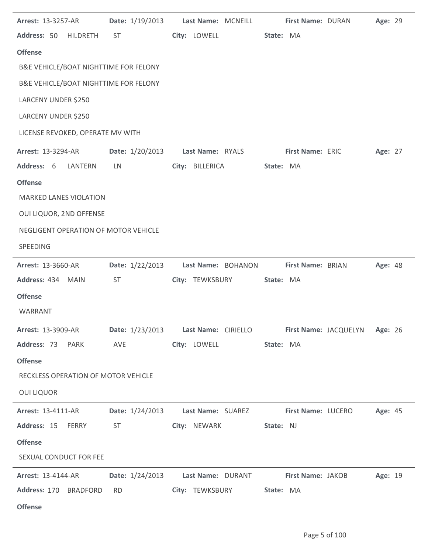| <b>Arrest: 13-3257-AR</b>             |                                                                                                                                                                                                                                | Date: 1/19/2013 Last Name: MCNEILL                                                   |           | First Name: DURAN | Age: 29 |  |
|---------------------------------------|--------------------------------------------------------------------------------------------------------------------------------------------------------------------------------------------------------------------------------|--------------------------------------------------------------------------------------|-----------|-------------------|---------|--|
| Address: 50 HILDRETH                  | <b>ST</b>                                                                                                                                                                                                                      | City: LOWELL                                                                         | State: MA |                   |         |  |
| <b>Offense</b>                        |                                                                                                                                                                                                                                |                                                                                      |           |                   |         |  |
| B&E VEHICLE/BOAT NIGHTTIME FOR FELONY |                                                                                                                                                                                                                                |                                                                                      |           |                   |         |  |
| B&E VEHICLE/BOAT NIGHTTIME FOR FELONY |                                                                                                                                                                                                                                |                                                                                      |           |                   |         |  |
| LARCENY UNDER \$250                   |                                                                                                                                                                                                                                |                                                                                      |           |                   |         |  |
| LARCENY UNDER \$250                   |                                                                                                                                                                                                                                |                                                                                      |           |                   |         |  |
| LICENSE REVOKED, OPERATE MV WITH      |                                                                                                                                                                                                                                |                                                                                      |           |                   |         |  |
| <b>Arrest: 13-3294-AR</b>             | Date: 1/20/2013                                                                                                                                                                                                                | Last Name: RYALS                                                                     |           | First Name: ERIC  | Age: 27 |  |
| Address: 6<br>LANTERN                 | LN                                                                                                                                                                                                                             | City: BILLERICA                                                                      | State: MA |                   |         |  |
| <b>Offense</b>                        |                                                                                                                                                                                                                                |                                                                                      |           |                   |         |  |
| <b>MARKED LANES VIOLATION</b>         |                                                                                                                                                                                                                                |                                                                                      |           |                   |         |  |
| OUI LIQUOR, 2ND OFFENSE               |                                                                                                                                                                                                                                |                                                                                      |           |                   |         |  |
| NEGLIGENT OPERATION OF MOTOR VEHICLE  |                                                                                                                                                                                                                                |                                                                                      |           |                   |         |  |
| SPEEDING                              |                                                                                                                                                                                                                                |                                                                                      |           |                   |         |  |
| <b>Arrest: 13-3660-AR</b>             | Date: 1/22/2013                                                                                                                                                                                                                | Last Name: BOHANON                                                                   |           | First Name: BRIAN | Age: 48 |  |
| Address: 434 MAIN                     | <b>ST</b>                                                                                                                                                                                                                      | City: TEWKSBURY                                                                      | State: MA |                   |         |  |
| <b>Offense</b>                        |                                                                                                                                                                                                                                |                                                                                      |           |                   |         |  |
| WARRANT                               |                                                                                                                                                                                                                                |                                                                                      |           |                   |         |  |
|                                       |                                                                                                                                                                                                                                | Arrest: 13-3909-AR Date: 1/23/2013 Last Name: CIRIELLO First Name: JACQUELYN Age: 26 |           |                   |         |  |
| Address: 73 PARK                      | AVE                                                                                                                                                                                                                            | City: LOWELL<br>State: MA                                                            |           |                   |         |  |
| <b>Offense</b>                        |                                                                                                                                                                                                                                |                                                                                      |           |                   |         |  |
| RECKLESS OPERATION OF MOTOR VEHICLE   |                                                                                                                                                                                                                                |                                                                                      |           |                   |         |  |
| <b>OUI LIQUOR</b>                     |                                                                                                                                                                                                                                |                                                                                      |           |                   |         |  |
| <b>Arrest: 13-4111-AR</b>             |                                                                                                                                                                                                                                | Date: 1/24/2013 Last Name: SUAREZ First Name: LUCERO                                 |           |                   | Age: 45 |  |
| Address: 15 FERRY                     | ST and the state of the state of the state of the state of the state of the state of the state of the state of the state of the state of the state of the state of the state of the state of the state of the state of the sta | City: NEWARK State: NJ                                                               |           |                   |         |  |
| <b>Offense</b>                        |                                                                                                                                                                                                                                |                                                                                      |           |                   |         |  |
| SEXUAL CONDUCT FOR FEE                |                                                                                                                                                                                                                                |                                                                                      |           |                   |         |  |
| <b>Arrest: 13-4144-AR</b>             |                                                                                                                                                                                                                                | Date: 1/24/2013 Last Name: DURANT First Name: JAKOB                                  |           |                   | Age: 19 |  |
| Address: 170 BRADFORD                 | RD and the state of the state of the state of the state of the state of the state of the state of the state of the state of the state of the state of the state of the state of the state of the state of the state of the sta | City: TEWKSBURY State: MA                                                            |           |                   |         |  |
| <b>Offense</b>                        |                                                                                                                                                                                                                                |                                                                                      |           |                   |         |  |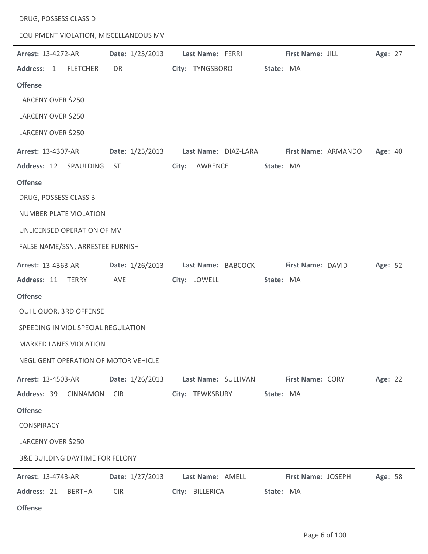| DRUG, POSSESS CLASS D                                   |                 |                                                                      |                           |         |
|---------------------------------------------------------|-----------------|----------------------------------------------------------------------|---------------------------|---------|
| EQUIPMENT VIOLATION, MISCELLANEOUS MV                   |                 |                                                                      |                           |         |
| Arrest: 13-4272-AR                                      | Date: 1/25/2013 | Last Name: FERRI                                                     | First Name: JILL          | Age: 27 |
| Address: 1<br><b>FLETCHER</b>                           | <b>DR</b>       | City: TYNGSBORO                                                      | State: MA                 |         |
| <b>Offense</b>                                          |                 |                                                                      |                           |         |
| LARCENY OVER \$250                                      |                 |                                                                      |                           |         |
| LARCENY OVER \$250                                      |                 |                                                                      |                           |         |
| LARCENY OVER \$250                                      |                 |                                                                      |                           |         |
| Arrest: 13-4307-AR                                      | Date: 1/25/2013 | Last Name: DIAZ-LARA                                                 | First Name: ARMANDO       | Age: 40 |
| Address: 12<br>SPAULDING                                | <b>ST</b>       | City: LAWRENCE                                                       | State: MA                 |         |
| <b>Offense</b>                                          |                 |                                                                      |                           |         |
| DRUG, POSSESS CLASS B                                   |                 |                                                                      |                           |         |
| <b>NUMBER PLATE VIOLATION</b>                           |                 |                                                                      |                           |         |
| UNLICENSED OPERATION OF MV                              |                 |                                                                      |                           |         |
| FALSE NAME/SSN, ARRESTEE FURNISH                        |                 |                                                                      |                           |         |
| Arrest: 13-4363-AR                                      | Date: 1/26/2013 | Last Name: BABCOCK                                                   | First Name: DAVID         | Age: 52 |
| Address: 11<br><b>TERRY</b>                             | AVE             | City: LOWELL                                                         | State: MA                 |         |
| <b>Offense</b>                                          |                 |                                                                      |                           |         |
| OUI LIQUOR, 3RD OFFENSE                                 |                 |                                                                      |                           |         |
| SPEEDING IN VIOL SPECIAL REGULATION                     |                 |                                                                      |                           |         |
| <b>MARKED LANES VIOLATION</b>                           |                 |                                                                      |                           |         |
| NEGLIGENT OPERATION OF MOTOR VEHICLE                    |                 |                                                                      |                           |         |
|                                                         |                 | Arrest: 13-4503-AR        Date: 1/26/2013        Last Name: SULLIVAN | <b>First Name: CORY</b>   | Age: 22 |
| Address: 39 CINNAMON CIR                                |                 | City: TEWKSBURY State: MA                                            |                           |         |
| <b>Offense</b>                                          |                 |                                                                      |                           |         |
| <b>CONSPIRACY</b>                                       |                 |                                                                      |                           |         |
| LARCENY OVER \$250                                      |                 |                                                                      |                           |         |
| <b>B&amp;E BUILDING DAYTIME FOR FELONY</b>              |                 |                                                                      |                           |         |
| Arrest: 13-4743-AR   Date: 1/27/2013   Last Name: AMELL |                 |                                                                      | <b>First Name: JOSEPH</b> | Age: 58 |
| Address: 21 BERTHA                                      | <b>CIR</b>      | City: BILLERICA                                                      | State: MA                 |         |
| <b>Offense</b>                                          |                 |                                                                      |                           |         |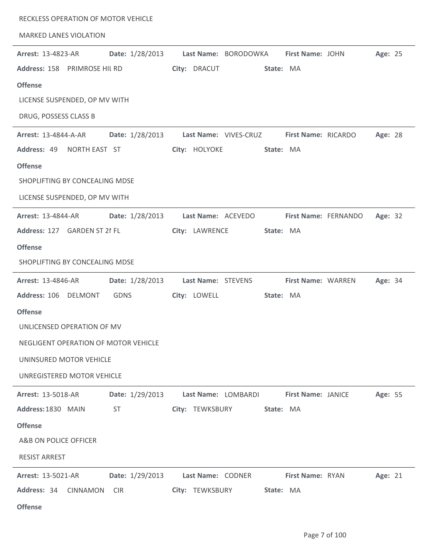| RECKLESS OPERATION OF MOTOR VEHICLE          |                                                                 |         |
|----------------------------------------------|-----------------------------------------------------------------|---------|
| <b>MARKED LANES VIOLATION</b>                |                                                                 |         |
| Date: 1/28/2013<br><b>Arrest: 13-4823-AR</b> | Last Name: BORODOWKA<br>First Name: JOHN                        | Age: 25 |
| Address: 158 PRIMROSE HIL RD                 | City: DRACUT<br>State: MA                                       |         |
| <b>Offense</b>                               |                                                                 |         |
| LICENSE SUSPENDED, OP MV WITH                |                                                                 |         |
| DRUG, POSSESS CLASS B                        |                                                                 |         |
| <b>Arrest: 13-4844-A-AR</b>                  | Date: 1/28/2013 Last Name: VIVES-CRUZ First Name: RICARDO       | Age: 28 |
| Address: 49<br>NORTH EAST ST                 | City: HOLYOKE<br>State: MA                                      |         |
| <b>Offense</b>                               |                                                                 |         |
| SHOPLIFTING BY CONCEALING MDSE               |                                                                 |         |
| LICENSE SUSPENDED, OP MV WITH                |                                                                 |         |
| Date: 1/28/2013<br><b>Arrest: 13-4844-AR</b> | Last Name: ACEVEDO<br>First Name: FERNANDO                      | Age: 32 |
| Address: 127 GARDEN ST 21 FL                 | City: LAWRENCE<br>State: MA                                     |         |
| <b>Offense</b>                               |                                                                 |         |
| SHOPLIFTING BY CONCEALING MDSE               |                                                                 |         |
| <b>Arrest: 13-4846-AR</b>                    | Date: 1/28/2013 Last Name: STEVENS<br><b>First Name: WARREN</b> | Age: 34 |
| Address: 106 DELMONT<br>GDNS                 | City: LOWELL<br>State: MA                                       |         |
| <b>Offense</b>                               |                                                                 |         |
| UNLICENSED OPERATION OF MV                   |                                                                 |         |
| NEGLIGENT OPERATION OF MOTOR VEHICLE         |                                                                 |         |
| UNINSURED MOTOR VEHICLE                      |                                                                 |         |
| UNREGISTERED MOTOR VEHICLE                   |                                                                 |         |
| Date: 1/29/2013<br><b>Arrest: 13-5018-AR</b> | Last Name: LOMBARDI<br><b>First Name: JANICE</b>                | Age: 55 |
| Address: 1830 MAIN<br><b>ST</b>              | City: TEWKSBURY<br>State: MA                                    |         |
| <b>Offense</b>                               |                                                                 |         |
| A&B ON POLICE OFFICER                        |                                                                 |         |
| <b>RESIST ARREST</b>                         |                                                                 |         |
| Date: 1/29/2013<br><b>Arrest: 13-5021-AR</b> | Last Name: CODNER<br>First Name: RYAN                           | Age: 21 |
| Address: 34<br><b>CINNAMON</b><br><b>CIR</b> | City: TEWKSBURY<br>State: MA                                    |         |
| <b>Offense</b>                               |                                                                 |         |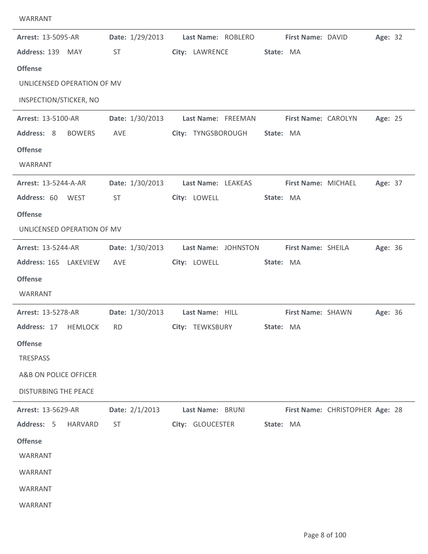| <b>Arrest: 13-5095-AR</b>    |                | Date: 1/29/2013 Last Name: ROBLERO First Name: DAVID   |                     |                                 | Age: 32 |
|------------------------------|----------------|--------------------------------------------------------|---------------------|---------------------------------|---------|
| Address: 139 MAY             | ST             | City: LAWRENCE                                         | State: MA           |                                 |         |
| <b>Offense</b>               |                |                                                        |                     |                                 |         |
| UNLICENSED OPERATION OF MV   |                |                                                        |                     |                                 |         |
| INSPECTION/STICKER, NO       |                |                                                        |                     |                                 |         |
| <b>Arrest: 13-5100-AR</b>    |                | Date: 1/30/2013 Last Name: FREEMAN                     | First Name: CAROLYN |                                 | Age: 25 |
| Address: 8<br><b>BOWERS</b>  | AVE            | City: TYNGSBOROUGH                                     | State: MA           |                                 |         |
| <b>Offense</b>               |                |                                                        |                     |                                 |         |
| WARRANT                      |                |                                                        |                     |                                 |         |
| Arrest: 13-5244-A-AR         |                | Date: 1/30/2013 Last Name: LEAKEAS                     | First Name: MICHAEL |                                 | Age: 37 |
| Address: 60 WEST             | <b>ST</b>      | City: LOWELL                                           | State: MA           |                                 |         |
| <b>Offense</b>               |                |                                                        |                     |                                 |         |
| UNLICENSED OPERATION OF MV   |                |                                                        |                     |                                 |         |
| <b>Arrest: 13-5244-AR</b>    |                | Date: 1/30/2013 Last Name: JOHNSTON First Name: SHEILA |                     |                                 | Age: 36 |
| Address: 165 LAKEVIEW        | AVE            | City: LOWELL                                           | State: MA           |                                 |         |
| <b>Offense</b>               |                |                                                        |                     |                                 |         |
| WARRANT                      |                |                                                        |                     |                                 |         |
| <b>Arrest: 13-5278-AR</b>    |                | Date: 1/30/2013    Last Name: HILL                     | First Name: SHAWN   |                                 | Age: 36 |
| Address: 17 HEMLOCK          | <b>RD</b>      | City: TEWKSBURY                                        | State: MA           |                                 |         |
| <b>Offense</b>               |                |                                                        |                     |                                 |         |
| <b>TRESPASS</b>              |                |                                                        |                     |                                 |         |
| A&B ON POLICE OFFICER        |                |                                                        |                     |                                 |         |
| <b>DISTURBING THE PEACE</b>  |                |                                                        |                     |                                 |         |
| Arrest: 13-5629-AR           | Date: 2/1/2013 | Last Name: BRUNI                                       |                     | First Name: CHRISTOPHER Age: 28 |         |
| Address: 5<br><b>HARVARD</b> | <b>ST</b>      | City: GLOUCESTER                                       | State: MA           |                                 |         |
| <b>Offense</b>               |                |                                                        |                     |                                 |         |
| WARRANT                      |                |                                                        |                     |                                 |         |
| WARRANT                      |                |                                                        |                     |                                 |         |
| WARRANT                      |                |                                                        |                     |                                 |         |
| WARRANT                      |                |                                                        |                     |                                 |         |
|                              |                |                                                        |                     |                                 |         |

WARRANT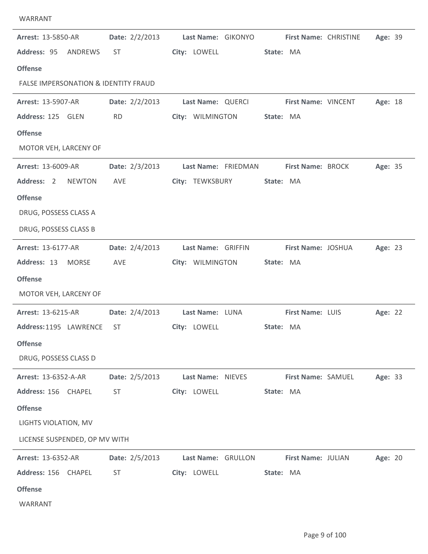| WARRANT                                         |                         |                     |                              |         |
|-------------------------------------------------|-------------------------|---------------------|------------------------------|---------|
| <b>Arrest: 13-5850-AR</b>                       | Date: $2/2/2013$        | Last Name: GIKONYO  | <b>First Name: CHRISTINE</b> | Age: 39 |
| Address: 95 ANDREWS                             | <b>ST</b>               | City: LOWELL        | State: MA                    |         |
| <b>Offense</b>                                  |                         |                     |                              |         |
| <b>FALSE IMPERSONATION &amp; IDENTITY FRAUD</b> |                         |                     |                              |         |
| <b>Arrest: 13-5907-AR</b>                       | Date: $2/2/2013$        | Last Name: QUERCI   | First Name: VINCENT          | Age: 18 |
| Address: 125 GLEN                               | <b>RD</b>               | City: WILMINGTON    | State: MA                    |         |
| <b>Offense</b>                                  |                         |                     |                              |         |
| MOTOR VEH, LARCENY OF                           |                         |                     |                              |         |
| <b>Arrest: 13-6009-AR</b>                       | Date: 2/3/2013          | Last Name: FRIEDMAN | First Name: BROCK            | Age: 35 |
| Address: 2<br><b>NEWTON</b>                     | AVE                     | City: TEWKSBURY     | State: MA                    |         |
| <b>Offense</b>                                  |                         |                     |                              |         |
| DRUG, POSSESS CLASS A                           |                         |                     |                              |         |
| DRUG, POSSESS CLASS B                           |                         |                     |                              |         |
| Arrest: 13-6177-AR                              | Date: 2/4/2013          | Last Name: GRIFFIN  | First Name: JOSHUA           | Age: 23 |
| Address: 13 MORSE                               | AVE                     | City: WILMINGTON    | State: MA                    |         |
| <b>Offense</b>                                  |                         |                     |                              |         |
| MOTOR VEH, LARCENY OF                           |                         |                     |                              |         |
| <b>Arrest: 13-6215-AR</b>                       | Date: $2/4/2013$        | Last Name: LUNA     | First Name: LUIS             | Age: 22 |
| Address:1195 LAWRENCE ST                        |                         | City: LOWELL        | State: MA                    |         |
| <b>Offense</b>                                  |                         |                     |                              |         |
| DRUG, POSSESS CLASS D                           |                         |                     |                              |         |
| Arrest: 13-6352-A-AR                            | Date: 2/5/2013          | Last Name: NIEVES   | First Name: SAMUEL           | Age: 33 |
| Address: 156 CHAPEL                             | <b>ST</b>               | City: LOWELL        | State: MA                    |         |
| <b>Offense</b>                                  |                         |                     |                              |         |
| LIGHTS VIOLATION, MV                            |                         |                     |                              |         |
| LICENSE SUSPENDED, OP MV WITH                   |                         |                     |                              |         |
| Arrest: 13-6352-AR                              | <b>Date:</b> $2/5/2013$ | Last Name: GRULLON  | First Name: JULIAN           | Age: 20 |
| Address: 156 CHAPEL                             | <b>ST</b>               | City: LOWELL        | State: MA                    |         |
| <b>Offense</b>                                  |                         |                     |                              |         |
| WARRANT                                         |                         |                     |                              |         |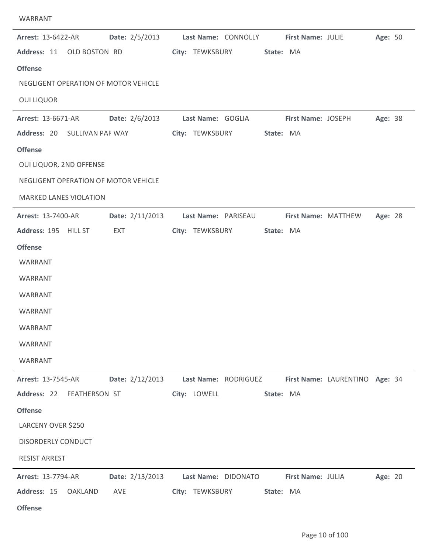| <b>Arrest: 13-6422-AR</b><br>Address: 11 OLD BOSTON RD<br><b>Offense</b><br>NEGLIGENT OPERATION OF MOTOR VEHICLE<br><b>OUI LIQUOR</b>                                           | Date: 2/5/2013 Last Name: CONNOLLY First Name: JULIE |              | City: TEWKSBURY                        | State: MA |                     |                                | Age: 50 |  |
|---------------------------------------------------------------------------------------------------------------------------------------------------------------------------------|------------------------------------------------------|--------------|----------------------------------------|-----------|---------------------|--------------------------------|---------|--|
| <b>Arrest: 13-6671-AR</b><br>Address: 20 SULLIVAN PAF WAY<br><b>Offense</b><br>OUI LIQUOR, 2ND OFFENSE<br>NEGLIGENT OPERATION OF MOTOR VEHICLE<br><b>MARKED LANES VIOLATION</b> | Date: 2/6/2013 Last Name: GOGLIA                     |              | City: TEWKSBURY                        | State: MA | First Name: JOSEPH  |                                | Age: 38 |  |
| <b>Arrest: 13-7400-AR</b><br>Address: 195 HILL ST<br><b>Offense</b><br>WARRANT<br>WARRANT<br>WARRANT<br>WARRANT<br>WARRANT<br>WARRANT<br>WARRANT                                | Date: 2/11/2013<br>EXT                               |              | Last Name: PARISEAU<br>City: TEWKSBURY | State: MA | First Name: MATTHEW |                                | Age: 28 |  |
| <b>Arrest: 13-7545-AR</b><br>Address: 22 FEATHERSON ST<br><b>Offense</b><br>LARCENY OVER \$250<br>DISORDERLY CONDUCT<br><b>RESIST ARREST</b>                                    | Date: 2/12/2013                                      | City: LOWELL | Last Name: RODRIGUEZ                   | State: MA |                     | First Name: LAURENTINO Age: 34 |         |  |
| <b>Arrest: 13-7794-AR</b><br>Address: 15 OAKLAND<br><b>Offense</b>                                                                                                              | Date: 2/13/2013<br>AVE                               |              | Last Name: DIDONATO<br>City: TEWKSBURY | State: MA | First Name: JULIA   |                                | Age: 20 |  |

WARRANT

 $\overline{\phantom{a}}$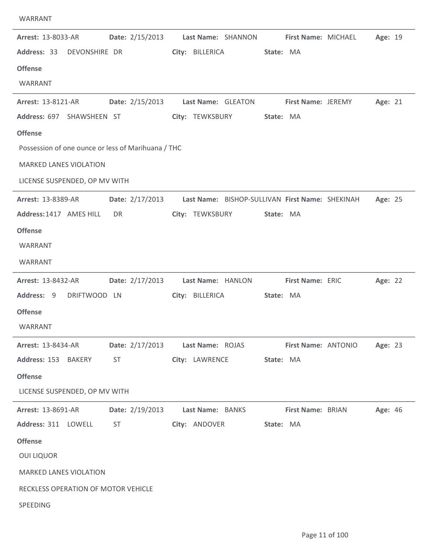| <b>Arrest: 13-8033-AR</b>           |               | Date: 2/15/2013                                    | Last Name: SHANNON                              |           | First Name: MICHAEL       |                     | Age: 19 |  |
|-------------------------------------|---------------|----------------------------------------------------|-------------------------------------------------|-----------|---------------------------|---------------------|---------|--|
| Address: 33                         | DEVONSHIRE DR |                                                    | City: BILLERICA                                 | State: MA |                           |                     |         |  |
| <b>Offense</b>                      |               |                                                    |                                                 |           |                           |                     |         |  |
| WARRANT                             |               |                                                    |                                                 |           |                           |                     |         |  |
| <b>Arrest: 13-8121-AR</b>           |               | Date: 2/15/2013                                    | Last Name: GLEATON                              |           | <b>First Name: JEREMY</b> |                     | Age: 21 |  |
| Address: 697 SHAWSHEEN ST           |               |                                                    | City: TEWKSBURY                                 | State: MA |                           |                     |         |  |
| <b>Offense</b>                      |               |                                                    |                                                 |           |                           |                     |         |  |
|                                     |               | Possession of one ounce or less of Marihuana / THC |                                                 |           |                           |                     |         |  |
| <b>MARKED LANES VIOLATION</b>       |               |                                                    |                                                 |           |                           |                     |         |  |
| LICENSE SUSPENDED, OP MV WITH       |               |                                                    |                                                 |           |                           |                     |         |  |
| <b>Arrest: 13-8389-AR</b>           |               | Date: 2/17/2013                                    | Last Name: BISHOP-SULLIVAN First Name: SHEKINAH |           |                           |                     | Age: 25 |  |
| Address: 1417 AMES HILL             |               | DR                                                 | City: TEWKSBURY                                 | State: MA |                           |                     |         |  |
| <b>Offense</b>                      |               |                                                    |                                                 |           |                           |                     |         |  |
| WARRANT                             |               |                                                    |                                                 |           |                           |                     |         |  |
| WARRANT                             |               |                                                    |                                                 |           |                           |                     |         |  |
| <b>Arrest: 13-8432-AR</b>           |               |                                                    |                                                 |           |                           |                     |         |  |
|                                     |               | Date: 2/17/2013                                    | Last Name: HANLON                               |           | First Name: ERIC          |                     | Age: 22 |  |
| Address: 9                          | DRIFTWOOD LN  |                                                    | City: BILLERICA                                 | State: MA |                           |                     |         |  |
| <b>Offense</b>                      |               |                                                    |                                                 |           |                           |                     |         |  |
| WARRANT                             |               |                                                    |                                                 |           |                           |                     |         |  |
| <b>Arrest: 13-8434-AR</b>           |               | Date: 2/17/2013                                    | Last Name: ROJAS                                |           |                           | First Name: ANTONIO | Age: 23 |  |
| Address: 153 BAKERY                 |               | ST                                                 | City: LAWRENCE                                  | State: MA |                           |                     |         |  |
| <b>Offense</b>                      |               |                                                    |                                                 |           |                           |                     |         |  |
| LICENSE SUSPENDED, OP MV WITH       |               |                                                    |                                                 |           |                           |                     |         |  |
| <b>Arrest: 13-8691-AR</b>           |               | Date: 2/19/2013                                    | Last Name: BANKS                                |           | First Name: BRIAN         |                     | Age: 46 |  |
| Address: 311 LOWELL                 |               | ST                                                 | City: ANDOVER                                   | State: MA |                           |                     |         |  |
| <b>Offense</b>                      |               |                                                    |                                                 |           |                           |                     |         |  |
| <b>OUI LIQUOR</b>                   |               |                                                    |                                                 |           |                           |                     |         |  |
| <b>MARKED LANES VIOLATION</b>       |               |                                                    |                                                 |           |                           |                     |         |  |
| RECKLESS OPERATION OF MOTOR VEHICLE |               |                                                    |                                                 |           |                           |                     |         |  |
| SPEEDING                            |               |                                                    |                                                 |           |                           |                     |         |  |

WARRANT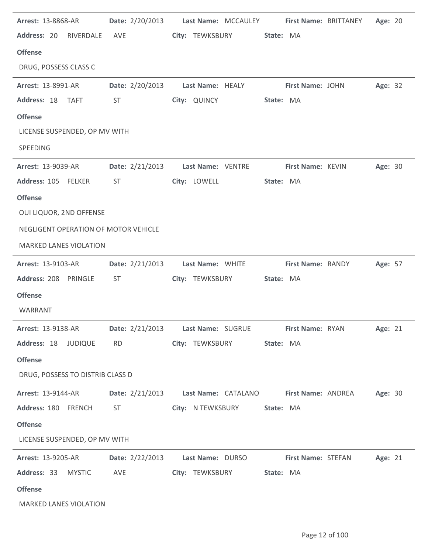| <b>Arrest: 13-8868-AR</b>            |                                                                                                                                                                                                                                | Date: 2/20/2013 Last Name: MCCAULEY                                               |                          | First Name: BRITTANEY<br>Age: 20 |
|--------------------------------------|--------------------------------------------------------------------------------------------------------------------------------------------------------------------------------------------------------------------------------|-----------------------------------------------------------------------------------|--------------------------|----------------------------------|
| Address: 20 RIVERDALE AVE            |                                                                                                                                                                                                                                | City: TEWKSBURY                                                                   | State: MA                |                                  |
| <b>Offense</b>                       |                                                                                                                                                                                                                                |                                                                                   |                          |                                  |
| DRUG, POSSESS CLASS C                |                                                                                                                                                                                                                                |                                                                                   |                          |                                  |
| <b>Arrest: 13-8991-AR</b>            |                                                                                                                                                                                                                                | Date: 2/20/2013 Last Name: HEALY First Name: JOHN                                 |                          | Age: 32                          |
| Address: 18 TAFT                     | ST and the state of the state of the state of the state of the state of the state of the state of the state of the state of the state of the state of the state of the state of the state of the state of the state of the sta | City: QUINCY                                                                      | State: MA                |                                  |
| <b>Offense</b>                       |                                                                                                                                                                                                                                |                                                                                   |                          |                                  |
| LICENSE SUSPENDED, OP MV WITH        |                                                                                                                                                                                                                                |                                                                                   |                          |                                  |
| SPEEDING                             |                                                                                                                                                                                                                                |                                                                                   |                          |                                  |
| <b>Arrest: 13-9039-AR</b>            |                                                                                                                                                                                                                                | Date: 2/21/2013 Last Name: VENTRE                                                 | First Name: KEVIN        | Age: 30                          |
| Address: 105 FELKER                  | <b>ST</b>                                                                                                                                                                                                                      | City: LOWELL                                                                      | State: MA                |                                  |
| <b>Offense</b>                       |                                                                                                                                                                                                                                |                                                                                   |                          |                                  |
| OUI LIQUOR, 2ND OFFENSE              |                                                                                                                                                                                                                                |                                                                                   |                          |                                  |
| NEGLIGENT OPERATION OF MOTOR VEHICLE |                                                                                                                                                                                                                                |                                                                                   |                          |                                  |
| <b>MARKED LANES VIOLATION</b>        |                                                                                                                                                                                                                                |                                                                                   |                          |                                  |
| <b>Arrest: 13-9103-AR</b>            |                                                                                                                                                                                                                                | Date: 2/21/2013 Last Name: WHITE                                                  | <b>First Name: RANDY</b> | Age: 57                          |
| Address: 208 PRINGLE                 | ST                                                                                                                                                                                                                             | City: TEWKSBURY                                                                   | State: MA                |                                  |
| <b>Offense</b>                       |                                                                                                                                                                                                                                |                                                                                   |                          |                                  |
| WARRANT                              |                                                                                                                                                                                                                                |                                                                                   |                          |                                  |
| <b>Arrest: 13-9138-AR</b>            |                                                                                                                                                                                                                                | Date: 2/21/2013 Last Name: SUGRUE                                                 | First Name: RYAN         | Age: 21                          |
| Address: 18 JUDIQUE RD               |                                                                                                                                                                                                                                | City: TEWKSBURY State: MA                                                         |                          |                                  |
| <b>Offense</b>                       |                                                                                                                                                                                                                                |                                                                                   |                          |                                  |
| DRUG, POSSESS TO DISTRIB CLASS D     |                                                                                                                                                                                                                                |                                                                                   |                          |                                  |
|                                      |                                                                                                                                                                                                                                | Arrest: 13-9144-AR Date: 2/21/2013 Last Name: CATALANO First Name: ANDREA Age: 30 |                          |                                  |
| Address: 180 FRENCH ST               |                                                                                                                                                                                                                                | City: N TEWKSBURY State: MA                                                       |                          |                                  |
| <b>Offense</b>                       |                                                                                                                                                                                                                                |                                                                                   |                          |                                  |
| LICENSE SUSPENDED, OP MV WITH        |                                                                                                                                                                                                                                |                                                                                   |                          |                                  |
| <b>Arrest: 13-9205-AR</b>            |                                                                                                                                                                                                                                | Date: 2/22/2013 Last Name: DURSO First Name: STEFAN Age: 21                       |                          |                                  |
| Address: 33 MYSTIC AVE               |                                                                                                                                                                                                                                | City: TEWKSBURY State: MA                                                         |                          |                                  |
| <b>Offense</b>                       |                                                                                                                                                                                                                                |                                                                                   |                          |                                  |
| <b>MARKED LANES VIOLATION</b>        |                                                                                                                                                                                                                                |                                                                                   |                          |                                  |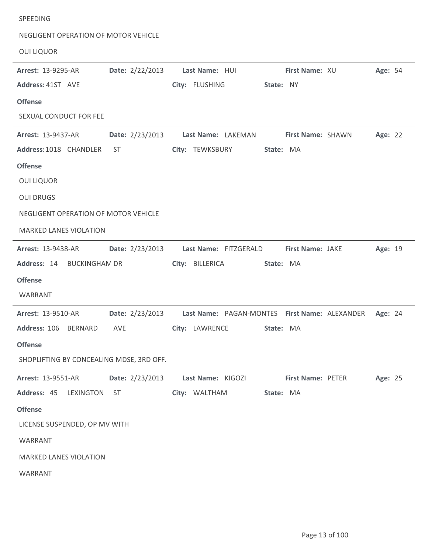| SPEEDING                                 |                 |                                                               |           |                   |         |  |
|------------------------------------------|-----------------|---------------------------------------------------------------|-----------|-------------------|---------|--|
| NEGLIGENT OPERATION OF MOTOR VEHICLE     |                 |                                                               |           |                   |         |  |
| <b>OUI LIQUOR</b>                        |                 |                                                               |           |                   |         |  |
| <b>Arrest: 13-9295-AR</b>                | Date: 2/22/2013 | Last Name: HUI                                                |           | First Name: XU    | Age: 54 |  |
| Address: 41ST AVE                        |                 | City: FLUSHING                                                | State: NY |                   |         |  |
| <b>Offense</b>                           |                 |                                                               |           |                   |         |  |
| SEXUAL CONDUCT FOR FEE                   |                 |                                                               |           |                   |         |  |
| <b>Arrest: 13-9437-AR</b>                | Date: 2/23/2013 | Last Name: LAKEMAN First Name: SHAWN                          |           |                   | Age: 22 |  |
| Address: 1018 CHANDLER                   | ST              | City: TEWKSBURY                                               | State: MA |                   |         |  |
| <b>Offense</b>                           |                 |                                                               |           |                   |         |  |
| <b>OUI LIQUOR</b>                        |                 |                                                               |           |                   |         |  |
| <b>OUI DRUGS</b>                         |                 |                                                               |           |                   |         |  |
| NEGLIGENT OPERATION OF MOTOR VEHICLE     |                 |                                                               |           |                   |         |  |
| <b>MARKED LANES VIOLATION</b>            |                 |                                                               |           |                   |         |  |
| <b>Arrest: 13-9438-AR</b>                | Date: 2/23/2013 | Last Name: FITZGERALD                                         |           | First Name: JAKE  | Age: 19 |  |
| Address: 14 BUCKINGHAM DR                |                 | City: BILLERICA                                               | State: MA |                   |         |  |
| <b>Offense</b>                           |                 |                                                               |           |                   |         |  |
| WARRANT                                  |                 |                                                               |           |                   |         |  |
| <b>Arrest: 13-9510-AR</b>                |                 | Date: 2/23/2013 Last Name: PAGAN-MONTES First Name: ALEXANDER |           |                   | Age: 24 |  |
| Address: 106 BERNARD AVE City: LAWRENCE  |                 |                                                               |           | <b>State: MA</b>  |         |  |
| <b>Offense</b>                           |                 |                                                               |           |                   |         |  |
| SHOPLIFTING BY CONCEALING MDSE, 3RD OFF. |                 |                                                               |           |                   |         |  |
| <b>Arrest: 13-9551-AR</b>                | Date: 2/23/2013 | Last Name: KIGOZI                                             |           | First Name: PETER | Age: 25 |  |
| Address: 45 LEXINGTON ST                 |                 | City: WALTHAM                                                 |           | State: MA         |         |  |
| <b>Offense</b>                           |                 |                                                               |           |                   |         |  |
| LICENSE SUSPENDED, OP MV WITH            |                 |                                                               |           |                   |         |  |
| WARRANT                                  |                 |                                                               |           |                   |         |  |
| <b>MARKED LANES VIOLATION</b>            |                 |                                                               |           |                   |         |  |
| WARRANT                                  |                 |                                                               |           |                   |         |  |
|                                          |                 |                                                               |           |                   |         |  |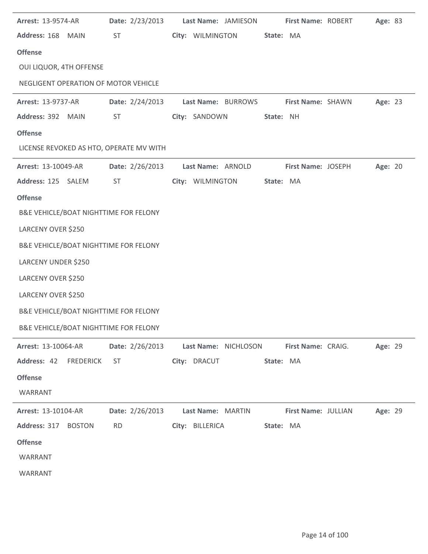| <b>Arrest: 13-9574-AR</b>               |                 | Date: 2/23/2013 Last Name: JAMIESON                  |                     | <b>First Name: ROBERT</b><br>Age: 83 |
|-----------------------------------------|-----------------|------------------------------------------------------|---------------------|--------------------------------------|
| Address: 168 MAIN                       | <b>ST</b>       | City: WILMINGTON                                     | State: MA           |                                      |
| <b>Offense</b>                          |                 |                                                      |                     |                                      |
| OUI LIQUOR, 4TH OFFENSE                 |                 |                                                      |                     |                                      |
| NEGLIGENT OPERATION OF MOTOR VEHICLE    |                 |                                                      |                     |                                      |
| <b>Arrest: 13-9737-AR</b>               |                 | Date: 2/24/2013 Last Name: BURROWS First Name: SHAWN |                     | Age: 23                              |
| Address: 392 MAIN                       | <b>ST</b>       | City: SANDOWN                                        | State: NH           |                                      |
| <b>Offense</b>                          |                 |                                                      |                     |                                      |
| LICENSE REVOKED AS HTO, OPERATE MV WITH |                 |                                                      |                     |                                      |
| <b>Arrest: 13-10049-AR</b>              |                 | Date: 2/26/2013 Last Name: ARNOLD                    | First Name: JOSEPH  | Age: 20                              |
| Address: 125 SALEM                      | ST              | City: WILMINGTON                                     | State: MA           |                                      |
| <b>Offense</b>                          |                 |                                                      |                     |                                      |
| B&E VEHICLE/BOAT NIGHTTIME FOR FELONY   |                 |                                                      |                     |                                      |
| LARCENY OVER \$250                      |                 |                                                      |                     |                                      |
| B&E VEHICLE/BOAT NIGHTTIME FOR FELONY   |                 |                                                      |                     |                                      |
| LARCENY UNDER \$250                     |                 |                                                      |                     |                                      |
| LARCENY OVER \$250                      |                 |                                                      |                     |                                      |
| LARCENY OVER \$250                      |                 |                                                      |                     |                                      |
| B&E VEHICLE/BOAT NIGHTTIME FOR FELONY   |                 |                                                      |                     |                                      |
| B&E VEHICLE/BOAT NIGHTTIME FOR FELONY   |                 |                                                      |                     |                                      |
| Arrest: 13-10064-AR                     |                 | Date: 2/26/2013 Last Name: NICHLOSON                 | First Name: CRAIG.  | Age: 29                              |
| Address: 42 FREDERICK                   | ST              | City: DRACUT                                         | State: MA           |                                      |
| <b>Offense</b>                          |                 |                                                      |                     |                                      |
| WARRANT                                 |                 |                                                      |                     |                                      |
| Arrest: 13-10104-AR                     | Date: 2/26/2013 | Last Name: MARTIN                                    | First Name: JULLIAN | Age: 29                              |
| Address: 317 BOSTON                     | <b>RD</b>       | City: BILLERICA                                      | State: MA           |                                      |
| <b>Offense</b>                          |                 |                                                      |                     |                                      |
| WARRANT                                 |                 |                                                      |                     |                                      |
| WARRANT                                 |                 |                                                      |                     |                                      |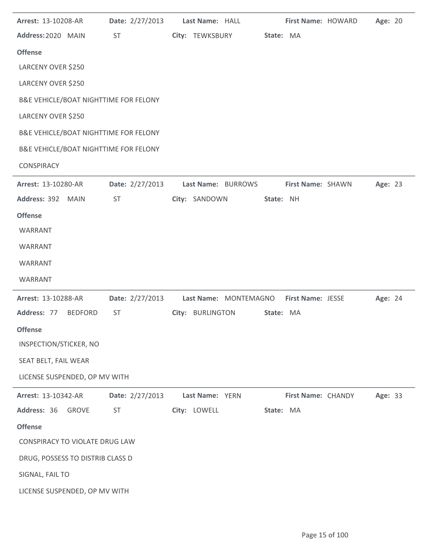| Arrest: 13-10208-AR                   | Date: 2/27/2013                       | Last Name: HALL    |                       | First Name: HOWARD       |  | Age: 20 |  |
|---------------------------------------|---------------------------------------|--------------------|-----------------------|--------------------------|--|---------|--|
| Address: 2020 MAIN                    | ST                                    | City: TEWKSBURY    | State: MA             |                          |  |         |  |
| <b>Offense</b>                        |                                       |                    |                       |                          |  |         |  |
| LARCENY OVER \$250                    |                                       |                    |                       |                          |  |         |  |
| LARCENY OVER \$250                    |                                       |                    |                       |                          |  |         |  |
|                                       | B&E VEHICLE/BOAT NIGHTTIME FOR FELONY |                    |                       |                          |  |         |  |
| LARCENY OVER \$250                    |                                       |                    |                       |                          |  |         |  |
| B&E VEHICLE/BOAT NIGHTTIME FOR FELONY |                                       |                    |                       |                          |  |         |  |
|                                       | B&E VEHICLE/BOAT NIGHTTIME FOR FELONY |                    |                       |                          |  |         |  |
| CONSPIRACY                            |                                       |                    |                       |                          |  |         |  |
| Arrest: 13-10280-AR                   | Date: 2/27/2013                       | Last Name: BURROWS |                       | First Name: SHAWN        |  | Age: 23 |  |
| Address: 392 MAIN                     | ST                                    | City: SANDOWN      | State: NH             |                          |  |         |  |
| <b>Offense</b>                        |                                       |                    |                       |                          |  |         |  |
| WARRANT                               |                                       |                    |                       |                          |  |         |  |
| WARRANT                               |                                       |                    |                       |                          |  |         |  |
| WARRANT                               |                                       |                    |                       |                          |  |         |  |
| WARRANT                               |                                       |                    |                       |                          |  |         |  |
| Arrest: 13-10288-AR                   | Date: 2/27/2013                       |                    | Last Name: MONTEMAGNO | <b>First Name: JESSE</b> |  | Age: 24 |  |
| Address: 77 BEDFORD                   | <b>ST</b>                             | City: BURLINGTON   | State: MA             |                          |  |         |  |
| <b>Offense</b>                        |                                       |                    |                       |                          |  |         |  |
| INSPECTION/STICKER, NO                |                                       |                    |                       |                          |  |         |  |
| SEAT BELT, FAIL WEAR                  |                                       |                    |                       |                          |  |         |  |
| LICENSE SUSPENDED, OP MV WITH         |                                       |                    |                       |                          |  |         |  |
| Arrest: 13-10342-AR                   | Date: 2/27/2013                       | Last Name: YERN    |                       | First Name: CHANDY       |  | Age: 33 |  |
| Address: 36<br><b>GROVE</b>           | <b>ST</b>                             | City: LOWELL       | State: MA             |                          |  |         |  |
| <b>Offense</b>                        |                                       |                    |                       |                          |  |         |  |
| CONSPIRACY TO VIOLATE DRUG LAW        |                                       |                    |                       |                          |  |         |  |
| DRUG, POSSESS TO DISTRIB CLASS D      |                                       |                    |                       |                          |  |         |  |
| SIGNAL, FAIL TO                       |                                       |                    |                       |                          |  |         |  |
| LICENSE SUSPENDED, OP MV WITH         |                                       |                    |                       |                          |  |         |  |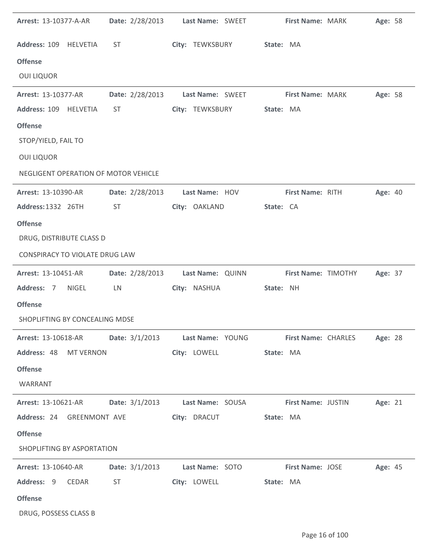| <b>Arrest: 13-10377-A-AR</b>         |                 | Date: 2/28/2013 Last Name: SWEET  | First Name: MARK<br>Age: 58                                                     |
|--------------------------------------|-----------------|-----------------------------------|---------------------------------------------------------------------------------|
| Address: 109 HELVETIA                | <b>ST</b>       | City: TEWKSBURY                   | State: MA                                                                       |
| <b>Offense</b>                       |                 |                                   |                                                                                 |
| <b>OUI LIQUOR</b>                    |                 |                                   |                                                                                 |
| Arrest: 13-10377-AR                  |                 | Date: 2/28/2013 Last Name: SWEET  | First Name: MARK<br>Age: 58                                                     |
| Address: 109 HELVETIA                | <b>ST</b>       | City: TEWKSBURY                   | State: MA                                                                       |
| <b>Offense</b>                       |                 |                                   |                                                                                 |
| STOP/YIELD, FAIL TO                  |                 |                                   |                                                                                 |
| <b>OUI LIQUOR</b>                    |                 |                                   |                                                                                 |
| NEGLIGENT OPERATION OF MOTOR VEHICLE |                 |                                   |                                                                                 |
| Arrest: 13-10390-AR                  |                 | Date: 2/28/2013    Last Name: HOV | First Name: RITH<br>Age: 40                                                     |
| Address: 1332 26TH                   | ST              | City: OAKLAND                     | State: CA                                                                       |
| <b>Offense</b>                       |                 |                                   |                                                                                 |
| DRUG, DISTRIBUTE CLASS D             |                 |                                   |                                                                                 |
| CONSPIRACY TO VIOLATE DRUG LAW       |                 |                                   |                                                                                 |
| Arrest: 13-10451-AR                  | Date: 2/28/2013 | Last Name: QUINN                  | First Name: TIMOTHY<br>Age: 37                                                  |
| Address: 7<br>NIGEL                  | LN              | City: NASHUA                      | State: NH                                                                       |
| <b>Offense</b>                       |                 |                                   |                                                                                 |
| SHOPLIFTING BY CONCEALING MDSE       |                 |                                   |                                                                                 |
|                                      |                 |                                   | Arrest: 13-10618-AR Date: 3/1/2013 Last Name: YOUNG First Name: CHARLES Age: 28 |
| Address: 48 MT VERNON                |                 | City: LOWELL State: MA            |                                                                                 |
| <b>Offense</b>                       |                 |                                   |                                                                                 |
| WARRANT                              |                 |                                   |                                                                                 |
| <b>Arrest: 13-10621-AR</b>           |                 |                                   | Date: 3/1/2013 Last Name: SOUSA First Name: JUSTIN Age: 21                      |
| Address: 24 GREENMONT AVE            |                 | City: DRACUT State: MA            |                                                                                 |
| <b>Offense</b>                       |                 |                                   |                                                                                 |
| SHOPLIFTING BY ASPORTATION           |                 |                                   |                                                                                 |
| <b>Arrest: 13-10640-AR</b>           |                 |                                   | Date: 3/1/2013 Last Name: SOTO First Name: JOSE Age: 45                         |
| Address: 9 CEDAR                     |                 | ST City: LOWELL State: MA         |                                                                                 |
| <b>Offense</b>                       |                 |                                   |                                                                                 |
| DRUG, POSSESS CLASS B                |                 |                                   |                                                                                 |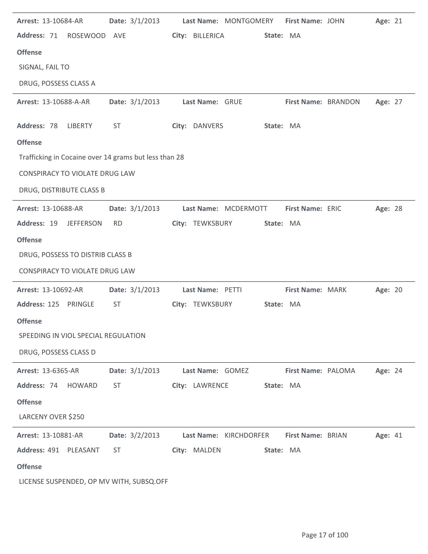| Arrest: 13-10684-AR                                   | Date: 3/1/2013   |                  | Last Name: MONTGOMERY  | First Name: JOHN    | Age: 21 |  |
|-------------------------------------------------------|------------------|------------------|------------------------|---------------------|---------|--|
| Address: 71<br>ROSEWOOD                               | AVE              | City: BILLERICA  | State: MA              |                     |         |  |
| <b>Offense</b>                                        |                  |                  |                        |                     |         |  |
| SIGNAL, FAIL TO                                       |                  |                  |                        |                     |         |  |
| DRUG, POSSESS CLASS A                                 |                  |                  |                        |                     |         |  |
| Arrest: 13-10688-A-AR                                 | Date: $3/1/2013$ | Last Name: GRUE  |                        | First Name: BRANDON | Age: 27 |  |
| Address: 78<br><b>LIBERTY</b>                         | ST               | City: DANVERS    | State: MA              |                     |         |  |
| <b>Offense</b>                                        |                  |                  |                        |                     |         |  |
| Trafficking in Cocaine over 14 grams but less than 28 |                  |                  |                        |                     |         |  |
| CONSPIRACY TO VIOLATE DRUG LAW                        |                  |                  |                        |                     |         |  |
| DRUG, DISTRIBUTE CLASS B                              |                  |                  |                        |                     |         |  |
| Arrest: 13-10688-AR                                   | Date: 3/1/2013   |                  | Last Name: MCDERMOTT   | First Name: ERIC    | Age: 28 |  |
| Address: 19<br><b>JEFFERSON</b>                       | <b>RD</b>        | City: TEWKSBURY  | State: MA              |                     |         |  |
| <b>Offense</b>                                        |                  |                  |                        |                     |         |  |
| DRUG, POSSESS TO DISTRIB CLASS B                      |                  |                  |                        |                     |         |  |
| CONSPIRACY TO VIOLATE DRUG LAW                        |                  |                  |                        |                     |         |  |
| Arrest: 13-10692-AR                                   | Date: $3/1/2013$ | Last Name: PETTI |                        | First Name: MARK    | Age: 20 |  |
| Address: 125 PRINGLE                                  | <b>ST</b>        | City: TEWKSBURY  | State: MA              |                     |         |  |
| <b>Offense</b>                                        |                  |                  |                        |                     |         |  |
| SPEEDING IN VIOL SPECIAL REGULATION                   |                  |                  |                        |                     |         |  |
| DRUG, POSSESS CLASS D                                 |                  |                  |                        |                     |         |  |
| <b>Arrest: 13-6365-AR</b>                             | Date: 3/1/2013   | Last Name: GOMEZ |                        | First Name: PALOMA  | Age: 24 |  |
| Address: 74 HOWARD                                    | <b>ST</b>        | City: LAWRENCE   | State: MA              |                     |         |  |
| <b>Offense</b>                                        |                  |                  |                        |                     |         |  |
| LARCENY OVER \$250                                    |                  |                  |                        |                     |         |  |
| Arrest: 13-10881-AR                                   | Date: $3/2/2013$ |                  | Last Name: KIRCHDORFER | First Name: BRIAN   | Age: 41 |  |
| Address: 491 PLEASANT                                 | <b>ST</b>        | City: MALDEN     | State: MA              |                     |         |  |
| <b>Offense</b>                                        |                  |                  |                        |                     |         |  |
| LICENSE SUSPENDED, OP MV WITH, SUBSQ.OFF              |                  |                  |                        |                     |         |  |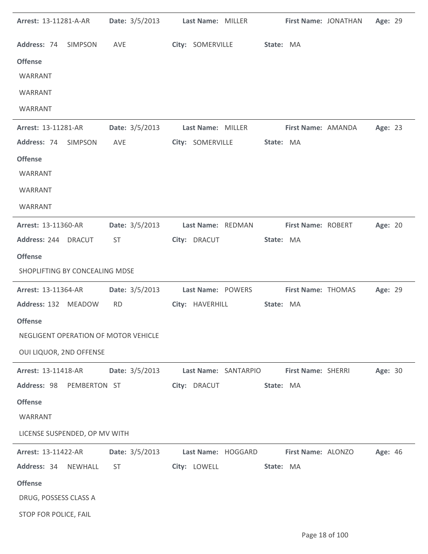| <b>Arrest: 13-11281-A-AR</b>   |         | Date: 3/5/2013 Last Name: MILLER                    |              |                            |           | First Name: JONATHAN |                           | Age: 29 |  |
|--------------------------------|---------|-----------------------------------------------------|--------------|----------------------------|-----------|----------------------|---------------------------|---------|--|
| Address: 74 SIMPSON            |         | AVE                                                 |              | City: SOMERVILLE State: MA |           |                      |                           |         |  |
| <b>Offense</b>                 |         |                                                     |              |                            |           |                      |                           |         |  |
| WARRANT                        |         |                                                     |              |                            |           |                      |                           |         |  |
| WARRANT                        |         |                                                     |              |                            |           |                      |                           |         |  |
| WARRANT                        |         |                                                     |              |                            |           |                      |                           |         |  |
| Arrest: 13-11281-AR            |         | Date: 3/5/2013 Last Name: MILLER First Name: AMANDA |              |                            |           |                      |                           | Age: 23 |  |
| Address: 74                    | SIMPSON | AVE                                                 |              | City: SOMERVILLE           | State: MA |                      |                           |         |  |
| <b>Offense</b>                 |         |                                                     |              |                            |           |                      |                           |         |  |
| WARRANT                        |         |                                                     |              |                            |           |                      |                           |         |  |
| WARRANT                        |         |                                                     |              |                            |           |                      |                           |         |  |
| WARRANT                        |         |                                                     |              |                            |           |                      |                           |         |  |
| <b>Arrest: 13-11360-AR</b>     |         | <b>Date:</b> 3/5/2013                               |              | Last Name: REDMAN          |           | First Name: ROBERT   |                           | Age: 20 |  |
| Address: 244 DRACUT            |         | ST                                                  | City: DRACUT |                            | State: MA |                      |                           |         |  |
| <b>Offense</b>                 |         |                                                     |              |                            |           |                      |                           |         |  |
| SHOPLIFTING BY CONCEALING MDSE |         |                                                     |              |                            |           |                      |                           |         |  |
| Arrest: 13-11364-AR            |         | Date: 3/5/2013                                      |              | Last Name: POWERS          |           |                      | <b>First Name: THOMAS</b> | Age: 29 |  |
| Address: 132 MEADOW            |         | <b>RD</b>                                           |              | City: HAVERHILL            | State: MA |                      |                           |         |  |
| <b>Offense</b>                 |         |                                                     |              |                            |           |                      |                           |         |  |
|                                |         | NEGLIGENT OPERATION OF MOTOR VEHICLE                |              |                            |           |                      |                           |         |  |
| OUI LIQUOR, 2ND OFFENSE        |         |                                                     |              |                            |           |                      |                           |         |  |
| Arrest: 13-11418-AR            |         | Date: 3/5/2013                                      |              | Last Name: SANTARPIO       |           | First Name: SHERRI   |                           | Age: 30 |  |
| Address: 98 PEMBERTON ST       |         |                                                     | City: DRACUT |                            | State: MA |                      |                           |         |  |
| <b>Offense</b>                 |         |                                                     |              |                            |           |                      |                           |         |  |
| WARRANT                        |         |                                                     |              |                            |           |                      |                           |         |  |
| LICENSE SUSPENDED, OP MV WITH  |         |                                                     |              |                            |           |                      |                           |         |  |
| Arrest: 13-11422-AR            |         | Date: 3/5/2013                                      |              | Last Name: HOGGARD         |           | First Name: ALONZO   |                           | Age: 46 |  |
| Address: 34                    | NEWHALL | <b>ST</b>                                           | City: LOWELL |                            | State: MA |                      |                           |         |  |
| <b>Offense</b>                 |         |                                                     |              |                            |           |                      |                           |         |  |
| DRUG, POSSESS CLASS A          |         |                                                     |              |                            |           |                      |                           |         |  |
| STOP FOR POLICE, FAIL          |         |                                                     |              |                            |           |                      |                           |         |  |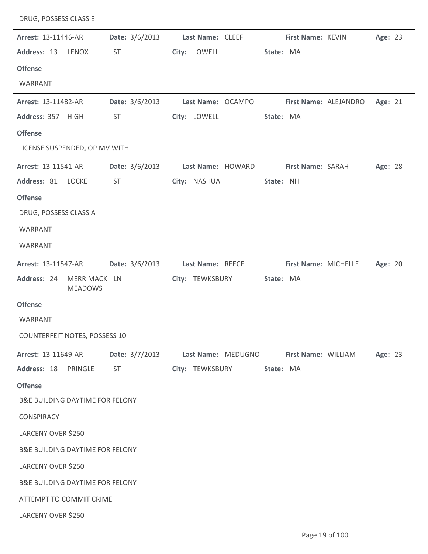| DRUG, POSSESS CLASS E                         |                |                    |                      |                       |         |
|-----------------------------------------------|----------------|--------------------|----------------------|-----------------------|---------|
| Arrest: 13-11446-AR                           | Date: 3/6/2013 | Last Name: CLEEF   | First Name: KEVIN    |                       | Age: 23 |
| Address: 13<br>LENOX                          | <b>ST</b>      | City: LOWELL       | State: MA            |                       |         |
| <b>Offense</b>                                |                |                    |                      |                       |         |
| WARRANT                                       |                |                    |                      |                       |         |
| Arrest: 13-11482-AR                           | Date: 3/6/2013 | Last Name: OCAMPO  |                      | First Name: ALEJANDRO | Age: 21 |
| Address: 357 HIGH                             | <b>ST</b>      | City: LOWELL       | State: MA            |                       |         |
| <b>Offense</b>                                |                |                    |                      |                       |         |
| LICENSE SUSPENDED, OP MV WITH                 |                |                    |                      |                       |         |
| Arrest: 13-11541-AR                           | Date: 3/6/2013 | Last Name: HOWARD  | First Name: SARAH    |                       | Age: 28 |
| Address: 81<br>LOCKE                          | <b>ST</b>      | City: NASHUA       | State: NH            |                       |         |
| <b>Offense</b>                                |                |                    |                      |                       |         |
| DRUG, POSSESS CLASS A                         |                |                    |                      |                       |         |
| WARRANT                                       |                |                    |                      |                       |         |
| WARRANT                                       |                |                    |                      |                       |         |
| Arrest: 13-11547-AR                           | Date: 3/6/2013 | Last Name: REECE   | First Name: MICHELLE |                       | Age: 20 |
| Address: 24<br>MERRIMACK LN<br><b>MEADOWS</b> |                | City: TEWKSBURY    | State: MA            |                       |         |
| <b>Offense</b>                                |                |                    |                      |                       |         |
| WARRANT                                       |                |                    |                      |                       |         |
| <b>COUNTERFEIT NOTES, POSSESS 10</b>          |                |                    |                      |                       |         |
| Arrest: 13-11649-AR                           | Date: 3/7/2013 | Last Name: MEDUGNO | First Name: WILLIAM  |                       | Age: 23 |
| Address: 18<br>PRINGLE                        | <b>ST</b>      | City: TEWKSBURY    | State: MA            |                       |         |
| <b>Offense</b>                                |                |                    |                      |                       |         |
| <b>B&amp;E BUILDING DAYTIME FOR FELONY</b>    |                |                    |                      |                       |         |
| <b>CONSPIRACY</b>                             |                |                    |                      |                       |         |
| LARCENY OVER \$250                            |                |                    |                      |                       |         |
| <b>B&amp;E BUILDING DAYTIME FOR FELONY</b>    |                |                    |                      |                       |         |
| LARCENY OVER \$250                            |                |                    |                      |                       |         |
| <b>B&amp;E BUILDING DAYTIME FOR FELONY</b>    |                |                    |                      |                       |         |
| ATTEMPT TO COMMIT CRIME                       |                |                    |                      |                       |         |
| LARCENY OVER \$250                            |                |                    |                      |                       |         |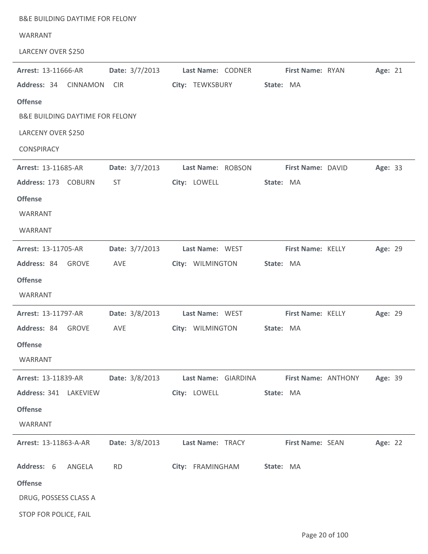| <b>B&amp;E BUILDING DAYTIME FOR FELONY</b> |                       |                     |                  |                     |         |  |
|--------------------------------------------|-----------------------|---------------------|------------------|---------------------|---------|--|
| WARRANT                                    |                       |                     |                  |                     |         |  |
| LARCENY OVER \$250                         |                       |                     |                  |                     |         |  |
| Arrest: 13-11666-AR                        | Date: $3/7/2013$      | Last Name: CODNER   |                  | First Name: RYAN    | Age: 21 |  |
| Address: 34<br><b>CINNAMON</b>             | <b>CIR</b>            | City: TEWKSBURY     | State: MA        |                     |         |  |
| <b>Offense</b>                             |                       |                     |                  |                     |         |  |
| <b>B&amp;E BUILDING DAYTIME FOR FELONY</b> |                       |                     |                  |                     |         |  |
| LARCENY OVER \$250                         |                       |                     |                  |                     |         |  |
| CONSPIRACY                                 |                       |                     |                  |                     |         |  |
| Arrest: 13-11685-AR                        | Date: 3/7/2013        | Last Name: ROBSON   |                  | First Name: DAVID   | Age: 33 |  |
| Address: 173 COBURN                        | <b>ST</b>             | City: LOWELL        | State: MA        |                     |         |  |
| <b>Offense</b>                             |                       |                     |                  |                     |         |  |
| WARRANT                                    |                       |                     |                  |                     |         |  |
| WARRANT                                    |                       |                     |                  |                     |         |  |
| Arrest: 13-11705-AR                        | Date: $3/7/2013$      | Last Name: WEST     |                  | First Name: KELLY   | Age: 29 |  |
| Address: 84 GROVE                          | AVE                   | City: WILMINGTON    | State: MA        |                     |         |  |
| <b>Offense</b>                             |                       |                     |                  |                     |         |  |
| WARRANT                                    |                       |                     |                  |                     |         |  |
| Arrest: 13-11797-AR                        | Date: 3/8/2013        | Last Name: WEST     |                  | First Name: KELLY   | Age: 29 |  |
| Address: 84 GROVE                          | AVE                   | City: WILMINGTON    | <b>State: MA</b> |                     |         |  |
| <b>Offense</b>                             |                       |                     |                  |                     |         |  |
| WARRANT                                    |                       |                     |                  |                     |         |  |
| Arrest: 13-11839-AR                        | Date: 3/8/2013        | Last Name: GIARDINA |                  | First Name: ANTHONY | Age: 39 |  |
| Address: 341 LAKEVIEW                      |                       | City: LOWELL        | State: MA        |                     |         |  |
| <b>Offense</b>                             |                       |                     |                  |                     |         |  |
| <b>WARRANT</b>                             |                       |                     |                  |                     |         |  |
| Arrest: 13-11863-A-AR                      | <b>Date:</b> 3/8/2013 | Last Name: TRACY    |                  | First Name: SEAN    | Age: 22 |  |
| Address: 6<br>ANGELA                       | <b>RD</b>             | City: FRAMINGHAM    | State: MA        |                     |         |  |
| <b>Offense</b>                             |                       |                     |                  |                     |         |  |
| DRUG, POSSESS CLASS A                      |                       |                     |                  |                     |         |  |
| STOP FOR POLICE, FAIL                      |                       |                     |                  |                     |         |  |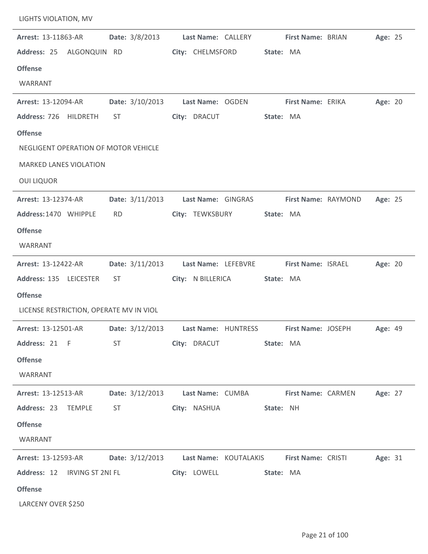| LIGHTS VIOLATION, MV                                                                 |                                                             |                    |           |                           |         |  |
|--------------------------------------------------------------------------------------|-------------------------------------------------------------|--------------------|-----------|---------------------------|---------|--|
| <b>Arrest: 13-11863-AR</b>                                                           | Date: 3/8/2013                                              | Last Name: CALLERY |           | First Name: BRIAN         | Age: 25 |  |
| Address: 25 ALGONQUIN RD                                                             |                                                             | City: CHELMSFORD   | State: MA |                           |         |  |
| <b>Offense</b>                                                                       |                                                             |                    |           |                           |         |  |
| WARRANT                                                                              |                                                             |                    |           |                           |         |  |
| Arrest: 13-12094-AR                                                                  | Date: 3/10/2013 Last Name: OGDEN First Name: ERIKA          |                    |           |                           | Age: 20 |  |
| Address: 726 HILDRETH                                                                | ST                                                          | City: DRACUT       | State: MA |                           |         |  |
| <b>Offense</b>                                                                       |                                                             |                    |           |                           |         |  |
| NEGLIGENT OPERATION OF MOTOR VEHICLE                                                 |                                                             |                    |           |                           |         |  |
| <b>MARKED LANES VIOLATION</b>                                                        |                                                             |                    |           |                           |         |  |
| <b>OUI LIQUOR</b>                                                                    |                                                             |                    |           |                           |         |  |
| <b>Arrest: 13-12374-AR</b>                                                           | Date: 3/11/2013 Last Name: GINGRAS                          |                    |           | First Name: RAYMOND       | Age: 25 |  |
| Address: 1470 WHIPPLE                                                                | <b>RD</b>                                                   | City: TEWKSBURY    | State: MA |                           |         |  |
| <b>Offense</b>                                                                       |                                                             |                    |           |                           |         |  |
| WARRANT                                                                              |                                                             |                    |           |                           |         |  |
| Arrest: 13-12422-AR                                                                  | Date: 3/11/2013    Last Name: LEFEBVRE                      |                    |           | <b>First Name: ISRAEL</b> | Age: 20 |  |
| Address: 135 LEICESTER                                                               | ST                                                          | City: N BILLERICA  | State: MA |                           |         |  |
| <b>Offense</b>                                                                       |                                                             |                    |           |                           |         |  |
| LICENSE RESTRICTION, OPERATE MV IN VIOL                                              |                                                             |                    |           |                           |         |  |
| Arrest: 13-12501-AR Date: 3/12/2013 Last Name: HUNTRESS First Name: JOSEPH Age: 49   |                                                             |                    |           |                           |         |  |
| Address: 21 F ST City: DRACUT State: MA                                              |                                                             |                    |           |                           |         |  |
| <b>Offense</b>                                                                       |                                                             |                    |           |                           |         |  |
| WARRANT                                                                              |                                                             |                    |           |                           |         |  |
| <b>Arrest: 13-12513-AR</b>                                                           | Date: 3/12/2013 Last Name: CUMBA First Name: CARMEN Age: 27 |                    |           |                           |         |  |
| Address: 23 TEMPLE ST City: NASHUA State: NH                                         |                                                             |                    |           |                           |         |  |
| <b>Offense</b>                                                                       |                                                             |                    |           |                           |         |  |
| WARRANT                                                                              |                                                             |                    |           |                           |         |  |
| Arrest: 13-12593-AR Date: 3/12/2013 Last Name: KOUTALAKIS First Name: CRISTI Age: 31 |                                                             |                    |           |                           |         |  |
| Address: 12 IRVING ST 2NI FL City: LOWELL State: MA                                  |                                                             |                    |           |                           |         |  |
| <b>Offense</b>                                                                       |                                                             |                    |           |                           |         |  |
| LARCENY OVER \$250                                                                   |                                                             |                    |           |                           |         |  |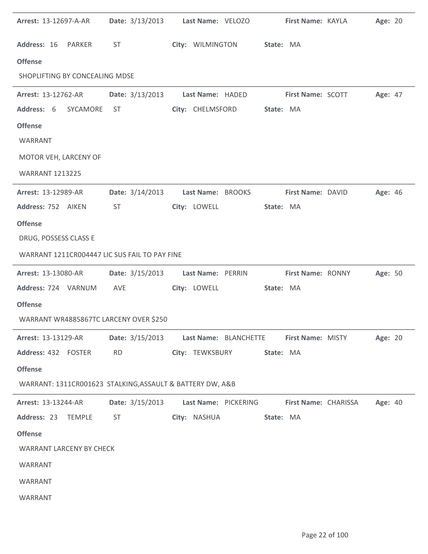| <b>Arrest: 13-12697-A-AR</b>                              |                        | Date: 3/13/2013 Last Name: VELOZO     | First Name: KAYLA |                          | Age: 20 |
|-----------------------------------------------------------|------------------------|---------------------------------------|-------------------|--------------------------|---------|
| Address: 16 PARKER                                        | <b>ST</b>              | City: WILMINGTON                      | State: MA         |                          |         |
| <b>Offense</b>                                            |                        |                                       |                   |                          |         |
| SHOPLIFTING BY CONCEALING MDSE                            |                        |                                       |                   |                          |         |
| <b>Arrest: 13-12762-AR</b>                                | <b>Date:</b> 3/13/2013 | Last Name: HADED                      | First Name: SCOTT |                          | Age: 47 |
| Address: 6<br>SYCAMORE                                    | ST                     | City: CHELMSFORD                      | State: MA         |                          |         |
| <b>Offense</b>                                            |                        |                                       |                   |                          |         |
| WARRANT                                                   |                        |                                       |                   |                          |         |
| MOTOR VEH, LARCENY OF                                     |                        |                                       |                   |                          |         |
| <b>WARRANT 1213225</b>                                    |                        |                                       |                   |                          |         |
| Arrest: 13-12989-AR                                       |                        | Date: 3/14/2013 Last Name: BROOKS     | First Name: DAVID |                          | Age: 46 |
| Address: 752 AIKEN                                        | ST                     | City: LOWELL                          | State: MA         |                          |         |
| <b>Offense</b>                                            |                        |                                       |                   |                          |         |
| DRUG, POSSESS CLASS E                                     |                        |                                       |                   |                          |         |
| WARRANT 1211CR004447 LIC SUS FAIL TO PAY FINE             |                        |                                       |                   |                          |         |
| Arrest: 13-13080-AR                                       |                        | Date: 3/15/2013 Last Name: PERRIN     | First Name: RONNY |                          | Age: 50 |
| Address: 724 VARNUM AVE                                   |                        | City: LOWELL                          | State: MA         |                          |         |
| <b>Offense</b>                                            |                        |                                       |                   |                          |         |
| WARRANT WR4885867TC LARCENY OVER \$250                    |                        |                                       |                   |                          |         |
| <b>Arrest: 13-13129-AR</b>                                |                        | Date: 3/15/2013 Last Name: BLANCHETTE |                   | <b>First Name: MISTY</b> | Age: 20 |
| Address: 432 FOSTER                                       | <b>RD</b>              | City: TEWKSBURY                       | State: MA         |                          |         |
| <b>Offense</b>                                            |                        |                                       |                   |                          |         |
| WARRANT: 1311CR001623 STALKING, ASSAULT & BATTERY DW, A&B |                        |                                       |                   |                          |         |
| Arrest: 13-13244-AR                                       | Date: 3/15/2013        | Last Name: PICKERING                  |                   | First Name: CHARISSA     | Age: 40 |
| Address: 23 TEMPLE                                        | <b>ST</b>              | City: NASHUA                          | State: MA         |                          |         |
| <b>Offense</b>                                            |                        |                                       |                   |                          |         |
| <b>WARRANT LARCENY BY CHECK</b>                           |                        |                                       |                   |                          |         |
| WARRANT                                                   |                        |                                       |                   |                          |         |
| WARRANT                                                   |                        |                                       |                   |                          |         |
| WARRANT                                                   |                        |                                       |                   |                          |         |
|                                                           |                        |                                       |                   |                          |         |

 $\overline{\phantom{a}}$ 

 $\ddot{\phantom{a}}$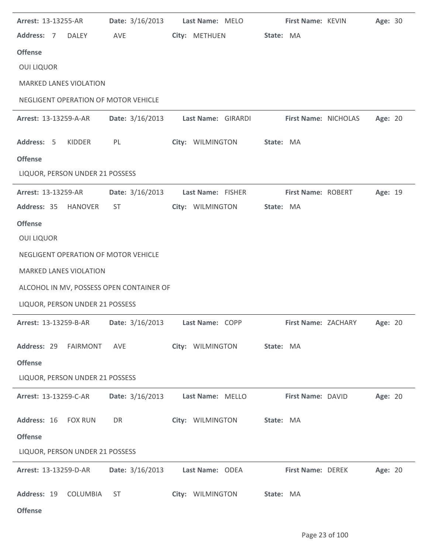| Arrest: 13-13255-AR                      | <b>Date:</b> 3/16/2013 | Last Name: MELO                    | First Name: KEVIN    | Age: 30 |
|------------------------------------------|------------------------|------------------------------------|----------------------|---------|
| Address: 7<br><b>DALEY</b>               | AVE                    | City: METHUEN                      | State: MA            |         |
| <b>Offense</b>                           |                        |                                    |                      |         |
| <b>OUI LIQUOR</b>                        |                        |                                    |                      |         |
| <b>MARKED LANES VIOLATION</b>            |                        |                                    |                      |         |
| NEGLIGENT OPERATION OF MOTOR VEHICLE     |                        |                                    |                      |         |
| Arrest: 13-13259-A-AR                    |                        | Date: 3/16/2013 Last Name: GIRARDI | First Name: NICHOLAS | Age: 20 |
| Address: 5<br><b>KIDDER</b>              | PL                     | City: WILMINGTON                   | State: MA            |         |
| <b>Offense</b>                           |                        |                                    |                      |         |
| LIQUOR, PERSON UNDER 21 POSSESS          |                        |                                    |                      |         |
| Arrest: 13-13259-AR                      | Date: 3/16/2013        | Last Name: FISHER                  | First Name: ROBERT   | Age: 19 |
| Address: 35<br><b>HANOVER</b>            | ST                     | City: WILMINGTON                   | State: MA            |         |
| <b>Offense</b>                           |                        |                                    |                      |         |
| <b>OUI LIQUOR</b>                        |                        |                                    |                      |         |
| NEGLIGENT OPERATION OF MOTOR VEHICLE     |                        |                                    |                      |         |
| <b>MARKED LANES VIOLATION</b>            |                        |                                    |                      |         |
| ALCOHOL IN MV, POSSESS OPEN CONTAINER OF |                        |                                    |                      |         |
| LIQUOR, PERSON UNDER 21 POSSESS          |                        |                                    |                      |         |
| Arrest: 13-13259-B-AR                    | Date: 3/16/2013        | Last Name: COPP                    | First Name: ZACHARY  | Age: 20 |
| Address: 29 FAIRMONT                     | AVE                    | City: WILMINGTON                   | State: MA            |         |
| <b>Offense</b>                           |                        |                                    |                      |         |
| LIQUOR, PERSON UNDER 21 POSSESS          |                        |                                    |                      |         |
| Arrest: 13-13259-C-AR                    | <b>Date:</b> 3/16/2013 | Last Name: MELLO                   | First Name: DAVID    | Age: 20 |
| Address: 16<br><b>FOX RUN</b>            | DR                     | City: WILMINGTON                   | State: MA            |         |
| <b>Offense</b>                           |                        |                                    |                      |         |
| LIQUOR, PERSON UNDER 21 POSSESS          |                        |                                    |                      |         |
| Arrest: 13-13259-D-AR                    | Date: 3/16/2013        | Last Name: ODEA                    | First Name: DEREK    | Age: 20 |
| Address: 19<br>COLUMBIA                  | <b>ST</b>              | City: WILMINGTON                   | State: MA            |         |
| <b>Offense</b>                           |                        |                                    |                      |         |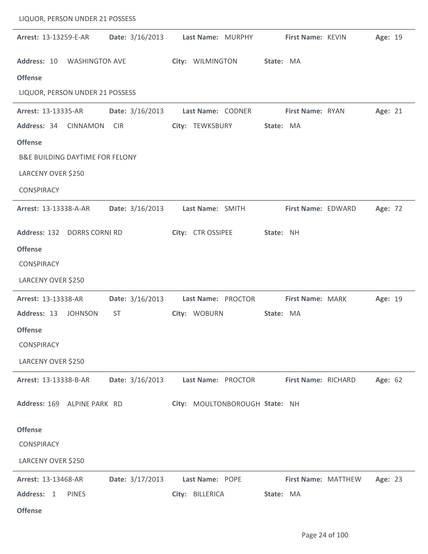| LIQUOR, PERSON UNDER 21 POSSESS            |                   |                                |           |                     |         |  |
|--------------------------------------------|-------------------|--------------------------------|-----------|---------------------|---------|--|
| Arrest: 13-13259-E-AR                      | Date: 3/16/2013   | Last Name: MURPHY              |           | First Name: KEVIN   | Age: 19 |  |
| Address: 10 WASHINGTON AVE                 |                   | City: WILMINGTON               | State: MA |                     |         |  |
| <b>Offense</b>                             |                   |                                |           |                     |         |  |
| LIQUOR, PERSON UNDER 21 POSSESS            |                   |                                |           |                     |         |  |
| Arrest: 13-13335-AR                        | Date: 3/16/2013   | Last Name: CODNER              |           | First Name: RYAN    | Age: 21 |  |
| Address: 34<br><b>CINNAMON</b>             | <b>CIR</b>        | City: TEWKSBURY                | State: MA |                     |         |  |
| <b>Offense</b>                             |                   |                                |           |                     |         |  |
| <b>B&amp;E BUILDING DAYTIME FOR FELONY</b> |                   |                                |           |                     |         |  |
| LARCENY OVER \$250                         |                   |                                |           |                     |         |  |
| <b>CONSPIRACY</b>                          |                   |                                |           |                     |         |  |
| Arrest: 13-13338-A-AR                      | Date: 3/16/2013   | Last Name: SMITH               |           | First Name: EDWARD  | Age: 72 |  |
| Address: 132 DORRS CORNI RD                |                   | City: CTR OSSIPEE              | State: NH |                     |         |  |
| <b>Offense</b>                             |                   |                                |           |                     |         |  |
| <b>CONSPIRACY</b>                          |                   |                                |           |                     |         |  |
| LARCENY OVER \$250                         |                   |                                |           |                     |         |  |
| Arrest: 13-13338-AR                        | Date: $3/16/2013$ | Last Name: PROCTOR             |           | First Name: MARK    | Age: 19 |  |
| Address: 13 JOHNSON                        | <b>ST</b>         | City: WOBURN                   |           | State: MA           |         |  |
| <b>Offense</b>                             |                   |                                |           |                     |         |  |
| CONSPIRACY                                 |                   |                                |           |                     |         |  |
| LARCENY OVER \$250                         |                   |                                |           |                     |         |  |
| Arrest: 13-13338-B-AR                      | Date: 3/16/2013   | Last Name: PROCTOR             |           | First Name: RICHARD | Age: 62 |  |
| Address: 169 ALPINE PARK RD                |                   | City: MOULTONBOROUGH State: NH |           |                     |         |  |
| <b>Offense</b>                             |                   |                                |           |                     |         |  |
| CONSPIRACY                                 |                   |                                |           |                     |         |  |
| LARCENY OVER \$250                         |                   |                                |           |                     |         |  |
| Arrest: 13-13468-AR                        | Date: 3/17/2013   | Last Name: POPE                |           | First Name: MATTHEW | Age: 23 |  |
| Address: 1<br><b>PINES</b>                 |                   | City: BILLERICA                |           | State: MA           |         |  |
| <b>Offense</b>                             |                   |                                |           |                     |         |  |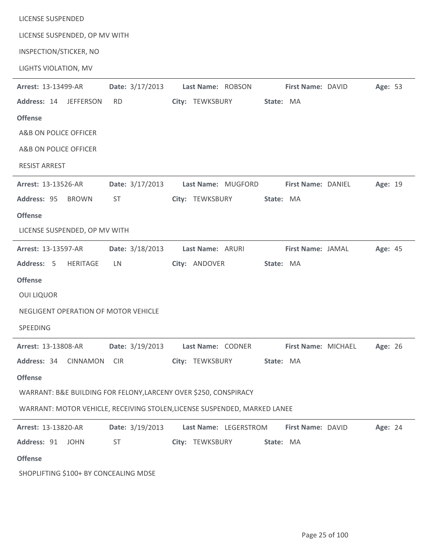| <b>LICENSE SUSPENDED</b>                                         |                 |                                                                           |                     |         |
|------------------------------------------------------------------|-----------------|---------------------------------------------------------------------------|---------------------|---------|
| LICENSE SUSPENDED, OP MV WITH                                    |                 |                                                                           |                     |         |
| INSPECTION/STICKER, NO                                           |                 |                                                                           |                     |         |
| LIGHTS VIOLATION, MV                                             |                 |                                                                           |                     |         |
| Arrest: 13-13499-AR                                              | Date: 3/17/2013 | Last Name: ROBSON                                                         | First Name: DAVID   | Age: 53 |
| Address: 14 JEFFERSON                                            | <b>RD</b>       | City: TEWKSBURY                                                           | State: MA           |         |
| <b>Offense</b>                                                   |                 |                                                                           |                     |         |
| A&B ON POLICE OFFICER                                            |                 |                                                                           |                     |         |
| A&B ON POLICE OFFICER                                            |                 |                                                                           |                     |         |
| <b>RESIST ARREST</b>                                             |                 |                                                                           |                     |         |
| Arrest: 13-13526-AR                                              | Date: 3/17/2013 | Last Name: MUGFORD                                                        | First Name: DANIEL  | Age: 19 |
| Address: 95<br><b>BROWN</b>                                      | <b>ST</b>       | City: TEWKSBURY                                                           | State: MA           |         |
| <b>Offense</b>                                                   |                 |                                                                           |                     |         |
| LICENSE SUSPENDED, OP MV WITH                                    |                 |                                                                           |                     |         |
| Arrest: 13-13597-AR                                              | Date: 3/18/2013 | Last Name: ARURI                                                          | First Name: JAMAL   | Age: 45 |
| Address: 5<br>HERITAGE                                           | LN              | City: ANDOVER                                                             | State: MA           |         |
| <b>Offense</b>                                                   |                 |                                                                           |                     |         |
| <b>OUI LIQUOR</b>                                                |                 |                                                                           |                     |         |
| NEGLIGENT OPERATION OF MOTOR VEHICLE                             |                 |                                                                           |                     |         |
| SPEEDING                                                         |                 |                                                                           |                     |         |
| Arrest: 13-13808-AR                                              | Date: 3/19/2013 | Last Name: CODNER                                                         | First Name: MICHAEL | Age: 26 |
| Address: 34<br><b>CINNAMON</b>                                   | <b>CIR</b>      | City: TEWKSBURY                                                           | State: MA           |         |
| <b>Offense</b>                                                   |                 |                                                                           |                     |         |
| WARRANT: B&E BUILDING FOR FELONY, LARCENY OVER \$250, CONSPIRACY |                 |                                                                           |                     |         |
|                                                                  |                 | WARRANT: MOTOR VEHICLE, RECEIVING STOLEN, LICENSE SUSPENDED, MARKED LANEE |                     |         |
|                                                                  |                 |                                                                           |                     |         |
| Arrest: 13-13820-AR                                              | Date: 3/19/2013 | Last Name: LEGERSTROM                                                     | First Name: DAVID   | Age: 24 |
| Address: 91<br><b>JOHN</b>                                       | <b>ST</b>       | City: TEWKSBURY                                                           | State: MA           |         |
| <b>Offense</b>                                                   |                 |                                                                           |                     |         |

SHOPLIFTING \$100+ BY CONCEALING MDSE

 $\overline{\phantom{0}}$ 

÷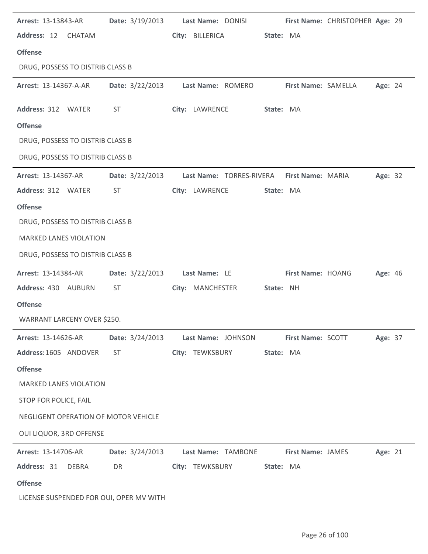| Arrest: 13-13843-AR                     | <b>Date:</b> 3/19/2013 | Last Name: DONISI                          |           |                            | First Name: CHRISTOPHER Age: 29 |         |  |
|-----------------------------------------|------------------------|--------------------------------------------|-----------|----------------------------|---------------------------------|---------|--|
| Address: 12 CHATAM                      |                        | City: BILLERICA                            | State: MA |                            |                                 |         |  |
| <b>Offense</b>                          |                        |                                            |           |                            |                                 |         |  |
| DRUG, POSSESS TO DISTRIB CLASS B        |                        |                                            |           |                            |                                 |         |  |
| Arrest: 13-14367-A-AR                   |                        | Date: 3/22/2013 Last Name: ROMERO          |           | <b>First Name: SAMELLA</b> |                                 | Age: 24 |  |
| Address: 312 WATER                      | ST                     | City: LAWRENCE                             | State: MA |                            |                                 |         |  |
| <b>Offense</b>                          |                        |                                            |           |                            |                                 |         |  |
| DRUG, POSSESS TO DISTRIB CLASS B        |                        |                                            |           |                            |                                 |         |  |
| DRUG, POSSESS TO DISTRIB CLASS B        |                        |                                            |           |                            |                                 |         |  |
| Arrest: 13-14367-AR                     | Date: 3/22/2013        | Last Name: TORRES-RIVERA First Name: MARIA |           |                            |                                 | Age: 32 |  |
| Address: 312 WATER                      | ST                     | City: LAWRENCE                             | State: MA |                            |                                 |         |  |
| <b>Offense</b>                          |                        |                                            |           |                            |                                 |         |  |
| DRUG, POSSESS TO DISTRIB CLASS B        |                        |                                            |           |                            |                                 |         |  |
| <b>MARKED LANES VIOLATION</b>           |                        |                                            |           |                            |                                 |         |  |
| DRUG, POSSESS TO DISTRIB CLASS B        |                        |                                            |           |                            |                                 |         |  |
| <b>Arrest: 13-14384-AR</b>              | Date: 3/22/2013        | Last Name: LE                              |           | First Name: HOANG          |                                 | Age: 46 |  |
| Address: 430 AUBURN                     | ST                     | City: MANCHESTER                           | State: NH |                            |                                 |         |  |
| <b>Offense</b>                          |                        |                                            |           |                            |                                 |         |  |
| WARRANT LARCENY OVER \$250.             |                        |                                            |           |                            |                                 |         |  |
| <b>Arrest: 13-14626-AR</b>              |                        | Date: 3/24/2013 Last Name: JOHNSON         |           | <b>First Name: SCOTT</b>   |                                 | Age: 37 |  |
| Address: 1605 ANDOVER                   | ST -                   | City: TEWKSBURY                            | State: MA |                            |                                 |         |  |
| <b>Offense</b>                          |                        |                                            |           |                            |                                 |         |  |
| <b>MARKED LANES VIOLATION</b>           |                        |                                            |           |                            |                                 |         |  |
| STOP FOR POLICE, FAIL                   |                        |                                            |           |                            |                                 |         |  |
| NEGLIGENT OPERATION OF MOTOR VEHICLE    |                        |                                            |           |                            |                                 |         |  |
| OUI LIQUOR, 3RD OFFENSE                 |                        |                                            |           |                            |                                 |         |  |
| <b>Arrest: 13-14706-AR</b>              | Date: 3/24/2013        | Last Name: TAMBONE First Name: JAMES       |           |                            |                                 | Age: 21 |  |
| Address: 31<br>DEBRA                    | DR                     | City: TEWKSBURY                            | State: MA |                            |                                 |         |  |
| <b>Offense</b>                          |                        |                                            |           |                            |                                 |         |  |
| LICENSE SUSPENDED FOR OUI, OPER MV WITH |                        |                                            |           |                            |                                 |         |  |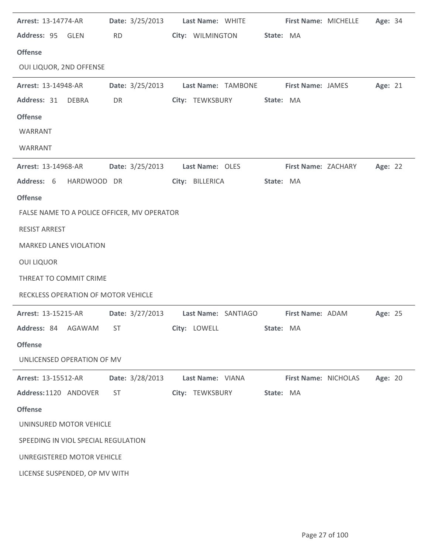| Arrest: 13-14774-AR                         |                 | Date: 3/25/2013 Last Name: WHITE                     |                      | <b>First Name: MICHELLE</b><br>Age: 34 |
|---------------------------------------------|-----------------|------------------------------------------------------|----------------------|----------------------------------------|
| Address: 95 GLEN                            | <b>RD</b>       | City: WILMINGTON                                     | State: MA            |                                        |
| <b>Offense</b>                              |                 |                                                      |                      |                                        |
| OUI LIQUOR, 2ND OFFENSE                     |                 |                                                      |                      |                                        |
| <b>Arrest: 13-14948-AR</b>                  |                 | Date: 3/25/2013 Last Name: TAMBONE First Name: JAMES |                      | Age: 21                                |
| Address: 31<br><b>DEBRA</b>                 | DR              | City: TEWKSBURY                                      | State: MA            |                                        |
| <b>Offense</b>                              |                 |                                                      |                      |                                        |
| WARRANT                                     |                 |                                                      |                      |                                        |
| WARRANT                                     |                 |                                                      |                      |                                        |
| <b>Arrest: 13-14968-AR</b>                  |                 | Date: 3/25/2013 Last Name: OLES                      |                      | Age: 22<br><b>First Name: ZACHARY</b>  |
| Address: 6 HARDWOOD DR                      |                 | City: BILLERICA                                      | State: MA            |                                        |
| <b>Offense</b>                              |                 |                                                      |                      |                                        |
| FALSE NAME TO A POLICE OFFICER, MV OPERATOR |                 |                                                      |                      |                                        |
| <b>RESIST ARREST</b>                        |                 |                                                      |                      |                                        |
| <b>MARKED LANES VIOLATION</b>               |                 |                                                      |                      |                                        |
| <b>OUI LIQUOR</b>                           |                 |                                                      |                      |                                        |
| THREAT TO COMMIT CRIME                      |                 |                                                      |                      |                                        |
| RECKLESS OPERATION OF MOTOR VEHICLE         |                 |                                                      |                      |                                        |
| <b>Arrest: 13-15215-AR</b>                  |                 | Date: 3/27/2013 Last Name: SANTIAGO First Name: ADAM |                      | Age: 25                                |
| Address: 84 AGAWAM ST City: LOWELL          |                 |                                                      | State: MA            |                                        |
| <b>Offense</b>                              |                 |                                                      |                      |                                        |
| UNLICENSED OPERATION OF MV                  |                 |                                                      |                      |                                        |
| <b>Arrest: 13-15512-AR</b>                  | Date: 3/28/2013 | Last Name: VIANA                                     | First Name: NICHOLAS | Age: 20                                |
| Address: 1120 ANDOVER                       | ST ST           | City: TEWKSBURY                                      | State: MA            |                                        |
| <b>Offense</b>                              |                 |                                                      |                      |                                        |
| UNINSURED MOTOR VEHICLE                     |                 |                                                      |                      |                                        |
| SPEEDING IN VIOL SPECIAL REGULATION         |                 |                                                      |                      |                                        |
| UNREGISTERED MOTOR VEHICLE                  |                 |                                                      |                      |                                        |
| LICENSE SUSPENDED, OP MV WITH               |                 |                                                      |                      |                                        |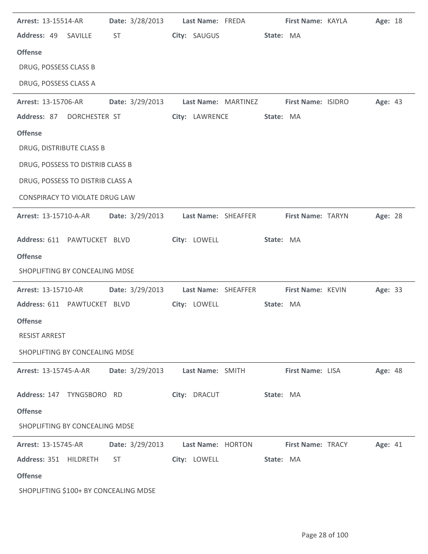| Arrest: 13-15514-AR                   | Date: 3/28/2013                                        | Last Name: FREDA  | First Name: KAYLA | Age: 18 |  |
|---------------------------------------|--------------------------------------------------------|-------------------|-------------------|---------|--|
| Address: 49 SAVILLE                   | <b>ST</b>                                              | City: SAUGUS      | State: MA         |         |  |
| <b>Offense</b>                        |                                                        |                   |                   |         |  |
| DRUG, POSSESS CLASS B                 |                                                        |                   |                   |         |  |
| DRUG, POSSESS CLASS A                 |                                                        |                   |                   |         |  |
| Arrest: 13-15706-AR                   | Date: 3/29/2013 Last Name: MARTINEZ First Name: ISIDRO |                   |                   | Age: 43 |  |
| Address: 87                           | DORCHESTER ST                                          | City: LAWRENCE    | State: MA         |         |  |
| <b>Offense</b>                        |                                                        |                   |                   |         |  |
| DRUG, DISTRIBUTE CLASS B              |                                                        |                   |                   |         |  |
| DRUG, POSSESS TO DISTRIB CLASS B      |                                                        |                   |                   |         |  |
| DRUG, POSSESS TO DISTRIB CLASS A      |                                                        |                   |                   |         |  |
| CONSPIRACY TO VIOLATE DRUG LAW        |                                                        |                   |                   |         |  |
| <b>Arrest: 13-15710-A-AR</b>          | Date: 3/29/2013 Last Name: SHEAFFER                    |                   | First Name: TARYN | Age: 28 |  |
| Address: 611 PAWTUCKET BLVD           |                                                        | City: LOWELL      | State: MA         |         |  |
| <b>Offense</b>                        |                                                        |                   |                   |         |  |
| SHOPLIFTING BY CONCEALING MDSE        |                                                        |                   |                   |         |  |
| <b>Arrest: 13-15710-AR</b>            | Date: 3/29/2013 Last Name: SHEAFFER                    |                   | First Name: KEVIN | Age: 33 |  |
| Address: 611 PAWTUCKET BLVD           |                                                        | City: LOWELL      | State: MA         |         |  |
| <b>Offense</b>                        |                                                        |                   |                   |         |  |
| <b>RESIST ARREST</b>                  |                                                        |                   |                   |         |  |
| SHOPLIFTING BY CONCEALING MDSE        |                                                        |                   |                   |         |  |
| Arrest: 13-15745-A-AR                 | Date: 3/29/2013                                        | Last Name: SMITH  | First Name: LISA  | Age: 48 |  |
| Address: 147 TYNGSBORO RD             |                                                        | City: DRACUT      | State: MA         |         |  |
| <b>Offense</b>                        |                                                        |                   |                   |         |  |
| SHOPLIFTING BY CONCEALING MDSE        |                                                        |                   |                   |         |  |
| Arrest: 13-15745-AR                   | Date: 3/29/2013                                        | Last Name: HORTON | First Name: TRACY | Age: 41 |  |
| Address: 351 HILDRETH                 | <b>ST</b>                                              | City: LOWELL      | State: MA         |         |  |
| <b>Offense</b>                        |                                                        |                   |                   |         |  |
| SHOPLIFTING \$100+ BY CONCEALING MDSE |                                                        |                   |                   |         |  |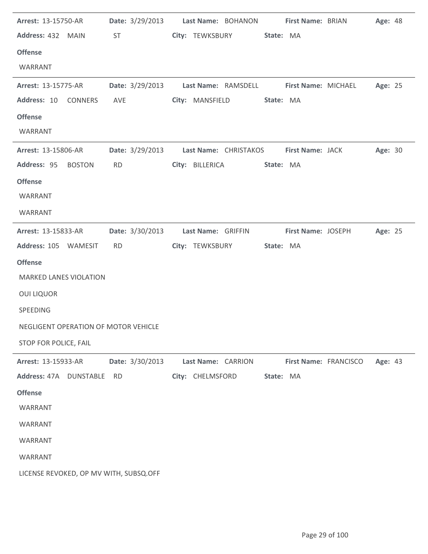| Arrest: 13-15750-AR           |                                        | Date: 3/29/2013 Last Name: BOHANON First Name: BRIAN    |           |                       |                           | Age: 48 |  |
|-------------------------------|----------------------------------------|---------------------------------------------------------|-----------|-----------------------|---------------------------|---------|--|
| Address: 432 MAIN             | <b>ST</b>                              | City: TEWKSBURY                                         | State: MA |                       |                           |         |  |
| <b>Offense</b>                |                                        |                                                         |           |                       |                           |         |  |
| WARRANT                       |                                        |                                                         |           |                       |                           |         |  |
| <b>Arrest: 13-15775-AR</b>    |                                        | Date: 3/29/2013 Last Name: RAMSDELL First Name: MICHAEL |           |                       |                           | Age: 25 |  |
| Address: 10                   | <b>CONNERS</b><br>AVE                  | City: MANSFIELD                                         | State: MA |                       |                           |         |  |
| <b>Offense</b>                |                                        |                                                         |           |                       |                           |         |  |
| WARRANT                       |                                        |                                                         |           |                       |                           |         |  |
| Arrest: 13-15806-AR           |                                        | Date: 3/29/2013 Last Name: CHRISTAKOS First Name: JACK  |           |                       |                           | Age: 30 |  |
| Address: 95 BOSTON            | <b>RD</b>                              | City: BILLERICA                                         | State: MA |                       |                           |         |  |
| <b>Offense</b>                |                                        |                                                         |           |                       |                           |         |  |
| WARRANT                       |                                        |                                                         |           |                       |                           |         |  |
| WARRANT                       |                                        |                                                         |           |                       |                           |         |  |
| <b>Arrest: 13-15833-AR</b>    | <b>Date:</b> 3/30/2013                 | Last Name: GRIFFIN                                      |           |                       | <b>First Name: JOSEPH</b> | Age: 25 |  |
| Address: 105 WAMESIT          | <b>RD</b>                              | City: TEWKSBURY                                         | State: MA |                       |                           |         |  |
| <b>Offense</b>                |                                        |                                                         |           |                       |                           |         |  |
| <b>MARKED LANES VIOLATION</b> |                                        |                                                         |           |                       |                           |         |  |
| <b>OUI LIQUOR</b>             |                                        |                                                         |           |                       |                           |         |  |
| SPEEDING                      |                                        |                                                         |           |                       |                           |         |  |
|                               | NEGLIGENT OPERATION OF MOTOR VEHICLE   |                                                         |           |                       |                           |         |  |
| STOP FOR POLICE, FAIL         |                                        |                                                         |           |                       |                           |         |  |
| Arrest: 13-15933-AR           | Date: 3/30/2013                        | Last Name: CARRION                                      |           | First Name: FRANCISCO |                           | Age: 43 |  |
| Address: 47A DUNSTABLE        | <b>RD</b>                              | City: CHELMSFORD                                        | State: MA |                       |                           |         |  |
| <b>Offense</b>                |                                        |                                                         |           |                       |                           |         |  |
| <b>WARRANT</b>                |                                        |                                                         |           |                       |                           |         |  |
| WARRANT                       |                                        |                                                         |           |                       |                           |         |  |
| <b>WARRANT</b>                |                                        |                                                         |           |                       |                           |         |  |
| WARRANT                       |                                        |                                                         |           |                       |                           |         |  |
|                               | LICENSE REVOKED, OP MV WITH, SUBSQ.OFF |                                                         |           |                       |                           |         |  |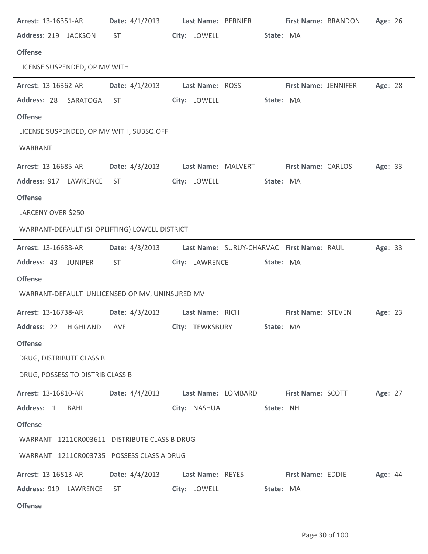| Arrest: 13-16351-AR                              | <b>Date:</b> $4/1/2013$         | Last Name: BERNIER |                                           |           | First Name: BRANDON         | Age: 26 |  |
|--------------------------------------------------|---------------------------------|--------------------|-------------------------------------------|-----------|-----------------------------|---------|--|
| Address: 219 JACKSON                             | <b>ST</b>                       | City: LOWELL       |                                           | State: MA |                             |         |  |
| <b>Offense</b>                                   |                                 |                    |                                           |           |                             |         |  |
| LICENSE SUSPENDED, OP MV WITH                    |                                 |                    |                                           |           |                             |         |  |
| Arrest: 13-16362-AR                              | Date: 4/1/2013                  | Last Name: ROSS    |                                           |           | <b>First Name: JENNIFER</b> | Age: 28 |  |
| Address: 28<br>SARATOGA                          | <b>ST</b>                       | City: LOWELL       |                                           | State: MA |                             |         |  |
| <b>Offense</b>                                   |                                 |                    |                                           |           |                             |         |  |
| LICENSE SUSPENDED, OP MV WITH, SUBSQ.OFF         |                                 |                    |                                           |           |                             |         |  |
| WARRANT                                          |                                 |                    |                                           |           |                             |         |  |
| <b>Arrest: 13-16685-AR</b>                       | <b>Date:</b> 4/3/2013           | Last Name: MALVERT |                                           |           | First Name: CARLOS          | Age: 33 |  |
| Address: 917 LAWRENCE                            | ST.                             | City: LOWELL       |                                           | State: MA |                             |         |  |
| <b>Offense</b>                                   |                                 |                    |                                           |           |                             |         |  |
| LARCENY OVER \$250                               |                                 |                    |                                           |           |                             |         |  |
| WARRANT-DEFAULT (SHOPLIFTING) LOWELL DISTRICT    |                                 |                    |                                           |           |                             |         |  |
| <b>Arrest: 13-16688-AR</b>                       | Date: 4/3/2013                  |                    | Last Name: SURUY-CHARVAC First Name: RAUL |           |                             | Age: 33 |  |
| Address: 43 JUNIPER                              | ST.                             | City: LAWRENCE     |                                           | State: MA |                             |         |  |
| <b>Offense</b>                                   |                                 |                    |                                           |           |                             |         |  |
| WARRANT-DEFAULT UNLICENSED OP MV, UNINSURED MV   |                                 |                    |                                           |           |                             |         |  |
| <b>Arrest: 13-16738-AR</b>                       | <b>Date:</b> 4/3/2013           | Last Name: RICH    |                                           |           | First Name: STEVEN          | Age: 23 |  |
| Address: 22 HIGHLAND AVE <b>City: TEWKSBURY</b>  |                                 |                    |                                           | State: MA |                             |         |  |
| <b>Offense</b>                                   |                                 |                    |                                           |           |                             |         |  |
| DRUG, DISTRIBUTE CLASS B                         |                                 |                    |                                           |           |                             |         |  |
| DRUG, POSSESS TO DISTRIB CLASS B                 |                                 |                    |                                           |           |                             |         |  |
| <b>Arrest: 13-16810-AR</b>                       | Date: 4/4/2013                  |                    | Last Name: LOMBARD                        |           | First Name: SCOTT           | Age: 27 |  |
| Address: 1 BAHL                                  |                                 | City: NASHUA       |                                           | State: NH |                             |         |  |
| <b>Offense</b>                                   |                                 |                    |                                           |           |                             |         |  |
| WARRANT - 1211CR003611 - DISTRIBUTE CLASS B DRUG |                                 |                    |                                           |           |                             |         |  |
| WARRANT - 1211CR003735 - POSSESS CLASS A DRUG    |                                 |                    |                                           |           |                             |         |  |
| <b>Arrest: 13-16813-AR</b>                       | Date: 4/4/2013 Last Name: REYES |                    |                                           |           | <b>First Name: EDDIE</b>    | Age: 44 |  |
| Address: 919 LAWRENCE ST                         |                                 | City: LOWELL       |                                           | State: MA |                             |         |  |
| <b>Offense</b>                                   |                                 |                    |                                           |           |                             |         |  |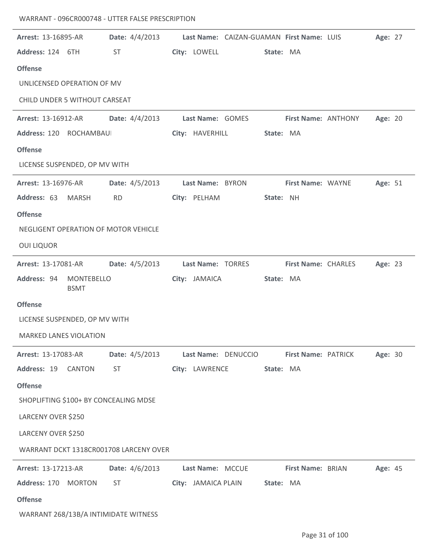| Arrest: 13-16895-AR                   |                                  | <b>Date:</b> 4/4/2013                                  |                  |                               |           | Last Name: CAIZAN-GUAMAN First Name: LUIS | Age: 27 |  |
|---------------------------------------|----------------------------------|--------------------------------------------------------|------------------|-------------------------------|-----------|-------------------------------------------|---------|--|
| Address: 124 6TH                      |                                  | ST                                                     | City: LOWELL     |                               | State: MA |                                           |         |  |
| <b>Offense</b>                        |                                  |                                                        |                  |                               |           |                                           |         |  |
| UNLICENSED OPERATION OF MV            |                                  |                                                        |                  |                               |           |                                           |         |  |
| CHILD UNDER 5 WITHOUT CARSEAT         |                                  |                                                        |                  |                               |           |                                           |         |  |
| Arrest: 13-16912-AR                   |                                  | Date: 4/4/2013                                         | Last Name: GOMES |                               |           | First Name: ANTHONY                       | Age: 20 |  |
| Address: 120 ROCHAMBAUI               |                                  |                                                        | City: HAVERHILL  |                               | State: MA |                                           |         |  |
| <b>Offense</b>                        |                                  |                                                        |                  |                               |           |                                           |         |  |
| LICENSE SUSPENDED, OP MV WITH         |                                  |                                                        |                  |                               |           |                                           |         |  |
| <b>Arrest: 13-16976-AR</b>            |                                  | Date: 4/5/2013                                         | Last Name: BYRON |                               |           | First Name: WAYNE                         | Age: 51 |  |
| Address: 63                           | <b>MARSH</b>                     | <b>RD</b>                                              | City: PELHAM     |                               | State: NH |                                           |         |  |
| <b>Offense</b>                        |                                  |                                                        |                  |                               |           |                                           |         |  |
| NEGLIGENT OPERATION OF MOTOR VEHICLE  |                                  |                                                        |                  |                               |           |                                           |         |  |
| <b>OUI LIQUOR</b>                     |                                  |                                                        |                  |                               |           |                                           |         |  |
| Arrest: 13-17081-AR                   |                                  | <b>Date:</b> 4/5/2013                                  |                  | Last Name: TORRES             |           | <b>First Name: CHARLES</b>                | Age: 23 |  |
| Address: 94                           | <b>MONTEBELLO</b><br><b>BSMT</b> |                                                        | City: JAMAICA    |                               | State: MA |                                           |         |  |
| <b>Offense</b>                        |                                  |                                                        |                  |                               |           |                                           |         |  |
| LICENSE SUSPENDED, OP MV WITH         |                                  |                                                        |                  |                               |           |                                           |         |  |
| <b>MARKED LANES VIOLATION</b>         |                                  |                                                        |                  |                               |           |                                           |         |  |
| <b>Arrest: 13-17083-AR</b>            |                                  | Date: 4/5/2013 Last Name: DENUCCIO First Name: PATRICK |                  |                               |           |                                           | Age: 30 |  |
| Address: 19 CANTON                    |                                  | ST                                                     |                  | City: LAWRENCE                | State: MA |                                           |         |  |
| <b>Offense</b>                        |                                  |                                                        |                  |                               |           |                                           |         |  |
| SHOPLIFTING \$100+ BY CONCEALING MDSE |                                  |                                                        |                  |                               |           |                                           |         |  |
| LARCENY OVER \$250                    |                                  |                                                        |                  |                               |           |                                           |         |  |
| LARCENY OVER \$250                    |                                  |                                                        |                  |                               |           |                                           |         |  |
|                                       |                                  | WARRANT DCKT 1318CR001708 LARCENY OVER                 |                  |                               |           |                                           |         |  |
| <b>Arrest: 13-17213-AR</b>            |                                  | <b>Date:</b> 4/6/2013                                  | Last Name: MCCUE |                               |           | First Name: BRIAN                         | Age: 45 |  |
| Address: 170 MORTON                   |                                  | ST                                                     |                  | City: JAMAICA PLAIN State: MA |           |                                           |         |  |
| <b>Offense</b>                        |                                  |                                                        |                  |                               |           |                                           |         |  |
| WARRANT 268/13B/A INTIMIDATE WITNESS  |                                  |                                                        |                  |                               |           |                                           |         |  |

WARRANT - 096CR000748 - UTTER FALSE PRESCRIPTION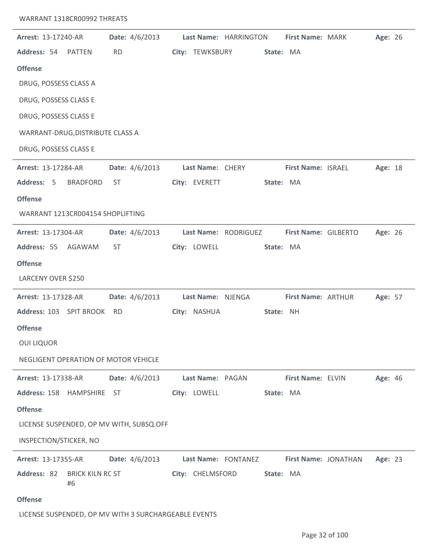| <b>Arrest: 13-17240-AR</b>           |          | Date: 4/6/2013 Last Name: HARRINGTON First Name: MARK                                                                                                                                                                          |              |                      |           |                                     |                                          | Age: 26 |  |
|--------------------------------------|----------|--------------------------------------------------------------------------------------------------------------------------------------------------------------------------------------------------------------------------------|--------------|----------------------|-----------|-------------------------------------|------------------------------------------|---------|--|
| Address: 54 PATTEN                   |          | <b>RD</b>                                                                                                                                                                                                                      |              | City: TEWKSBURY      | State: MA |                                     |                                          |         |  |
| <b>Offense</b>                       |          |                                                                                                                                                                                                                                |              |                      |           |                                     |                                          |         |  |
| DRUG, POSSESS CLASS A                |          |                                                                                                                                                                                                                                |              |                      |           |                                     |                                          |         |  |
| DRUG, POSSESS CLASS E                |          |                                                                                                                                                                                                                                |              |                      |           |                                     |                                          |         |  |
| DRUG, POSSESS CLASS E                |          |                                                                                                                                                                                                                                |              |                      |           |                                     |                                          |         |  |
| WARRANT-DRUG, DISTRIBUTE CLASS A     |          |                                                                                                                                                                                                                                |              |                      |           |                                     |                                          |         |  |
| DRUG, POSSESS CLASS E                |          |                                                                                                                                                                                                                                |              |                      |           |                                     |                                          |         |  |
| <b>Arrest: 13-17284-AR</b>           |          | <b>Date:</b> 4/6/2013                                                                                                                                                                                                          |              |                      |           | Last Name: CHERY First Name: ISRAEL |                                          | Age: 18 |  |
| Address: 5                           | BRADFORD | ST and the state of the state of the state of the state of the state of the state of the state of the state of the state of the state of the state of the state of the state of the state of the state of the state of the sta |              | City: EVERETT        | State: MA |                                     |                                          |         |  |
| <b>Offense</b>                       |          |                                                                                                                                                                                                                                |              |                      |           |                                     |                                          |         |  |
| WARRANT 1213CR004154 SHOPLIFTING     |          |                                                                                                                                                                                                                                |              |                      |           |                                     |                                          |         |  |
| <b>Arrest: 13-17304-AR</b>           |          | <b>Date:</b> 4/6/2013                                                                                                                                                                                                          |              | Last Name: RODRIGUEZ |           |                                     | First Name: GILBERTO                     | Age: 26 |  |
| Address: 55 AGAWAM                   |          | ST                                                                                                                                                                                                                             |              | City: LOWELL         | State: MA |                                     |                                          |         |  |
| <b>Offense</b>                       |          |                                                                                                                                                                                                                                |              |                      |           |                                     |                                          |         |  |
| LARCENY OVER \$250                   |          |                                                                                                                                                                                                                                |              |                      |           |                                     |                                          |         |  |
| <b>Arrest: 13-17328-AR</b>           |          | Date: 4/6/2013 Last Name: NJENGA                                                                                                                                                                                               |              |                      |           |                                     | <b>First Name: ARTHUR</b>                | Age: 57 |  |
| Address: 103 SPIT BROOK RD           |          |                                                                                                                                                                                                                                | City: NASHUA |                      | State: NH |                                     |                                          |         |  |
| <b>Offense</b>                       |          |                                                                                                                                                                                                                                |              |                      |           |                                     |                                          |         |  |
| <b>OUI LIQUOR</b>                    |          |                                                                                                                                                                                                                                |              |                      |           |                                     |                                          |         |  |
| NEGLIGENT OPERATION OF MOTOR VEHICLE |          |                                                                                                                                                                                                                                |              |                      |           |                                     |                                          |         |  |
| <b>Arrest: 13-17338-AR</b>           |          | <b>Date:</b> 4/6/2013                                                                                                                                                                                                          |              | Last Name: PAGAN     |           | First Name: ELVIN                   |                                          | Age: 46 |  |
| Address: 158 HAMPSHIRE ST            |          |                                                                                                                                                                                                                                | City: LOWELL |                      | State: MA |                                     |                                          |         |  |
| <b>Offense</b>                       |          |                                                                                                                                                                                                                                |              |                      |           |                                     |                                          |         |  |
|                                      |          | LICENSE SUSPENDED, OP MV WITH, SUBSQ.OFF                                                                                                                                                                                       |              |                      |           |                                     |                                          |         |  |
| <b>INSPECTION/STICKER, NO</b>        |          |                                                                                                                                                                                                                                |              |                      |           |                                     |                                          |         |  |
| <b>Arrest: 13-17355-AR</b>           |          | Date: 4/6/2013                                                                                                                                                                                                                 |              |                      |           |                                     | Last Name: FONTANEZ First Name: JONATHAN | Age: 23 |  |
| Address: 82 BRICK KILN RC ST         | #6       |                                                                                                                                                                                                                                |              | City: CHELMSFORD     | State: MA |                                     |                                          |         |  |
| <b>Offense</b>                       |          |                                                                                                                                                                                                                                |              |                      |           |                                     |                                          |         |  |

LICENSE SUSPENDED, OP MV WITH 3 SURCHARGEABLE EVENTS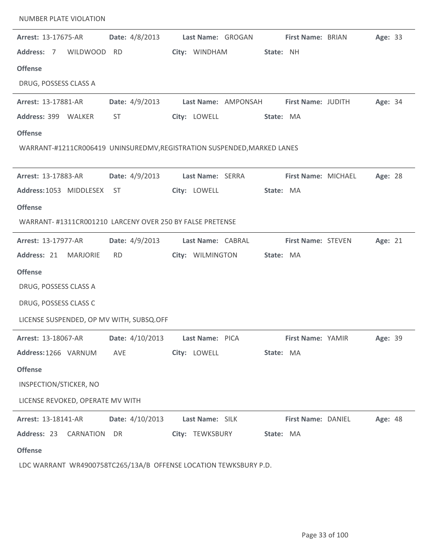| <b>NUMBER PLATE VIOLATION</b>                                           |                         |                   |                                        |                           |         |  |
|-------------------------------------------------------------------------|-------------------------|-------------------|----------------------------------------|---------------------------|---------|--|
| <b>Arrest: 13-17675-AR</b>                                              | Date: 4/8/2013          | Last Name: GROGAN |                                        | First Name: BRIAN         | Age: 33 |  |
| Address: 7 WILDWOOD RD                                                  |                         | City: WINDHAM     |                                        | State: NH                 |         |  |
| <b>Offense</b>                                                          |                         |                   |                                        |                           |         |  |
| DRUG, POSSESS CLASS A                                                   |                         |                   |                                        |                           |         |  |
| Arrest: 13-17881-AR                                                     | <b>Date:</b> 4/9/2013   |                   | Last Name: AMPONSAH First Name: JUDITH |                           | Age: 34 |  |
| Address: 399 WALKER                                                     | ST.                     | City: LOWELL      |                                        | State: MA                 |         |  |
| <b>Offense</b>                                                          |                         |                   |                                        |                           |         |  |
| WARRANT-#1211CR006419 UNINSUREDMV, REGISTRATION SUSPENDED, MARKED LANES |                         |                   |                                        |                           |         |  |
| Arrest: 13-17883-AR                                                     | <b>Date:</b> 4/9/2013   | Last Name: SERRA  |                                        | First Name: MICHAEL       | Age: 28 |  |
| Address: 1053 MIDDLESEX ST                                              |                         | City: LOWELL      |                                        | State: MA                 |         |  |
| <b>Offense</b>                                                          |                         |                   |                                        |                           |         |  |
| WARRANT-#1311CR001210 LARCENY OVER 250 BY FALSE PRETENSE                |                         |                   |                                        |                           |         |  |
| <b>Arrest: 13-17977-AR</b>                                              | <b>Date:</b> $4/9/2013$ | Last Name: CABRAL |                                        | <b>First Name: STEVEN</b> | Age: 21 |  |
| Address: 21 MARJORIE                                                    | <b>RD</b>               | City: WILMINGTON  |                                        | State: MA                 |         |  |
| <b>Offense</b>                                                          |                         |                   |                                        |                           |         |  |
| DRUG, POSSESS CLASS A                                                   |                         |                   |                                        |                           |         |  |
| DRUG, POSSESS CLASS C                                                   |                         |                   |                                        |                           |         |  |
| LICENSE SUSPENDED, OP MV WITH, SUBSQ.OFF                                |                         |                   |                                        |                           |         |  |
| Arrest: 13-18067-AR                                                     | Date: 4/10/2013         | Last Name: PICA   |                                        | First Name: YAMIR         | Age: 39 |  |
| Address: 1266 VARNUM                                                    | AVE                     | City: LOWELL      |                                        | State: MA                 |         |  |
| <b>Offense</b>                                                          |                         |                   |                                        |                           |         |  |
| INSPECTION/STICKER, NO                                                  |                         |                   |                                        |                           |         |  |
| LICENSE REVOKED, OPERATE MV WITH                                        |                         |                   |                                        |                           |         |  |
| Arrest: 13-18141-AR                                                     | Date: 4/10/2013         | Last Name: SILK   |                                        | First Name: DANIEL        | Age: 48 |  |
| Address: 23 CARNATION                                                   | DR                      | City: TEWKSBURY   |                                        | State: MA                 |         |  |
| <b>Offense</b>                                                          |                         |                   |                                        |                           |         |  |
| LDC WARRANT WR4900758TC265/13A/B OFFENSE LOCATION TEWKSBURY P.D.        |                         |                   |                                        |                           |         |  |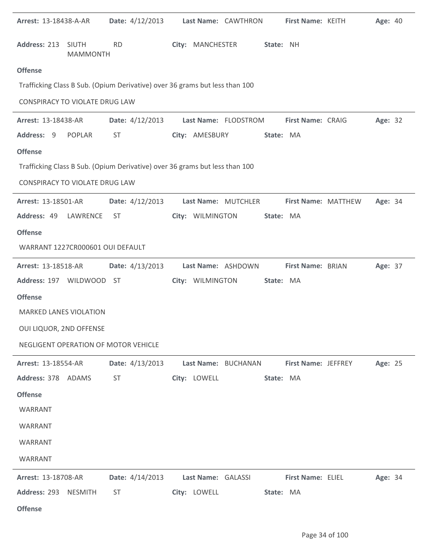| <b>Arrest: 13-18438-A-AR</b>     |                                 | Date: 4/12/2013 Last Name: CAWTHRON                                         |                    |                      |           | First Name: KEITH   | Age: 40 |  |
|----------------------------------|---------------------------------|-----------------------------------------------------------------------------|--------------------|----------------------|-----------|---------------------|---------|--|
| Address: 213                     | <b>SIUTH</b><br><b>MAMMONTH</b> | <b>RD</b>                                                                   | City: MANCHESTER   |                      | State: NH |                     |         |  |
| <b>Offense</b>                   |                                 |                                                                             |                    |                      |           |                     |         |  |
|                                  |                                 | Trafficking Class B Sub. (Opium Derivative) over 36 grams but less than 100 |                    |                      |           |                     |         |  |
| CONSPIRACY TO VIOLATE DRUG LAW   |                                 |                                                                             |                    |                      |           |                     |         |  |
| Arrest: 13-18438-AR              |                                 | Date: 4/12/2013                                                             |                    | Last Name: FLODSTROM |           | First Name: CRAIG   | Age: 32 |  |
| Address: 9                       | POPLAR                          | <b>ST</b>                                                                   | City: AMESBURY     |                      | State: MA |                     |         |  |
| <b>Offense</b>                   |                                 |                                                                             |                    |                      |           |                     |         |  |
|                                  |                                 | Trafficking Class B Sub. (Opium Derivative) over 36 grams but less than 100 |                    |                      |           |                     |         |  |
| CONSPIRACY TO VIOLATE DRUG LAW   |                                 |                                                                             |                    |                      |           |                     |         |  |
| <b>Arrest: 13-18501-AR</b>       |                                 | Date: $4/12/2013$                                                           |                    | Last Name: MUTCHLER  |           | First Name: MATTHEW | Age: 34 |  |
| Address: 49                      | LAWRENCE                        | <b>ST</b>                                                                   | City: WILMINGTON   |                      | State: MA |                     |         |  |
| <b>Offense</b>                   |                                 |                                                                             |                    |                      |           |                     |         |  |
| WARRANT 1227CR000601 OUI DEFAULT |                                 |                                                                             |                    |                      |           |                     |         |  |
| Arrest: 13-18518-AR              |                                 | Date: 4/13/2013                                                             |                    | Last Name: ASHDOWN   |           | First Name: BRIAN   | Age: 37 |  |
| Address: 197 WILDWOOD ST         |                                 |                                                                             | City: WILMINGTON   |                      | State: MA |                     |         |  |
| <b>Offense</b>                   |                                 |                                                                             |                    |                      |           |                     |         |  |
| <b>MARKED LANES VIOLATION</b>    |                                 |                                                                             |                    |                      |           |                     |         |  |
| OUI LIQUOR, 2ND OFFENSE          |                                 |                                                                             |                    |                      |           |                     |         |  |
|                                  |                                 | NEGLIGENT OPERATION OF MOTOR VEHICLE                                        |                    |                      |           |                     |         |  |
| Arrest: 13-18554-AR              |                                 | Date: 4/13/2013                                                             |                    | Last Name: BUCHANAN  |           | First Name: JEFFREY | Age: 25 |  |
| Address: 378 ADAMS               |                                 | <b>ST</b>                                                                   | City: LOWELL       |                      | State: MA |                     |         |  |
| <b>Offense</b>                   |                                 |                                                                             |                    |                      |           |                     |         |  |
| WARRANT                          |                                 |                                                                             |                    |                      |           |                     |         |  |
| WARRANT                          |                                 |                                                                             |                    |                      |           |                     |         |  |
| WARRANT                          |                                 |                                                                             |                    |                      |           |                     |         |  |
| WARRANT                          |                                 |                                                                             |                    |                      |           |                     |         |  |
| Arrest: 13-18708-AR              |                                 | Date: 4/14/2013                                                             | Last Name: GALASSI |                      |           | First Name: ELIEL   | Age: 34 |  |
| Address: 293 NESMITH             |                                 | <b>ST</b>                                                                   | City: LOWELL       |                      | State: MA |                     |         |  |
| <b>Offense</b>                   |                                 |                                                                             |                    |                      |           |                     |         |  |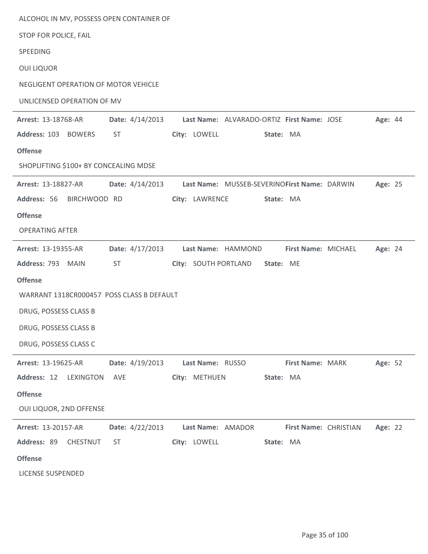| ALCOHOL IN MV, POSSESS OPEN CONTAINER OF  |                        |                                                              |                       |         |  |
|-------------------------------------------|------------------------|--------------------------------------------------------------|-----------------------|---------|--|
| STOP FOR POLICE, FAIL                     |                        |                                                              |                       |         |  |
| SPEEDING                                  |                        |                                                              |                       |         |  |
| <b>OUI LIQUOR</b>                         |                        |                                                              |                       |         |  |
| NEGLIGENT OPERATION OF MOTOR VEHICLE      |                        |                                                              |                       |         |  |
| UNLICENSED OPERATION OF MV                |                        |                                                              |                       |         |  |
| <b>Arrest: 13-18768-AR</b>                |                        | Date: 4/14/2013 Last Name: ALVARADO-ORTIZ First Name: JOSE   |                       | Age: 44 |  |
| Address: 103 BOWERS                       | ST.                    | City: LOWELL                                                 | State: MA             |         |  |
| <b>Offense</b>                            |                        |                                                              |                       |         |  |
| SHOPLIFTING \$100+ BY CONCEALING MDSE     |                        |                                                              |                       |         |  |
| <b>Arrest: 13-18827-AR</b>                |                        | Date: 4/14/2013 Last Name: MUSSEB-SEVERINOFirst Name: DARWIN |                       | Age: 25 |  |
| Address: 56<br>BIRCHWOOD RD               |                        | City: LAWRENCE                                               | State: MA             |         |  |
| <b>Offense</b>                            |                        |                                                              |                       |         |  |
| <b>OPERATING AFTER</b>                    |                        |                                                              |                       |         |  |
| Arrest: 13-19355-AR                       | <b>Date:</b> 4/17/2013 | Last Name: HAMMOND                                           | First Name: MICHAEL   | Age: 24 |  |
| Address: 793 MAIN                         | ST                     | City: SOUTH PORTLAND State: ME                               |                       |         |  |
| <b>Offense</b>                            |                        |                                                              |                       |         |  |
| WARRANT 1318CR000457 POSS CLASS B DEFAULT |                        |                                                              |                       |         |  |
| DRUG, POSSESS CLASS B                     |                        |                                                              |                       |         |  |
| DRUG, POSSESS CLASS B                     |                        |                                                              |                       |         |  |
| DRUG, POSSESS CLASS C                     |                        |                                                              |                       |         |  |
| Arrest: 13-19625-AR                       | Date: 4/19/2013        | Last Name: RUSSO                                             | First Name: MARK      | Age: 52 |  |
| Address: 12<br><b>LEXINGTON</b>           | AVE                    | City: METHUEN                                                | State: MA             |         |  |
| <b>Offense</b>                            |                        |                                                              |                       |         |  |
| OUI LIQUOR, 2ND OFFENSE                   |                        |                                                              |                       |         |  |
| Arrest: 13-20157-AR                       | Date: 4/22/2013        | Last Name: AMADOR                                            | First Name: CHRISTIAN | Age: 22 |  |
| Address: 89<br>CHESTNUT                   | <b>ST</b>              | City: LOWELL                                                 | State: MA             |         |  |
| <b>Offense</b>                            |                        |                                                              |                       |         |  |
| <b>LICENSE SUSPENDED</b>                  |                        |                                                              |                       |         |  |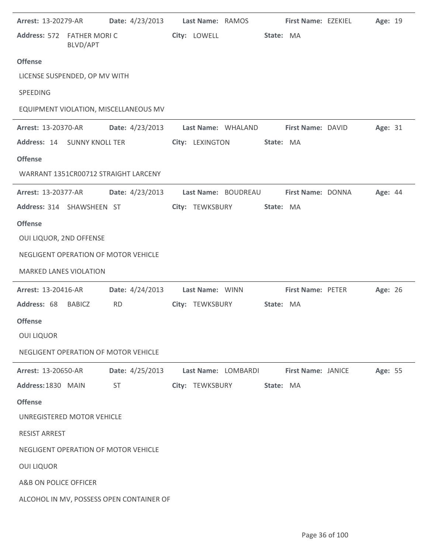| Arrest: 13-20279-AR           |          | Date: 4/23/2013 Last Name: RAMOS                           |                 |                     |           | First Name: EZEKIEL | Age: 19 |  |
|-------------------------------|----------|------------------------------------------------------------|-----------------|---------------------|-----------|---------------------|---------|--|
| Address: 572 FATHER MORIC     | BLVD/APT |                                                            | City: LOWELL    |                     | State: MA |                     |         |  |
| <b>Offense</b>                |          |                                                            |                 |                     |           |                     |         |  |
| LICENSE SUSPENDED, OP MV WITH |          |                                                            |                 |                     |           |                     |         |  |
| SPEEDING                      |          |                                                            |                 |                     |           |                     |         |  |
|                               |          | EQUIPMENT VIOLATION, MISCELLANEOUS MV                      |                 |                     |           |                     |         |  |
| <b>Arrest: 13-20370-AR</b>    |          | Date: 4/23/2013    Last Name: WHALAND    First Name: DAVID |                 |                     |           |                     | Age: 31 |  |
| Address: 14 SUNNY KNOLL TER   |          |                                                            |                 | City: LEXINGTON     | State: MA |                     |         |  |
| <b>Offense</b>                |          |                                                            |                 |                     |           |                     |         |  |
|                               |          | WARRANT 1351CR00712 STRAIGHT LARCENY                       |                 |                     |           |                     |         |  |
| <b>Arrest: 13-20377-AR</b>    |          | <b>Date:</b> 4/23/2013                                     |                 | Last Name: BOUDREAU |           | First Name: DONNA   | Age: 44 |  |
| Address: 314 SHAWSHEEN ST     |          |                                                            |                 | City: TEWKSBURY     | State: MA |                     |         |  |
| <b>Offense</b>                |          |                                                            |                 |                     |           |                     |         |  |
| OUI LIQUOR, 2ND OFFENSE       |          |                                                            |                 |                     |           |                     |         |  |
|                               |          | NEGLIGENT OPERATION OF MOTOR VEHICLE                       |                 |                     |           |                     |         |  |
| <b>MARKED LANES VIOLATION</b> |          |                                                            |                 |                     |           |                     |         |  |
|                               |          |                                                            |                 |                     |           |                     |         |  |
| Arrest: 13-20416-AR           |          | Date: 4/24/2013                                            |                 | Last Name: WINN     |           | First Name: PETER   | Age: 26 |  |
| Address: 68 BABICZ            |          | <b>RD</b>                                                  | City: TEWKSBURY |                     | State: MA |                     |         |  |
| <b>Offense</b>                |          |                                                            |                 |                     |           |                     |         |  |
| <b>OUI LIQUOR</b>             |          |                                                            |                 |                     |           |                     |         |  |
|                               |          | NEGLIGENT OPERATION OF MOTOR VEHICLE                       |                 |                     |           |                     |         |  |
| Arrest: 13-20650-AR           |          | Date: 4/25/2013                                            |                 | Last Name: LOMBARDI |           | First Name: JANICE  | Age: 55 |  |
| Address: 1830 MAIN            |          | <b>ST</b>                                                  | City: TEWKSBURY |                     | State: MA |                     |         |  |
| <b>Offense</b>                |          |                                                            |                 |                     |           |                     |         |  |
| UNREGISTERED MOTOR VEHICLE    |          |                                                            |                 |                     |           |                     |         |  |
| <b>RESIST ARREST</b>          |          |                                                            |                 |                     |           |                     |         |  |
|                               |          | NEGLIGENT OPERATION OF MOTOR VEHICLE                       |                 |                     |           |                     |         |  |
| <b>OUI LIQUOR</b>             |          |                                                            |                 |                     |           |                     |         |  |
| A&B ON POLICE OFFICER         |          |                                                            |                 |                     |           |                     |         |  |

 $\overline{\phantom{a}}$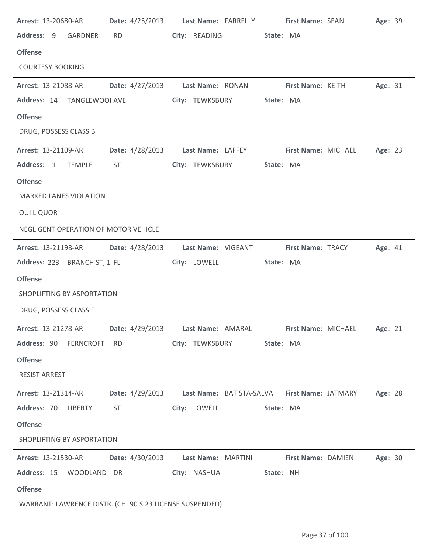| <b>Arrest: 13-20680-AR</b>                                 |                                                                                                                                                                                                                                |                                                    | Date: 4/25/2013 Last Name: FARRELLY First Name: SEAN                              | Age: 39 |
|------------------------------------------------------------|--------------------------------------------------------------------------------------------------------------------------------------------------------------------------------------------------------------------------------|----------------------------------------------------|-----------------------------------------------------------------------------------|---------|
| Address: 9 GARDNER                                         | RD <sub>2</sub>                                                                                                                                                                                                                | City: READING State: MA                            |                                                                                   |         |
| <b>Offense</b>                                             |                                                                                                                                                                                                                                |                                                    |                                                                                   |         |
| <b>COURTESY BOOKING</b>                                    |                                                                                                                                                                                                                                |                                                    |                                                                                   |         |
| <b>Arrest: 13-21088-AR</b>                                 |                                                                                                                                                                                                                                |                                                    | Date: 4/27/2013 Last Name: RONAN First Name: KEITH Age: 31                        |         |
|                                                            |                                                                                                                                                                                                                                |                                                    |                                                                                   |         |
| <b>Offense</b>                                             |                                                                                                                                                                                                                                |                                                    |                                                                                   |         |
| DRUG, POSSESS CLASS B                                      |                                                                                                                                                                                                                                |                                                    |                                                                                   |         |
| <b>Arrest: 13-21109-AR</b>                                 |                                                                                                                                                                                                                                |                                                    | Date: 4/28/2013 Last Name: LAFFEY First Name: MICHAEL Age: 23                     |         |
| Address: 1 TEMPLE                                          | ST <sub>2</sub>                                                                                                                                                                                                                | City: TEWKSBURY                                    | State: MA                                                                         |         |
| <b>Offense</b>                                             |                                                                                                                                                                                                                                |                                                    |                                                                                   |         |
| <b>MARKED LANES VIOLATION</b>                              |                                                                                                                                                                                                                                |                                                    |                                                                                   |         |
| <b>OUI LIQUOR</b>                                          |                                                                                                                                                                                                                                |                                                    |                                                                                   |         |
| NEGLIGENT OPERATION OF MOTOR VEHICLE                       |                                                                                                                                                                                                                                |                                                    |                                                                                   |         |
| Arrest: 13-21198-AR   Date: 4/28/2013   Last Name: VIGEANT |                                                                                                                                                                                                                                |                                                    | <b>First Name: TRACY</b>                                                          | Age: 41 |
| Address: 223 BRANCH ST, 1 FL                               |                                                                                                                                                                                                                                | City: LOWELL                                       | State: MA                                                                         |         |
| <b>Offense</b>                                             |                                                                                                                                                                                                                                |                                                    |                                                                                   |         |
| SHOPLIFTING BY ASPORTATION                                 |                                                                                                                                                                                                                                |                                                    |                                                                                   |         |
| DRUG, POSSESS CLASS E                                      |                                                                                                                                                                                                                                |                                                    |                                                                                   |         |
|                                                            |                                                                                                                                                                                                                                |                                                    | Arrest: 13-21278-AR Date: 4/29/2013 Last Name: AMARAL First Name: MICHAEL Age: 21 |         |
|                                                            |                                                                                                                                                                                                                                | Address: 90 FERNCROFT RD City: TEWKSBURY State: MA |                                                                                   |         |
| <b>Offense</b>                                             |                                                                                                                                                                                                                                |                                                    |                                                                                   |         |
| <b>RESIST ARREST</b>                                       |                                                                                                                                                                                                                                |                                                    |                                                                                   |         |
| <b>Arrest: 13-21314-AR</b>                                 |                                                                                                                                                                                                                                |                                                    | Date: 4/29/2013 Last Name: BATISTA-SALVA First Name: JATMARY Age: 28              |         |
| Address: 70 LIBERTY                                        | ST and the state of the state of the state of the state of the state of the state of the state of the state of the state of the state of the state of the state of the state of the state of the state of the state of the sta | City: LOWELL State: MA                             |                                                                                   |         |
| <b>Offense</b>                                             |                                                                                                                                                                                                                                |                                                    |                                                                                   |         |
| SHOPLIFTING BY ASPORTATION                                 |                                                                                                                                                                                                                                |                                                    |                                                                                   |         |
|                                                            |                                                                                                                                                                                                                                |                                                    | Arrest: 13-21530-AR Date: 4/30/2013 Last Name: MARTINI First Name: DAMIEN Age: 30 |         |
|                                                            |                                                                                                                                                                                                                                | Address: 15 WOODLAND DR City: NASHUA State: NH     |                                                                                   |         |
| <b>Offense</b>                                             |                                                                                                                                                                                                                                |                                                    |                                                                                   |         |
|                                                            |                                                                                                                                                                                                                                |                                                    |                                                                                   |         |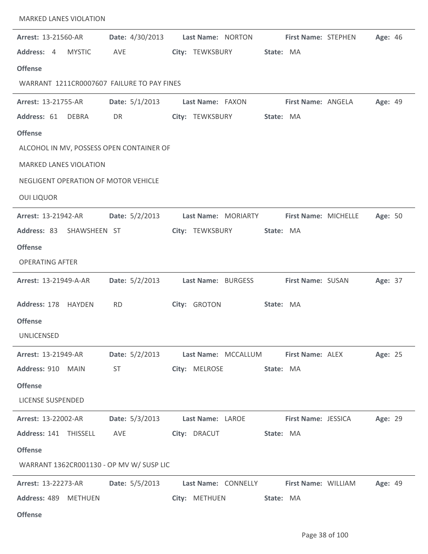| <b>MARKED LANES VIOLATION</b> |               |                                                        |                  |                    |           |                             |         |  |
|-------------------------------|---------------|--------------------------------------------------------|------------------|--------------------|-----------|-----------------------------|---------|--|
| <b>Arrest: 13-21560-AR</b>    |               | Date: 4/30/2013 Last Name: NORTON                      |                  |                    |           | <b>First Name: STEPHEN</b>  | Age: 46 |  |
| Address: 4                    | <b>MYSTIC</b> | AVE                                                    |                  | City: TEWKSBURY    | State: MA |                             |         |  |
| <b>Offense</b>                |               |                                                        |                  |                    |           |                             |         |  |
|                               |               | WARRANT 1211CR0007607 FAILURE TO PAY FINES             |                  |                    |           |                             |         |  |
| <b>Arrest: 13-21755-AR</b>    |               | Date: $5/1/2013$                                       |                  | Last Name: FAXON   |           | <b>First Name: ANGELA</b>   | Age: 49 |  |
| Address: 61                   | DEBRA         | DR                                                     | City: TEWKSBURY  |                    | State: MA |                             |         |  |
| <b>Offense</b>                |               |                                                        |                  |                    |           |                             |         |  |
|                               |               | ALCOHOL IN MV, POSSESS OPEN CONTAINER OF               |                  |                    |           |                             |         |  |
| <b>MARKED LANES VIOLATION</b> |               |                                                        |                  |                    |           |                             |         |  |
|                               |               | NEGLIGENT OPERATION OF MOTOR VEHICLE                   |                  |                    |           |                             |         |  |
| <b>OUI LIQUOR</b>             |               |                                                        |                  |                    |           |                             |         |  |
| <b>Arrest: 13-21942-AR</b>    |               | Date: 5/2/2013 Last Name: MORIARTY                     |                  |                    |           | <b>First Name: MICHELLE</b> | Age: 50 |  |
| Address: 83 SHAWSHEEN ST      |               |                                                        | City: TEWKSBURY  |                    | State: MA |                             |         |  |
| <b>Offense</b>                |               |                                                        |                  |                    |           |                             |         |  |
| <b>OPERATING AFTER</b>        |               |                                                        |                  |                    |           |                             |         |  |
| Arrest: 13-21949-A-AR         |               | Date: 5/2/2013                                         |                  | Last Name: BURGESS |           | First Name: SUSAN           | Age: 37 |  |
| Address: 178 HAYDEN           |               | <b>RD</b>                                              | City: GROTON     |                    | State: MA |                             |         |  |
| <b>Offense</b>                |               |                                                        |                  |                    |           |                             |         |  |
| <b>UNLICENSED</b>             |               |                                                        |                  |                    |           |                             |         |  |
| Arrest: 13-21949-AR           |               | Date: 5/2/2013 Last Name: MCCALLUM                     |                  |                    |           | <b>First Name: ALEX</b>     | Age: 25 |  |
| Address: 910 MAIN             |               | ST                                                     | City: MELROSE    |                    | State: MA |                             |         |  |
| <b>Offense</b>                |               |                                                        |                  |                    |           |                             |         |  |
| <b>LICENSE SUSPENDED</b>      |               |                                                        |                  |                    |           |                             |         |  |
| Arrest: 13-22002-AR           |               | Date: 5/3/2013                                         | Last Name: LAROE |                    |           | First Name: JESSICA         | Age: 29 |  |
| Address: 141 THISSELL         |               | AVE                                                    | City: DRACUT     |                    | State: MA |                             |         |  |
| <b>Offense</b>                |               |                                                        |                  |                    |           |                             |         |  |
|                               |               | WARRANT 1362CR001130 - OP MV W/ SUSP LIC               |                  |                    |           |                             |         |  |
| <b>Arrest: 13-22273-AR</b>    |               | Date: 5/5/2013 Last Name: CONNELLY First Name: WILLIAM |                  |                    |           |                             | Age: 49 |  |
| Address: 489 METHUEN          |               |                                                        |                  | City: METHUEN      | State: MA |                             |         |  |

**Offense**

 $\overline{a}$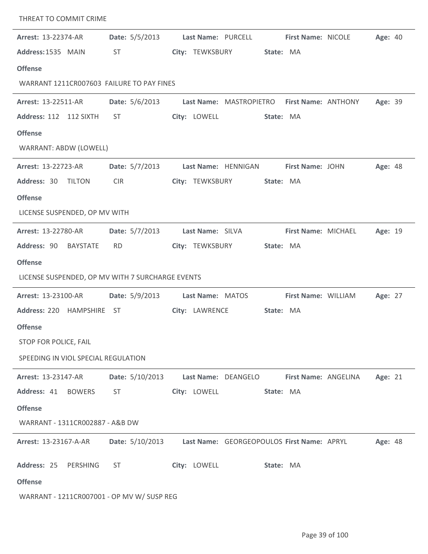| THREAT TO COMMIT CRIME                           |                        |                                                       |         |
|--------------------------------------------------|------------------------|-------------------------------------------------------|---------|
| Arrest: 13-22374-AR                              | Date: 5/5/2013         | Last Name: PURCELL<br>First Name: NICOLE              | Age: 40 |
| Address: 1535 MAIN                               | <b>ST</b>              | City: TEWKSBURY<br>State: MA                          |         |
| <b>Offense</b>                                   |                        |                                                       |         |
| WARRANT 1211CR007603 FAILURE TO PAY FINES        |                        |                                                       |         |
| Arrest: 13-22511-AR                              | Date: 5/6/2013         | Last Name: MASTROPIETRO First Name: ANTHONY           | Age: 39 |
| Address: 112 112 SIXTH                           | ST                     | City: LOWELL<br>State: MA                             |         |
| <b>Offense</b>                                   |                        |                                                       |         |
| WARRANT: ABDW (LOWELL)                           |                        |                                                       |         |
| Arrest: 13-22723-AR                              | Date: $5/7/2013$       | Last Name: HENNIGAN<br><b>First Name: JOHN</b>        | Age: 48 |
| Address: 30 TILTON                               | <b>CIR</b>             | City: TEWKSBURY<br>State: MA                          |         |
| <b>Offense</b>                                   |                        |                                                       |         |
| LICENSE SUSPENDED, OP MV WITH                    |                        |                                                       |         |
| Arrest: 13-22780-AR                              | Date: 5/7/2013         | Last Name: SILVA<br>First Name: MICHAEL               | Age: 19 |
| Address: 90 BAYSTATE                             | <b>RD</b>              | City: TEWKSBURY<br>State: MA                          |         |
| <b>Offense</b>                                   |                        |                                                       |         |
| LICENSE SUSPENDED, OP MV WITH 7 SURCHARGE EVENTS |                        |                                                       |         |
| Arrest: 13-23100-AR                              | Date: 5/9/2013         | <b>Last Name: MATOS</b><br><b>First Name: WILLIAM</b> | Age: 27 |
| Address: 220 HAMPSHIRE ST                        |                        | City: LAWRENCE<br>State: MA                           |         |
| <b>Offense</b>                                   |                        |                                                       |         |
| STOP FOR POLICE, FAIL                            |                        |                                                       |         |
| SPEEDING IN VIOL SPECIAL REGULATION              |                        |                                                       |         |
| <b>Arrest: 13-23147-AR</b>                       | Date: 5/10/2013        | Last Name: DEANGELO<br>First Name: ANGELINA           | Age: 21 |
| Address: 41<br><b>BOWERS</b>                     | ST                     | City: LOWELL<br>State: MA                             |         |
| <b>Offense</b>                                   |                        |                                                       |         |
| WARRANT - 1311CR002887 - A&B DW                  |                        |                                                       |         |
| <b>Arrest: 13-23167-A-AR</b>                     | <b>Date:</b> 5/10/2013 | Last Name: GEORGEOPOULOS First Name: APRYL            | Age: 48 |
| Address: 25<br>PERSHING                          | <b>ST</b>              | City: LOWELL<br>State: MA                             |         |
| <b>Offense</b>                                   |                        |                                                       |         |
| WARRANT - 1211CR007001 - OP MV W/ SUSP REG       |                        |                                                       |         |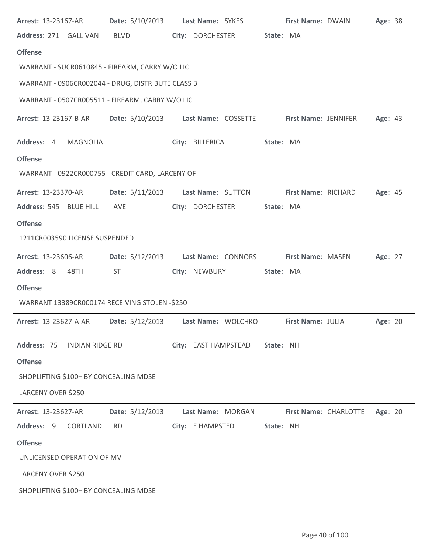| Arrest: 13-23167-AR                               | Date: 5/10/2013        | Last Name: SYKES     | First Name: DWAIN           | Age: 38 |
|---------------------------------------------------|------------------------|----------------------|-----------------------------|---------|
| Address: 271 GALLIVAN                             | BLVD                   | City: DORCHESTER     | State: MA                   |         |
| <b>Offense</b>                                    |                        |                      |                             |         |
| WARRANT - SUCR0610845 - FIREARM, CARRY W/O LIC    |                        |                      |                             |         |
| WARRANT - 0906CR002044 - DRUG, DISTRIBUTE CLASS B |                        |                      |                             |         |
| WARRANT - 0507CR005511 - FIREARM, CARRY W/O LIC   |                        |                      |                             |         |
| <b>Arrest: 13-23167-B-AR</b>                      | Date: 5/10/2013        | Last Name: COSSETTE  | <b>First Name: JENNIFER</b> | Age: 43 |
| <b>MAGNOLIA</b><br>Address: 4                     |                        | City: BILLERICA      | State: MA                   |         |
| <b>Offense</b>                                    |                        |                      |                             |         |
| WARRANT - 0922CR000755 - CREDIT CARD, LARCENY OF  |                        |                      |                             |         |
| Arrest: 13-23370-AR                               | Date: 5/11/2013        | Last Name: SUTTON    | First Name: RICHARD         | Age: 45 |
| Address: 545 BLUE HILL                            | AVE                    | City: DORCHESTER     | State: MA                   |         |
| <b>Offense</b>                                    |                        |                      |                             |         |
| 1211CR003590 LICENSE SUSPENDED                    |                        |                      |                             |         |
| <b>Arrest: 13-23606-AR</b>                        | Date: 5/12/2013        | Last Name: CONNORS   | <b>First Name: MASEN</b>    | Age: 27 |
| Address: 8<br>48TH                                | <b>ST</b>              | City: NEWBURY        | State: MA                   |         |
| <b>Offense</b>                                    |                        |                      |                             |         |
| WARRANT 13389CR000174 RECEIVING STOLEN -\$250     |                        |                      |                             |         |
| <b>Arrest: 13-23627-A-AR</b>                      | <b>Date:</b> 5/12/2013 | Last Name: WOLCHKO   | First Name: JULIA           | Age: 20 |
| Address: 75<br><b>INDIAN RIDGE RD</b>             |                        | City: EAST HAMPSTEAD | State: NH                   |         |
| <b>Offense</b>                                    |                        |                      |                             |         |
| SHOPLIFTING \$100+ BY CONCEALING MDSE             |                        |                      |                             |         |
| LARCENY OVER \$250                                |                        |                      |                             |         |
| <b>Arrest: 13-23627-AR</b>                        | Date: 5/12/2013        | Last Name: MORGAN    | First Name: CHARLOTTE       | Age: 20 |
| Address: 9<br><b>CORTLAND</b>                     | <b>RD</b>              | City: E HAMPSTED     | State: NH                   |         |
| <b>Offense</b>                                    |                        |                      |                             |         |
| UNLICENSED OPERATION OF MV                        |                        |                      |                             |         |
| LARCENY OVER \$250                                |                        |                      |                             |         |
| SHOPLIFTING \$100+ BY CONCEALING MDSE             |                        |                      |                             |         |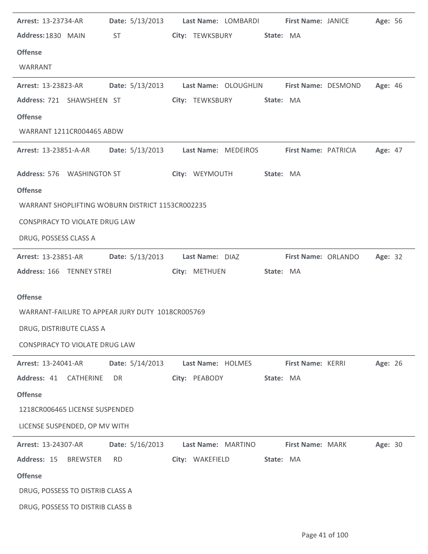| Arrest: 13-23734-AR                                     |                 | Date: 5/13/2013 Last Name: LOMBARDI First Name: JANICE Age: 56                 |                   |                     |         |
|---------------------------------------------------------|-----------------|--------------------------------------------------------------------------------|-------------------|---------------------|---------|
| Address: 1830 MAIN                                      | <b>ST</b>       | City: TEWKSBURY State: MA                                                      |                   |                     |         |
| <b>Offense</b>                                          |                 |                                                                                |                   |                     |         |
| WARRANT                                                 |                 |                                                                                |                   |                     |         |
| <b>Arrest: 13-23823-AR</b>                              |                 | Date: 5/13/2013 Last Name: OLOUGHLIN First Name: DESMOND                       |                   |                     | Age: 46 |
| Address: 721 SHAWSHEEN ST                               |                 | City: TEWKSBURY                                                                | State: MA         |                     |         |
| <b>Offense</b>                                          |                 |                                                                                |                   |                     |         |
| WARRANT 1211CR004465 ABDW                               |                 |                                                                                |                   |                     |         |
|                                                         |                 | Arrest: 13-23851-A-AR Date: 5/13/2013 Last Name: MEDEIROS First Name: PATRICIA |                   |                     | Age: 47 |
| Address: 576 WASHINGTON ST                              |                 | City: WEYMOUTH                                                                 | State: MA         |                     |         |
| <b>Offense</b>                                          |                 |                                                                                |                   |                     |         |
| WARRANT SHOPLIFTING WOBURN DISTRICT 1153CR002235        |                 |                                                                                |                   |                     |         |
| <b>CONSPIRACY TO VIOLATE DRUG LAW</b>                   |                 |                                                                                |                   |                     |         |
| DRUG, POSSESS CLASS A                                   |                 |                                                                                |                   |                     |         |
| Arrest: 13-23851-AR   Date: 5/13/2013   Last Name: DIAZ |                 |                                                                                |                   | First Name: ORLANDO | Age: 32 |
|                                                         |                 |                                                                                |                   |                     |         |
| Address: 166 TENNEY STREE                               |                 | City: METHUEN                                                                  | State: MA         |                     |         |
|                                                         |                 |                                                                                |                   |                     |         |
| <b>Offense</b>                                          |                 |                                                                                |                   |                     |         |
| WARRANT-FAILURE TO APPEAR JURY DUTY 1018CR005769        |                 |                                                                                |                   |                     |         |
| DRUG, DISTRIBUTE CLASS A                                |                 |                                                                                |                   |                     |         |
| CONSPIRACY TO VIOLATE DRUG LAW                          |                 |                                                                                |                   |                     |         |
| <b>Arrest: 13-24041-AR</b>                              | Date: 5/14/2013 | Last Name: HOLMES                                                              | First Name: KERRI |                     | Age: 26 |
| Address: 41 CATHERINE                                   | DR.             | City: PEABODY                                                                  | State: MA         |                     |         |
| <b>Offense</b>                                          |                 |                                                                                |                   |                     |         |
| 1218CR006465 LICENSE SUSPENDED                          |                 |                                                                                |                   |                     |         |
| LICENSE SUSPENDED, OP MV WITH                           |                 |                                                                                |                   |                     |         |
| Arrest: 13-24307-AR                                     | Date: 5/16/2013 | Last Name: MARTINO                                                             | First Name: MARK  |                     | Age: 30 |
| Address: 15<br><b>BREWSTER</b>                          | <b>RD</b>       | City: WAKEFIELD                                                                | State: MA         |                     |         |
| <b>Offense</b>                                          |                 |                                                                                |                   |                     |         |
| DRUG, POSSESS TO DISTRIB CLASS A                        |                 |                                                                                |                   |                     |         |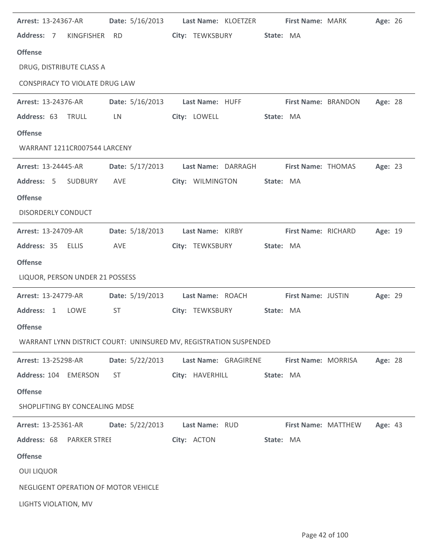| <b>Arrest: 13-24367-AR</b>            |                 | Date: 5/16/2013 Last Name: KLOETZER                               | <b>First Name: MARK</b>    | Age: 26 |
|---------------------------------------|-----------------|-------------------------------------------------------------------|----------------------------|---------|
| Address: 7 KINGFISHER RD              |                 | City: TEWKSBURY                                                   | State: MA                  |         |
| <b>Offense</b>                        |                 |                                                                   |                            |         |
| DRUG, DISTRIBUTE CLASS A              |                 |                                                                   |                            |         |
| <b>CONSPIRACY TO VIOLATE DRUG LAW</b> |                 |                                                                   |                            |         |
| <b>Arrest: 13-24376-AR</b>            |                 | Date: 5/16/2013 Last Name: HUFF                                   | <b>First Name: BRANDON</b> | Age: 28 |
| Address: 63 TRULL                     | LN              | City: LOWELL                                                      | State: MA                  |         |
| <b>Offense</b>                        |                 |                                                                   |                            |         |
| WARRANT 1211CR007544 LARCENY          |                 |                                                                   |                            |         |
| <b>Arrest: 13-24445-AR</b>            |                 | Date: 5/17/2013 Last Name: DARRAGH                                | <b>First Name: THOMAS</b>  | Age: 23 |
| Address: 5 SUDBURY                    | AVE             | City: WILMINGTON                                                  | State: MA                  |         |
| <b>Offense</b>                        |                 |                                                                   |                            |         |
| <b>DISORDERLY CONDUCT</b>             |                 |                                                                   |                            |         |
| Arrest: 13-24709-AR                   | Date: 5/18/2013 | Last Name: KIRBY                                                  | First Name: RICHARD        | Age: 19 |
| Address: 35 ELLIS                     | AVE             | City: TEWKSBURY                                                   | State: MA                  |         |
| <b>Offense</b>                        |                 |                                                                   |                            |         |
| LIQUOR, PERSON UNDER 21 POSSESS       |                 |                                                                   |                            |         |
| Arrest: 13-24779-AR                   |                 | Date: 5/19/2013 Last Name: ROACH First Name: JUSTIN               |                            | Age: 29 |
| Address: 1<br>LOWE                    | ST              | City: TEWKSBURY                                                   | State: MA                  |         |
| <b>Offense</b>                        |                 |                                                                   |                            |         |
|                                       |                 | WARRANT LYNN DISTRICT COURT: UNINSURED MV, REGISTRATION SUSPENDED |                            |         |
| Arrest: 13-25298-AR                   | Date: 5/22/2013 | Last Name: GRAGIRENE                                              | First Name: MORRISA        | Age: 28 |
| Address: 104 EMERSON                  | <b>ST</b>       | City: HAVERHILL                                                   | State: MA                  |         |
| <b>Offense</b>                        |                 |                                                                   |                            |         |
| SHOPLIFTING BY CONCEALING MDSE        |                 |                                                                   |                            |         |
| Arrest: 13-25361-AR                   | Date: 5/22/2013 | Last Name: RUD                                                    | First Name: MATTHEW        | Age: 43 |
| Address: 68<br><b>PARKER STREE</b>    |                 | City: ACTON                                                       | State: MA                  |         |
| <b>Offense</b>                        |                 |                                                                   |                            |         |
| <b>OUI LIQUOR</b>                     |                 |                                                                   |                            |         |
| NEGLIGENT OPERATION OF MOTOR VEHICLE  |                 |                                                                   |                            |         |
| LIGHTS VIOLATION, MV                  |                 |                                                                   |                            |         |
|                                       |                 |                                                                   |                            |         |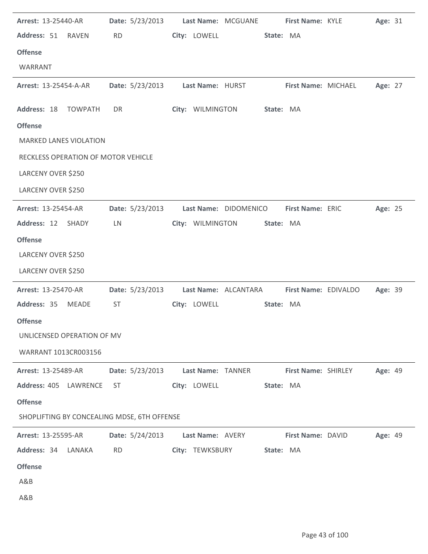| Arrest: 13-25440-AR                         | Date: 5/23/2013        | Last Name: MCGUANE    | First Name: KYLE     | Age: 31 |
|---------------------------------------------|------------------------|-----------------------|----------------------|---------|
| Address: 51<br><b>RAVEN</b>                 | <b>RD</b>              | City: LOWELL          | State: MA            |         |
| <b>Offense</b>                              |                        |                       |                      |         |
| WARRANT                                     |                        |                       |                      |         |
| Arrest: 13-25454-A-AR                       | <b>Date:</b> 5/23/2013 | Last Name: HURST      | First Name: MICHAEL  | Age: 27 |
| Address: 18<br><b>TOWPATH</b>               | DR                     | City: WILMINGTON      | State: MA            |         |
| <b>Offense</b>                              |                        |                       |                      |         |
| <b>MARKED LANES VIOLATION</b>               |                        |                       |                      |         |
| RECKLESS OPERATION OF MOTOR VEHICLE         |                        |                       |                      |         |
| LARCENY OVER \$250                          |                        |                       |                      |         |
| LARCENY OVER \$250                          |                        |                       |                      |         |
| Arrest: 13-25454-AR                         | Date: 5/23/2013        | Last Name: DIDOMENICO | First Name: ERIC     | Age: 25 |
| Address: 12 SHADY                           | LN                     | City: WILMINGTON      | State: MA            |         |
| <b>Offense</b>                              |                        |                       |                      |         |
| LARCENY OVER \$250                          |                        |                       |                      |         |
| LARCENY OVER \$250                          |                        |                       |                      |         |
| Arrest: 13-25470-AR                         | Date: 5/23/2013        | Last Name: ALCANTARA  | First Name: EDIVALDO | Age: 39 |
| Address: 35<br>MEADE                        | <b>ST</b>              | City: LOWELL          | State: MA            |         |
| <b>Offense</b>                              |                        |                       |                      |         |
| UNLICENSED OPERATION OF MV                  |                        |                       |                      |         |
| WARRANT 1013CR003156                        |                        |                       |                      |         |
| Arrest: 13-25489-AR                         | Date: 5/23/2013        | Last Name: TANNER     | First Name: SHIRLEY  | Age: 49 |
| Address: 405 LAWRENCE                       | ST                     | City: LOWELL          | State: MA            |         |
| <b>Offense</b>                              |                        |                       |                      |         |
| SHOPLIFTING BY CONCEALING MDSE, 6TH OFFENSE |                        |                       |                      |         |
| Arrest: 13-25595-AR                         | Date: 5/24/2013        | Last Name: AVERY      | First Name: DAVID    | Age: 49 |
| Address: 34<br>LANAKA                       | <b>RD</b>              | City: TEWKSBURY       | State: MA            |         |
| <b>Offense</b>                              |                        |                       |                      |         |
| A&B                                         |                        |                       |                      |         |
| A&B                                         |                        |                       |                      |         |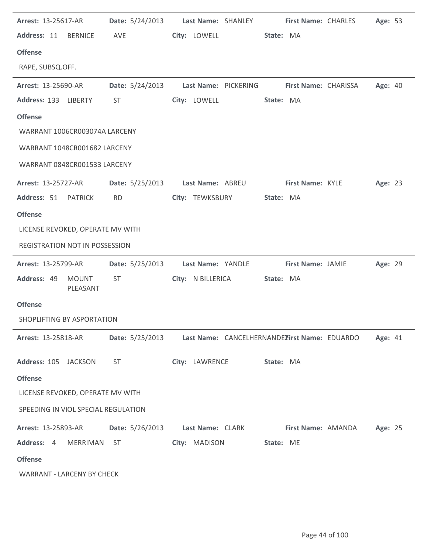| Arrest: 13-25617-AR                 |                          | Date: 5/24/2013 Last Name: SHANLEY                            |                   |                  |           | First Name: CHARLES     | Age: 53        |  |
|-------------------------------------|--------------------------|---------------------------------------------------------------|-------------------|------------------|-----------|-------------------------|----------------|--|
| Address: 11 BERNICE                 |                          | AVE                                                           | City: LOWELL      |                  | State: MA |                         |                |  |
| <b>Offense</b>                      |                          |                                                               |                   |                  |           |                         |                |  |
| RAPE, SUBSQ.OFF.                    |                          |                                                               |                   |                  |           |                         |                |  |
| Arrest: 13-25690-AR                 |                          | Date: 5/24/2013 Last Name: PICKERING First Name: CHARISSA     |                   |                  |           |                         | <b>Age: 40</b> |  |
| Address: 133 LIBERTY                |                          | <b>ST</b>                                                     | City: LOWELL      |                  | State: MA |                         |                |  |
| <b>Offense</b>                      |                          |                                                               |                   |                  |           |                         |                |  |
| WARRANT 1006CR003074A LARCENY       |                          |                                                               |                   |                  |           |                         |                |  |
| WARRANT 1048CR001682 LARCENY        |                          |                                                               |                   |                  |           |                         |                |  |
| WARRANT 0848CR001533 LARCENY        |                          |                                                               |                   |                  |           |                         |                |  |
| <b>Arrest: 13-25727-AR</b>          |                          | <b>Date:</b> 5/25/2013                                        |                   | Last Name: ABREU |           | <b>First Name: KYLE</b> | Age: 23        |  |
| Address: 51                         | <b>PATRICK</b>           | <b>RD</b>                                                     | City: TEWKSBURY   |                  | State: MA |                         |                |  |
| <b>Offense</b>                      |                          |                                                               |                   |                  |           |                         |                |  |
| LICENSE REVOKED, OPERATE MV WITH    |                          |                                                               |                   |                  |           |                         |                |  |
| REGISTRATION NOT IN POSSESSION      |                          |                                                               |                   |                  |           |                         |                |  |
| Arrest: 13-25799-AR                 |                          | Date: 5/25/2013                                               | Last Name: YANDLE |                  |           | First Name: JAMIE       | Age: 29        |  |
| Address: 49                         | <b>MOUNT</b><br>PLEASANT | <b>ST</b>                                                     | City: N BILLERICA |                  | State: MA |                         |                |  |
| <b>Offense</b>                      |                          |                                                               |                   |                  |           |                         |                |  |
| SHOPLIFTING BY ASPORTATION          |                          |                                                               |                   |                  |           |                         |                |  |
| <b>Arrest: 13-25818-AR</b>          |                          | Date: 5/25/2013 Last Name: CANCELHERNANDE Eirst Name: EDUARDO |                   |                  |           |                         | Age: 41        |  |
| Address: 105 JACKSON                |                          | ST                                                            | City: LAWRENCE    |                  | State: MA |                         |                |  |
| <b>Offense</b>                      |                          |                                                               |                   |                  |           |                         |                |  |
| LICENSE REVOKED, OPERATE MV WITH    |                          |                                                               |                   |                  |           |                         |                |  |
| SPEEDING IN VIOL SPECIAL REGULATION |                          |                                                               |                   |                  |           |                         |                |  |
| <b>Arrest: 13-25893-AR</b>          |                          | Date: 5/26/2013                                               | Last Name: CLARK  |                  |           | First Name: AMANDA      | Age: 25        |  |
| Address: 4 MERRIMAN ST              |                          |                                                               | City: MADISON     |                  | State: ME |                         |                |  |
| <b>Offense</b>                      |                          |                                                               |                   |                  |           |                         |                |  |
| <b>WARRANT - LARCENY BY CHECK</b>   |                          |                                                               |                   |                  |           |                         |                |  |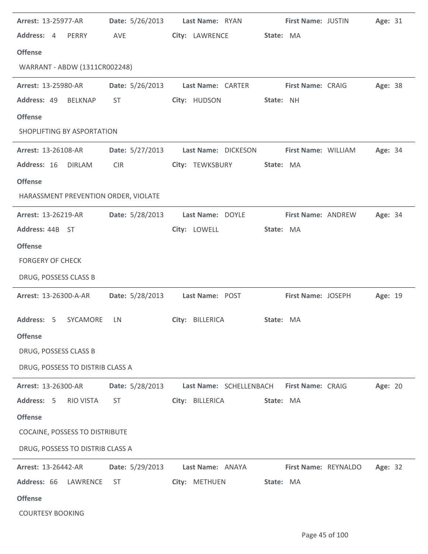| Arrest: 13-25977-AR                   | <b>Date:</b> 5/26/2013 | Last Name: RYAN         |           | <b>First Name: JUSTIN</b> | Age: 31 |  |
|---------------------------------------|------------------------|-------------------------|-----------|---------------------------|---------|--|
| Address: 4<br>PERRY                   | AVE                    | City: LAWRENCE          | State: MA |                           |         |  |
| <b>Offense</b>                        |                        |                         |           |                           |         |  |
| WARRANT - ABDW (1311CR002248)         |                        |                         |           |                           |         |  |
| Arrest: 13-25980-AR                   | Date: 5/26/2013        | Last Name: CARTER       |           | First Name: CRAIG         | Age: 38 |  |
| Address: 49<br>BELKNAP                | <b>ST</b>              | City: HUDSON            | State: NH |                           |         |  |
| <b>Offense</b>                        |                        |                         |           |                           |         |  |
| SHOPLIFTING BY ASPORTATION            |                        |                         |           |                           |         |  |
| <b>Arrest: 13-26108-AR</b>            | <b>Date:</b> 5/27/2013 | Last Name: DICKESON     |           | First Name: WILLIAM       | Age: 34 |  |
| Address: 16<br><b>DIRLAM</b>          | <b>CIR</b>             | City: TEWKSBURY         | State: MA |                           |         |  |
| <b>Offense</b>                        |                        |                         |           |                           |         |  |
| HARASSMENT PREVENTION ORDER, VIOLATE  |                        |                         |           |                           |         |  |
| Arrest: 13-26219-AR                   | Date: 5/28/2013        | Last Name: DOYLE        |           | <b>First Name: ANDREW</b> | Age: 34 |  |
| Address: 44B ST                       |                        | City: LOWELL            | State: MA |                           |         |  |
| <b>Offense</b>                        |                        |                         |           |                           |         |  |
| <b>FORGERY OF CHECK</b>               |                        |                         |           |                           |         |  |
| DRUG, POSSESS CLASS B                 |                        |                         |           |                           |         |  |
| Arrest: 13-26300-A-AR                 | Date: 5/28/2013        | Last Name: POST         |           | First Name: JOSEPH        | Age: 19 |  |
| Address: 5<br>SYCAMORE                | LN.                    | City: BILLERICA         | State: MA |                           |         |  |
| <b>Offense</b>                        |                        |                         |           |                           |         |  |
| DRUG, POSSESS CLASS B                 |                        |                         |           |                           |         |  |
| DRUG, POSSESS TO DISTRIB CLASS A      |                        |                         |           |                           |         |  |
| Arrest: 13-26300-AR                   | Date: 5/28/2013        | Last Name: SCHELLENBACH |           | First Name: CRAIG         | Age: 20 |  |
| Address: 5<br>RIO VISTA               | <b>ST</b>              | City: BILLERICA         | State: MA |                           |         |  |
| <b>Offense</b>                        |                        |                         |           |                           |         |  |
| <b>COCAINE, POSSESS TO DISTRIBUTE</b> |                        |                         |           |                           |         |  |
| DRUG, POSSESS TO DISTRIB CLASS A      |                        |                         |           |                           |         |  |
| Arrest: 13-26442-AR                   | Date: 5/29/2013        | Last Name: ANAYA        |           | First Name: REYNALDO      | Age: 32 |  |
| Address: 66<br>LAWRENCE               | <b>ST</b>              | City: METHUEN           | State: MA |                           |         |  |
| <b>Offense</b>                        |                        |                         |           |                           |         |  |
| <b>COURTESY BOOKING</b>               |                        |                         |           |                           |         |  |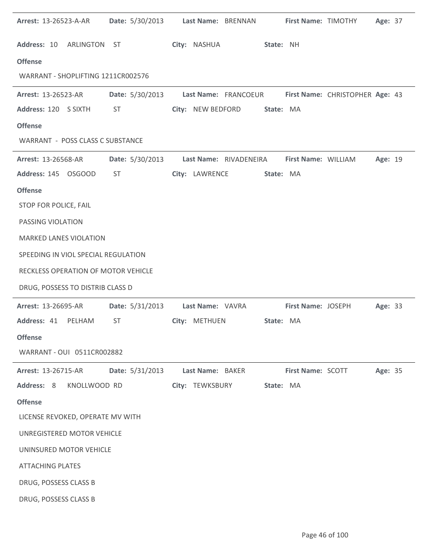|                                     | <b>Arrest: 13-26523-A-AR</b>                                                                                                                                                                                                   |                   | Date: 5/30/2013 Last Name: BRENNAN First Name: TIMOTHY     |                    |                                 | Age: 37 |  |
|-------------------------------------|--------------------------------------------------------------------------------------------------------------------------------------------------------------------------------------------------------------------------------|-------------------|------------------------------------------------------------|--------------------|---------------------------------|---------|--|
| Address: 10 ARLINGTON ST            |                                                                                                                                                                                                                                | City: NASHUA      | State: NH                                                  |                    |                                 |         |  |
| <b>Offense</b>                      |                                                                                                                                                                                                                                |                   |                                                            |                    |                                 |         |  |
| WARRANT - SHOPLIFTING 1211CR002576  |                                                                                                                                                                                                                                |                   |                                                            |                    |                                 |         |  |
| <b>Arrest: 13-26523-AR</b>          |                                                                                                                                                                                                                                |                   | Date: 5/30/2013 Last Name: FRANCOEUR                       |                    | First Name: CHRISTOPHER Age: 43 |         |  |
| Address: 120 S SIXTH                | ST and the state of the state of the state of the state of the state of the state of the state of the state of the state of the state of the state of the state of the state of the state of the state of the state of the sta | City: NEW BEDFORD | State: MA                                                  |                    |                                 |         |  |
| <b>Offense</b>                      |                                                                                                                                                                                                                                |                   |                                                            |                    |                                 |         |  |
| WARRANT - POSS CLASS C SUBSTANCE    |                                                                                                                                                                                                                                |                   |                                                            |                    |                                 |         |  |
| <b>Arrest: 13-26568-AR</b>          |                                                                                                                                                                                                                                |                   | Date: 5/30/2013 Last Name: RIVADENEIRA First Name: WILLIAM |                    |                                 | Age: 19 |  |
| Address: 145 OSGOOD                 | <b>ST</b>                                                                                                                                                                                                                      | City: LAWRENCE    | State: MA                                                  |                    |                                 |         |  |
| <b>Offense</b>                      |                                                                                                                                                                                                                                |                   |                                                            |                    |                                 |         |  |
| STOP FOR POLICE, FAIL               |                                                                                                                                                                                                                                |                   |                                                            |                    |                                 |         |  |
| PASSING VIOLATION                   |                                                                                                                                                                                                                                |                   |                                                            |                    |                                 |         |  |
| <b>MARKED LANES VIOLATION</b>       |                                                                                                                                                                                                                                |                   |                                                            |                    |                                 |         |  |
| SPEEDING IN VIOL SPECIAL REGULATION |                                                                                                                                                                                                                                |                   |                                                            |                    |                                 |         |  |
|                                     |                                                                                                                                                                                                                                |                   |                                                            |                    |                                 |         |  |
| RECKLESS OPERATION OF MOTOR VEHICLE |                                                                                                                                                                                                                                |                   |                                                            |                    |                                 |         |  |
| DRUG, POSSESS TO DISTRIB CLASS D    |                                                                                                                                                                                                                                |                   |                                                            |                    |                                 |         |  |
| <b>Arrest: 13-26695-AR</b>          |                                                                                                                                                                                                                                |                   | Date: 5/31/2013 Last Name: VAVRA                           | First Name: JOSEPH |                                 | Age: 33 |  |
| Address: 41 PELHAM                  | <b>ST</b>                                                                                                                                                                                                                      | City: METHUEN     | State: MA                                                  |                    |                                 |         |  |
| <b>Offense</b>                      |                                                                                                                                                                                                                                |                   |                                                            |                    |                                 |         |  |
| WARRANT - OUI 0511CR002882          |                                                                                                                                                                                                                                |                   |                                                            |                    |                                 |         |  |
| <b>Arrest: 13-26715-AR</b>          | Date: 5/31/2013                                                                                                                                                                                                                | Last Name: BAKER  |                                                            | First Name: SCOTT  |                                 | Age: 35 |  |
| Address: 8<br>KNOLLWOOD RD          |                                                                                                                                                                                                                                | City: TEWKSBURY   | State: MA                                                  |                    |                                 |         |  |
| <b>Offense</b>                      |                                                                                                                                                                                                                                |                   |                                                            |                    |                                 |         |  |
| LICENSE REVOKED, OPERATE MV WITH    |                                                                                                                                                                                                                                |                   |                                                            |                    |                                 |         |  |
| UNREGISTERED MOTOR VEHICLE          |                                                                                                                                                                                                                                |                   |                                                            |                    |                                 |         |  |
| UNINSURED MOTOR VEHICLE             |                                                                                                                                                                                                                                |                   |                                                            |                    |                                 |         |  |
| <b>ATTACHING PLATES</b>             |                                                                                                                                                                                                                                |                   |                                                            |                    |                                 |         |  |
| DRUG, POSSESS CLASS B               |                                                                                                                                                                                                                                |                   |                                                            |                    |                                 |         |  |

 $\ddot{\phantom{1}}$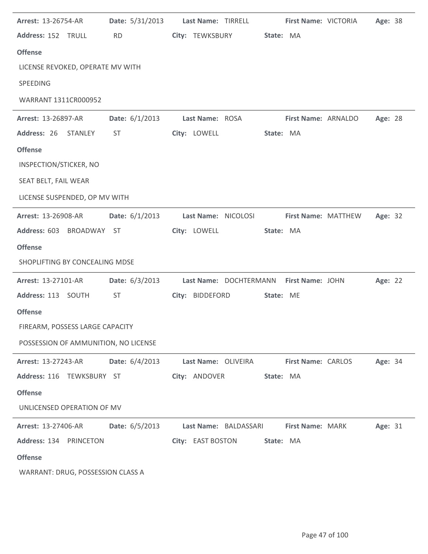| Arrest: 13-26754-AR              | <b>Date:</b> 5/31/2013               | Last Name: TIRRELL  |                                         | First Name: VICTORIA | Age: 38 |  |
|----------------------------------|--------------------------------------|---------------------|-----------------------------------------|----------------------|---------|--|
| Address: 152 TRULL               | <b>RD</b>                            | City: TEWKSBURY     | State: MA                               |                      |         |  |
| <b>Offense</b>                   |                                      |                     |                                         |                      |         |  |
| LICENSE REVOKED, OPERATE MV WITH |                                      |                     |                                         |                      |         |  |
| SPEEDING                         |                                      |                     |                                         |                      |         |  |
| WARRANT 1311CR000952             |                                      |                     |                                         |                      |         |  |
| Arrest: 13-26897-AR              | <b>Date:</b> $6/1/2013$              | Last Name: ROSA     |                                         | First Name: ARNALDO  | Age: 28 |  |
| Address: 26                      | STANLEY<br>ST                        | City: LOWELL        | State: MA                               |                      |         |  |
| <b>Offense</b>                   |                                      |                     |                                         |                      |         |  |
| INSPECTION/STICKER, NO           |                                      |                     |                                         |                      |         |  |
| SEAT BELT, FAIL WEAR             |                                      |                     |                                         |                      |         |  |
| LICENSE SUSPENDED, OP MV WITH    |                                      |                     |                                         |                      |         |  |
| <b>Arrest: 13-26908-AR</b>       | Date: $6/1/2013$                     | Last Name: NICOLOSI |                                         | First Name: MATTHEW  | Age: 32 |  |
| Address: 603 BROADWAY ST         |                                      | City: LOWELL        | State: MA                               |                      |         |  |
| <b>Offense</b>                   |                                      |                     |                                         |                      |         |  |
| SHOPLIFTING BY CONCEALING MDSE   |                                      |                     |                                         |                      |         |  |
| Arrest: 13-27101-AR              | Date: 6/3/2013                       |                     | Last Name: DOCHTERMANN First Name: JOHN |                      | Age: 22 |  |
| Address: 113 SOUTH               | <b>ST</b>                            | City: BIDDEFORD     | State: ME                               |                      |         |  |
| <b>Offense</b>                   |                                      |                     |                                         |                      |         |  |
| FIREARM, POSSESS LARGE CAPACITY  |                                      |                     |                                         |                      |         |  |
|                                  | POSSESSION OF AMMUNITION, NO LICENSE |                     |                                         |                      |         |  |
| Arrest: 13-27243-AR              | Date: 6/4/2013                       | Last Name: OLIVEIRA |                                         | First Name: CARLOS   | Age: 34 |  |
| Address: 116 TEWKSBURY ST        |                                      | City: ANDOVER       | State: MA                               |                      |         |  |
| <b>Offense</b>                   |                                      |                     |                                         |                      |         |  |
| UNLICENSED OPERATION OF MV       |                                      |                     |                                         |                      |         |  |
| <b>Arrest: 13-27406-AR</b>       | Date: 6/5/2013                       |                     | Last Name: BALDASSARI                   | First Name: MARK     | Age: 31 |  |
| Address: 134 PRINCETON           |                                      | City: EAST BOSTON   | State: MA                               |                      |         |  |
| <b>Offense</b>                   |                                      |                     |                                         |                      |         |  |
|                                  | WARRANT: DRUG, POSSESSION CLASS A    |                     |                                         |                      |         |  |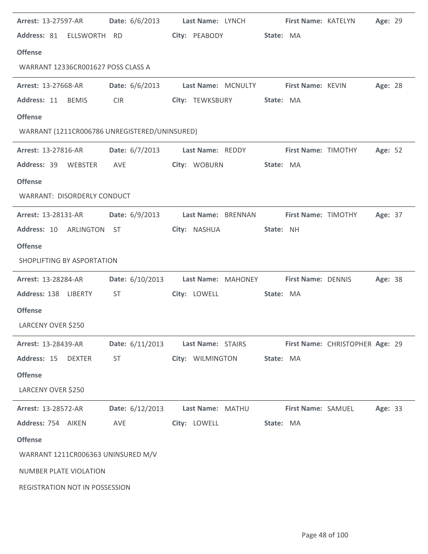| <b>Arrest: 13-27597-AR</b>                    |                 | Date: 6/6/2013 Last Name: LYNCH First Name: KATELYN         |                                       | Age: 29                               |
|-----------------------------------------------|-----------------|-------------------------------------------------------------|---------------------------------------|---------------------------------------|
| Address: 81 ELLSWORTH RD                      |                 | City: PEABODY                                               | State: MA                             |                                       |
| <b>Offense</b>                                |                 |                                                             |                                       |                                       |
| WARRANT 12336CR001627 POSS CLASS A            |                 |                                                             |                                       |                                       |
| Arrest: 13-27668-AR                           |                 | Date: 6/6/2013 Last Name: MCNULTY First Name: KEVIN Age: 28 |                                       |                                       |
| Address: 11 BEMIS                             | <b>CIR</b>      | City: TEWKSBURY                                             | State: MA                             |                                       |
| <b>Offense</b>                                |                 |                                                             |                                       |                                       |
| WARRANT (1211CR006786 UNREGISTERED/UNINSURED) |                 |                                                             |                                       |                                       |
| <b>Arrest: 13-27816-AR</b>                    |                 | Date: 6/7/2013 Last Name: REDDY First Name: TIMOTHY         |                                       | Age: 52                               |
| Address: 39 WEBSTER AVE                       |                 | City: WOBURN                                                | State: MA                             |                                       |
| <b>Offense</b>                                |                 |                                                             |                                       |                                       |
| WARRANT: DISORDERLY CONDUCT                   |                 |                                                             |                                       |                                       |
| <b>Arrest: 13-28131-AR</b>                    |                 | Date: 6/9/2013 Last Name: BRENNAN                           |                                       | <b>First Name: TIMOTHY</b><br>Age: 37 |
| Address: 10 ARLINGTON ST                      |                 | City: NASHUA                                                | State: NH                             |                                       |
| <b>Offense</b>                                |                 |                                                             |                                       |                                       |
| SHOPLIFTING BY ASPORTATION                    |                 |                                                             |                                       |                                       |
| <b>Arrest: 13-28284-AR</b>                    | Date: 6/10/2013 |                                                             | Last Name: MAHONEY First Name: DENNIS | Age: 38                               |
|                                               |                 |                                                             |                                       |                                       |
| Address: 138 LIBERTY                          | <b>ST</b>       | City: LOWELL                                                | State: MA                             |                                       |
| <b>Offense</b>                                |                 |                                                             |                                       |                                       |
| LARCENY OVER \$250                            |                 |                                                             |                                       |                                       |
| Arrest: 13-28439-AR                           | Date: 6/11/2013 | Last Name: STAIRS                                           |                                       | First Name: CHRISTOPHER Age: 29       |
| Address: 15<br><b>DEXTER</b>                  | <b>ST</b>       | City: WILMINGTON                                            | State: MA                             |                                       |
| <b>Offense</b>                                |                 |                                                             |                                       |                                       |
| LARCENY OVER \$250                            |                 |                                                             |                                       |                                       |
| Arrest: 13-28572-AR                           | Date: 6/12/2013 | Last Name: MATHU                                            | First Name: SAMUEL                    | Age: 33                               |
| Address: 754 AIKEN                            | AVE             | City: LOWELL                                                | State: MA                             |                                       |
| <b>Offense</b>                                |                 |                                                             |                                       |                                       |
| WARRANT 1211CR006363 UNINSURED M/V            |                 |                                                             |                                       |                                       |
| <b>NUMBER PLATE VIOLATION</b>                 |                 |                                                             |                                       |                                       |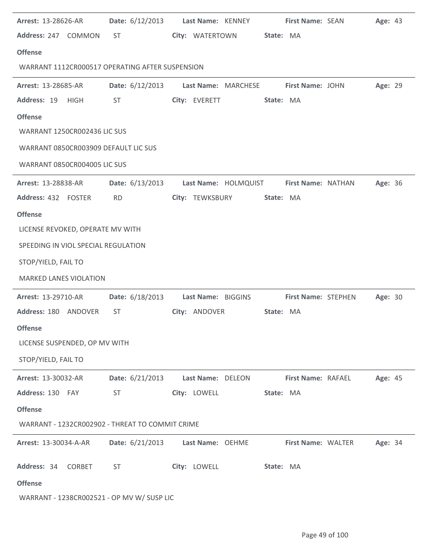| Arrest: 13-28626-AR                             | <b>Date:</b> 6/12/2013 | Last Name: KENNEY                                    | <b>First Name: SEAN</b> | Age: 43 |
|-------------------------------------------------|------------------------|------------------------------------------------------|-------------------------|---------|
| Address: 247 COMMON                             | <b>ST</b>              | City: WATERTOWN                                      | State: MA               |         |
| <b>Offense</b>                                  |                        |                                                      |                         |         |
| WARRANT 1112CR000517 OPERATING AFTER SUSPENSION |                        |                                                      |                         |         |
| Arrest: 13-28685-AR                             |                        | Date: 6/12/2013 Last Name: MARCHESE First Name: JOHN |                         | Age: 29 |
| Address: 19<br><b>HIGH</b>                      | <b>ST</b>              | City: EVERETT                                        | State: MA               |         |
| <b>Offense</b>                                  |                        |                                                      |                         |         |
| WARRANT 1250CR002436 LIC SUS                    |                        |                                                      |                         |         |
| WARRANT 0850CR003909 DEFAULT LIC SUS            |                        |                                                      |                         |         |
| WARRANT 0850CR004005 LIC SUS                    |                        |                                                      |                         |         |
| <b>Arrest: 13-28838-AR</b>                      | Date: 6/13/2013        | Last Name: HOLMQUIST                                 | First Name: NATHAN      | Age: 36 |
| Address: 432 FOSTER                             | <b>RD</b>              | City: TEWKSBURY                                      | State: MA               |         |
| <b>Offense</b>                                  |                        |                                                      |                         |         |
| LICENSE REVOKED, OPERATE MV WITH                |                        |                                                      |                         |         |
| SPEEDING IN VIOL SPECIAL REGULATION             |                        |                                                      |                         |         |
| STOP/YIELD, FAIL TO                             |                        |                                                      |                         |         |
| <b>MARKED LANES VIOLATION</b>                   |                        |                                                      |                         |         |
| <b>Arrest: 13-29710-AR</b>                      |                        | Date: 6/18/2013 Last Name: BIGGINS                   | First Name: STEPHEN     | Age: 30 |
| Address: 180 ANDOVER                            | ST.                    | City: ANDOVER                                        | State: MA               |         |
| <b>Offense</b>                                  |                        |                                                      |                         |         |
| LICENSE SUSPENDED, OP MV WITH                   |                        |                                                      |                         |         |
| STOP/YIELD, FAIL TO                             |                        |                                                      |                         |         |
| Arrest: 13-30032-AR                             | Date: 6/21/2013        | Last Name: DELEON                                    | First Name: RAFAEL      | Age: 45 |
| Address: 130 FAY                                | ST                     | City: LOWELL                                         | State: MA               |         |
| <b>Offense</b>                                  |                        |                                                      |                         |         |
| WARRANT - 1232CR002902 - THREAT TO COMMIT CRIME |                        |                                                      |                         |         |
| Arrest: 13-30034-A-AR                           | Date: 6/21/2013        | Last Name: OEHME                                     | First Name: WALTER      | Age: 34 |
| Address: 34 CORBET                              | <b>ST</b>              | City: LOWELL                                         | State: MA               |         |
| <b>Offense</b>                                  |                        |                                                      |                         |         |
| WARRANT - 1238CR002521 - OP MV W/ SUSP LIC      |                        |                                                      |                         |         |

 $\ddot{\phantom{1}}$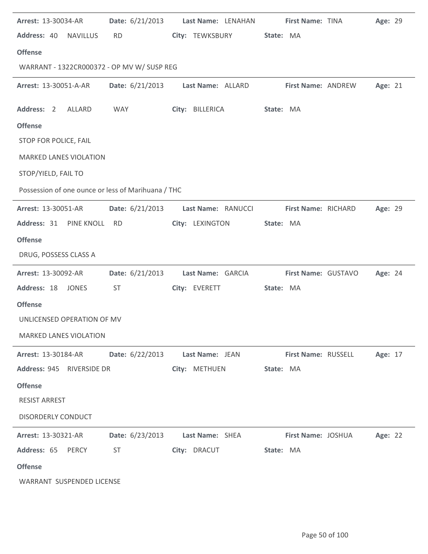| Arrest: 13-30034-AR                                | <b>Date:</b> 6/21/2013 | Last Name: LENAHAN |           | First Name: TINA    | Age: 29 |
|----------------------------------------------------|------------------------|--------------------|-----------|---------------------|---------|
| Address: 40<br><b>NAVILLUS</b>                     | <b>RD</b>              | City: TEWKSBURY    | State: MA |                     |         |
| <b>Offense</b>                                     |                        |                    |           |                     |         |
| WARRANT - 1322CR000372 - OP MV W/ SUSP REG         |                        |                    |           |                     |         |
| Arrest: 13-30051-A-AR                              | Date: 6/21/2013        | Last Name: ALLARD  |           | First Name: ANDREW  | Age: 21 |
| Address: 2<br><b>ALLARD</b>                        | <b>WAY</b>             | City: BILLERICA    | State: MA |                     |         |
| <b>Offense</b>                                     |                        |                    |           |                     |         |
| STOP FOR POLICE, FAIL                              |                        |                    |           |                     |         |
| <b>MARKED LANES VIOLATION</b>                      |                        |                    |           |                     |         |
| STOP/YIELD, FAIL TO                                |                        |                    |           |                     |         |
| Possession of one ounce or less of Marihuana / THC |                        |                    |           |                     |         |
| Arrest: 13-30051-AR                                | Date: 6/21/2013        | Last Name: RANUCCI |           | First Name: RICHARD | Age: 29 |
| Address: 31<br>PINE KNOLL                          | <b>RD</b>              | City: LEXINGTON    | State: MA |                     |         |
| <b>Offense</b>                                     |                        |                    |           |                     |         |
| DRUG, POSSESS CLASS A                              |                        |                    |           |                     |         |
| Arrest: 13-30092-AR                                | Date: 6/21/2013        | Last Name: GARCIA  |           | First Name: GUSTAVO | Age: 24 |
| Address: 18 JONES                                  | <b>ST</b>              | City: EVERETT      | State: MA |                     |         |
| <b>Offense</b>                                     |                        |                    |           |                     |         |
| UNLICENSED OPERATION OF MV                         |                        |                    |           |                     |         |
| <b>MARKED LANES VIOLATION</b>                      |                        |                    |           |                     |         |
| <b>Arrest: 13-30184-AR</b>                         | <b>Date:</b> 6/22/2013 | Last Name: JEAN    |           | First Name: RUSSELL | Age: 17 |
| Address: 945 RIVERSIDE DR                          |                        | City: METHUEN      | State: MA |                     |         |
| <b>Offense</b>                                     |                        |                    |           |                     |         |
| <b>RESIST ARREST</b>                               |                        |                    |           |                     |         |
| <b>DISORDERLY CONDUCT</b>                          |                        |                    |           |                     |         |
| Arrest: 13-30321-AR                                | Date: 6/23/2013        | Last Name: SHEA    |           | First Name: JOSHUA  | Age: 22 |
| Address: 65<br>PERCY                               | <b>ST</b>              | City: DRACUT       | State: MA |                     |         |
| <b>Offense</b>                                     |                        |                    |           |                     |         |
| <b>WARRANT SUSPENDED LICENSE</b>                   |                        |                    |           |                     |         |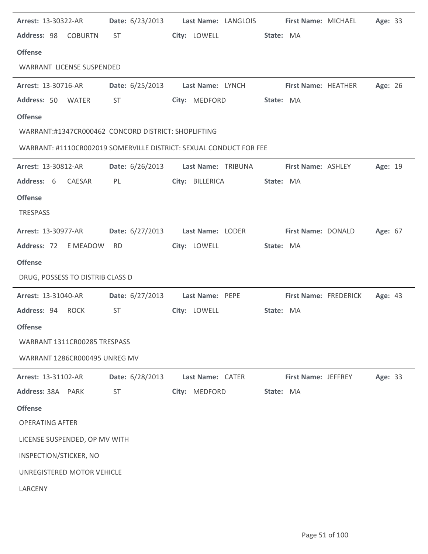| Arrest: 13-30322-AR              |                                                     | Date: 6/23/2013 Last Name: LANGLOIS                                | <b>First Name: MICHAEL</b>                           | Age: 33 |
|----------------------------------|-----------------------------------------------------|--------------------------------------------------------------------|------------------------------------------------------|---------|
| Address: 98 COBURTN              | ST                                                  | City: LOWELL                                                       | State: MA                                            |         |
| <b>Offense</b>                   |                                                     |                                                                    |                                                      |         |
| WARRANT LICENSE SUSPENDED        |                                                     |                                                                    |                                                      |         |
| <b>Arrest: 13-30716-AR</b>       |                                                     |                                                                    | Date: 6/25/2013 Last Name: LYNCH First Name: HEATHER | Age: 26 |
| Address: 50<br>WATER             | <b>ST</b>                                           | City: MEDFORD                                                      | State: MA                                            |         |
| <b>Offense</b>                   |                                                     |                                                                    |                                                      |         |
|                                  | WARRANT:#1347CR000462 CONCORD DISTRICT: SHOPLIFTING |                                                                    |                                                      |         |
|                                  |                                                     | WARRANT: #1110CR002019 SOMERVILLE DISTRICT: SEXUAL CONDUCT FOR FEE |                                                      |         |
| <b>Arrest: 13-30812-AR</b>       |                                                     | Date: 6/26/2013 Last Name: TRIBUNA                                 | <b>First Name: ASHLEY</b>                            | Age: 19 |
| Address: 6 CAESAR                | PL                                                  | City: BILLERICA                                                    | State: MA                                            |         |
| <b>Offense</b>                   |                                                     |                                                                    |                                                      |         |
| TRESPASS                         |                                                     |                                                                    |                                                      |         |
| <b>Arrest: 13-30977-AR</b>       | Date: 6/27/2013                                     | Last Name: LODER                                                   | First Name: DONALD                                   | Age: 67 |
| Address: 72 E MEADOW             | RD                                                  | City: LOWELL                                                       | State: MA                                            |         |
| <b>Offense</b>                   |                                                     |                                                                    |                                                      |         |
| DRUG, POSSESS TO DISTRIB CLASS D |                                                     |                                                                    |                                                      |         |
|                                  |                                                     |                                                                    |                                                      |         |
| Arrest: 13-31040-AR              |                                                     | <b>Date:</b> 6/27/2013 <b>Last Name:</b> PEPE                      | <b>First Name: FREDERICK</b>                         | Age: 43 |
| Address: 94 ROCK                 | ST                                                  | City: LOWELL                                                       | State: MA                                            |         |
| <b>Offense</b>                   |                                                     |                                                                    |                                                      |         |
| WARRANT 1311CR00285 TRESPASS     |                                                     |                                                                    |                                                      |         |
| WARRANT 1286CR000495 UNREG MV    |                                                     |                                                                    |                                                      |         |
| Arrest: 13-31102-AR              | Date: 6/28/2013                                     | Last Name: CATER                                                   | First Name: JEFFREY                                  | Age: 33 |
| Address: 38A PARK                | <b>ST</b>                                           | City: MEDFORD                                                      | State: MA                                            |         |
| <b>Offense</b>                   |                                                     |                                                                    |                                                      |         |
| <b>OPERATING AFTER</b>           |                                                     |                                                                    |                                                      |         |
| LICENSE SUSPENDED, OP MV WITH    |                                                     |                                                                    |                                                      |         |
| INSPECTION/STICKER, NO           |                                                     |                                                                    |                                                      |         |
| UNREGISTERED MOTOR VEHICLE       |                                                     |                                                                    |                                                      |         |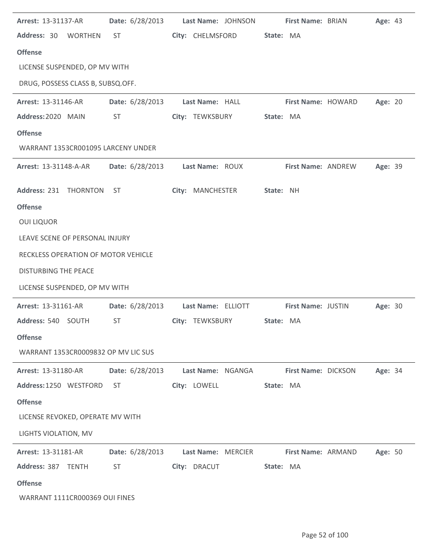| Arrest: 13-31137-AR                 | Date: 6/28/2013        | Last Name: JOHNSON | First Name: BRIAN   | Age: 43 |
|-------------------------------------|------------------------|--------------------|---------------------|---------|
| Address: 30 WORTHEN                 | ST                     | City: CHELMSFORD   | State: MA           |         |
| <b>Offense</b>                      |                        |                    |                     |         |
| LICENSE SUSPENDED, OP MV WITH       |                        |                    |                     |         |
| DRUG, POSSESS CLASS B, SUBSQ.OFF.   |                        |                    |                     |         |
| Arrest: 13-31146-AR                 | Date: 6/28/2013        | Last Name: HALL    | First Name: HOWARD  | Age: 20 |
| Address: 2020 MAIN                  | ST                     | City: TEWKSBURY    | State: MA           |         |
| <b>Offense</b>                      |                        |                    |                     |         |
| WARRANT 1353CR001095 LARCENY UNDER  |                        |                    |                     |         |
| <b>Arrest: 13-31148-A-AR</b>        | <b>Date:</b> 6/28/2013 | Last Name: ROUX    | First Name: ANDREW  | Age: 39 |
| Address: 231 THORNTON               | ST.                    | City: MANCHESTER   | State: NH           |         |
| <b>Offense</b>                      |                        |                    |                     |         |
| <b>OUI LIQUOR</b>                   |                        |                    |                     |         |
| LEAVE SCENE OF PERSONAL INJURY      |                        |                    |                     |         |
| RECKLESS OPERATION OF MOTOR VEHICLE |                        |                    |                     |         |
| <b>DISTURBING THE PEACE</b>         |                        |                    |                     |         |
| LICENSE SUSPENDED, OP MV WITH       |                        |                    |                     |         |
| Arrest: 13-31161-AR                 | Date: 6/28/2013        | Last Name: ELLIOTT | First Name: JUSTIN  | Age: 30 |
| Address: 540 SOUTH                  | <b>ST</b>              | City: TEWKSBURY    | State: MA           |         |
| <b>Offense</b>                      |                        |                    |                     |         |
| WARRANT 1353CR0009832 OP MV LIC SUS |                        |                    |                     |         |
| Arrest: 13-31180-AR                 | Date: 6/28/2013        | Last Name: NGANGA  | First Name: DICKSON | Age: 34 |
| Address: 1250 WESTFORD              | <b>ST</b>              | City: LOWELL       | State: MA           |         |
| <b>Offense</b>                      |                        |                    |                     |         |
| LICENSE REVOKED, OPERATE MV WITH    |                        |                    |                     |         |
| LIGHTS VIOLATION, MV                |                        |                    |                     |         |
| <b>Arrest: 13-31181-AR</b>          | Date: 6/28/2013        | Last Name: MERCIER | First Name: ARMAND  | Age: 50 |
| Address: 387 TENTH                  | <b>ST</b>              | City: DRACUT       | State: MA           |         |
| <b>Offense</b>                      |                        |                    |                     |         |
| WARRANT 1111CR000369 OUI FINES      |                        |                    |                     |         |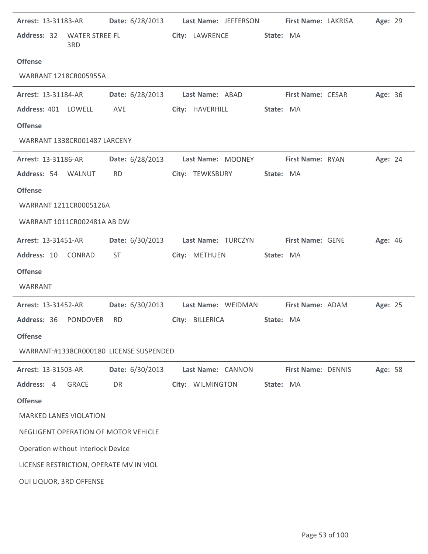| Address: 32 WATER STREE FL<br>City: LAWRENCE<br>State: MA<br>3RD<br><b>Offense</b><br>WARRANT 1218CR005955A<br>Date: 6/28/2013 Last Name: ABAD<br><b>Arrest: 13-31184-AR</b><br><b>First Name: CESAR</b><br>Age: 36<br>Address: 401 LOWELL<br>AVE<br>City: HAVERHILL<br>State: MA |  |
|-----------------------------------------------------------------------------------------------------------------------------------------------------------------------------------------------------------------------------------------------------------------------------------|--|
|                                                                                                                                                                                                                                                                                   |  |
|                                                                                                                                                                                                                                                                                   |  |
|                                                                                                                                                                                                                                                                                   |  |
|                                                                                                                                                                                                                                                                                   |  |
|                                                                                                                                                                                                                                                                                   |  |
| <b>Offense</b>                                                                                                                                                                                                                                                                    |  |
| WARRANT 1338CR001487 LARCENY                                                                                                                                                                                                                                                      |  |
| <b>Arrest: 13-31186-AR</b><br>Date: 6/28/2013 Last Name: MOONEY First Name: RYAN<br>Age: 24                                                                                                                                                                                       |  |
| Address: 54 WALNUT<br>RD <sub>2</sub><br>City: TEWKSBURY<br>State: MA                                                                                                                                                                                                             |  |
| <b>Offense</b>                                                                                                                                                                                                                                                                    |  |
| WARRANT 1211CR0005126A                                                                                                                                                                                                                                                            |  |
| WARRANT 1011CR002481A AB DW                                                                                                                                                                                                                                                       |  |
| Date: 6/30/2013 Last Name: TURCZYN<br>Arrest: 13-31451-AR<br><b>First Name: GENE</b><br><b>Age: 46</b>                                                                                                                                                                            |  |
| Address: 10 CONRAD<br><b>ST</b><br>City: METHUEN<br>State: MA                                                                                                                                                                                                                     |  |
| <b>Offense</b>                                                                                                                                                                                                                                                                    |  |
| WARRANT                                                                                                                                                                                                                                                                           |  |
| Date: 6/30/2013 Last Name: WEIDMAN First Name: ADAM<br>Arrest: 13-31452-AR<br>Age: 25                                                                                                                                                                                             |  |
| Address: 36 PONDOVER<br>City: BILLERICA<br>RD.<br>State: MA                                                                                                                                                                                                                       |  |
| <b>Offense</b>                                                                                                                                                                                                                                                                    |  |
| WARRANT:#1338CR000180 LICENSE SUSPENDED                                                                                                                                                                                                                                           |  |
| Date: 6/30/2013<br>Last Name: CANNON<br>First Name: DENNIS<br>Age: 58<br><b>Arrest: 13-31503-AR</b>                                                                                                                                                                               |  |
| Address: 4<br><b>GRACE</b><br>DR<br>City: WILMINGTON<br>State: MA                                                                                                                                                                                                                 |  |
| <b>Offense</b>                                                                                                                                                                                                                                                                    |  |
| <b>MARKED LANES VIOLATION</b>                                                                                                                                                                                                                                                     |  |
| NEGLIGENT OPERATION OF MOTOR VEHICLE                                                                                                                                                                                                                                              |  |
| Operation without Interlock Device                                                                                                                                                                                                                                                |  |
| LICENSE RESTRICTION, OPERATE MV IN VIOL                                                                                                                                                                                                                                           |  |
| OUI LIQUOR, 3RD OFFENSE                                                                                                                                                                                                                                                           |  |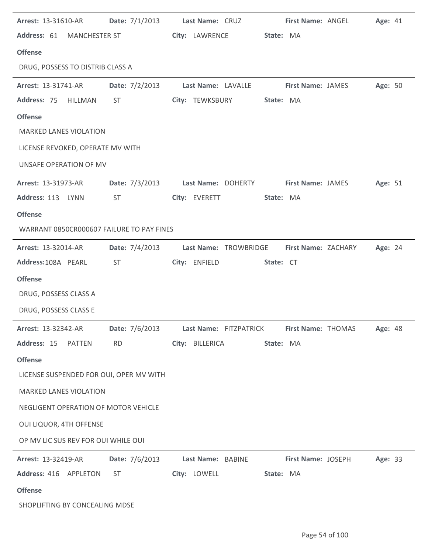| <b>Arrest: 13-31610-AR</b>                |                                                                                                                                                                                                                                | Date: 7/1/2013 Last Name: CRUZ                                                       | <b>First Name: ANGEL</b>  |                     | Age: 41 |
|-------------------------------------------|--------------------------------------------------------------------------------------------------------------------------------------------------------------------------------------------------------------------------------|--------------------------------------------------------------------------------------|---------------------------|---------------------|---------|
| Address: 61 MANCHESTER ST                 |                                                                                                                                                                                                                                | City: LAWRENCE State: MA                                                             |                           |                     |         |
| <b>Offense</b>                            |                                                                                                                                                                                                                                |                                                                                      |                           |                     |         |
| DRUG, POSSESS TO DISTRIB CLASS A          |                                                                                                                                                                                                                                |                                                                                      |                           |                     |         |
| <b>Arrest: 13-31741-AR</b>                | Date: 7/2/2013                                                                                                                                                                                                                 | Last Name: LAVALLE First Name: JAMES                                                 |                           |                     | Age: 50 |
| Address: 75<br><b>HILLMAN</b>             | ST                                                                                                                                                                                                                             | City: TEWKSBURY                                                                      | State: MA                 |                     |         |
| <b>Offense</b>                            |                                                                                                                                                                                                                                |                                                                                      |                           |                     |         |
| <b>MARKED LANES VIOLATION</b>             |                                                                                                                                                                                                                                |                                                                                      |                           |                     |         |
| LICENSE REVOKED, OPERATE MV WITH          |                                                                                                                                                                                                                                |                                                                                      |                           |                     |         |
| UNSAFE OPERATION OF MV                    |                                                                                                                                                                                                                                |                                                                                      |                           |                     |         |
| <b>Arrest: 13-31973-AR</b>                | Date: $7/3/2013$                                                                                                                                                                                                               | Last Name: DOHERTY                                                                   | <b>First Name: JAMES</b>  |                     | Age: 51 |
| Address: 113 LYNN                         | ST                                                                                                                                                                                                                             | City: EVERETT                                                                        | State: MA                 |                     |         |
| <b>Offense</b>                            |                                                                                                                                                                                                                                |                                                                                      |                           |                     |         |
| WARRANT 0850CR000607 FAILURE TO PAY FINES |                                                                                                                                                                                                                                |                                                                                      |                           |                     |         |
| <b>Arrest: 13-32014-AR</b>                |                                                                                                                                                                                                                                | Date: 7/4/2013 Last Name: TROWBRIDGE                                                 |                           | First Name: ZACHARY | Age: 24 |
| Address:108A PEARL                        | <b>ST</b>                                                                                                                                                                                                                      | City: ENFIELD                                                                        | State: CT                 |                     |         |
| <b>Offense</b>                            |                                                                                                                                                                                                                                |                                                                                      |                           |                     |         |
| DRUG, POSSESS CLASS A                     |                                                                                                                                                                                                                                |                                                                                      |                           |                     |         |
| DRUG, POSSESS CLASS E                     |                                                                                                                                                                                                                                |                                                                                      |                           |                     |         |
|                                           |                                                                                                                                                                                                                                | Arrest: 13-32342-AR Date: 7/6/2013 Last Name: FITZPATRICK First Name: THOMAS Age: 48 |                           |                     |         |
| Address: 15 PATTEN                        | <b>RD</b>                                                                                                                                                                                                                      | City: BILLERICA                                                                      | State: MA                 |                     |         |
| <b>Offense</b>                            |                                                                                                                                                                                                                                |                                                                                      |                           |                     |         |
| LICENSE SUSPENDED FOR OUI, OPER MV WITH   |                                                                                                                                                                                                                                |                                                                                      |                           |                     |         |
| <b>MARKED LANES VIOLATION</b>             |                                                                                                                                                                                                                                |                                                                                      |                           |                     |         |
| NEGLIGENT OPERATION OF MOTOR VEHICLE      |                                                                                                                                                                                                                                |                                                                                      |                           |                     |         |
| OUI LIQUOR, 4TH OFFENSE                   |                                                                                                                                                                                                                                |                                                                                      |                           |                     |         |
| OP MV LIC SUS REV FOR OUI WHILE OUI       |                                                                                                                                                                                                                                |                                                                                      |                           |                     |         |
| <b>Arrest: 13-32419-AR</b>                | <b>Date:</b> 7/6/2013                                                                                                                                                                                                          | Last Name: BABINE                                                                    | <b>First Name: JOSEPH</b> |                     | Age: 33 |
| Address: 416 APPLETON                     | ST and the state of the state of the state of the state of the state of the state of the state of the state of the state of the state of the state of the state of the state of the state of the state of the state of the sta | City: LOWELL                                                                         | State: MA                 |                     |         |
| <b>Offense</b>                            |                                                                                                                                                                                                                                |                                                                                      |                           |                     |         |
| SHOPLIFTING BY CONCEALING MDSE            |                                                                                                                                                                                                                                |                                                                                      |                           |                     |         |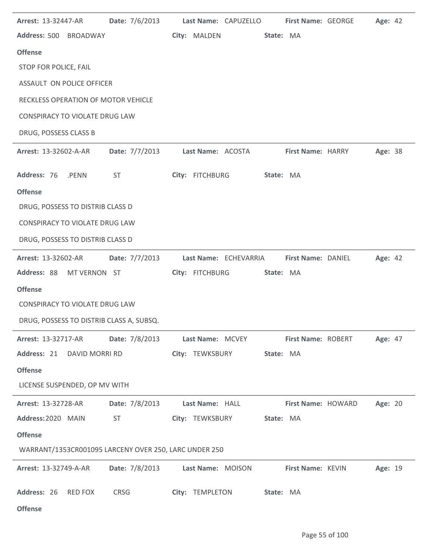| <b>Arrest: 13-32447-AR</b>                            |                       | Date: 7/6/2013 Last Name: CAPUZELLO                | <b>First Name: GEORGE</b> | Age: 42 |
|-------------------------------------------------------|-----------------------|----------------------------------------------------|---------------------------|---------|
| Address: 500 BROADWAY                                 |                       | City: MALDEN                                       | State: MA                 |         |
| <b>Offense</b>                                        |                       |                                                    |                           |         |
| STOP FOR POLICE, FAIL                                 |                       |                                                    |                           |         |
| ASSAULT ON POLICE OFFICER                             |                       |                                                    |                           |         |
| RECKLESS OPERATION OF MOTOR VEHICLE                   |                       |                                                    |                           |         |
| CONSPIRACY TO VIOLATE DRUG LAW                        |                       |                                                    |                           |         |
| DRUG, POSSESS CLASS B                                 |                       |                                                    |                           |         |
| Arrest: 13-32602-A-AR                                 |                       | Date: 7/7/2013 Last Name: ACOSTA First Name: HARRY |                           | Age: 38 |
| Address: 76 .PENN                                     | ST                    | City: FITCHBURG                                    | State: MA                 |         |
| <b>Offense</b>                                        |                       |                                                    |                           |         |
| DRUG, POSSESS TO DISTRIB CLASS D                      |                       |                                                    |                           |         |
| <b>CONSPIRACY TO VIOLATE DRUG LAW</b>                 |                       |                                                    |                           |         |
| DRUG, POSSESS TO DISTRIB CLASS D                      |                       |                                                    |                           |         |
| <b>Arrest: 13-32602-AR</b>                            | Date: 7/7/2013        | Last Name: ECHEVARRIA                              | First Name: DANIEL        | Age: 42 |
| Address: 88 MT VERNON ST                              |                       | City: FITCHBURG                                    | State: MA                 |         |
|                                                       |                       |                                                    |                           |         |
| <b>Offense</b>                                        |                       |                                                    |                           |         |
| CONSPIRACY TO VIOLATE DRUG LAW                        |                       |                                                    |                           |         |
| DRUG, POSSESS TO DISTRIB CLASS A, SUBSQ.              |                       |                                                    |                           |         |
| Arrest: 13-32717-AR                                   | <b>Date:</b> 7/8/2013 | Last Name: MCVEY                                   | <b>First Name: ROBERT</b> | Age: 47 |
| Address: 21 DAVID MORRI RD                            |                       | City: TEWKSBURY                                    | State: MA                 |         |
| <b>Offense</b>                                        |                       |                                                    |                           |         |
| LICENSE SUSPENDED, OP MV WITH                         |                       |                                                    |                           |         |
| Arrest: 13-32728-AR                                   | Date: 7/8/2013        | Last Name: HALL                                    | First Name: HOWARD        | Age: 20 |
| Address: 2020 MAIN                                    | ST                    | City: TEWKSBURY                                    | State: MA                 |         |
| <b>Offense</b>                                        |                       |                                                    |                           |         |
| WARRANT/1353CR001095 LARCENY OVER 250, LARC UNDER 250 |                       |                                                    |                           |         |
| Arrest: 13-32749-A-AR                                 | Date: 7/8/2013        | Last Name: MOISON                                  | First Name: KEVIN         | Age: 19 |
| Address: 26<br><b>RED FOX</b>                         | CRSG                  | City: TEMPLETON                                    | State: MA                 |         |

j.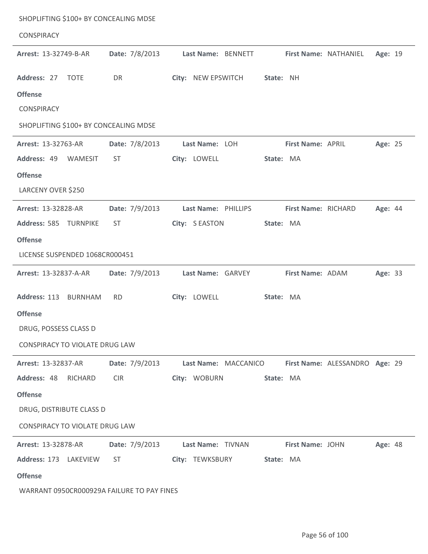| SHOPLIFTING \$100+ BY CONCEALING MDSE      |                |                      |           |                     |                                |         |  |
|--------------------------------------------|----------------|----------------------|-----------|---------------------|--------------------------------|---------|--|
| <b>CONSPIRACY</b>                          |                |                      |           |                     |                                |         |  |
| Arrest: 13-32749-B-AR                      | Date: 7/8/2013 | Last Name: BENNETT   |           |                     | First Name: NATHANIEL          | Age: 19 |  |
| Address: 27<br><b>TOTE</b>                 | DR             | City: NEW EPSWITCH   | State: NH |                     |                                |         |  |
| <b>Offense</b>                             |                |                      |           |                     |                                |         |  |
| <b>CONSPIRACY</b>                          |                |                      |           |                     |                                |         |  |
| SHOPLIFTING \$100+ BY CONCEALING MDSE      |                |                      |           |                     |                                |         |  |
| Arrest: 13-32763-AR                        | Date: 7/8/2013 | Last Name: LOH       |           | First Name: APRIL   |                                | Age: 25 |  |
| Address: 49<br>WAMESIT                     | <b>ST</b>      | City: LOWELL         |           | State: MA           |                                |         |  |
| <b>Offense</b>                             |                |                      |           |                     |                                |         |  |
| LARCENY OVER \$250                         |                |                      |           |                     |                                |         |  |
| Arrest: 13-32828-AR                        | Date: 7/9/2013 | Last Name: PHILLIPS  |           | First Name: RICHARD |                                | Age: 44 |  |
| Address: 585 TURNPIKE                      | <b>ST</b>      | City: SEASTON        | State: MA |                     |                                |         |  |
| <b>Offense</b>                             |                |                      |           |                     |                                |         |  |
| LICENSE SUSPENDED 1068CR000451             |                |                      |           |                     |                                |         |  |
| Arrest: 13-32837-A-AR                      | Date: 7/9/2013 | Last Name: GARVEY    |           | First Name: ADAM    |                                | Age: 33 |  |
| Address: 113 BURNHAM                       | <b>RD</b>      | City: LOWELL         |           | State: MA           |                                |         |  |
| <b>Offense</b>                             |                |                      |           |                     |                                |         |  |
| DRUG, POSSESS CLASS D                      |                |                      |           |                     |                                |         |  |
| CONSPIRACY TO VIOLATE DRUG LAW             |                |                      |           |                     |                                |         |  |
| <b>Arrest: 13-32837-AR</b>                 | Date: 7/9/2013 | Last Name: MACCANICO |           |                     | First Name: ALESSANDRO Age: 29 |         |  |
| Address: 48 RICHARD                        | <b>CIR</b>     | City: WOBURN         | State: MA |                     |                                |         |  |
| <b>Offense</b>                             |                |                      |           |                     |                                |         |  |
| DRUG, DISTRIBUTE CLASS D                   |                |                      |           |                     |                                |         |  |
| CONSPIRACY TO VIOLATE DRUG LAW             |                |                      |           |                     |                                |         |  |
| <b>Arrest: 13-32878-AR</b>                 | Date: 7/9/2013 | Last Name: TIVNAN    |           | First Name: JOHN    |                                | Age: 48 |  |
| Address: 173 LAKEVIEW                      | ST             | City: TEWKSBURY      | State: MA |                     |                                |         |  |
| <b>Offense</b>                             |                |                      |           |                     |                                |         |  |
| WARRANT 0950CR000929A FAILURE TO PAY FINES |                |                      |           |                     |                                |         |  |

J.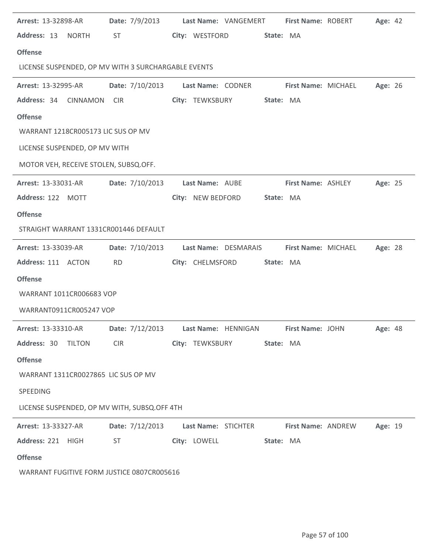| Arrest: 13-32898-AR                   |              | Date: 7/9/2013 Last Name: VANGEMERT First Name: ROBERT                   |                 |                     |           |                            | Age: 42        |  |
|---------------------------------------|--------------|--------------------------------------------------------------------------|-----------------|---------------------|-----------|----------------------------|----------------|--|
| Address: 13 NORTH                     |              | ST                                                                       |                 | City: WESTFORD      | State: MA |                            |                |  |
| <b>Offense</b>                        |              |                                                                          |                 |                     |           |                            |                |  |
|                                       |              | LICENSE SUSPENDED, OP MV WITH 3 SURCHARGABLE EVENTS                      |                 |                     |           |                            |                |  |
| <b>Arrest: 13-32995-AR</b>            |              | Date: 7/10/2013                                                          |                 | Last Name: CODNER   |           | First Name: MICHAEL        | Age: 26        |  |
| Address: 34                           | CINNAMON CIR |                                                                          |                 | City: TEWKSBURY     | State: MA |                            |                |  |
| <b>Offense</b>                        |              |                                                                          |                 |                     |           |                            |                |  |
| WARRANT 1218CR005173 LIC SUS OP MV    |              |                                                                          |                 |                     |           |                            |                |  |
| LICENSE SUSPENDED, OP MV WITH         |              |                                                                          |                 |                     |           |                            |                |  |
| MOTOR VEH, RECEIVE STOLEN, SUBSQ.OFF. |              |                                                                          |                 |                     |           |                            |                |  |
| <b>Arrest: 13-33031-AR</b>            |              | Date: 7/10/2013                                                          | Last Name: AUBE |                     |           | First Name: ASHLEY         | Age: 25        |  |
| Address: 122 MOTT                     |              |                                                                          |                 | City: NEW BEDFORD   | State: MA |                            |                |  |
| <b>Offense</b>                        |              |                                                                          |                 |                     |           |                            |                |  |
|                                       |              | STRAIGHT WARRANT 1331CR001446 DEFAULT                                    |                 |                     |           |                            |                |  |
| Arrest: 13-33039-AR                   |              | Date: 7/10/2013 Last Name: DESMARAIS                                     |                 |                     |           | <b>First Name: MICHAEL</b> | Age: 28        |  |
| Address: 111 ACTON                    |              | <b>RD</b>                                                                |                 | City: CHELMSFORD    | State: MA |                            |                |  |
| <b>Offense</b>                        |              |                                                                          |                 |                     |           |                            |                |  |
| WARRANT 1011CR006683 VOP              |              |                                                                          |                 |                     |           |                            |                |  |
| WARRANT0911CR005247 VOP               |              |                                                                          |                 |                     |           |                            |                |  |
|                                       |              | Arrest: 13-33310-AR Date: 7/12/2013 Last Name: HENNIGAN First Name: JOHN |                 |                     |           |                            | <b>Age: 48</b> |  |
| Address: 30 TILTON                    |              | <b>CIR</b>                                                               | City: TEWKSBURY |                     | State: MA |                            |                |  |
| <b>Offense</b>                        |              |                                                                          |                 |                     |           |                            |                |  |
| WARRANT 1311CR0027865 LIC SUS OP MV   |              |                                                                          |                 |                     |           |                            |                |  |
| SPEEDING                              |              |                                                                          |                 |                     |           |                            |                |  |
|                                       |              | LICENSE SUSPENDED, OP MV WITH, SUBSQ.OFF 4TH                             |                 |                     |           |                            |                |  |
| <b>Arrest: 13-33327-AR</b>            |              | Date: 7/12/2013                                                          |                 | Last Name: STICHTER |           | <b>First Name: ANDREW</b>  | Age: 19        |  |
| Address: 221 HIGH                     |              | ST                                                                       | City: LOWELL    |                     | State: MA |                            |                |  |
| <b>Offense</b>                        |              |                                                                          |                 |                     |           |                            |                |  |
|                                       |              | WARRANT FUGITIVE FORM JUSTICE 0807CR005616                               |                 |                     |           |                            |                |  |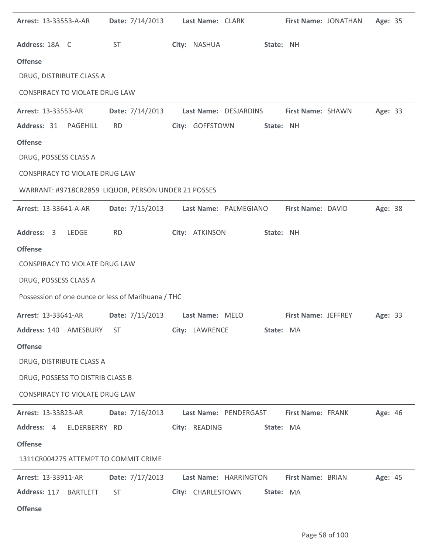| <b>Arrest: 13-33553-A-AR</b>          |                                                     | Date: 7/14/2013 Last Name: CLARK      |                                         | First Name: JONATHAN | Age: 35 |
|---------------------------------------|-----------------------------------------------------|---------------------------------------|-----------------------------------------|----------------------|---------|
| Address: 18A C                        | ST                                                  | City: NASHUA                          | State: NH                               |                      |         |
| <b>Offense</b>                        |                                                     |                                       |                                         |                      |         |
| DRUG, DISTRIBUTE CLASS A              |                                                     |                                       |                                         |                      |         |
| <b>CONSPIRACY TO VIOLATE DRUG LAW</b> |                                                     |                                       |                                         |                      |         |
| <b>Arrest: 13-33553-AR</b>            | Date: 7/14/2013                                     |                                       | Last Name: DESJARDINS First Name: SHAWN |                      | Age: 33 |
| Address: 31 PAGEHILL                  | <b>RD</b>                                           | City: GOFFSTOWN                       | State: NH                               |                      |         |
| <b>Offense</b>                        |                                                     |                                       |                                         |                      |         |
| DRUG, POSSESS CLASS A                 |                                                     |                                       |                                         |                      |         |
| <b>CONSPIRACY TO VIOLATE DRUG LAW</b> |                                                     |                                       |                                         |                      |         |
|                                       | WARRANT: #9718CR2859 LIQUOR, PERSON UNDER 21 POSSES |                                       |                                         |                      |         |
| <b>Arrest: 13-33641-A-AR</b>          |                                                     | Date: 7/15/2013 Last Name: PALMEGIANO | First Name: DAVID                       |                      | Age: 38 |
| Address: 3 LEDGE                      | <b>RD</b>                                           | City: ATKINSON                        | State: NH                               |                      |         |
| <b>Offense</b>                        |                                                     |                                       |                                         |                      |         |
| CONSPIRACY TO VIOLATE DRUG LAW        |                                                     |                                       |                                         |                      |         |
| DRUG, POSSESS CLASS A                 |                                                     |                                       |                                         |                      |         |
|                                       | Possession of one ounce or less of Marihuana / THC  |                                       |                                         |                      |         |
| Arrest: 13-33641-AR                   | Date: 7/15/2013                                     | Last Name: MELO                       | First Name: JEFFREY                     |                      | Age: 33 |
|                                       | Address: 140 AMESBURY ST City: LAWRENCE             |                                       | State: MA                               |                      |         |
| <b>Offense</b>                        |                                                     |                                       |                                         |                      |         |
| DRUG, DISTRIBUTE CLASS A              |                                                     |                                       |                                         |                      |         |
| DRUG, POSSESS TO DISTRIB CLASS B      |                                                     |                                       |                                         |                      |         |
| CONSPIRACY TO VIOLATE DRUG LAW        |                                                     |                                       |                                         |                      |         |
| <b>Arrest: 13-33823-AR</b>            | Date: 7/16/2013                                     | Last Name: PENDERGAST                 | First Name: FRANK                       |                      | Age: 46 |
| Address: 4 ELDERBERRY RD              |                                                     | City: READING                         | State: MA                               |                      |         |
| <b>Offense</b>                        |                                                     |                                       |                                         |                      |         |
|                                       | 1311CR004275 ATTEMPT TO COMMIT CRIME                |                                       |                                         |                      |         |
| <b>Arrest: 13-33911-AR</b>            | Date: 7/17/2013                                     | Last Name: HARRINGTON                 | First Name: BRIAN                       |                      | Age: 45 |
| Address: 117 BARTLETT                 | <b>ST</b>                                           | City: CHARLESTOWN                     | State: MA                               |                      |         |
| <b>Offense</b>                        |                                                     |                                       |                                         |                      |         |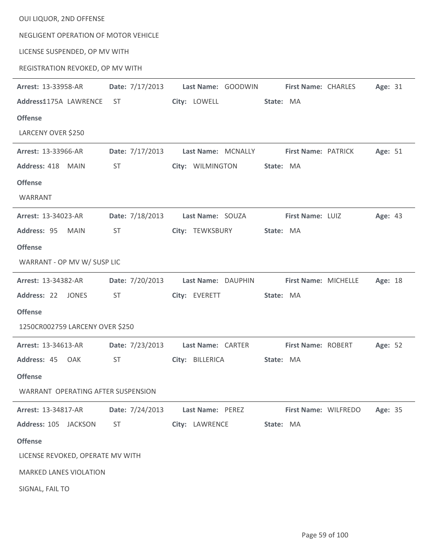| OUI LIQUOR, 2ND OFFENSE<br>NEGLIGENT OPERATION OF MOTOR VEHICLE<br>LICENSE SUSPENDED, OP MV WITH<br>REGISTRATION REVOKED, OP MV WITH |                 |                    |                           |         |
|--------------------------------------------------------------------------------------------------------------------------------------|-----------------|--------------------|---------------------------|---------|
| Arrest: 13-33958-AR                                                                                                                  | Date: 7/17/2013 | Last Name: GOODWIN | First Name: CHARLES       | Age: 31 |
| Address1175A LAWRENCE                                                                                                                | ST              | City: LOWELL       | State: MA                 |         |
| <b>Offense</b>                                                                                                                       |                 |                    |                           |         |
| LARCENY OVER \$250                                                                                                                   |                 |                    |                           |         |
| Arrest: 13-33966-AR                                                                                                                  | Date: 7/17/2013 | Last Name: MCNALLY | First Name: PATRICK       | Age: 51 |
| Address: 418 MAIN                                                                                                                    | <b>ST</b>       | City: WILMINGTON   | State: MA                 |         |
| <b>Offense</b>                                                                                                                       |                 |                    |                           |         |
| WARRANT                                                                                                                              |                 |                    |                           |         |
| Arrest: 13-34023-AR                                                                                                                  | Date: 7/18/2013 | Last Name: SOUZA   | First Name: LUIZ          | Age: 43 |
| Address: 95<br><b>MAIN</b>                                                                                                           | ST              | City: TEWKSBURY    | State: MA                 |         |
| <b>Offense</b>                                                                                                                       |                 |                    |                           |         |
| WARRANT - OP MV W/ SUSP LIC                                                                                                          |                 |                    |                           |         |
| Arrest: 13-34382-AR                                                                                                                  | Date: 7/20/2013 | Last Name: DAUPHIN | First Name: MICHELLE      | Age: 18 |
| Address: 22<br><b>JONES</b>                                                                                                          | <b>ST</b>       | City: EVERETT      | State: MA                 |         |
| <b>Offense</b>                                                                                                                       |                 |                    |                           |         |
| 1250CR002759 LARCENY OVER \$250                                                                                                      |                 |                    |                           |         |
| Arrest: 13-34613-AR                                                                                                                  | Date: 7/23/2013 | Last Name: CARTER  | <b>First Name: ROBERT</b> | Age: 52 |
| Address: 45 OAK                                                                                                                      | ST              | City: BILLERICA    | State: MA                 |         |
| <b>Offense</b>                                                                                                                       |                 |                    |                           |         |
| <b>WARRANT OPERATING AFTER SUSPENSION</b>                                                                                            |                 |                    |                           |         |
| <b>Arrest: 13-34817-AR</b>                                                                                                           | Date: 7/24/2013 | Last Name: PEREZ   | First Name: WILFREDO      | Age: 35 |
| Address: 105 JACKSON                                                                                                                 | <b>ST</b>       | City: LAWRENCE     | State: MA                 |         |
| <b>Offense</b>                                                                                                                       |                 |                    |                           |         |
| LICENSE REVOKED, OPERATE MV WITH                                                                                                     |                 |                    |                           |         |
| <b>MARKED LANES VIOLATION</b>                                                                                                        |                 |                    |                           |         |
| SIGNAL, FAIL TO                                                                                                                      |                 |                    |                           |         |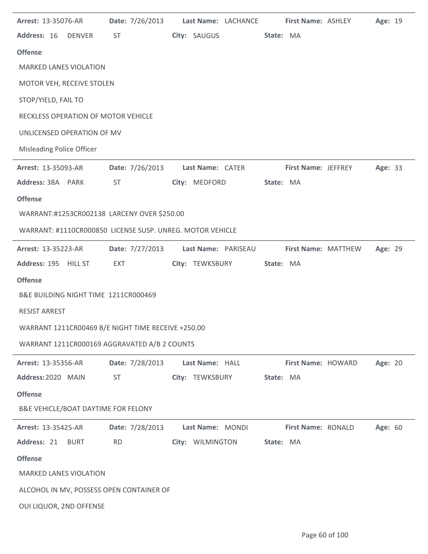| <b>Arrest: 13-35076-AR</b>    |                                                           |                  | Date: 7/26/2013 Last Name: LACHANCE First Name: ASHLEY |                            | Age: 19 |  |
|-------------------------------|-----------------------------------------------------------|------------------|--------------------------------------------------------|----------------------------|---------|--|
| Address: 16 DENVER            | <b>ST</b>                                                 | City: SAUGUS     | State: MA                                              |                            |         |  |
| <b>Offense</b>                |                                                           |                  |                                                        |                            |         |  |
| <b>MARKED LANES VIOLATION</b> |                                                           |                  |                                                        |                            |         |  |
| MOTOR VEH, RECEIVE STOLEN     |                                                           |                  |                                                        |                            |         |  |
| STOP/YIELD, FAIL TO           |                                                           |                  |                                                        |                            |         |  |
|                               | RECKLESS OPERATION OF MOTOR VEHICLE                       |                  |                                                        |                            |         |  |
| UNLICENSED OPERATION OF MV    |                                                           |                  |                                                        |                            |         |  |
| Misleading Police Officer     |                                                           |                  |                                                        |                            |         |  |
| Arrest: 13-35093-AR           |                                                           |                  | Date: 7/26/2013 Last Name: CATER First Name: JEFFREY   |                            | Age: 33 |  |
| Address: 38A PARK             | ST                                                        | City: MEDFORD    | State: MA                                              |                            |         |  |
| <b>Offense</b>                |                                                           |                  |                                                        |                            |         |  |
|                               | WARRANT:#1253CR002138 LARCENY OVER \$250.00               |                  |                                                        |                            |         |  |
|                               | WARRANT: #1110CR000850 LICENSE SUSP. UNREG. MOTOR VEHICLE |                  |                                                        |                            |         |  |
| Arrest: 13-35223-AR           |                                                           |                  | Date: 7/27/2013 Last Name: PARISEAU                    | <b>First Name: MATTHEW</b> | Age: 29 |  |
| Address: 195 HILL ST          | EXT                                                       | City: TEWKSBURY  | State: MA                                              |                            |         |  |
| <b>Offense</b>                |                                                           |                  |                                                        |                            |         |  |
|                               | B&E BUILDING NIGHT TIME 1211CR000469                      |                  |                                                        |                            |         |  |
| <b>RESIST ARREST</b>          |                                                           |                  |                                                        |                            |         |  |
|                               | WARRANT 1211CR00469 B/E NIGHT TIME RECEIVE +250.00        |                  |                                                        |                            |         |  |
|                               | WARRANT 1211CR000169 AGGRAVATED A/B 2 COUNTS              |                  |                                                        |                            |         |  |
| Arrest: 13-35356-AR           | Date: 7/28/2013                                           | Last Name: HALL  |                                                        | First Name: HOWARD         | Age: 20 |  |
| Address: 2020 MAIN            | <b>ST</b>                                                 | City: TEWKSBURY  | State: MA                                              |                            |         |  |
| <b>Offense</b>                |                                                           |                  |                                                        |                            |         |  |
|                               | B&E VEHICLE/BOAT DAYTIME FOR FELONY                       |                  |                                                        |                            |         |  |
| Arrest: 13-35425-AR           | Date: 7/28/2013                                           | Last Name: MONDI |                                                        | First Name: RONALD         | Age: 60 |  |
| Address: 21 BURT              | <b>RD</b>                                                 | City: WILMINGTON | State: MA                                              |                            |         |  |
| <b>Offense</b>                |                                                           |                  |                                                        |                            |         |  |
| <b>MARKED LANES VIOLATION</b> |                                                           |                  |                                                        |                            |         |  |
|                               | ALCOHOL IN MV, POSSESS OPEN CONTAINER OF                  |                  |                                                        |                            |         |  |
| OUI LIQUOR, 2ND OFFENSE       |                                                           |                  |                                                        |                            |         |  |
|                               |                                                           |                  |                                                        |                            |         |  |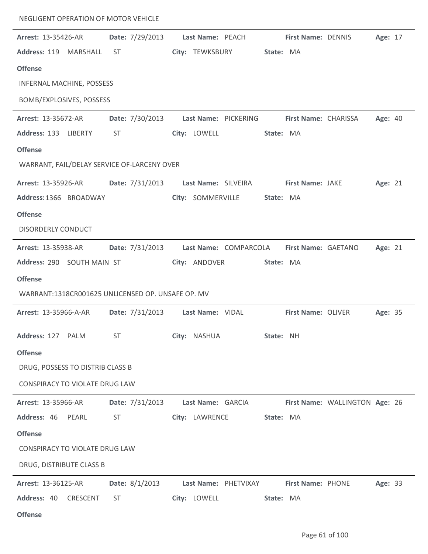| NEGLIGENT OPERATION OF MOTOR VEHICLE        |                 |                                                   |                     |                       |           |                         |                                |         |  |
|---------------------------------------------|-----------------|---------------------------------------------------|---------------------|-----------------------|-----------|-------------------------|--------------------------------|---------|--|
| <b>Arrest: 13-35426-AR</b>                  |                 | Date: 7/29/2013                                   | Last Name: PEACH    |                       |           | First Name: DENNIS      |                                | Age: 17 |  |
| Address: 119 MARSHALL                       | <b>ST</b>       |                                                   | City: TEWKSBURY     |                       | State: MA |                         |                                |         |  |
| <b>Offense</b>                              |                 |                                                   |                     |                       |           |                         |                                |         |  |
| <b>INFERNAL MACHINE, POSSESS</b>            |                 |                                                   |                     |                       |           |                         |                                |         |  |
| BOMB/EXPLOSIVES, POSSESS                    |                 |                                                   |                     |                       |           |                         |                                |         |  |
| Arrest: 13-35672-AR                         |                 | Date: 7/30/2013                                   |                     | Last Name: PICKERING  |           | First Name: CHARISSA    |                                | Age: 40 |  |
| Address: 133 LIBERTY                        | <b>ST</b>       |                                                   | City: LOWELL        |                       | State: MA |                         |                                |         |  |
| <b>Offense</b>                              |                 |                                                   |                     |                       |           |                         |                                |         |  |
| WARRANT, FAIL/DELAY SERVICE OF-LARCENY OVER |                 |                                                   |                     |                       |           |                         |                                |         |  |
| Arrest: 13-35926-AR                         |                 | Date: 7/31/2013                                   | Last Name: SILVEIRA |                       |           | <b>First Name: JAKE</b> |                                | Age: 21 |  |
| Address: 1366 BROADWAY                      |                 |                                                   | City: SOMMERVILLE   |                       | State: MA |                         |                                |         |  |
| <b>Offense</b>                              |                 |                                                   |                     |                       |           |                         |                                |         |  |
| DISORDERLY CONDUCT                          |                 |                                                   |                     |                       |           |                         |                                |         |  |
| Arrest: 13-35938-AR                         |                 | Date: 7/31/2013                                   |                     | Last Name: COMPARCOLA |           | First Name: GAETANO     |                                | Age: 21 |  |
| Address: 290 SOUTH MAIN ST                  |                 |                                                   | City: ANDOVER       |                       | State: MA |                         |                                |         |  |
| <b>Offense</b>                              |                 |                                                   |                     |                       |           |                         |                                |         |  |
|                                             |                 | WARRANT:1318CR001625 UNLICENSED OP. UNSAFE OP. MV |                     |                       |           |                         |                                |         |  |
| Arrest: 13-35966-A-AR                       |                 | Date: 7/31/2013                                   | Last Name: VIDAL    |                       |           | First Name: OLIVER      |                                | Age: 35 |  |
| Address: 127 PALM                           | ST              |                                                   | City: NASHUA        |                       | State: NH |                         |                                |         |  |
| <b>Offense</b>                              |                 |                                                   |                     |                       |           |                         |                                |         |  |
| DRUG, POSSESS TO DISTRIB CLASS B            |                 |                                                   |                     |                       |           |                         |                                |         |  |
| <b>CONSPIRACY TO VIOLATE DRUG LAW</b>       |                 |                                                   |                     |                       |           |                         |                                |         |  |
| <b>Arrest: 13-35966-AR</b>                  |                 | Date: 7/31/2013                                   | Last Name: GARCIA   |                       |           |                         | First Name: WALLINGTON Age: 26 |         |  |
| Address: 46 PEARL                           | ST              |                                                   | City: LAWRENCE      |                       | State: MA |                         |                                |         |  |
| <b>Offense</b>                              |                 |                                                   |                     |                       |           |                         |                                |         |  |
| <b>CONSPIRACY TO VIOLATE DRUG LAW</b>       |                 |                                                   |                     |                       |           |                         |                                |         |  |
| DRUG, DISTRIBUTE CLASS B                    |                 |                                                   |                     |                       |           |                         |                                |         |  |
| Arrest: 13-36125-AR                         |                 | Date: $8/1/2013$                                  |                     | Last Name: PHETVIXAY  |           | First Name: PHONE       |                                | Age: 33 |  |
| Address: 40                                 | CRESCENT<br>ST. |                                                   | City: LOWELL        |                       | State: MA |                         |                                |         |  |
| <b>Offense</b>                              |                 |                                                   |                     |                       |           |                         |                                |         |  |

 $\overline{a}$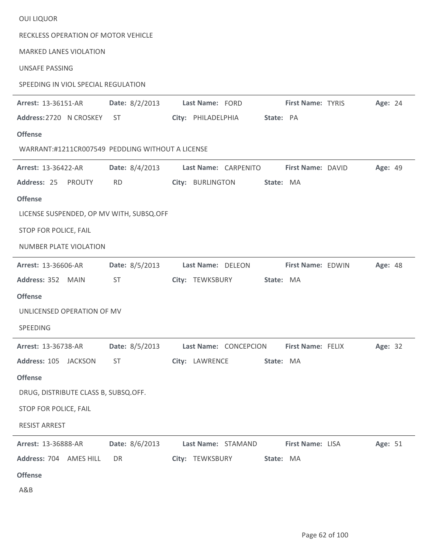| <b>OUI LIQUOR</b>                                |                |                       |                   |         |
|--------------------------------------------------|----------------|-----------------------|-------------------|---------|
| RECKLESS OPERATION OF MOTOR VEHICLE              |                |                       |                   |         |
| <b>MARKED LANES VIOLATION</b>                    |                |                       |                   |         |
| <b>UNSAFE PASSING</b>                            |                |                       |                   |         |
| SPEEDING IN VIOL SPECIAL REGULATION              |                |                       |                   |         |
| Arrest: 13-36151-AR                              | Date: 8/2/2013 | Last Name: FORD       | First Name: TYRIS | Age: 24 |
| Address: 2720 N CROSKEY                          | <b>ST</b>      | City: PHILADELPHIA    | State: PA         |         |
| <b>Offense</b>                                   |                |                       |                   |         |
| WARRANT:#1211CR007549 PEDDLING WITHOUT A LICENSE |                |                       |                   |         |
| Arrest: 13-36422-AR                              | Date: 8/4/2013 | Last Name: CARPENITO  | First Name: DAVID | Age: 49 |
| Address: 25<br>PROUTY                            | <b>RD</b>      | City: BURLINGTON      | State: MA         |         |
| <b>Offense</b>                                   |                |                       |                   |         |
| LICENSE SUSPENDED, OP MV WITH, SUBSQ.OFF         |                |                       |                   |         |
| STOP FOR POLICE, FAIL                            |                |                       |                   |         |
| <b>NUMBER PLATE VIOLATION</b>                    |                |                       |                   |         |
| Arrest: 13-36606-AR                              | Date: 8/5/2013 | Last Name: DELEON     | First Name: EDWIN | Age: 48 |
| Address: 352 MAIN                                | <b>ST</b>      | City: TEWKSBURY       | State: MA         |         |
| <b>Offense</b>                                   |                |                       |                   |         |
| UNLICENSED OPERATION OF MV                       |                |                       |                   |         |
| SPEEDING                                         |                |                       |                   |         |
| Arrest: 13-36738-AR                              | Date: 8/5/2013 | Last Name: CONCEPCION | First Name: FELIX | Age: 32 |
| Address: 105 JACKSON                             | <b>ST</b>      | City: LAWRENCE        | State: MA         |         |
| <b>Offense</b>                                   |                |                       |                   |         |
| DRUG, DISTRIBUTE CLASS B, SUBSQ.OFF.             |                |                       |                   |         |
| STOP FOR POLICE, FAIL                            |                |                       |                   |         |
| <b>RESIST ARREST</b>                             |                |                       |                   |         |
| Arrest: 13-36888-AR                              | Date: 8/6/2013 | Last Name: STAMAND    | First Name: LISA  | Age: 51 |
| Address: 704 AMES HILL                           | DR             | City: TEWKSBURY       | State: MA         |         |
| <b>Offense</b>                                   |                |                       |                   |         |
| A&B                                              |                |                       |                   |         |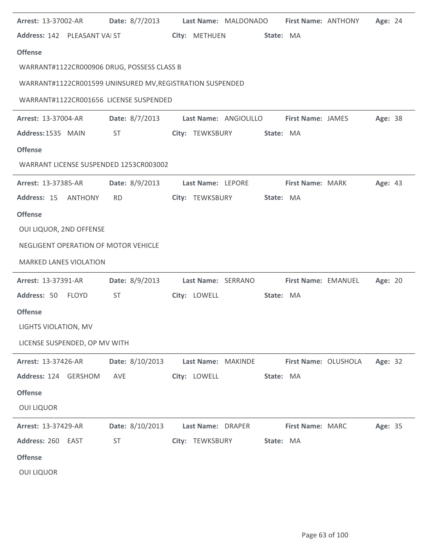| Arrest: 13-37002-AR           | Date: 8/7/2013 Last Name: MALDONADO                       |                 |                           |           |                         | <b>First Name: ANTHONY</b> | Age: 24 |  |
|-------------------------------|-----------------------------------------------------------|-----------------|---------------------------|-----------|-------------------------|----------------------------|---------|--|
|                               | Address: 142 PLEASANT VAI ST                              |                 | City: METHUEN             | State: MA |                         |                            |         |  |
| <b>Offense</b>                |                                                           |                 |                           |           |                         |                            |         |  |
|                               | WARRANT#1122CR000906 DRUG, POSSESS CLASS B                |                 |                           |           |                         |                            |         |  |
|                               | WARRANT#1122CR001599 UNINSURED MV, REGISTRATION SUSPENDED |                 |                           |           |                         |                            |         |  |
|                               | WARRANT#1122CR001656 LICENSE SUSPENDED                    |                 |                           |           |                         |                            |         |  |
| Arrest: 13-37004-AR           | Date: 8/7/2013 Last Name: ANGIOLILLO First Name: JAMES    |                 |                           |           |                         |                            | Age: 38 |  |
| Address: 1535 MAIN            | <b>ST</b>                                                 |                 | City: TEWKSBURY State: MA |           |                         |                            |         |  |
| <b>Offense</b>                |                                                           |                 |                           |           |                         |                            |         |  |
|                               | WARRANT LICENSE SUSPENDED 1253CR003002                    |                 |                           |           |                         |                            |         |  |
| <b>Arrest: 13-37385-AR</b>    | Date: 8/9/2013 Last Name: LEPORE                          |                 |                           |           | <b>First Name: MARK</b> |                            | Age: 43 |  |
| Address: 15 ANTHONY           | RD.                                                       |                 | City: TEWKSBURY           | State: MA |                         |                            |         |  |
| <b>Offense</b>                |                                                           |                 |                           |           |                         |                            |         |  |
| OUI LIQUOR, 2ND OFFENSE       |                                                           |                 |                           |           |                         |                            |         |  |
|                               | NEGLIGENT OPERATION OF MOTOR VEHICLE                      |                 |                           |           |                         |                            |         |  |
| <b>MARKED LANES VIOLATION</b> |                                                           |                 |                           |           |                         |                            |         |  |
| Arrest: 13-37391-AR           | Date: 8/9/2013                                            |                 | Last Name: SERRANO        |           |                         | First Name: EMANUEL        | Age: 20 |  |
| Address: 50 FLOYD             | <b>ST</b>                                                 | City: LOWELL    |                           | State: MA |                         |                            |         |  |
| <b>Offense</b>                |                                                           |                 |                           |           |                         |                            |         |  |
| LIGHTS VIOLATION, MV          |                                                           |                 |                           |           |                         |                            |         |  |
| LICENSE SUSPENDED, OP MV WITH |                                                           |                 |                           |           |                         |                            |         |  |
| Arrest: 13-37426-AR           | Date: 8/10/2013                                           |                 | Last Name: MAKINDE        |           | First Name: OLUSHOLA    |                            | Age: 32 |  |
| Address: 124 GERSHOM          | AVE                                                       | City: LOWELL    |                           | State: MA |                         |                            |         |  |
| <b>Offense</b>                |                                                           |                 |                           |           |                         |                            |         |  |
| <b>OUI LIQUOR</b>             |                                                           |                 |                           |           |                         |                            |         |  |
| <b>Arrest: 13-37429-AR</b>    | Date: 8/10/2013                                           |                 | Last Name: DRAPER         |           | First Name: MARC        |                            | Age: 35 |  |
| Address: 260 EAST             | <b>ST</b>                                                 | City: TEWKSBURY |                           | State: MA |                         |                            |         |  |
| <b>Offense</b>                |                                                           |                 |                           |           |                         |                            |         |  |
| <b>OUI LIQUOR</b>             |                                                           |                 |                           |           |                         |                            |         |  |

 $\ddot{\phantom{1}}$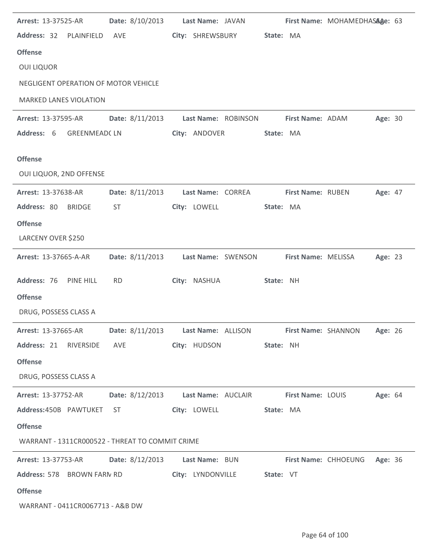| Arrest: 13-37525-AR                                    | Date: 8/10/2013 | Last Name: JAVAN                                                                   |                          | First Name: MOHAMEDHASAge: 63       |  |
|--------------------------------------------------------|-----------------|------------------------------------------------------------------------------------|--------------------------|-------------------------------------|--|
| Address: 32 PLAINFIELD                                 | AVE             | City: SHREWSBURY                                                                   | State: MA                |                                     |  |
| <b>Offense</b>                                         |                 |                                                                                    |                          |                                     |  |
| <b>OUI LIQUOR</b>                                      |                 |                                                                                    |                          |                                     |  |
| NEGLIGENT OPERATION OF MOTOR VEHICLE                   |                 |                                                                                    |                          |                                     |  |
| <b>MARKED LANES VIOLATION</b>                          |                 |                                                                                    |                          |                                     |  |
| <b>Arrest: 13-37595-AR</b>                             |                 | Date: 8/11/2013 Last Name: ROBINSON First Name: ADAM                               |                          | Age: 30                             |  |
| Address: 6 GREENMEAD(LN                                |                 | City: ANDOVER                                                                      | State: MA                |                                     |  |
| <b>Offense</b>                                         |                 |                                                                                    |                          |                                     |  |
| OUI LIQUOR, 2ND OFFENSE                                |                 |                                                                                    |                          |                                     |  |
| <b>Arrest: 13-37638-AR</b>                             |                 | Date: 8/11/2013 Last Name: CORREA                                                  | <b>First Name: RUBEN</b> | Age: 47                             |  |
| Address: 80 BRIDGE                                     | ST              | City: LOWELL                                                                       | State: MA                |                                     |  |
| <b>Offense</b>                                         |                 |                                                                                    |                          |                                     |  |
| LARCENY OVER \$250                                     |                 |                                                                                    |                          |                                     |  |
| <b>Arrest: 13-37665-A-AR</b>                           |                 | Date: 8/11/2013 Last Name: SWENSON                                                 | First Name: MELISSA      | Age: 23                             |  |
|                                                        |                 |                                                                                    |                          |                                     |  |
|                                                        |                 |                                                                                    |                          |                                     |  |
| Address: 76 PINE HILL                                  | <b>RD</b>       | City: NASHUA                                                                       | State: NH                |                                     |  |
| <b>Offense</b>                                         |                 |                                                                                    |                          |                                     |  |
| DRUG, POSSESS CLASS A                                  |                 |                                                                                    |                          |                                     |  |
|                                                        |                 | Arrest: 13-37665-AR Date: 8/11/2013 Last Name: ALLISON First Name: SHANNON Age: 26 |                          |                                     |  |
| Address: 21 RIVERSIDE AVE                              |                 | City: HUDSON                                                                       | State: NH                |                                     |  |
| <b>Offense</b>                                         |                 |                                                                                    |                          |                                     |  |
| DRUG, POSSESS CLASS A                                  |                 |                                                                                    |                          |                                     |  |
| <b>Arrest: 13-37752-AR</b>                             |                 | Date: 8/12/2013 Last Name: AUCLAIR                                                 | <b>First Name: LOUIS</b> | Age: 64                             |  |
| Address:450B PAWTUKET ST                               |                 | City: LOWELL                                                                       | State: MA                |                                     |  |
| <b>Offense</b>                                         |                 |                                                                                    |                          |                                     |  |
| WARRANT - 1311CR000522 - THREAT TO COMMIT CRIME        |                 |                                                                                    |                          |                                     |  |
| Arrest: 13-37753-AR   Date: 8/12/2013   Last Name: BUN |                 |                                                                                    |                          | <b>First Name: CHHOEUNG Age: 36</b> |  |
| Address: 578 BROWN FARN RD                             |                 | City: LYNDONVILLE State: VT                                                        |                          |                                     |  |
| <b>Offense</b><br>WARRANT - 0411CR0067713 - A&B DW     |                 |                                                                                    |                          |                                     |  |

 $\overline{a}$ 

 $\ddot{\phantom{a}}$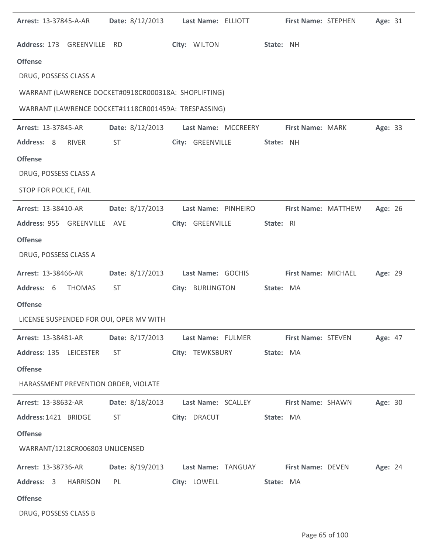| Arrest: 13-37845-A-AR                                | Date: 8/12/2013                                                                                                                                                                                                                | Last Name: ELLIOTT                                   | First Name: STEPHEN |                     | Age: 31 |
|------------------------------------------------------|--------------------------------------------------------------------------------------------------------------------------------------------------------------------------------------------------------------------------------|------------------------------------------------------|---------------------|---------------------|---------|
| Address: 173 GREENVILLE                              | RD                                                                                                                                                                                                                             | City: WILTON                                         | State: NH           |                     |         |
| <b>Offense</b>                                       |                                                                                                                                                                                                                                |                                                      |                     |                     |         |
| DRUG, POSSESS CLASS A                                |                                                                                                                                                                                                                                |                                                      |                     |                     |         |
| WARRANT (LAWRENCE DOCKET#0918CR000318A: SHOPLIFTING) |                                                                                                                                                                                                                                |                                                      |                     |                     |         |
| WARRANT (LAWRENCE DOCKET#1118CR001459A: TRESPASSING) |                                                                                                                                                                                                                                |                                                      |                     |                     |         |
| Arrest: 13-37845-AR                                  | Date: 8/12/2013                                                                                                                                                                                                                | Last Name: MCCREERY                                  | First Name: MARK    |                     | Age: 33 |
| Address: 8<br><b>RIVER</b>                           | ST                                                                                                                                                                                                                             | City: GREENVILLE                                     | State: NH           |                     |         |
| <b>Offense</b>                                       |                                                                                                                                                                                                                                |                                                      |                     |                     |         |
| DRUG, POSSESS CLASS A                                |                                                                                                                                                                                                                                |                                                      |                     |                     |         |
| STOP FOR POLICE, FAIL                                |                                                                                                                                                                                                                                |                                                      |                     |                     |         |
| Arrest: 13-38410-AR                                  | Date: 8/17/2013                                                                                                                                                                                                                | Last Name: PINHEIRO                                  |                     | First Name: MATTHEW | Age: 26 |
| Address: 955 GREENVILLE AVE                          |                                                                                                                                                                                                                                | City: GREENVILLE                                     | State: RI           |                     |         |
| <b>Offense</b>                                       |                                                                                                                                                                                                                                |                                                      |                     |                     |         |
| DRUG, POSSESS CLASS A                                |                                                                                                                                                                                                                                |                                                      |                     |                     |         |
| Arrest: 13-38466-AR                                  | Date: 8/17/2013                                                                                                                                                                                                                | Last Name: GOCHIS                                    | First Name: MICHAEL |                     | Age: 29 |
| Address: 6<br><b>THOMAS</b>                          | <b>ST</b>                                                                                                                                                                                                                      | City: BURLINGTON                                     | State: MA           |                     |         |
| <b>Offense</b>                                       |                                                                                                                                                                                                                                |                                                      |                     |                     |         |
| LICENSE SUSPENDED FOR OUI, OPER MV WITH              |                                                                                                                                                                                                                                |                                                      |                     |                     |         |
| <b>Arrest: 13-38481-AR</b>                           |                                                                                                                                                                                                                                | Date: 8/17/2013 Last Name: FULMER First Name: STEVEN |                     |                     | Age: 47 |
| Address: 135 LEICESTER                               | ST and the state of the state of the state of the state of the state of the state of the state of the state of the state of the state of the state of the state of the state of the state of the state of the state of the sta | City: TEWKSBURY                                      | State: MA           |                     |         |
| <b>Offense</b>                                       |                                                                                                                                                                                                                                |                                                      |                     |                     |         |
| HARASSMENT PREVENTION ORDER, VIOLATE                 |                                                                                                                                                                                                                                |                                                      |                     |                     |         |
| <b>Arrest: 13-38632-AR</b>                           |                                                                                                                                                                                                                                | Date: 8/18/2013 Last Name: SCALLEY First Name: SHAWN |                     |                     | Age: 30 |
| Address: 1421 BRIDGE                                 | ST and the state of the state of the state of the state of the state of the state of the state of the state of the state of the state of the state of the state of the state of the state of the state of the state of the sta | City: DRACUT                                         | State: MA           |                     |         |
| <b>Offense</b>                                       |                                                                                                                                                                                                                                |                                                      |                     |                     |         |
| WARRANT/1218CR006803 UNLICENSED                      |                                                                                                                                                                                                                                |                                                      |                     |                     |         |
| Arrest: 13-38736-AR                                  |                                                                                                                                                                                                                                | Date: 8/19/2013 Last Name: TANGUAY First Name: DEVEN |                     |                     | Age: 24 |
| Address: 3 HARRISON                                  | PL                                                                                                                                                                                                                             | City: LOWELL                                         | State: MA           |                     |         |
| <b>Offense</b>                                       |                                                                                                                                                                                                                                |                                                      |                     |                     |         |
| DRUG, POSSESS CLASS B                                |                                                                                                                                                                                                                                |                                                      |                     |                     |         |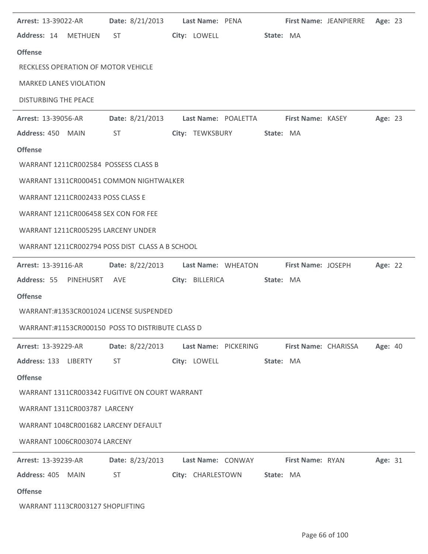| <b>Arrest: 13-39022-AR</b>                       | <b>Date:</b> 8/21/2013                                                                                                                                                                                                         | Last Name: PENA                                                        | First Name: JEANPIERRE                             | Age: 23 |
|--------------------------------------------------|--------------------------------------------------------------------------------------------------------------------------------------------------------------------------------------------------------------------------------|------------------------------------------------------------------------|----------------------------------------------------|---------|
| Address: 14 METHUEN                              | ST and the ST and ST and ST and ST and ST and ST and ST and ST and ST and ST and ST and ST and ST and ST and ST and ST and ST and ST and ST and ST and ST and ST and ST and ST and ST and ST and ST and ST and ST and ST and S | City: LOWELL                                                           | <b>State: MA</b>                                   |         |
| <b>Offense</b>                                   |                                                                                                                                                                                                                                |                                                                        |                                                    |         |
| RECKLESS OPERATION OF MOTOR VEHICLE              |                                                                                                                                                                                                                                |                                                                        |                                                    |         |
| <b>MARKED LANES VIOLATION</b>                    |                                                                                                                                                                                                                                |                                                                        |                                                    |         |
| <b>DISTURBING THE PEACE</b>                      |                                                                                                                                                                                                                                |                                                                        |                                                    |         |
| Arrest: 13-39056-AR                              |                                                                                                                                                                                                                                | Date: 8/21/2013 Last Name: POALETTA                                    | <b>First Name: KASEY</b>                           | Age: 23 |
| Address: 450 MAIN                                | <b>ST</b>                                                                                                                                                                                                                      | City: TEWKSBURY                                                        | State: MA                                          |         |
| <b>Offense</b>                                   |                                                                                                                                                                                                                                |                                                                        |                                                    |         |
| WARRANT 1211CR002584 POSSESS CLASS B             |                                                                                                                                                                                                                                |                                                                        |                                                    |         |
| WARRANT 1311CR000451 COMMON NIGHTWALKER          |                                                                                                                                                                                                                                |                                                                        |                                                    |         |
| WARRANT 1211CR002433 POSS CLASS E                |                                                                                                                                                                                                                                |                                                                        |                                                    |         |
| WARRANT 1211CR006458 SEX CON FOR FEE             |                                                                                                                                                                                                                                |                                                                        |                                                    |         |
| WARRANT 1211CR005295 LARCENY UNDER               |                                                                                                                                                                                                                                |                                                                        |                                                    |         |
| WARRANT 1211CR002794 POSS DIST CLASS A B SCHOOL  |                                                                                                                                                                                                                                |                                                                        |                                                    |         |
| <b>Arrest: 13-39116-AR</b>                       | Date: 8/22/2013                                                                                                                                                                                                                | Last Name: WHEATON                                                     | First Name: JOSEPH                                 | Age: 22 |
| Address: 55 PINEHUSRT AVE                        |                                                                                                                                                                                                                                | City: BILLERICA                                                        | State: MA                                          |         |
| <b>Offense</b>                                   |                                                                                                                                                                                                                                |                                                                        |                                                    |         |
| WARRANT:#1353CR001024 LICENSE SUSPENDED          |                                                                                                                                                                                                                                |                                                                        |                                                    |         |
| WARRANT:#1153CR000150 POSS TO DISTRIBUTE CLASS D |                                                                                                                                                                                                                                |                                                                        |                                                    |         |
|                                                  |                                                                                                                                                                                                                                | Arrest: 13-39229-AR        Date: 8/22/2013        Last Name: PICKERING | First Name: CHARISSA                               | Age: 40 |
| Address: 133 LIBERTY ST                          |                                                                                                                                                                                                                                | City: LOWELL                                                           | State: MA                                          |         |
| <b>Offense</b>                                   |                                                                                                                                                                                                                                |                                                                        |                                                    |         |
| WARRANT 1311CR003342 FUGITIVE ON COURT WARRANT   |                                                                                                                                                                                                                                |                                                                        |                                                    |         |
| WARRANT 1311CR003787 LARCENY                     |                                                                                                                                                                                                                                |                                                                        |                                                    |         |
| WARRANT 1048CR001682 LARCENY DEFAULT             |                                                                                                                                                                                                                                |                                                                        |                                                    |         |
| WARRANT 1006CR003074 LARCENY                     |                                                                                                                                                                                                                                |                                                                        |                                                    |         |
|                                                  |                                                                                                                                                                                                                                |                                                                        | Date: 8/23/2013 Last Name: CONWAY First Name: RYAN |         |
| <b>Arrest: 13-39239-AR</b>                       |                                                                                                                                                                                                                                |                                                                        |                                                    | Age: 31 |
| Address: 405 MAIN                                | ST                                                                                                                                                                                                                             | City: CHARLESTOWN State: MA                                            |                                                    |         |
| <b>Offense</b>                                   |                                                                                                                                                                                                                                |                                                                        |                                                    |         |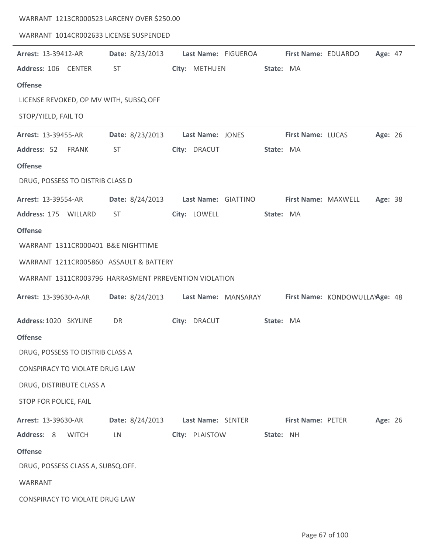|                                    |              | WARRANT 1213CR000523 LARCENY OVER \$250.00            |                     |           |                     |                                |         |  |
|------------------------------------|--------------|-------------------------------------------------------|---------------------|-----------|---------------------|--------------------------------|---------|--|
|                                    |              | WARRANT 1014CR002633 LICENSE SUSPENDED                |                     |           |                     |                                |         |  |
| Arrest: 13-39412-AR                |              | Date: 8/23/2013                                       | Last Name: FIGUEROA |           | First Name: EDUARDO |                                | Age: 47 |  |
| Address: 106 CENTER                |              | ST                                                    | City: METHUEN       | State: MA |                     |                                |         |  |
| <b>Offense</b>                     |              |                                                       |                     |           |                     |                                |         |  |
|                                    |              | LICENSE REVOKED, OP MV WITH, SUBSQ.OFF                |                     |           |                     |                                |         |  |
| STOP/YIELD, FAIL TO                |              |                                                       |                     |           |                     |                                |         |  |
| Arrest: 13-39455-AR                |              | Date: 8/23/2013                                       | Last Name: JONES    |           | First Name: LUCAS   |                                | Age: 26 |  |
| Address: 52                        | FRANK        | <b>ST</b>                                             | City: DRACUT        | State: MA |                     |                                |         |  |
| <b>Offense</b>                     |              |                                                       |                     |           |                     |                                |         |  |
| DRUG, POSSESS TO DISTRIB CLASS D   |              |                                                       |                     |           |                     |                                |         |  |
| Arrest: 13-39554-AR                |              | Date: 8/24/2013                                       | Last Name: GIATTINO |           | First Name: MAXWELL |                                | Age: 38 |  |
| Address: 175 WILLARD               |              | ST                                                    | City: LOWELL        | State: MA |                     |                                |         |  |
| <b>Offense</b>                     |              |                                                       |                     |           |                     |                                |         |  |
| WARRANT 1311CR000401 B&E NIGHTTIME |              |                                                       |                     |           |                     |                                |         |  |
|                                    |              | WARRANT 1211CR005860 ASSAULT & BATTERY                |                     |           |                     |                                |         |  |
|                                    |              | WARRANT 1311CR003796 HARRASMENT PRREVENTION VIOLATION |                     |           |                     |                                |         |  |
| Arrest: 13-39630-A-AR              |              | Date: 8/24/2013                                       | Last Name: MANSARAY |           |                     | First Name: KONDOWULLAYAge: 48 |         |  |
| Address: 1020 SKYLINE              |              | DR                                                    | City: DRACUT        | State: MA |                     |                                |         |  |
| <b>Offense</b>                     |              |                                                       |                     |           |                     |                                |         |  |
| DRUG, POSSESS TO DISTRIB CLASS A   |              |                                                       |                     |           |                     |                                |         |  |
| CONSPIRACY TO VIOLATE DRUG LAW     |              |                                                       |                     |           |                     |                                |         |  |
| DRUG, DISTRIBUTE CLASS A           |              |                                                       |                     |           |                     |                                |         |  |
| STOP FOR POLICE, FAIL              |              |                                                       |                     |           |                     |                                |         |  |
| Arrest: 13-39630-AR                |              | Date: 8/24/2013                                       | Last Name: SENTER   |           | First Name: PETER   |                                | Age: 26 |  |
| Address: 8                         | <b>WITCH</b> | LN                                                    | City: PLAISTOW      | State: NH |                     |                                |         |  |
| <b>Offense</b>                     |              |                                                       |                     |           |                     |                                |         |  |
| DRUG, POSSESS CLASS A, SUBSQ.OFF.  |              |                                                       |                     |           |                     |                                |         |  |
| WARRANT                            |              |                                                       |                     |           |                     |                                |         |  |
| CONSPIRACY TO VIOLATE DRUG LAW     |              |                                                       |                     |           |                     |                                |         |  |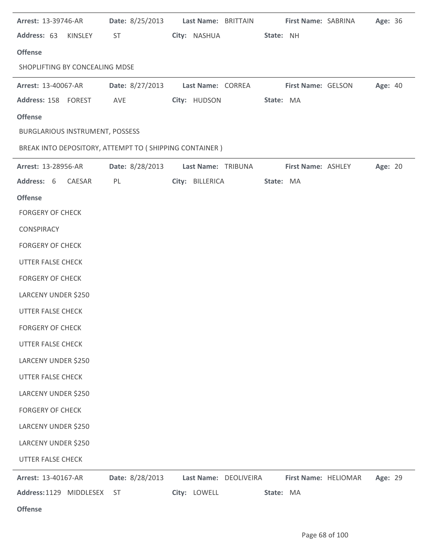| <b>Arrest: 13-39746-AR</b>                             |                 |                       | Date: 8/25/2013 Last Name: BRITTAIN First Name: SABRINA Age: 36 |         |
|--------------------------------------------------------|-----------------|-----------------------|-----------------------------------------------------------------|---------|
| Address: 63 KINSLEY                                    | <b>ST</b>       | City: NASHUA          | State: NH                                                       |         |
| <b>Offense</b>                                         |                 |                       |                                                                 |         |
| SHOPLIFTING BY CONCEALING MDSE                         |                 |                       |                                                                 |         |
| Arrest: 13-40067-AR                                    | Date: 8/27/2013 | Last Name: CORREA     | <b>First Name: GELSON</b>                                       | Age: 40 |
| Address: 158 FOREST AVE                                |                 | City: HUDSON          | State: MA                                                       |         |
| <b>Offense</b>                                         |                 |                       |                                                                 |         |
| BURGLARIOUS INSTRUMENT, POSSESS                        |                 |                       |                                                                 |         |
| BREAK INTO DEPOSITORY, ATTEMPT TO (SHIPPING CONTAINER) |                 |                       |                                                                 |         |
| Arrest: 13-28956-AR                                    | Date: 8/28/2013 | Last Name: TRIBUNA    | <b>First Name: ASHLEY</b>                                       | Age: 20 |
| Address: 6 CAESAR                                      | PL              | City: BILLERICA       | State: MA                                                       |         |
| <b>Offense</b>                                         |                 |                       |                                                                 |         |
| <b>FORGERY OF CHECK</b>                                |                 |                       |                                                                 |         |
| CONSPIRACY                                             |                 |                       |                                                                 |         |
| <b>FORGERY OF CHECK</b>                                |                 |                       |                                                                 |         |
| <b>UTTER FALSE CHECK</b>                               |                 |                       |                                                                 |         |
| <b>FORGERY OF CHECK</b>                                |                 |                       |                                                                 |         |
| LARCENY UNDER \$250                                    |                 |                       |                                                                 |         |
| <b>UTTER FALSE CHECK</b>                               |                 |                       |                                                                 |         |
| <b>FORGERY OF CHECK</b>                                |                 |                       |                                                                 |         |
| <b>UTTER FALSE CHECK</b>                               |                 |                       |                                                                 |         |
| LARCENY UNDER \$250                                    |                 |                       |                                                                 |         |
| <b>UTTER FALSE CHECK</b>                               |                 |                       |                                                                 |         |
| LARCENY UNDER \$250                                    |                 |                       |                                                                 |         |
| <b>FORGERY OF CHECK</b>                                |                 |                       |                                                                 |         |
| LARCENY UNDER \$250                                    |                 |                       |                                                                 |         |
| LARCENY UNDER \$250                                    |                 |                       |                                                                 |         |
| UTTER FALSE CHECK                                      |                 |                       |                                                                 |         |
| Arrest: 13-40167-AR                                    | Date: 8/28/2013 | Last Name: DEOLIVEIRA | First Name: HELIOMAR                                            | Age: 29 |
| Address: 1129 MIDDLESEX                                | <b>ST</b>       | City: LOWELL          | State: MA                                                       |         |
| <b>Offense</b>                                         |                 |                       |                                                                 |         |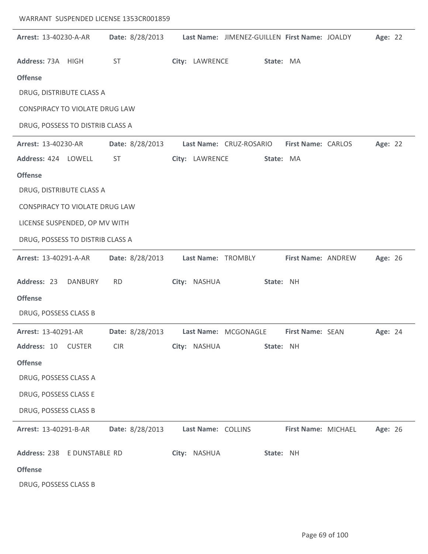| Arrest: 13-40230-A-AR            | Date: 8/28/2013 |                    | Last Name: JIMENEZ-GUILLEN First Name: JOALDY |                     | Age: 22 |  |
|----------------------------------|-----------------|--------------------|-----------------------------------------------|---------------------|---------|--|
| Address: 73A HIGH                | <b>ST</b>       | City: LAWRENCE     | State: MA                                     |                     |         |  |
| <b>Offense</b>                   |                 |                    |                                               |                     |         |  |
| DRUG, DISTRIBUTE CLASS A         |                 |                    |                                               |                     |         |  |
| CONSPIRACY TO VIOLATE DRUG LAW   |                 |                    |                                               |                     |         |  |
| DRUG, POSSESS TO DISTRIB CLASS A |                 |                    |                                               |                     |         |  |
| Arrest: 13-40230-AR              | Date: 8/28/2013 |                    | Last Name: CRUZ-ROSARIO                       | First Name: CARLOS  | Age: 22 |  |
| Address: 424 LOWELL              | <b>ST</b>       | City: LAWRENCE     | State: MA                                     |                     |         |  |
| <b>Offense</b>                   |                 |                    |                                               |                     |         |  |
| DRUG, DISTRIBUTE CLASS A         |                 |                    |                                               |                     |         |  |
| CONSPIRACY TO VIOLATE DRUG LAW   |                 |                    |                                               |                     |         |  |
| LICENSE SUSPENDED, OP MV WITH    |                 |                    |                                               |                     |         |  |
| DRUG, POSSESS TO DISTRIB CLASS A |                 |                    |                                               |                     |         |  |
| Arrest: 13-40291-A-AR            | Date: 8/28/2013 | Last Name: TROMBLY |                                               | First Name: ANDREW  | Age: 26 |  |
| Address: 23<br><b>DANBURY</b>    | <b>RD</b>       | City: NASHUA       | State: NH                                     |                     |         |  |
| <b>Offense</b>                   |                 |                    |                                               |                     |         |  |
| DRUG, POSSESS CLASS B            |                 |                    |                                               |                     |         |  |
| Arrest: 13-40291-AR              | Date: 8/28/2013 |                    | Last Name: MCGONAGLE                          | First Name: SEAN    | Age: 24 |  |
| Address: 10 CUSTER               | <b>CIR</b>      | City: NASHUA       | State: NH                                     |                     |         |  |
| <b>Offense</b>                   |                 |                    |                                               |                     |         |  |
| DRUG, POSSESS CLASS A            |                 |                    |                                               |                     |         |  |
| DRUG, POSSESS CLASS E            |                 |                    |                                               |                     |         |  |
| DRUG, POSSESS CLASS B            |                 |                    |                                               |                     |         |  |
| Arrest: 13-40291-B-AR            | Date: 8/28/2013 | Last Name: COLLINS |                                               | First Name: MICHAEL | Age: 26 |  |
| Address: 238 E DUNSTABLE RD      |                 | City: NASHUA       | State: NH                                     |                     |         |  |
| <b>Offense</b>                   |                 |                    |                                               |                     |         |  |
| DRUG, POSSESS CLASS B            |                 |                    |                                               |                     |         |  |

WARRANT SUSPENDED LICENSE 1353CR001859

 $\overline{a}$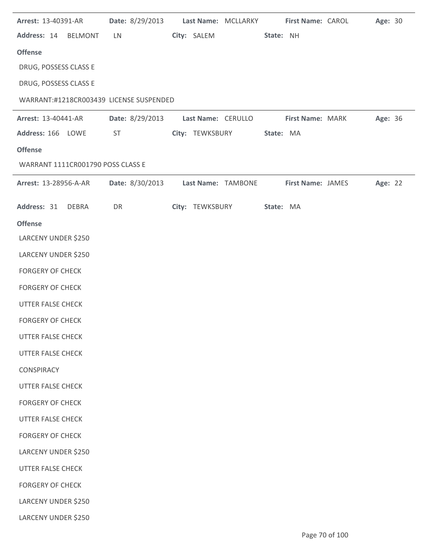| Arrest: 13-40391-AR                     | Date: 8/29/2013 | Last Name: MCLLARKY | First Name: CAROL                    | Age: 30 |
|-----------------------------------------|-----------------|---------------------|--------------------------------------|---------|
| Address: 14 BELMONT                     | LN              | City: SALEM         | State: NH                            |         |
| <b>Offense</b>                          |                 |                     |                                      |         |
| DRUG, POSSESS CLASS E                   |                 |                     |                                      |         |
| DRUG, POSSESS CLASS E                   |                 |                     |                                      |         |
| WARRANT:#1218CR003439 LICENSE SUSPENDED |                 |                     |                                      |         |
| Arrest: 13-40441-AR                     | Date: 8/29/2013 | Last Name: CERULLO  | <b>First Name: MARK</b>              | Age: 36 |
| Address: 166 LOWE                       | <b>ST</b>       | City: TEWKSBURY     | State: MA                            |         |
| <b>Offense</b>                          |                 |                     |                                      |         |
| WARRANT 1111CR001790 POSS CLASS E       |                 |                     |                                      |         |
| Arrest: 13-28956-A-AR                   | Date: 8/30/2013 |                     | Last Name: TAMBONE First Name: JAMES | Age: 22 |
| Address: 31<br><b>DEBRA</b>             | DR              | City: TEWKSBURY     | State: MA                            |         |
| <b>Offense</b>                          |                 |                     |                                      |         |
| LARCENY UNDER \$250                     |                 |                     |                                      |         |
| LARCENY UNDER \$250                     |                 |                     |                                      |         |
| <b>FORGERY OF CHECK</b>                 |                 |                     |                                      |         |
| <b>FORGERY OF CHECK</b>                 |                 |                     |                                      |         |
| UTTER FALSE CHECK                       |                 |                     |                                      |         |
| <b>FORGERY OF CHECK</b>                 |                 |                     |                                      |         |
| <b>UTTER FALSE CHECK</b>                |                 |                     |                                      |         |
| <b>UTTER FALSE CHECK</b>                |                 |                     |                                      |         |
| CONSPIRACY                              |                 |                     |                                      |         |
| UTTER FALSE CHECK                       |                 |                     |                                      |         |
| <b>FORGERY OF CHECK</b>                 |                 |                     |                                      |         |
| UTTER FALSE CHECK                       |                 |                     |                                      |         |
| <b>FORGERY OF CHECK</b>                 |                 |                     |                                      |         |
| LARCENY UNDER \$250                     |                 |                     |                                      |         |
| <b>UTTER FALSE CHECK</b>                |                 |                     |                                      |         |
| <b>FORGERY OF CHECK</b>                 |                 |                     |                                      |         |
| LARCENY UNDER \$250                     |                 |                     |                                      |         |
| LARCENY UNDER \$250                     |                 |                     |                                      |         |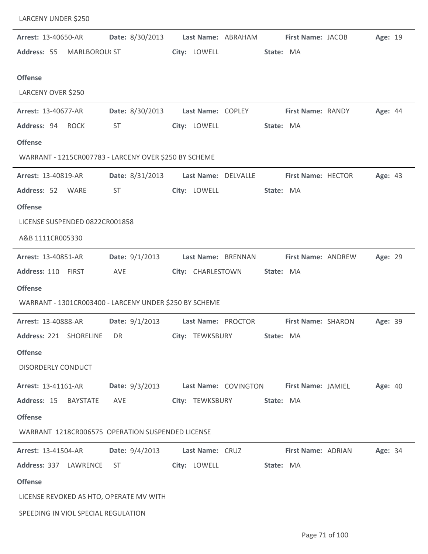| <b>Arrest: 13-40650-AR</b>                             | Date: 8/30/2013                   |                    | Last Name: ABRAHAM                  | <b>First Name: JACOB</b>  | Age: 19 |  |
|--------------------------------------------------------|-----------------------------------|--------------------|-------------------------------------|---------------------------|---------|--|
| Address: 55 MARLBOROU(ST                               |                                   | City: LOWELL       |                                     | State: MA                 |         |  |
|                                                        |                                   |                    |                                     |                           |         |  |
| <b>Offense</b>                                         |                                   |                    |                                     |                           |         |  |
| LARCENY OVER \$250                                     |                                   |                    |                                     |                           |         |  |
| Arrest: 13-40677-AR                                    | <b>Date:</b> 8/30/2013            |                    | Last Name: COPLEY First Name: RANDY |                           | Age: 44 |  |
| Address: 94 ROCK                                       | ST                                | City: LOWELL       |                                     | State: MA                 |         |  |
| <b>Offense</b>                                         |                                   |                    |                                     |                           |         |  |
| WARRANT - 1215CR007783 - LARCENY OVER \$250 BY SCHEME  |                                   |                    |                                     |                           |         |  |
| Arrest: 13-40819-AR                                    | Date: 8/31/2013                   |                    | Last Name: DELVALLE                 | <b>First Name: HECTOR</b> | Age: 43 |  |
| Address: 52 WARE                                       | ST                                | City: LOWELL       |                                     | State: MA                 |         |  |
| <b>Offense</b>                                         |                                   |                    |                                     |                           |         |  |
| LICENSE SUSPENDED 0822CR001858                         |                                   |                    |                                     |                           |         |  |
| A&B 1111CR005330                                       |                                   |                    |                                     |                           |         |  |
| Arrest: 13-40851-AR                                    | Date: $9/1/2013$                  | Last Name: BRENNAN |                                     | First Name: ANDREW        | Age: 29 |  |
| Address: 110 FIRST                                     | AVE                               | City: CHARLESTOWN  |                                     | State: MA                 |         |  |
| <b>Offense</b>                                         |                                   |                    |                                     |                           |         |  |
| WARRANT - 1301CR003400 - LARCENY UNDER \$250 BY SCHEME |                                   |                    |                                     |                           |         |  |
|                                                        |                                   |                    |                                     |                           |         |  |
| <b>Arrest: 13-40888-AR</b>                             | Date: 9/1/2013 Last Name: PROCTOR |                    |                                     | First Name: SHARON        | Age: 39 |  |
| Address: 221 SHORELINE                                 | DR                                | City: TEWKSBURY    |                                     | State: MA                 |         |  |
| <b>Offense</b>                                         |                                   |                    |                                     |                           |         |  |
| DISORDERLY CONDUCT                                     |                                   |                    |                                     |                           |         |  |
| Arrest: 13-41161-AR                                    | Date: 9/3/2013                    |                    | Last Name: COVINGTON                | First Name: JAMIEL        | Age: 40 |  |
| Address: 15 BAYSTATE                                   | AVE                               | City: TEWKSBURY    |                                     | State: MA                 |         |  |
| <b>Offense</b>                                         |                                   |                    |                                     |                           |         |  |
| WARRANT 1218CR006575 OPERATION SUSPENDED LICENSE       |                                   |                    |                                     |                           |         |  |
| Arrest: 13-41504-AR                                    | <b>Date: 9/4/2013</b>             | Last Name: CRUZ    |                                     | First Name: ADRIAN        | Age: 34 |  |
| Address: 337 LAWRENCE                                  | ST                                | City: LOWELL       |                                     | State: MA                 |         |  |
| <b>Offense</b>                                         |                                   |                    |                                     |                           |         |  |
| LICENSE REVOKED AS HTO, OPERATE MV WITH                |                                   |                    |                                     |                           |         |  |
| SPEEDING IN VIOL SPECIAL REGULATION                    |                                   |                    |                                     |                           |         |  |
|                                                        |                                   |                    |                                     |                           |         |  |

LARCENY UNDER \$250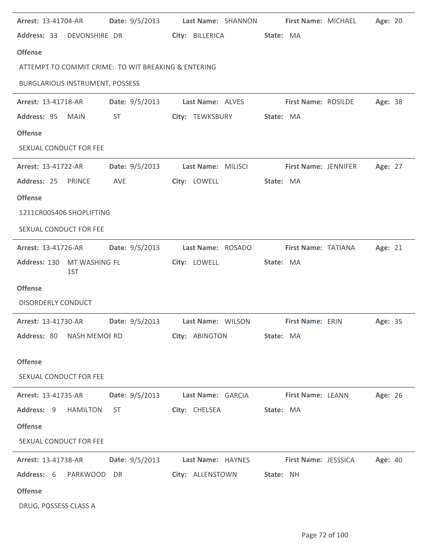| Arrest: 13-41704-AR                    |                                                     | Date: 9/5/2013 Last Name: SHANNON | First Name: MICHAEL         | Age: 20 |
|----------------------------------------|-----------------------------------------------------|-----------------------------------|-----------------------------|---------|
|                                        | Address: 33 DEVONSHIRE DR                           | City: BILLERICA                   | State: MA                   |         |
| <b>Offense</b>                         |                                                     |                                   |                             |         |
|                                        | ATTEMPT TO COMMIT CRIME: TO WIT BREAKING & ENTERING |                                   |                             |         |
| <b>BURGLARIOUS INSTRUMENT, POSSESS</b> |                                                     |                                   |                             |         |
| Arrest: 13-41718-AR                    |                                                     | Date: 9/5/2013 Last Name: ALVES   | <b>First Name: ROSILDE</b>  | Age: 38 |
| Address: 95 MAIN                       | ST                                                  | City: TEWKSBURY                   | State: MA                   |         |
| <b>Offense</b>                         |                                                     |                                   |                             |         |
| SEXUAL CONDUCT FOR FEE                 |                                                     |                                   |                             |         |
| <b>Arrest: 13-41722-AR</b>             | <b>Date:</b> $9/5/2013$                             | Last Name: MILISCI                | First Name: JENNIFER        | Age: 27 |
| Address: 25 PRINCE                     | AVE                                                 | City: LOWELL                      | State: MA                   |         |
| <b>Offense</b>                         |                                                     |                                   |                             |         |
| 1211CR005406 SHOPLIFTING               |                                                     |                                   |                             |         |
| SEXUAL CONDUCT FOR FEE                 |                                                     |                                   |                             |         |
| Arrest: 13-41726-AR                    | Date: 9/5/2013                                      | Last Name: ROSADO                 | First Name: TATIANA         | Age: 21 |
| Address: 130 MT WASHING FL<br>1ST      |                                                     | City: LOWELL                      | State: MA                   |         |
| <b>Offense</b>                         |                                                     |                                   |                             |         |
| <b>DISORDERLY CONDUCT</b>              |                                                     |                                   |                             |         |
| Arrest: 13-41730-AR                    |                                                     | Date: 9/5/2013 Last Name: WILSON  | First Name: ERIN            | Age: 35 |
| Address: 80 NASH MEMOF RD              |                                                     | City: ABINGTON                    | State: MA                   |         |
| <b>Offense</b>                         |                                                     |                                   |                             |         |
| SEXUAL CONDUCT FOR FEE                 |                                                     |                                   |                             |         |
| <b>Arrest: 13-41735-AR</b>             | Date: 9/5/2013                                      | Last Name: GARCIA                 | First Name: LEANN           | Age: 26 |
| Address: 9 HAMILTON                    | ST                                                  | City: CHELSEA                     | State: MA                   |         |
| <b>Offense</b>                         |                                                     |                                   |                             |         |
| SEXUAL CONDUCT FOR FEE                 |                                                     |                                   |                             |         |
| <b>Arrest: 13-41738-AR</b>             | Date: 9/5/2013                                      | Last Name: HAYNES                 | <b>First Name: JESSSICA</b> | Age: 40 |
| Address: 6                             | PARKWOOD<br>DR                                      | City: ALLENSTOWN                  | State: NH                   |         |
| <b>Offense</b>                         |                                                     |                                   |                             |         |
| DRUG, POSSESS CLASS A                  |                                                     |                                   |                             |         |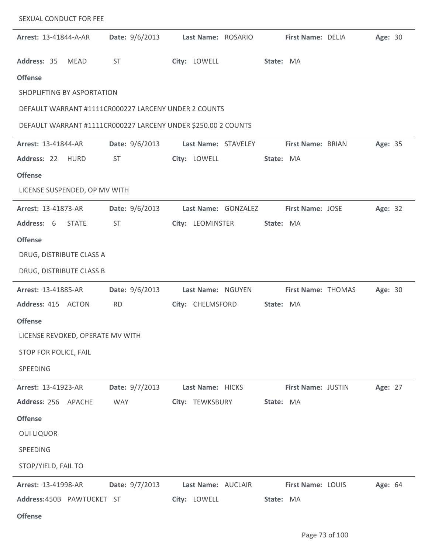| SEXUAL CONDUCT FOR FEE           |              |                                                               |                  |                     |           |                         |         |  |
|----------------------------------|--------------|---------------------------------------------------------------|------------------|---------------------|-----------|-------------------------|---------|--|
| Arrest: 13-41844-A-AR            |              | Date: 9/6/2013                                                |                  | Last Name: ROSARIO  |           | First Name: DELIA       | Age: 30 |  |
| Address: 35 MEAD                 |              | <b>ST</b>                                                     | City: LOWELL     |                     | State: MA |                         |         |  |
| <b>Offense</b>                   |              |                                                               |                  |                     |           |                         |         |  |
| SHOPLIFTING BY ASPORTATION       |              |                                                               |                  |                     |           |                         |         |  |
|                                  |              | DEFAULT WARRANT #1111CR000227 LARCENY UNDER 2 COUNTS          |                  |                     |           |                         |         |  |
|                                  |              | DEFAULT WARRANT #1111CR000227 LARCENY UNDER \$250.00 2 COUNTS |                  |                     |           |                         |         |  |
| Arrest: 13-41844-AR              |              | Date: 9/6/2013                                                |                  | Last Name: STAVELEY |           | First Name: BRIAN       | Age: 35 |  |
| Address: 22                      | <b>HURD</b>  | <b>ST</b>                                                     | City: LOWELL     |                     | State: MA |                         |         |  |
| <b>Offense</b>                   |              |                                                               |                  |                     |           |                         |         |  |
| LICENSE SUSPENDED, OP MV WITH    |              |                                                               |                  |                     |           |                         |         |  |
| Arrest: 13-41873-AR              |              | Date: 9/6/2013                                                |                  | Last Name: GONZALEZ |           | <b>First Name: JOSE</b> | Age: 32 |  |
| Address: 6                       | <b>STATE</b> | <b>ST</b>                                                     |                  | City: LEOMINSTER    | State: MA |                         |         |  |
| <b>Offense</b>                   |              |                                                               |                  |                     |           |                         |         |  |
| DRUG, DISTRIBUTE CLASS A         |              |                                                               |                  |                     |           |                         |         |  |
| DRUG, DISTRIBUTE CLASS B         |              |                                                               |                  |                     |           |                         |         |  |
| Arrest: 13-41885-AR              |              | Date: 9/6/2013                                                |                  | Last Name: NGUYEN   |           | First Name: THOMAS      | Age: 30 |  |
| Address: 415 ACTON               |              | <b>RD</b>                                                     | City: CHELMSFORD |                     | State: MA |                         |         |  |
| <b>Offense</b>                   |              |                                                               |                  |                     |           |                         |         |  |
| LICENSE REVOKED, OPERATE MV WITH |              |                                                               |                  |                     |           |                         |         |  |
| STOP FOR POLICE, FAIL            |              |                                                               |                  |                     |           |                         |         |  |
| SPEEDING                         |              |                                                               |                  |                     |           |                         |         |  |
| Arrest: 13-41923-AR              |              | Date: 9/7/2013                                                | Last Name: HICKS |                     |           | First Name: JUSTIN      | Age: 27 |  |
| Address: 256 APACHE              |              | <b>WAY</b>                                                    | City: TEWKSBURY  |                     | State: MA |                         |         |  |
| <b>Offense</b>                   |              |                                                               |                  |                     |           |                         |         |  |
| <b>OUI LIQUOR</b>                |              |                                                               |                  |                     |           |                         |         |  |
| SPEEDING                         |              |                                                               |                  |                     |           |                         |         |  |
| STOP/YIELD, FAIL TO              |              |                                                               |                  |                     |           |                         |         |  |
| Arrest: 13-41998-AR              |              | Date: 9/7/2013                                                |                  | Last Name: AUCLAIR  |           | First Name: LOUIS       | Age: 64 |  |
| Address: 450B PAWTUCKET ST       |              |                                                               | City: LOWELL     |                     | State: MA |                         |         |  |
| <b>Offense</b>                   |              |                                                               |                  |                     |           |                         |         |  |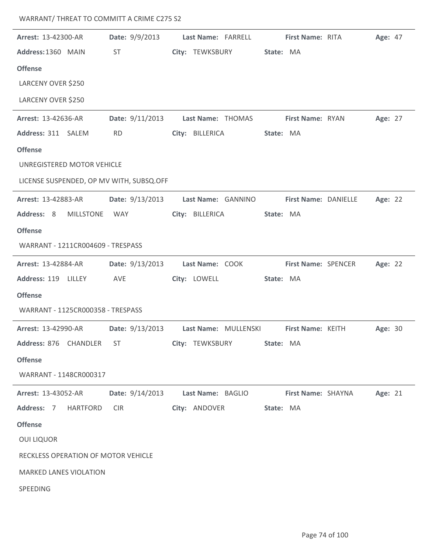| WARRANT/ THREAT TO COMMITT A CRIME C275 S2 |  |  |
|--------------------------------------------|--|--|
|--------------------------------------------|--|--|

| Arrest: 13-42300-AR                      | Date: 9/9/2013  | Last Name: FARRELL              | First Name: RITA           | Age: 47 |
|------------------------------------------|-----------------|---------------------------------|----------------------------|---------|
| Address: 1360 MAIN                       | <b>ST</b>       | City: TEWKSBURY                 | State: MA                  |         |
| <b>Offense</b>                           |                 |                                 |                            |         |
| LARCENY OVER \$250                       |                 |                                 |                            |         |
| LARCENY OVER \$250                       |                 |                                 |                            |         |
| Arrest: 13-42636-AR                      | Date: 9/11/2013 | Last Name: THOMAS               | First Name: RYAN           | Age: 27 |
| Address: 311 SALEM                       | <b>RD</b>       | City: BILLERICA                 | State: MA                  |         |
| <b>Offense</b>                           |                 |                                 |                            |         |
| UNREGISTERED MOTOR VEHICLE               |                 |                                 |                            |         |
| LICENSE SUSPENDED, OP MV WITH, SUBSQ.OFF |                 |                                 |                            |         |
| Arrest: 13-42883-AR                      | Date: 9/13/2013 | Last Name: GANNINO              | First Name: DANIELLE       | Age: 22 |
| Address: 8<br><b>MILLSTONE</b>           | WAY             | City: BILLERICA                 | State: MA                  |         |
| <b>Offense</b>                           |                 |                                 |                            |         |
| WARRANT - 1211CR004609 - TRESPASS        |                 |                                 |                            |         |
| Arrest: 13-42884-AR                      |                 | Date: 9/13/2013 Last Name: COOK | <b>First Name: SPENCER</b> | Age: 22 |
| Address: 119 LILLEY                      | AVE             | City: LOWELL                    | State: MA                  |         |
| <b>Offense</b>                           |                 |                                 |                            |         |
| WARRANT - 1125CR000358 - TRESPASS        |                 |                                 |                            |         |
| Arrest: 13-42990-AR                      | Date: 9/13/2013 | Last Name: MULLENSKI            | First Name: KEITH          | Age: 30 |
| Address: 876 CHANDLER                    | ST.             | City: TEWKSBURY                 | State: MA                  |         |
| <b>Offense</b>                           |                 |                                 |                            |         |
| WARRANT - 1148CR000317                   |                 |                                 |                            |         |
| Arrest: 13-43052-AR                      | Date: 9/14/2013 | Last Name: BAGLIO               | First Name: SHAYNA         | Age: 21 |
| Address: 7<br><b>HARTFORD</b>            | <b>CIR</b>      | City: ANDOVER                   | State: MA                  |         |
| <b>Offense</b>                           |                 |                                 |                            |         |
| <b>OUI LIQUOR</b>                        |                 |                                 |                            |         |
| RECKLESS OPERATION OF MOTOR VEHICLE      |                 |                                 |                            |         |
| MARKED LANES VIOLATION                   |                 |                                 |                            |         |
| SPEEDING                                 |                 |                                 |                            |         |
|                                          |                 |                                 |                            |         |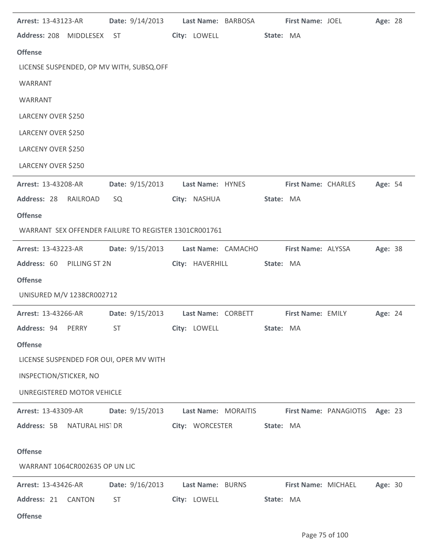| <b>Arrest: 13-43123-AR</b>                            | Date: 9/14/2013 | Last Name: BARBOSA                 | <b>First Name: JOEL</b>                              | Age: 28 |
|-------------------------------------------------------|-----------------|------------------------------------|------------------------------------------------------|---------|
| Address: 208 MIDDLESEX ST                             |                 | City: LOWELL                       | State: MA                                            |         |
| <b>Offense</b>                                        |                 |                                    |                                                      |         |
| LICENSE SUSPENDED, OP MV WITH, SUBSQ.OFF              |                 |                                    |                                                      |         |
| WARRANT                                               |                 |                                    |                                                      |         |
| WARRANT                                               |                 |                                    |                                                      |         |
| LARCENY OVER \$250                                    |                 |                                    |                                                      |         |
| LARCENY OVER \$250                                    |                 |                                    |                                                      |         |
| LARCENY OVER \$250                                    |                 |                                    |                                                      |         |
| LARCENY OVER \$250                                    |                 |                                    |                                                      |         |
| Arrest: 13-43208-AR                                   | Date: 9/15/2013 | Last Name: HYNES                   | <b>First Name: CHARLES</b>                           | Age: 54 |
| Address: 28 RAILROAD                                  | SQ              | City: NASHUA                       | State: MA                                            |         |
| <b>Offense</b>                                        |                 |                                    |                                                      |         |
| WARRANT SEX OFFENDER FAILURE TO REGISTER 1301CR001761 |                 |                                    |                                                      |         |
| <b>Arrest: 13-43223-AR</b>                            | Date: 9/15/2013 | Last Name: CAMACHO                 | First Name: ALYSSA                                   | Age: 38 |
| Address: 60 PILLING ST 2N                             |                 | City: HAVERHILL                    | State: MA                                            |         |
| <b>Offense</b>                                        |                 |                                    |                                                      |         |
| UNISURED M/V 1238CR002712                             |                 |                                    |                                                      |         |
| <b>Arrest: 13-43266-AR</b>                            |                 | Date: 9/15/2013 Last Name: CORBETT | First Name: EMILY                                    | Age: 24 |
| Address: 94 PERRY                                     |                 | ST City: LOWELL                    | State: MA                                            |         |
| <b>Offense</b>                                        |                 |                                    |                                                      |         |
| LICENSE SUSPENDED FOR OUI, OPER MV WITH               |                 |                                    |                                                      |         |
| INSPECTION/STICKER, NO                                |                 |                                    |                                                      |         |
| UNREGISTERED MOTOR VEHICLE                            |                 |                                    |                                                      |         |
| Arrest: 13-43309-AR Date: 9/15/2013                   |                 | Last Name: MORAITIS                | First Name: PANAGIOTIS Age: 23                       |         |
| Address: 5B NATURAL HIST DR                           |                 | City: WORCESTER                    | State: MA                                            |         |
| <b>Offense</b>                                        |                 |                                    |                                                      |         |
| WARRANT 1064CR002635 OP UN LIC                        |                 |                                    |                                                      |         |
| <b>Arrest: 13-43426-AR</b>                            |                 |                                    | Date: 9/16/2013 Last Name: BURNS First Name: MICHAEL | Age: 30 |
| Address: 21 CANTON                                    | <b>ST</b>       | City: LOWELL                       | State: MA                                            |         |
| <b>Offense</b>                                        |                 |                                    |                                                      |         |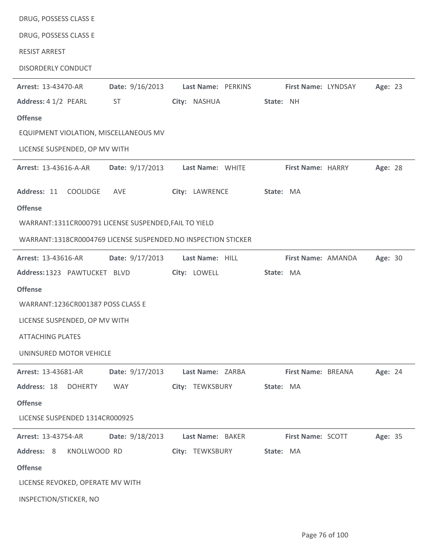## DRUG, POSSESS CLASS E

DRUG, POSSESS CLASS E

## RESIST ARREST

DISORDERLY CONDUCT

| Arrest: 13-43470-AR                                   | Date: 9/16/2013 | Last Name: PERKINS                                            | First Name: LYNDSAY | Age: 23 |  |  |  |  |  |
|-------------------------------------------------------|-----------------|---------------------------------------------------------------|---------------------|---------|--|--|--|--|--|
| Address: 4 1/2 PEARL                                  | <b>ST</b>       | City: NASHUA                                                  | State: NH           |         |  |  |  |  |  |
| <b>Offense</b>                                        |                 |                                                               |                     |         |  |  |  |  |  |
| EQUIPMENT VIOLATION, MISCELLANEOUS MV                 |                 |                                                               |                     |         |  |  |  |  |  |
| LICENSE SUSPENDED, OP MV WITH                         |                 |                                                               |                     |         |  |  |  |  |  |
| <b>Arrest: 13-43616-A-AR</b>                          | Date: 9/17/2013 | Last Name: WHITE                                              | First Name: HARRY   | Age: 28 |  |  |  |  |  |
| Address: 11<br>COOLIDGE                               | AVE             | City: LAWRENCE                                                | State: MA           |         |  |  |  |  |  |
| <b>Offense</b>                                        |                 |                                                               |                     |         |  |  |  |  |  |
| WARRANT:1311CR000791 LICENSE SUSPENDED, FAIL TO YIELD |                 |                                                               |                     |         |  |  |  |  |  |
|                                                       |                 | WARRANT:1318CR0004769 LICENSE SUSPENDED.NO INSPECTION STICKER |                     |         |  |  |  |  |  |
| Arrest: 13-43616-AR                                   | Date: 9/17/2013 | Last Name: HILL                                               | First Name: AMANDA  | Age: 30 |  |  |  |  |  |
| Address: 1323 PAWTUCKET BLVD                          |                 | City: LOWELL                                                  | State: MA           |         |  |  |  |  |  |
| <b>Offense</b>                                        |                 |                                                               |                     |         |  |  |  |  |  |
| WARRANT:1236CR001387 POSS CLASS E                     |                 |                                                               |                     |         |  |  |  |  |  |
| LICENSE SUSPENDED, OP MV WITH                         |                 |                                                               |                     |         |  |  |  |  |  |
| <b>ATTACHING PLATES</b>                               |                 |                                                               |                     |         |  |  |  |  |  |
| UNINSURED MOTOR VEHICLE                               |                 |                                                               |                     |         |  |  |  |  |  |
| Arrest: 13-43681-AR                                   | Date: 9/17/2013 | Last Name: ZARBA                                              | First Name: BREANA  | Age: 24 |  |  |  |  |  |
| Address: 18<br><b>DOHERTY</b>                         | <b>WAY</b>      | City: TEWKSBURY                                               | State: MA           |         |  |  |  |  |  |
| <b>Offense</b>                                        |                 |                                                               |                     |         |  |  |  |  |  |
| LICENSE SUSPENDED 1314CR000925                        |                 |                                                               |                     |         |  |  |  |  |  |
| Arrest: 13-43754-AR                                   | Date: 9/18/2013 | Last Name: BAKER                                              | First Name: SCOTT   | Age: 35 |  |  |  |  |  |
| Address: 8<br>KNOLLWOOD RD                            |                 | City: TEWKSBURY                                               | State: MA           |         |  |  |  |  |  |
| <b>Offense</b>                                        |                 |                                                               |                     |         |  |  |  |  |  |
| LICENSE REVOKED, OPERATE MV WITH                      |                 |                                                               |                     |         |  |  |  |  |  |
| INSPECTION/STICKER, NO                                |                 |                                                               |                     |         |  |  |  |  |  |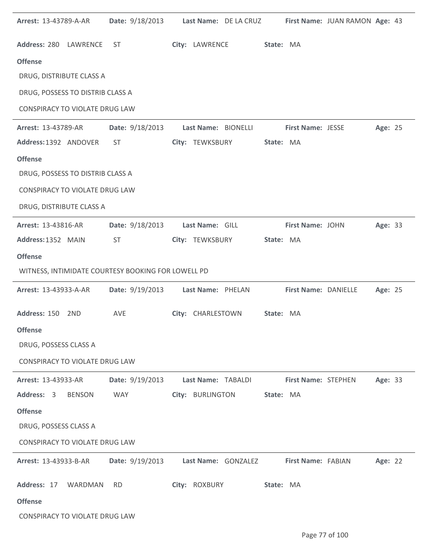| Arrest: 13-43789-A-AR                 | <b>Date:</b> 9/18/2013                             |                   | Last Name: DE LA CRUZ |           |                          | First Name: JUAN RAMON Age: 43 |         |  |
|---------------------------------------|----------------------------------------------------|-------------------|-----------------------|-----------|--------------------------|--------------------------------|---------|--|
| Address: 280 LAWRENCE                 | ST.                                                | City: LAWRENCE    |                       | State: MA |                          |                                |         |  |
| <b>Offense</b>                        |                                                    |                   |                       |           |                          |                                |         |  |
| DRUG, DISTRIBUTE CLASS A              |                                                    |                   |                       |           |                          |                                |         |  |
| DRUG, POSSESS TO DISTRIB CLASS A      |                                                    |                   |                       |           |                          |                                |         |  |
| <b>CONSPIRACY TO VIOLATE DRUG LAW</b> |                                                    |                   |                       |           |                          |                                |         |  |
| Arrest: 13-43789-AR                   | Date: 9/18/2013                                    |                   | Last Name: BIONELLI   |           | <b>First Name: JESSE</b> |                                | Age: 25 |  |
| Address: 1392 ANDOVER                 | ST                                                 |                   | City: TEWKSBURY       | State: MA |                          |                                |         |  |
| <b>Offense</b>                        |                                                    |                   |                       |           |                          |                                |         |  |
| DRUG, POSSESS TO DISTRIB CLASS A      |                                                    |                   |                       |           |                          |                                |         |  |
| CONSPIRACY TO VIOLATE DRUG LAW        |                                                    |                   |                       |           |                          |                                |         |  |
| DRUG, DISTRIBUTE CLASS A              |                                                    |                   |                       |           |                          |                                |         |  |
| Arrest: 13-43816-AR                   | Date: 9/18/2013                                    | Last Name: GILL   |                       |           | First Name: JOHN         |                                | Age: 33 |  |
| Address: 1352 MAIN                    | ST.                                                | City: TEWKSBURY   |                       | State: MA |                          |                                |         |  |
| <b>Offense</b>                        |                                                    |                   |                       |           |                          |                                |         |  |
|                                       | WITNESS, INTIMIDATE COURTESY BOOKING FOR LOWELL PD |                   |                       |           |                          |                                |         |  |
| Arrest: 13-43933-A-AR                 | Date: 9/19/2013                                    | Last Name: PHELAN |                       |           | First Name: DANIELLE     |                                | Age: 25 |  |
| Address: 150 2ND                      | AVE                                                | City: CHARLESTOWN |                       | State: MA |                          |                                |         |  |
| <b>Offense</b>                        |                                                    |                   |                       |           |                          |                                |         |  |
| DRUG, POSSESS CLASS A                 |                                                    |                   |                       |           |                          |                                |         |  |
| <b>CONSPIRACY TO VIOLATE DRUG LAW</b> |                                                    |                   |                       |           |                          |                                |         |  |
| <b>Arrest: 13-43933-AR</b>            | <b>Date:</b> 9/19/2013                             |                   | Last Name: TABALDI    |           | First Name: STEPHEN      |                                | Age: 33 |  |
| Address: 3 BENSON                     | WAY                                                |                   | City: BURLINGTON      | State: MA |                          |                                |         |  |
| <b>Offense</b>                        |                                                    |                   |                       |           |                          |                                |         |  |
| DRUG, POSSESS CLASS A                 |                                                    |                   |                       |           |                          |                                |         |  |
| CONSPIRACY TO VIOLATE DRUG LAW        |                                                    |                   |                       |           |                          |                                |         |  |
| <b>Arrest: 13-43933-B-AR</b>          | <b>Date:</b> 9/19/2013                             |                   | Last Name: GONZALEZ   |           | First Name: FABIAN       |                                | Age: 22 |  |
| Address: 17 WARDMAN                   | <b>RD</b>                                          | City: ROXBURY     |                       | State: MA |                          |                                |         |  |
| <b>Offense</b>                        |                                                    |                   |                       |           |                          |                                |         |  |
| CONSPIRACY TO VIOLATE DRUG LAW        |                                                    |                   |                       |           |                          |                                |         |  |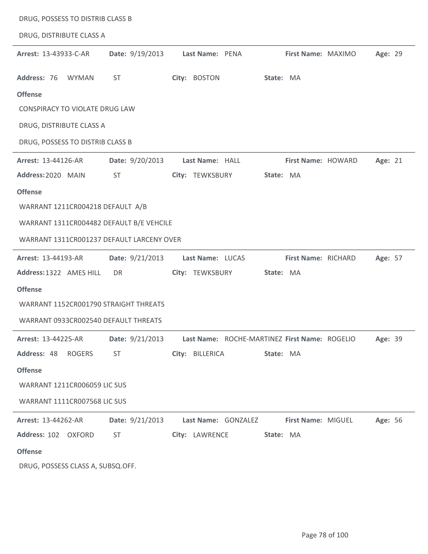| DRUG, POSSESS TO DISTRIB CLASS B          |                 |                                                               |                     |         |
|-------------------------------------------|-----------------|---------------------------------------------------------------|---------------------|---------|
| DRUG, DISTRIBUTE CLASS A                  |                 |                                                               |                     |         |
| Arrest: 13-43933-C-AR                     | Date: 9/19/2013 | Last Name: PENA                                               | First Name: MAXIMO  | Age: 29 |
| Address: 76<br>WYMAN                      | <b>ST</b>       | City: BOSTON                                                  | State: MA           |         |
| <b>Offense</b>                            |                 |                                                               |                     |         |
| <b>CONSPIRACY TO VIOLATE DRUG LAW</b>     |                 |                                                               |                     |         |
| DRUG, DISTRIBUTE CLASS A                  |                 |                                                               |                     |         |
| DRUG, POSSESS TO DISTRIB CLASS B          |                 |                                                               |                     |         |
| Arrest: 13-44126-AR                       | Date: 9/20/2013 | Last Name: HALL                                               | First Name: HOWARD  | Age: 21 |
| Address: 2020 MAIN                        | ST.             | City: TEWKSBURY                                               | State: MA           |         |
| <b>Offense</b>                            |                 |                                                               |                     |         |
| WARRANT 1211CR004218 DEFAULT A/B          |                 |                                                               |                     |         |
| WARRANT 1311CR004482 DEFAULT B/E VEHCILE  |                 |                                                               |                     |         |
| WARRANT 1311CR001237 DEFAULT LARCENY OVER |                 |                                                               |                     |         |
| Arrest: 13-44193-AR                       | Date: 9/21/2013 | Last Name: LUCAS                                              | First Name: RICHARD | Age: 57 |
| Address: 1322 AMES HILL                   | DR              | City: TEWKSBURY                                               | State: MA           |         |
| <b>Offense</b>                            |                 |                                                               |                     |         |
| WARRANT 1152CR001790 STRAIGHT THREATS     |                 |                                                               |                     |         |
| WARRANT 0933CR002540 DEFAULT THREATS      |                 |                                                               |                     |         |
| <b>Arrest: 13-44225-AR</b>                |                 | Date: 9/21/2013 Last Name: ROCHE-MARTINEZ First Name: ROGELIO |                     | Age: 39 |
| Address: 48 ROGERS                        | <b>ST</b>       | City: BILLERICA                                               | State: MA           |         |
| <b>Offense</b>                            |                 |                                                               |                     |         |
| <b>WARRANT 1211CR006059 LIC SUS</b>       |                 |                                                               |                     |         |
| WARRANT 1111CR007568 LIC SUS              |                 |                                                               |                     |         |
| <b>Arrest: 13-44262-AR</b>                |                 | Date: 9/21/2013 Last Name: GONZALEZ First Name: MIGUEL        |                     | Age: 56 |
| Address: 102 OXFORD                       | ST FOR THE ST   | City: LAWRENCE                                                | State: MA           |         |
| <b>Offense</b>                            |                 |                                                               |                     |         |
| DRUG, POSSESS CLASS A, SUBSQ.OFF.         |                 |                                                               |                     |         |

 $\overline{a}$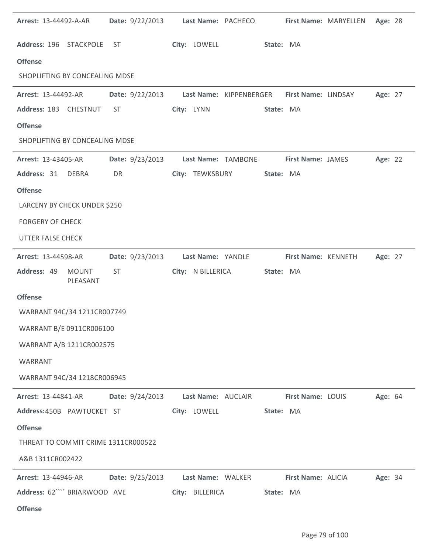| <b>Arrest: 13-44492-A-AR</b>        |                          |           |                                   |                   | Date: 9/22/2013 Last Name: PACHECO |           |                                                      | First Name: MARYELLEN Age: 28               |         |  |
|-------------------------------------|--------------------------|-----------|-----------------------------------|-------------------|------------------------------------|-----------|------------------------------------------------------|---------------------------------------------|---------|--|
| Address: 196 STACKPOLE ST           |                          |           |                                   | City: LOWELL      |                                    | State: MA |                                                      |                                             |         |  |
| <b>Offense</b>                      |                          |           |                                   |                   |                                    |           |                                                      |                                             |         |  |
| SHOPLIFTING BY CONCEALING MDSE      |                          |           |                                   |                   |                                    |           |                                                      |                                             |         |  |
| <b>Arrest: 13-44492-AR</b>          |                          |           | Date: 9/22/2013                   |                   |                                    |           |                                                      | Last Name: KIPPENBERGER First Name: LINDSAY | Age: 27 |  |
| Address: 183 CHESTNUT               |                          | <b>ST</b> |                                   | City: LYNN        |                                    | State: MA |                                                      |                                             |         |  |
| <b>Offense</b>                      |                          |           |                                   |                   |                                    |           |                                                      |                                             |         |  |
| SHOPLIFTING BY CONCEALING MDSE      |                          |           |                                   |                   |                                    |           |                                                      |                                             |         |  |
| <b>Arrest: 13-43405-AR</b>          |                          |           |                                   |                   |                                    |           | Date: 9/23/2013 Last Name: TAMBONE First Name: JAMES |                                             | Age: 22 |  |
| Address: 31 DEBRA                   |                          | DR        |                                   |                   | City: TEWKSBURY                    | State: MA |                                                      |                                             |         |  |
| <b>Offense</b>                      |                          |           |                                   |                   |                                    |           |                                                      |                                             |         |  |
| LARCENY BY CHECK UNDER \$250        |                          |           |                                   |                   |                                    |           |                                                      |                                             |         |  |
| <b>FORGERY OF CHECK</b>             |                          |           |                                   |                   |                                    |           |                                                      |                                             |         |  |
| <b>UTTER FALSE CHECK</b>            |                          |           |                                   |                   |                                    |           |                                                      |                                             |         |  |
| <b>Arrest: 13-44598-AR</b>          |                          |           | Date: 9/23/2013 Last Name: YANDLE |                   |                                    |           |                                                      | First Name: KENNETH                         | Age: 27 |  |
|                                     |                          |           |                                   |                   |                                    |           |                                                      |                                             |         |  |
| Address: 49                         | <b>MOUNT</b><br>PLEASANT | ST        |                                   | City: N BILLERICA |                                    | State: MA |                                                      |                                             |         |  |
| <b>Offense</b>                      |                          |           |                                   |                   |                                    |           |                                                      |                                             |         |  |
| WARRANT 94C/34 1211CR007749         |                          |           |                                   |                   |                                    |           |                                                      |                                             |         |  |
| WARRANT B/E 0911CR006100            |                          |           |                                   |                   |                                    |           |                                                      |                                             |         |  |
| WARRANT A/B 1211CR002575            |                          |           |                                   |                   |                                    |           |                                                      |                                             |         |  |
| WARRANT                             |                          |           |                                   |                   |                                    |           |                                                      |                                             |         |  |
| WARRANT 94C/34 1218CR006945         |                          |           |                                   |                   |                                    |           |                                                      |                                             |         |  |
| Arrest: 13-44841-AR                 |                          |           | Date: 9/24/2013                   |                   | Last Name: AUCLAIR                 |           | First Name: LOUIS                                    |                                             | Age: 64 |  |
| Address:450B PAWTUCKET ST           |                          |           |                                   | City: LOWELL      |                                    | State: MA |                                                      |                                             |         |  |
| <b>Offense</b>                      |                          |           |                                   |                   |                                    |           |                                                      |                                             |         |  |
| THREAT TO COMMIT CRIME 1311CR000522 |                          |           |                                   |                   |                                    |           |                                                      |                                             |         |  |
| A&B 1311CR002422                    |                          |           |                                   |                   |                                    |           |                                                      |                                             |         |  |
| Arrest: 13-44946-AR                 |                          |           | <b>Date:</b> 9/25/2013            |                   | Last Name: WALKER                  |           | First Name: ALICIA                                   |                                             | Age: 34 |  |
| Address: 62"" BRIARWOOD AVE         |                          |           |                                   | City: BILLERICA   |                                    | State: MA |                                                      |                                             |         |  |

 $\ddot{\phantom{1}}$ 

 $\overline{a}$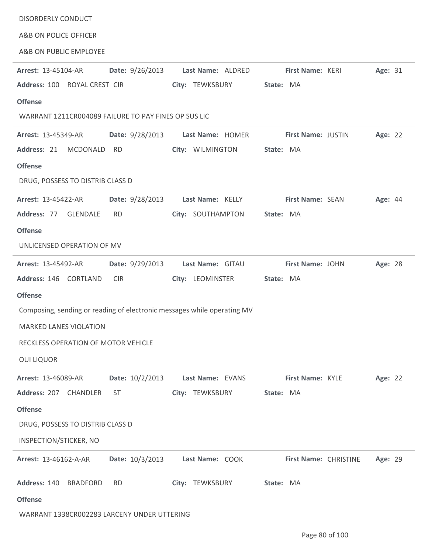| A&B ON POLICE OFFICER                                                   |                 |                   |                       |  |         |  |  |  |  |
|-------------------------------------------------------------------------|-----------------|-------------------|-----------------------|--|---------|--|--|--|--|
| A&B ON PUBLIC EMPLOYEE                                                  |                 |                   |                       |  |         |  |  |  |  |
| Arrest: 13-45104-AR                                                     | Date: 9/26/2013 | Last Name: ALDRED | First Name: KERI      |  | Age: 31 |  |  |  |  |
| Address: 100 ROYAL CREST CIR                                            |                 | City: TEWKSBURY   | State: MA             |  |         |  |  |  |  |
| <b>Offense</b>                                                          |                 |                   |                       |  |         |  |  |  |  |
| WARRANT 1211CR004089 FAILURE TO PAY FINES OP SUS LIC                    |                 |                   |                       |  |         |  |  |  |  |
| <b>Arrest: 13-45349-AR</b>                                              | Date: 9/28/2013 | Last Name: HOMER  | First Name: JUSTIN    |  | Age: 22 |  |  |  |  |
| Address: 21 MCDONALD                                                    | <b>RD</b>       | City: WILMINGTON  | State: MA             |  |         |  |  |  |  |
| <b>Offense</b>                                                          |                 |                   |                       |  |         |  |  |  |  |
| DRUG, POSSESS TO DISTRIB CLASS D                                        |                 |                   |                       |  |         |  |  |  |  |
| <b>Arrest: 13-45422-AR</b>                                              | Date: 9/28/2013 | Last Name: KELLY  | First Name: SEAN      |  | Age: 44 |  |  |  |  |
| Address: 77<br><b>GLENDALE</b>                                          | <b>RD</b>       | City: SOUTHAMPTON | State: MA             |  |         |  |  |  |  |
| <b>Offense</b>                                                          |                 |                   |                       |  |         |  |  |  |  |
| UNLICENSED OPERATION OF MV                                              |                 |                   |                       |  |         |  |  |  |  |
| <b>Arrest: 13-45492-AR</b>                                              | Date: 9/29/2013 | Last Name: GITAU  | First Name: JOHN      |  | Age: 28 |  |  |  |  |
| Address: 146 CORTLAND                                                   | <b>CIR</b>      | City: LEOMINSTER  | State: MA             |  |         |  |  |  |  |
| <b>Offense</b>                                                          |                 |                   |                       |  |         |  |  |  |  |
| Composing, sending or reading of electronic messages while operating MV |                 |                   |                       |  |         |  |  |  |  |
| <b>MARKED LANES VIOLATION</b>                                           |                 |                   |                       |  |         |  |  |  |  |
| RECKLESS OPERATION OF MOTOR VEHICLE                                     |                 |                   |                       |  |         |  |  |  |  |
| <b>OUI LIQUOR</b>                                                       |                 |                   |                       |  |         |  |  |  |  |
| Arrest: 13-46089-AR                                                     | Date: 10/2/2013 | Last Name: EVANS  | First Name: KYLE      |  | Age: 22 |  |  |  |  |
| Address: 207 CHANDLER                                                   | <b>ST</b>       | City: TEWKSBURY   | State: MA             |  |         |  |  |  |  |
| <b>Offense</b>                                                          |                 |                   |                       |  |         |  |  |  |  |
| DRUG, POSSESS TO DISTRIB CLASS D                                        |                 |                   |                       |  |         |  |  |  |  |
| INSPECTION/STICKER, NO                                                  |                 |                   |                       |  |         |  |  |  |  |
| Arrest: 13-46162-A-AR                                                   | Date: 10/3/2013 | Last Name: COOK   | First Name: CHRISTINE |  | Age: 29 |  |  |  |  |
| Address: 140<br><b>BRADFORD</b>                                         | <b>RD</b>       | City: TEWKSBURY   | State: MA             |  |         |  |  |  |  |
| <b>Offense</b>                                                          |                 |                   |                       |  |         |  |  |  |  |

DISORDERLY CONDUCT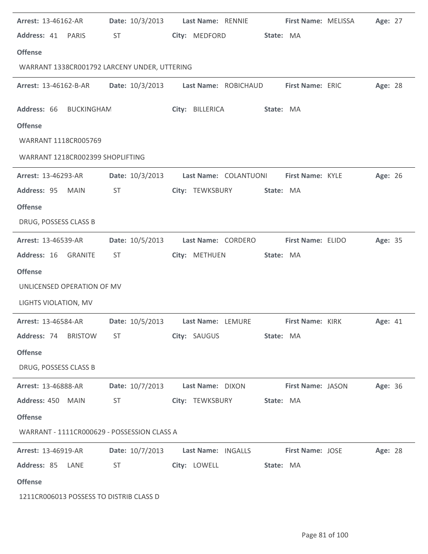| Arrest: 13-46162-AR                          | <b>Date:</b> 10/3/2013 | Last Name: RENNIE     | First Name: MELISSA     | Age: 27 |
|----------------------------------------------|------------------------|-----------------------|-------------------------|---------|
| Address: 41 PARIS                            | ST                     | City: MEDFORD         | State: MA               |         |
| <b>Offense</b>                               |                        |                       |                         |         |
| WARRANT 1338CR001792 LARCENY UNDER, UTTERING |                        |                       |                         |         |
| <b>Arrest: 13-46162-B-AR</b>                 | Date: 10/3/2013        | Last Name: ROBICHAUD  | First Name: ERIC        | Age: 28 |
| Address: 66<br><b>BUCKINGHAM</b>             |                        | City: BILLERICA       | State: MA               |         |
| <b>Offense</b>                               |                        |                       |                         |         |
| WARRANT 1118CR005769                         |                        |                       |                         |         |
| WARRANT 1218CR002399 SHOPLIFTING             |                        |                       |                         |         |
| Arrest: 13-46293-AR                          | Date: 10/3/2013        | Last Name: COLANTUONI | First Name: KYLE        | Age: 26 |
| Address: 95<br><b>MAIN</b>                   | ST                     | City: TEWKSBURY       | State: MA               |         |
| <b>Offense</b>                               |                        |                       |                         |         |
| DRUG, POSSESS CLASS B                        |                        |                       |                         |         |
| Arrest: 13-46539-AR                          | Date: 10/5/2013        | Last Name: CORDERO    | First Name: ELIDO       | Age: 35 |
| Address: 16 GRANITE                          | <b>ST</b>              | City: METHUEN         | State: MA               |         |
| <b>Offense</b>                               |                        |                       |                         |         |
| UNLICENSED OPERATION OF MV                   |                        |                       |                         |         |
| LIGHTS VIOLATION, MV                         |                        |                       |                         |         |
| Arrest: 13-46584-AR                          | <b>Date:</b> 10/5/2013 | Last Name: LEMURE     | First Name: KIRK        | Age: 41 |
| Address: 74 BRISTOW                          | ST.                    | City: SAUGUS          | State: MA               |         |
| <b>Offense</b>                               |                        |                       |                         |         |
| DRUG, POSSESS CLASS B                        |                        |                       |                         |         |
| Arrest: 13-46888-AR                          | Date: 10/7/2013        | Last Name: DIXON      | First Name: JASON       | Age: 36 |
| Address: 450 MAIN                            | ST                     | City: TEWKSBURY       | State: MA               |         |
| <b>Offense</b>                               |                        |                       |                         |         |
| WARRANT - 1111CR000629 - POSSESSION CLASS A  |                        |                       |                         |         |
| Arrest: 13-46919-AR                          | Date: 10/7/2013        | Last Name: INGALLS    | <b>First Name: JOSE</b> | Age: 28 |
| Address: 85<br>LANE                          | ST                     | City: LOWELL          | State: MA               |         |
| <b>Offense</b>                               |                        |                       |                         |         |
| 1211CR006013 POSSESS TO DISTRIB CLASS D      |                        |                       |                         |         |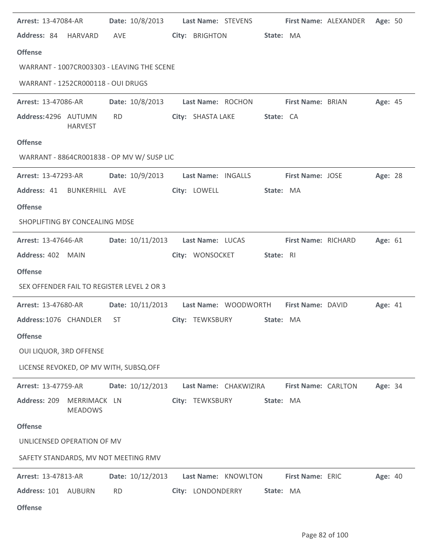| Arrest: 13-47084-AR                            |                  | Date: 10/8/2013 Last Name: STEVENS                            |           |                          | First Name: ALEXANDER | Age: 50 |  |
|------------------------------------------------|------------------|---------------------------------------------------------------|-----------|--------------------------|-----------------------|---------|--|
| Address: 84 HARVARD                            | AVE              | City: BRIGHTON                                                | State: MA |                          |                       |         |  |
| <b>Offense</b>                                 |                  |                                                               |           |                          |                       |         |  |
| WARRANT - 1007CR003303 - LEAVING THE SCENE     |                  |                                                               |           |                          |                       |         |  |
| WARRANT - 1252CR000118 - OUI DRUGS             |                  |                                                               |           |                          |                       |         |  |
| <b>Arrest: 13-47086-AR</b>                     |                  | Date: 10/8/2013 Last Name: ROCHON                             |           | <b>First Name: BRIAN</b> |                       | Age: 45 |  |
| Address: 4296 AUTUMN<br><b>HARVEST</b>         | <b>RD</b>        | City: SHASTA LAKE                                             | State: CA |                          |                       |         |  |
| <b>Offense</b>                                 |                  |                                                               |           |                          |                       |         |  |
| WARRANT - 8864CR001838 - OP MV W/ SUSP LIC     |                  |                                                               |           |                          |                       |         |  |
| <b>Arrest: 13-47293-AR</b>                     |                  | Date: 10/9/2013 Last Name: INGALLS                            |           | <b>First Name: JOSE</b>  |                       | Age: 28 |  |
| Address: 41 BUNKERHILL AVE                     |                  | City: LOWELL                                                  | State: MA |                          |                       |         |  |
| <b>Offense</b>                                 |                  |                                                               |           |                          |                       |         |  |
| SHOPLIFTING BY CONCEALING MDSE                 |                  |                                                               |           |                          |                       |         |  |
| <b>Arrest: 13-47646-AR</b>                     |                  | Date: 10/11/2013 Last Name: LUCAS                             |           |                          | First Name: RICHARD   | Age: 61 |  |
| Address: 402 MAIN                              |                  | City: WONSOCKET                                               | State: RI |                          |                       |         |  |
| <b>Offense</b>                                 |                  |                                                               |           |                          |                       |         |  |
| SEX OFFENDER FAIL TO REGISTER LEVEL 2 OR 3     |                  |                                                               |           |                          |                       |         |  |
| <b>Arrest: 13-47680-AR</b>                     |                  | Date: 10/11/2013    Last Name: WOODWORTH    First Name: DAVID |           |                          |                       | Age: 41 |  |
| Address: 1076 CHANDLER                         | ST               | City: TEWKSBURY                                               | State: MA |                          |                       |         |  |
| <b>Offense</b>                                 |                  |                                                               |           |                          |                       |         |  |
| <b>OUI LIQUOR, 3RD OFFENSE</b>                 |                  |                                                               |           |                          |                       |         |  |
| LICENSE REVOKED, OP MV WITH, SUBSQ.OFF         |                  |                                                               |           |                          |                       |         |  |
| Arrest: 13-47759-AR                            | Date: 10/12/2013 | Last Name: CHAKWIZIRA                                         |           | First Name: CARLTON      |                       | Age: 34 |  |
| Address: 209<br>MERRIMACK LN<br><b>MEADOWS</b> |                  | City: TEWKSBURY                                               | State: MA |                          |                       |         |  |
| <b>Offense</b>                                 |                  |                                                               |           |                          |                       |         |  |
| UNLICENSED OPERATION OF MV                     |                  |                                                               |           |                          |                       |         |  |
| SAFETY STANDARDS, MV NOT MEETING RMV           |                  |                                                               |           |                          |                       |         |  |
|                                                |                  |                                                               |           |                          |                       |         |  |
| <b>Arrest: 13-47813-AR</b>                     | Date: 10/12/2013 | Last Name: KNOWLTON                                           |           | First Name: ERIC         |                       | Age: 40 |  |
| Address: 101 AUBURN                            | <b>RD</b>        | City: LONDONDERRY                                             | State: MA |                          |                       |         |  |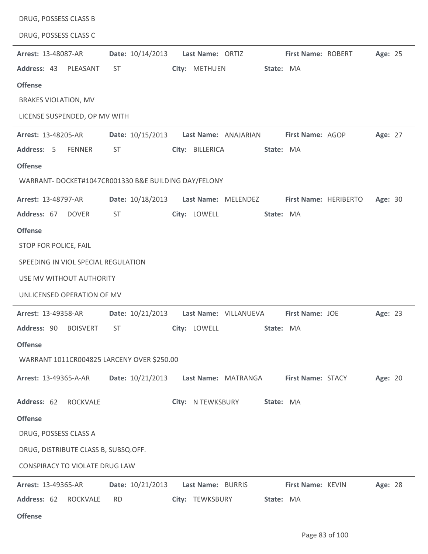| DRUG, POSSESS CLASS B                                |                  |                                                              |                    |                       |         |
|------------------------------------------------------|------------------|--------------------------------------------------------------|--------------------|-----------------------|---------|
| DRUG, POSSESS CLASS C                                |                  |                                                              |                    |                       |         |
| Arrest: 13-48087-AR                                  | Date: 10/14/2013 | Last Name: ORTIZ                                             | First Name: ROBERT |                       | Age: 25 |
| Address: 43 PLEASANT                                 | ST.              | City: METHUEN                                                | State: MA          |                       |         |
| <b>Offense</b>                                       |                  |                                                              |                    |                       |         |
| <b>BRAKES VIOLATION, MV</b>                          |                  |                                                              |                    |                       |         |
| LICENSE SUSPENDED, OP MV WITH                        |                  |                                                              |                    |                       |         |
| Arrest: 13-48205-AR                                  |                  | Date: 10/15/2013    Last Name: ANAJARIAN    First Name: AGOP |                    |                       | Age: 27 |
| Address: 5<br><b>FENNER</b>                          | <b>ST</b>        | City: BILLERICA                                              | State: MA          |                       |         |
| <b>Offense</b>                                       |                  |                                                              |                    |                       |         |
| WARRANT- DOCKET#1047CR001330 B&E BUILDING DAY/FELONY |                  |                                                              |                    |                       |         |
| Arrest: 13-48797-AR                                  |                  | Date: 10/18/2013    Last Name: MELENDEZ                      |                    | First Name: HERIBERTO | Age: 30 |
| Address: 67<br><b>DOVER</b>                          | ST               | City: LOWELL                                                 | State: MA          |                       |         |
| <b>Offense</b>                                       |                  |                                                              |                    |                       |         |
| STOP FOR POLICE, FAIL                                |                  |                                                              |                    |                       |         |
| SPEEDING IN VIOL SPECIAL REGULATION                  |                  |                                                              |                    |                       |         |
| USE MV WITHOUT AUTHORITY                             |                  |                                                              |                    |                       |         |
| UNLICENSED OPERATION OF MV                           |                  |                                                              |                    |                       |         |
| <b>Arrest: 13-49358-AR</b>                           | Date: 10/21/2013 | Last Name: VILLANUEVA                                        | First Name: JOE    |                       | Age: 23 |
| Address: 90 BOISVERT ST City: LOWELL                 |                  |                                                              | State: MA          |                       |         |
| <b>Offense</b>                                       |                  |                                                              |                    |                       |         |
| WARRANT 1011CR004825 LARCENY OVER \$250.00           |                  |                                                              |                    |                       |         |
| Arrest: 13-49365-A-AR                                | Date: 10/21/2013 | Last Name: MATRANGA                                          | First Name: STACY  |                       | Age: 20 |
| Address: 62<br><b>ROCKVALE</b>                       |                  | City: N TEWKSBURY                                            | State: MA          |                       |         |
| <b>Offense</b>                                       |                  |                                                              |                    |                       |         |
| DRUG, POSSESS CLASS A                                |                  |                                                              |                    |                       |         |
| DRUG, DISTRIBUTE CLASS B, SUBSQ.OFF.                 |                  |                                                              |                    |                       |         |
| CONSPIRACY TO VIOLATE DRUG LAW                       |                  |                                                              |                    |                       |         |
| Arrest: 13-49365-AR                                  | Date: 10/21/2013 | Last Name: BURRIS                                            | First Name: KEVIN  |                       | Age: 28 |
| Address: 62<br>ROCKVALE                              | <b>RD</b>        | City: TEWKSBURY                                              | State: MA          |                       |         |
| <b>Offense</b>                                       |                  |                                                              |                    |                       |         |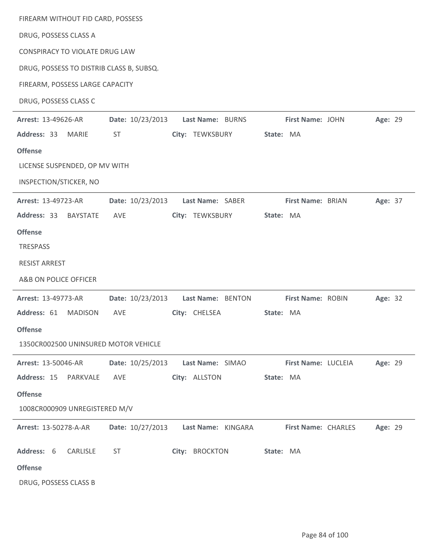| FIREARM WITHOUT FID CARD, POSSESS        |                  |                    |                     |         |  |
|------------------------------------------|------------------|--------------------|---------------------|---------|--|
| DRUG, POSSESS CLASS A                    |                  |                    |                     |         |  |
| <b>CONSPIRACY TO VIOLATE DRUG LAW</b>    |                  |                    |                     |         |  |
| DRUG, POSSESS TO DISTRIB CLASS B, SUBSQ. |                  |                    |                     |         |  |
| FIREARM, POSSESS LARGE CAPACITY          |                  |                    |                     |         |  |
| DRUG, POSSESS CLASS C                    |                  |                    |                     |         |  |
| Arrest: 13-49626-AR                      | Date: 10/23/2013 | Last Name: BURNS   | First Name: JOHN    | Age: 29 |  |
| Address: 33<br><b>MARIE</b>              | ST               | City: TEWKSBURY    | State: MA           |         |  |
| <b>Offense</b>                           |                  |                    |                     |         |  |
| LICENSE SUSPENDED, OP MV WITH            |                  |                    |                     |         |  |
| INSPECTION/STICKER, NO                   |                  |                    |                     |         |  |
| Arrest: 13-49723-AR                      | Date: 10/23/2013 | Last Name: SABER   | First Name: BRIAN   | Age: 37 |  |
| Address: 33<br><b>BAYSTATE</b>           | <b>AVE</b>       | City: TEWKSBURY    | State: MA           |         |  |
| <b>Offense</b>                           |                  |                    |                     |         |  |
| <b>TRESPASS</b>                          |                  |                    |                     |         |  |
| <b>RESIST ARREST</b>                     |                  |                    |                     |         |  |
| A&B ON POLICE OFFICER                    |                  |                    |                     |         |  |
| Arrest: 13-49773-AR                      | Date: 10/23/2013 | Last Name: BENTON  | First Name: ROBIN   | Age: 32 |  |
| Address: 61<br><b>MADISON</b>            | AVE              | City: CHELSEA      | State: MA           |         |  |
| <b>Offense</b>                           |                  |                    |                     |         |  |
| 1350CR002500 UNINSURED MOTOR VEHICLE     |                  |                    |                     |         |  |
| Arrest: 13-50046-AR                      | Date: 10/25/2013 | Last Name: SIMAO   | First Name: LUCLEIA | Age: 29 |  |
| Address: 15<br>PARKVALE                  | AVE              | City: ALLSTON      | State: MA           |         |  |
| <b>Offense</b>                           |                  |                    |                     |         |  |
| 1008CR000909 UNREGISTERED M/V            |                  |                    |                     |         |  |
| Arrest: 13-50278-A-AR                    | Date: 10/27/2013 | Last Name: KINGARA | First Name: CHARLES | Age: 29 |  |
| Address: 6<br><b>CARLISLE</b>            | <b>ST</b>        | City: BROCKTON     | State: MA           |         |  |
| <b>Offense</b>                           |                  |                    |                     |         |  |
| DRUG, POSSESS CLASS B                    |                  |                    |                     |         |  |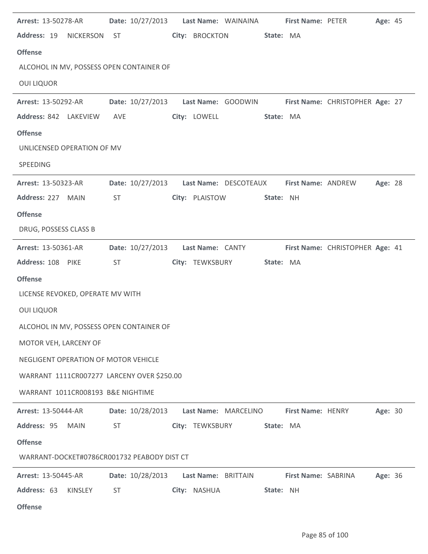| Arrest: 13-50278-AR                         | Date: 10/27/2013 | Last Name: WAINAINA                       |           | <b>First Name: PETER</b>   |                                 | Age: 45 |  |
|---------------------------------------------|------------------|-------------------------------------------|-----------|----------------------------|---------------------------------|---------|--|
| Address: 19 NICKERSON ST                    |                  | City: BROCKTON                            | State: MA |                            |                                 |         |  |
| <b>Offense</b>                              |                  |                                           |           |                            |                                 |         |  |
| ALCOHOL IN MV, POSSESS OPEN CONTAINER OF    |                  |                                           |           |                            |                                 |         |  |
| <b>OUI LIQUOR</b>                           |                  |                                           |           |                            |                                 |         |  |
| <b>Arrest: 13-50292-AR</b>                  |                  | Date: 10/27/2013    Last Name: GOODWIN    |           |                            | First Name: CHRISTOPHER Age: 27 |         |  |
| Address: 842 LAKEVIEW                       | AVE              | City: LOWELL                              | State: MA |                            |                                 |         |  |
| <b>Offense</b>                              |                  |                                           |           |                            |                                 |         |  |
| UNLICENSED OPERATION OF MV                  |                  |                                           |           |                            |                                 |         |  |
| SPEEDING                                    |                  |                                           |           |                            |                                 |         |  |
| <b>Arrest: 13-50323-AR</b>                  |                  | Date: 10/27/2013    Last Name: DESCOTEAUX |           | First Name: ANDREW         |                                 | Age: 28 |  |
| Address: 227 MAIN                           | <b>ST</b>        | City: PLAISTOW                            | State: NH |                            |                                 |         |  |
| <b>Offense</b>                              |                  |                                           |           |                            |                                 |         |  |
| DRUG, POSSESS CLASS B                       |                  |                                           |           |                            |                                 |         |  |
| Arrest: 13-50361-AR                         | Date: 10/27/2013 | Last Name: CANTY                          |           |                            | First Name: CHRISTOPHER Age: 41 |         |  |
| Address: 108 PIKE                           | <b>ST</b>        | City: TEWKSBURY                           | State: MA |                            |                                 |         |  |
| <b>Offense</b>                              |                  |                                           |           |                            |                                 |         |  |
| LICENSE REVOKED, OPERATE MV WITH            |                  |                                           |           |                            |                                 |         |  |
| <b>OUI LIQUOR</b>                           |                  |                                           |           |                            |                                 |         |  |
| ALCOHOL IN MV, POSSESS OPEN CONTAINER OF    |                  |                                           |           |                            |                                 |         |  |
| MOTOR VEH, LARCENY OF                       |                  |                                           |           |                            |                                 |         |  |
| NEGLIGENT OPERATION OF MOTOR VEHICLE        |                  |                                           |           |                            |                                 |         |  |
| WARRANT 1111CR007277 LARCENY OVER \$250.00  |                  |                                           |           |                            |                                 |         |  |
| WARRANT 1011CR008193 B&E NIGHTIME           |                  |                                           |           |                            |                                 |         |  |
| <b>Arrest: 13-50444-AR</b>                  | Date: 10/28/2013 | Last Name: MARCELINO                      |           | <b>First Name: HENRY</b>   |                                 | Age: 30 |  |
| Address: 95<br><b>MAIN</b>                  | <b>ST</b>        | City: TEWKSBURY                           | State: MA |                            |                                 |         |  |
| <b>Offense</b>                              |                  |                                           |           |                            |                                 |         |  |
| WARRANT-DOCKET#0786CR001732 PEABODY DIST CT |                  |                                           |           |                            |                                 |         |  |
| Arrest: 13-50445-AR                         | Date: 10/28/2013 | Last Name: BRITTAIN                       |           | <b>First Name: SABRINA</b> |                                 | Age: 36 |  |
| Address: 63<br>KINSLEY                      | <b>ST</b>        | City: NASHUA                              | State: NH |                            |                                 |         |  |
| <b>Offense</b>                              |                  |                                           |           |                            |                                 |         |  |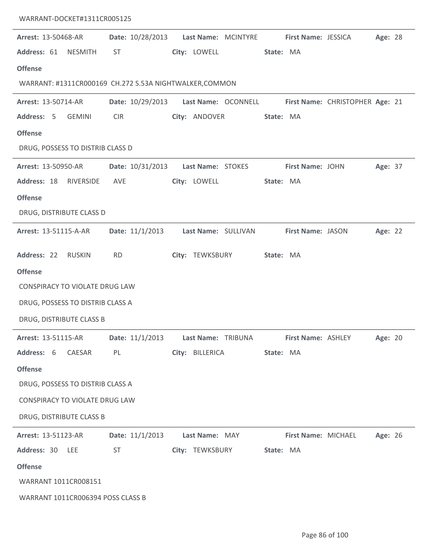| Arrest: 13-50468-AR<br>Address: 61 NESMITH<br><b>Offense</b><br>Arrest: 13-50714-AR<br>Address: 5<br><b>Offense</b>                                             | <b>GEMINI</b> | Date: 10/28/2013<br>ST<br>WARRANT: #1311CR000169 CH.272 S.53A NIGHTWALKER,COMMON<br>Date: 10/29/2013    Last Name: OCONNELL<br><b>CIR</b> | City: LOWELL<br>City: ANDOVER          | Last Name: MCINTYRE | <b>First Name: JESSICA</b><br>State: MA<br>State: MA | First Name: CHRISTOPHER Age: 21 | Age: 28 |  |
|-----------------------------------------------------------------------------------------------------------------------------------------------------------------|---------------|-------------------------------------------------------------------------------------------------------------------------------------------|----------------------------------------|---------------------|------------------------------------------------------|---------------------------------|---------|--|
| DRUG, POSSESS TO DISTRIB CLASS D<br>Arrest: 13-50950-AR<br>Address: 18 RIVERSIDE<br><b>Offense</b><br>DRUG, DISTRIBUTE CLASS D                                  |               | Date: 10/31/2013    Last Name: STOKES<br>AVE                                                                                              | City: LOWELL                           |                     | First Name: JOHN<br>State: MA                        |                                 | Age: 37 |  |
| Arrest: 13-51115-A-AR<br>Address: 22 RUSKIN<br><b>Offense</b><br>CONSPIRACY TO VIOLATE DRUG LAW<br>DRUG, POSSESS TO DISTRIB CLASS A<br>DRUG, DISTRIBUTE CLASS B |               | Date: 11/1/2013<br><b>RD</b>                                                                                                              | Last Name: SULLIVAN<br>City: TEWKSBURY |                     | First Name: JASON<br>State: MA                       |                                 | Age: 22 |  |
| Address: 6<br><b>Offense</b><br>DRUG, POSSESS TO DISTRIB CLASS A<br>CONSPIRACY TO VIOLATE DRUG LAW<br>DRUG, DISTRIBUTE CLASS B                                  | CAESAR        | Arrest: 13-51115-AR Date: 11/1/2013 Last Name: TRIBUNA First Name: ASHLEY Age: 20<br>PL                                                   | City: BILLERICA                        |                     | State: MA                                            |                                 |         |  |
| Arrest: 13-51123-AR<br>Address: 30<br><b>Offense</b><br>WARRANT 1011CR008151<br>WARRANT 1011CR006394 POSS CLASS B                                               | LEE           | Date: 11/1/2013<br><b>ST</b>                                                                                                              | Last Name: MAY<br>City: TEWKSBURY      |                     | First Name: MICHAEL<br>State: MA                     |                                 | Age: 26 |  |

WARRANT-DOCKET#1311CR005125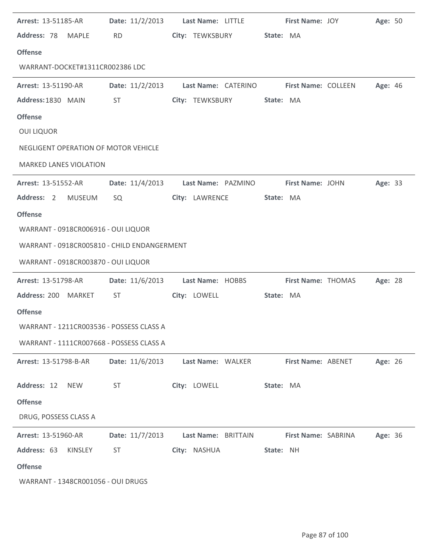| <b>Arrest: 13-51185-AR</b>                  |                 | Date: 11/2/2013 Last Name: LITTLE                   | First Name: JOY                         | Age: 50 |
|---------------------------------------------|-----------------|-----------------------------------------------------|-----------------------------------------|---------|
| Address: 78 MAPLE                           | <b>RD</b>       | City: TEWKSBURY State: MA                           |                                         |         |
| <b>Offense</b>                              |                 |                                                     |                                         |         |
| WARRANT-DOCKET#1311CR002386 LDC             |                 |                                                     |                                         |         |
| <b>Arrest: 13-51190-AR</b>                  | Date: 11/2/2013 |                                                     | Last Name: CATERINO First Name: COLLEEN | Age: 46 |
| Address: 1830 MAIN                          | <b>ST</b>       | City: TEWKSBURY                                     | State: MA                               |         |
| <b>Offense</b>                              |                 |                                                     |                                         |         |
| <b>OUI LIQUOR</b>                           |                 |                                                     |                                         |         |
| NEGLIGENT OPERATION OF MOTOR VEHICLE        |                 |                                                     |                                         |         |
| <b>MARKED LANES VIOLATION</b>               |                 |                                                     |                                         |         |
| Arrest: 13-51552-AR                         |                 | Date: 11/4/2013 Last Name: PAZMINO First Name: JOHN |                                         | Age: 33 |
| Address: 2 MUSEUM                           | SQ              | City: LAWRENCE                                      | State: MA                               |         |
| <b>Offense</b>                              |                 |                                                     |                                         |         |
| WARRANT - 0918CR006916 - OUI LIQUOR         |                 |                                                     |                                         |         |
| WARRANT - 0918CR005810 - CHILD ENDANGERMENT |                 |                                                     |                                         |         |
| WARRANT - 0918CR003870 - OUI LIQUOR         |                 |                                                     |                                         |         |
| <b>Arrest: 13-51798-AR</b>                  |                 | Date: 11/6/2013 Last Name: HOBBS                    | <b>First Name: THOMAS</b>               | Age: 28 |
| Address: 200 MARKET                         | ST              | City: LOWELL                                        | State: MA                               |         |
|                                             |                 |                                                     |                                         |         |
| <b>Offense</b>                              |                 |                                                     |                                         |         |
| WARRANT - 1211CR003536 - POSSESS CLASS A    |                 |                                                     |                                         |         |
| WARRANT - 1111CR007668 - POSSESS CLASS A    |                 |                                                     |                                         |         |
| <b>Arrest: 13-51798-B-AR</b>                |                 | Date: 11/6/2013 Last Name: WALKER                   | <b>First Name: ABENET</b>               | Age: 26 |
| Address: 12 NEW                             | ST              | City: LOWELL                                        | State: MA                               |         |
| <b>Offense</b>                              |                 |                                                     |                                         |         |
| DRUG, POSSESS CLASS A                       |                 |                                                     |                                         |         |
| Arrest: 13-51960-AR                         | Date: 11/7/2013 | Last Name: BRITTAIN                                 | <b>First Name: SABRINA</b>              | Age: 36 |
| Address: 63<br>KINSLEY                      | ST              | City: NASHUA                                        | State: NH                               |         |
| <b>Offense</b>                              |                 |                                                     |                                         |         |

 $\sim$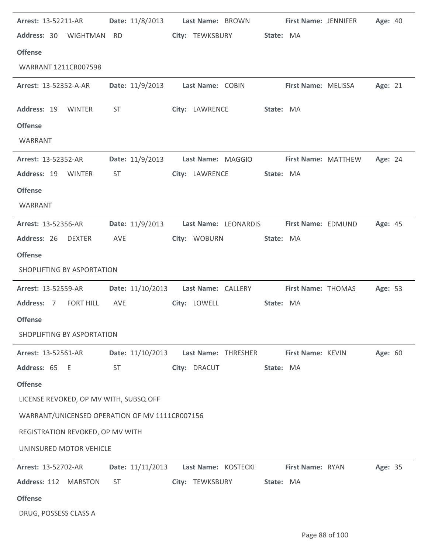| <b>Arrest: 13-52211-AR</b>                     |                  | Date: 11/8/2013 Last Name: BROWN     | <b>First Name: JENNIFER</b> | <b>Age: 40</b> |
|------------------------------------------------|------------------|--------------------------------------|-----------------------------|----------------|
| Address: 30 WIGHTMAN                           | <b>RD</b>        | City: TEWKSBURY                      | State: MA                   |                |
| <b>Offense</b>                                 |                  |                                      |                             |                |
| WARRANT 1211CR007598                           |                  |                                      |                             |                |
| Arrest: 13-52352-A-AR                          |                  | Date: 11/9/2013 Last Name: COBIN     | First Name: MELISSA         | Age: 21        |
| Address: 19 WINTER                             | ST               | City: LAWRENCE                       | State: MA                   |                |
| <b>Offense</b>                                 |                  |                                      |                             |                |
| WARRANT                                        |                  |                                      |                             |                |
| Arrest: 13-52352-AR                            |                  | Date: 11/9/2013 Last Name: MAGGIO    | <b>First Name: MATTHEW</b>  | Age: 24        |
| Address: 19 WINTER                             | ST               | City: LAWRENCE                       | State: MA                   |                |
| <b>Offense</b>                                 |                  |                                      |                             |                |
| WARRANT                                        |                  |                                      |                             |                |
| <b>Arrest: 13-52356-AR</b>                     |                  | Date: 11/9/2013 Last Name: LEONARDIS | First Name: EDMUND          | Age: 45        |
| Address: 26<br><b>DEXTER</b>                   | AVE              | City: WOBURN                         | State: MA                   |                |
| <b>Offense</b>                                 |                  |                                      |                             |                |
| SHOPLIFTING BY ASPORTATION                     |                  |                                      |                             |                |
| <b>Arrest: 13-52559-AR</b>                     | Date: 11/10/2013 | Last Name: CALLERY                   | First Name: THOMAS          | Age: 53        |
| Address: 7 FORT HILL                           | AVE              | City: LOWELL                         | State: MA                   |                |
| <b>Offense</b>                                 |                  |                                      |                             |                |
| SHOPLIFTING BY ASPORTATION                     |                  |                                      |                             |                |
| Arrest: 13-52561-AR                            | Date: 11/10/2013 | Last Name: THRESHER                  | First Name: KEVIN           | Age: 60        |
| Address: 65 E                                  | <b>ST</b>        | City: DRACUT                         | State: MA                   |                |
| <b>Offense</b>                                 |                  |                                      |                             |                |
| LICENSE REVOKED, OP MV WITH, SUBSQ.OFF         |                  |                                      |                             |                |
| WARRANT/UNICENSED OPERATION OF MV 1111CR007156 |                  |                                      |                             |                |
| REGISTRATION REVOKED, OP MV WITH               |                  |                                      |                             |                |
| UNINSURED MOTOR VEHICLE                        |                  |                                      |                             |                |
| Arrest: 13-52702-AR                            | Date: 11/11/2013 | Last Name: KOSTECKI                  | First Name: RYAN            | Age: 35        |
| Address: 112<br><b>MARSTON</b>                 | <b>ST</b>        | City: TEWKSBURY                      | State: MA                   |                |
| <b>Offense</b>                                 |                  |                                      |                             |                |
| DRUG, POSSESS CLASS A                          |                  |                                      |                             |                |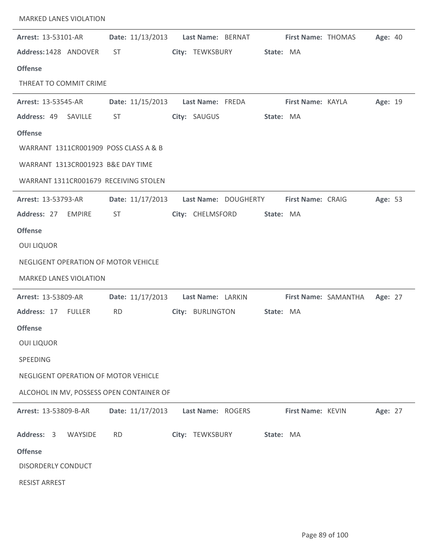| <b>MARKED LANES VIOLATION</b>            |                                      |                   |                      |                           |                      |         |  |
|------------------------------------------|--------------------------------------|-------------------|----------------------|---------------------------|----------------------|---------|--|
| Arrest: 13-53101-AR                      | Date: 11/13/2013                     | Last Name: BERNAT |                      | <b>First Name: THOMAS</b> |                      | Age: 40 |  |
| Address: 1428 ANDOVER                    | ST.                                  | City: TEWKSBURY   |                      | State: MA                 |                      |         |  |
| <b>Offense</b>                           |                                      |                   |                      |                           |                      |         |  |
| THREAT TO COMMIT CRIME                   |                                      |                   |                      |                           |                      |         |  |
| <b>Arrest: 13-53545-AR</b>               | Date: 11/15/2013    Last Name: FREDA |                   |                      | <b>First Name: KAYLA</b>  |                      | Age: 19 |  |
| Address: 49<br>SAVILLE                   | ST.                                  | City: SAUGUS      |                      | State: MA                 |                      |         |  |
| <b>Offense</b>                           |                                      |                   |                      |                           |                      |         |  |
| WARRANT 1311CR001909 POSS CLASS A & B    |                                      |                   |                      |                           |                      |         |  |
| WARRANT 1313CR001923 B&E DAY TIME        |                                      |                   |                      |                           |                      |         |  |
| WARRANT 1311CR001679 RECEIVING STOLEN    |                                      |                   |                      |                           |                      |         |  |
| Arrest: 13-53793-AR                      | Date: 11/17/2013                     |                   | Last Name: DOUGHERTY | First Name: CRAIG         |                      | Age: 53 |  |
| Address: 27 EMPIRE                       | ST                                   | City: CHELMSFORD  |                      | State: MA                 |                      |         |  |
| <b>Offense</b>                           |                                      |                   |                      |                           |                      |         |  |
| <b>OUI LIQUOR</b>                        |                                      |                   |                      |                           |                      |         |  |
| NEGLIGENT OPERATION OF MOTOR VEHICLE     |                                      |                   |                      |                           |                      |         |  |
| <b>MARKED LANES VIOLATION</b>            |                                      |                   |                      |                           |                      |         |  |
| Arrest: 13-53809-AR                      | Date: 11/17/2013                     | Last Name: LARKIN |                      |                           | First Name: SAMANTHA | Age: 27 |  |
| Address: 17 FULLER                       | <b>RD</b>                            | City: BURLINGTON  |                      | State: MA                 |                      |         |  |
| <b>Offense</b>                           |                                      |                   |                      |                           |                      |         |  |
| <b>OUI LIQUOR</b>                        |                                      |                   |                      |                           |                      |         |  |
| SPEEDING                                 |                                      |                   |                      |                           |                      |         |  |
| NEGLIGENT OPERATION OF MOTOR VEHICLE     |                                      |                   |                      |                           |                      |         |  |
| ALCOHOL IN MV, POSSESS OPEN CONTAINER OF |                                      |                   |                      |                           |                      |         |  |
| Arrest: 13-53809-B-AR                    | Date: 11/17/2013                     | Last Name: ROGERS |                      | First Name: KEVIN         |                      | Age: 27 |  |
|                                          |                                      |                   |                      |                           |                      |         |  |
| Address: 3<br>WAYSIDE                    | <b>RD</b>                            | City: TEWKSBURY   |                      | State: MA                 |                      |         |  |
| <b>Offense</b>                           |                                      |                   |                      |                           |                      |         |  |
| <b>DISORDERLY CONDUCT</b>                |                                      |                   |                      |                           |                      |         |  |
| <b>RESIST ARREST</b>                     |                                      |                   |                      |                           |                      |         |  |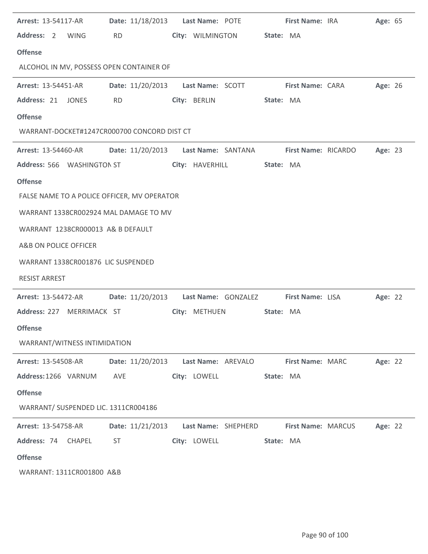| Arrest: 13-54117-AR                         |                  | Date: 11/18/2013    Last Name: POTE     | First Name: IRA           | Age: 65 |
|---------------------------------------------|------------------|-----------------------------------------|---------------------------|---------|
| Address: 2 WING                             | <b>RD</b>        | City: WILMINGTON                        | State: MA                 |         |
| <b>Offense</b>                              |                  |                                         |                           |         |
| ALCOHOL IN MV, POSSESS OPEN CONTAINER OF    |                  |                                         |                           |         |
| Arrest: 13-54451-AR                         | Date: 11/20/2013 | Last Name: SCOTT                        | <b>First Name: CARA</b>   | Age: 26 |
| Address: 21 JONES                           | <b>RD</b>        | City: BERLIN                            | State: MA                 |         |
| <b>Offense</b>                              |                  |                                         |                           |         |
| WARRANT-DOCKET#1247CR000700 CONCORD DIST CT |                  |                                         |                           |         |
| Arrest: 13-54460-AR                         | Date: 11/20/2013 | Last Name: SANTANA                      | First Name: RICARDO       | Age: 23 |
| Address: 566 WASHINGTON ST                  |                  | City: HAVERHILL                         | State: MA                 |         |
| <b>Offense</b>                              |                  |                                         |                           |         |
| FALSE NAME TO A POLICE OFFICER, MV OPERATOR |                  |                                         |                           |         |
| WARRANT 1338CR002924 MAL DAMAGE TO MV       |                  |                                         |                           |         |
| WARRANT 1238CR000013 A& B DEFAULT           |                  |                                         |                           |         |
| A&B ON POLICE OFFICER                       |                  |                                         |                           |         |
| WARRANT 1338CR001876 LIC SUSPENDED          |                  |                                         |                           |         |
| <b>RESIST ARREST</b>                        |                  |                                         |                           |         |
| Arrest: 13-54472-AR                         |                  | Date: 11/20/2013    Last Name: GONZALEZ | First Name: LISA          | Age: 22 |
| Address: 227<br>MERRIMACK ST                |                  | City: METHUEN                           | State: MA                 |         |
| <b>Offense</b>                              |                  |                                         |                           |         |
| WARRANT/WITNESS INTIMIDATION                |                  |                                         |                           |         |
| Arrest: 13-54508-AR                         | Date: 11/20/2013 | Last Name: AREVALO                      | <b>First Name: MARC</b>   | Age: 22 |
| Address: 1266 VARNUM                        | AVE              | City: LOWELL                            | State: MA                 |         |
| <b>Offense</b>                              |                  |                                         |                           |         |
| WARRANT/ SUSPENDED LIC. 1311CR004186        |                  |                                         |                           |         |
| <b>Arrest: 13-54758-AR</b>                  | Date: 11/21/2013 | Last Name: SHEPHERD                     | <b>First Name: MARCUS</b> | Age: 22 |
| Address: 74<br>CHAPEL                       | <b>ST</b>        | City: LOWELL                            | State: MA                 |         |
| <b>Offense</b>                              |                  |                                         |                           |         |
| WARRANT: 1311CR001800 A&B                   |                  |                                         |                           |         |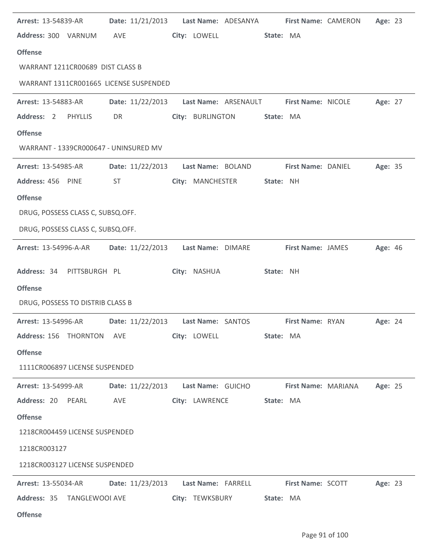| Arrest: 13-54839-AR                    | Date: 11/21/2013    Last Name: ADESANYA                     |                   |                                         | <b>First Name: CAMERON</b> | Age: 23 |
|----------------------------------------|-------------------------------------------------------------|-------------------|-----------------------------------------|----------------------------|---------|
| Address: 300 VARNUM                    | AVE                                                         | City: LOWELL      |                                         | State: MA                  |         |
| <b>Offense</b>                         |                                                             |                   |                                         |                            |         |
| WARRANT 1211CR00689 DIST CLASS B       |                                                             |                   |                                         |                            |         |
| WARRANT 1311CR001665 LICENSE SUSPENDED |                                                             |                   |                                         |                            |         |
| Arrest: 13-54883-AR                    | Date: 11/22/2013                                            |                   | Last Name: ARSENAULT First Name: NICOLE |                            | Age: 27 |
| Address: 2<br><b>PHYLLIS</b>           | DR                                                          | City: BURLINGTON  |                                         | State: MA                  |         |
| <b>Offense</b>                         |                                                             |                   |                                         |                            |         |
| WARRANT - 1339CR000647 - UNINSURED MV  |                                                             |                   |                                         |                            |         |
| Arrest: 13-54985-AR                    | Date: 11/22/2013                                            | Last Name: BOLAND |                                         | First Name: DANIEL         | Age: 35 |
| Address: 456 PINE                      | <b>ST</b>                                                   | City: MANCHESTER  |                                         | State: NH                  |         |
| <b>Offense</b>                         |                                                             |                   |                                         |                            |         |
| DRUG, POSSESS CLASS C, SUBSQ.OFF.      |                                                             |                   |                                         |                            |         |
| DRUG, POSSESS CLASS C, SUBSQ.OFF.      |                                                             |                   |                                         |                            |         |
| <b>Arrest: 13-54996-A-AR</b>           | Date: 11/22/2013                                            | Last Name: DIMARE |                                         | <b>First Name: JAMES</b>   | Age: 46 |
| Address: 34 PITTSBURGH PL              |                                                             | City: NASHUA      |                                         | State: NH                  |         |
|                                        |                                                             |                   |                                         |                            |         |
| <b>Offense</b>                         |                                                             |                   |                                         |                            |         |
| DRUG, POSSESS TO DISTRIB CLASS B       |                                                             |                   |                                         |                            |         |
| Arrest: 13-54996-AR                    | Date: 11/22/2013    Last Name: SANTOS                       |                   |                                         | First Name: RYAN           | Age: 24 |
| Address: 156 THORNTON AVE              |                                                             | City: LOWELL      |                                         | State: MA                  |         |
| <b>Offense</b>                         |                                                             |                   |                                         |                            |         |
| 1111CR006897 LICENSE SUSPENDED         |                                                             |                   |                                         |                            |         |
| <b>Arrest: 13-54999-AR</b>             | Date: 11/22/2013                                            | Last Name: GUICHO |                                         | First Name: MARIANA        | Age: 25 |
| Address: 20 PEARL                      | AVE                                                         | City: LAWRENCE    |                                         | State: MA                  |         |
| <b>Offense</b>                         |                                                             |                   |                                         |                            |         |
| 1218CR004459 LICENSE SUSPENDED         |                                                             |                   |                                         |                            |         |
| 1218CR003127                           |                                                             |                   |                                         |                            |         |
| 1218CR003127 LICENSE SUSPENDED         |                                                             |                   |                                         |                            |         |
| <b>Arrest: 13-55034-AR</b>             | Date: 11/23/2013    Last Name: FARRELL    First Name: SCOTT |                   |                                         |                            | Age: 23 |
| Address: 35 TANGLEWOOI AVE             |                                                             | City: TEWKSBURY   |                                         | State: MA                  |         |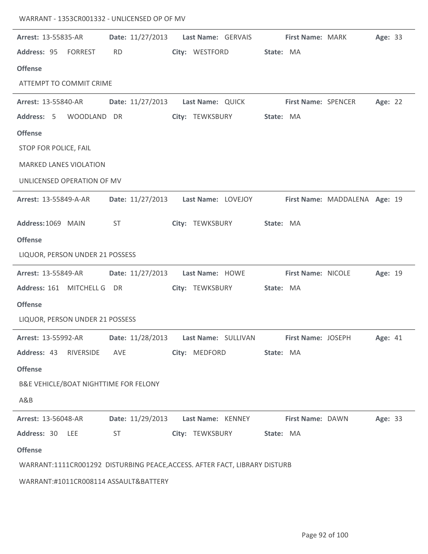| <b>Arrest: 13-55835-AR</b>            |                  | Date: 11/27/2013 Last Name: GERVAIS First Name: MARK Age: 33               |                            |                               |         |
|---------------------------------------|------------------|----------------------------------------------------------------------------|----------------------------|-------------------------------|---------|
| Address: 95 FORREST                   | <b>RD</b>        | City: WESTFORD                                                             | State: MA                  |                               |         |
| <b>Offense</b>                        |                  |                                                                            |                            |                               |         |
| ATTEMPT TO COMMIT CRIME               |                  |                                                                            |                            |                               |         |
| <b>Arrest: 13-55840-AR</b>            |                  | Date: 11/27/2013    Last Name: QUICK                                       | <b>First Name: SPENCER</b> |                               | Age: 22 |
| Address: 5 WOODLAND DR                |                  | City: TEWKSBURY                                                            | State: MA                  |                               |         |
| <b>Offense</b>                        |                  |                                                                            |                            |                               |         |
| STOP FOR POLICE, FAIL                 |                  |                                                                            |                            |                               |         |
| <b>MARKED LANES VIOLATION</b>         |                  |                                                                            |                            |                               |         |
| UNLICENSED OPERATION OF MV            |                  |                                                                            |                            |                               |         |
| <b>Arrest: 13-55849-A-AR</b>          |                  | Date: 11/27/2013    Last Name: LOVEJOY                                     |                            | First Name: MADDALENA Age: 19 |         |
| Address: 1069 MAIN                    | <b>ST</b>        | City: TEWKSBURY                                                            | State: MA                  |                               |         |
| <b>Offense</b>                        |                  |                                                                            |                            |                               |         |
| LIQUOR, PERSON UNDER 21 POSSESS       |                  |                                                                            |                            |                               |         |
| <b>Arrest: 13-55849-AR</b>            |                  | Date: 11/27/2013    Last Name: HOWE    First Name: NICOLE                  |                            |                               | Age: 19 |
| Address: 161 MITCHELL G DR            |                  | City: TEWKSBURY                                                            | State: MA                  |                               |         |
| <b>Offense</b>                        |                  |                                                                            |                            |                               |         |
| LIQUOR, PERSON UNDER 21 POSSESS       |                  |                                                                            |                            |                               |         |
| <b>Arrest: 13-55992-AR</b>            | Date: 11/28/2013 | Last Name: SULLIVAN                                                        |                            | First Name: JOSEPH            | Age: 41 |
| Address: 43 RIVERSIDE                 | AVE              | City: MEDFORD                                                              | State: MA                  |                               |         |
| <b>Offense</b>                        |                  |                                                                            |                            |                               |         |
| B&E VEHICLE/BOAT NIGHTTIME FOR FELONY |                  |                                                                            |                            |                               |         |
| A&B                                   |                  |                                                                            |                            |                               |         |
| Arrest: 13-56048-AR                   | Date: 11/29/2013 | Last Name: KENNEY                                                          |                            | First Name: DAWN              | Age: 33 |
| Address: 30<br>LEE                    | <b>ST</b>        | City: TEWKSBURY                                                            | State: MA                  |                               |         |
| <b>Offense</b>                        |                  |                                                                            |                            |                               |         |
|                                       |                  | WARRANT:1111CR001292 DISTURBING PEACE, ACCESS. AFTER FACT, LIBRARY DISTURB |                            |                               |         |
| WARRANT:#1011CR008114 ASSAULT&BATTERY |                  |                                                                            |                            |                               |         |

WARRANT - 1353CR001332 - UNLICENSED OP OF MV

 $\overline{a}$ 

 $\overline{a}$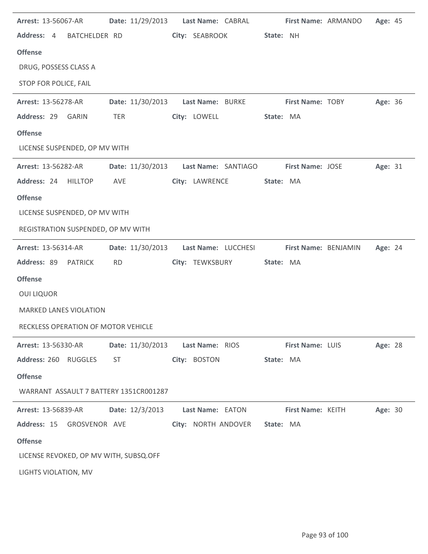| Arrest: 13-56067-AR                    | Date: 11/29/2013 | Last Name: CABRAL   | First Name: ARMANDO     | Age: 45 |
|----------------------------------------|------------------|---------------------|-------------------------|---------|
| Address: 4<br>BATCHELDER RD            |                  | City: SEABROOK      | State: NH               |         |
| <b>Offense</b>                         |                  |                     |                         |         |
| DRUG, POSSESS CLASS A                  |                  |                     |                         |         |
| STOP FOR POLICE, FAIL                  |                  |                     |                         |         |
| Arrest: 13-56278-AR                    | Date: 11/30/2013 | Last Name: BURKE    | <b>First Name: TOBY</b> | Age: 36 |
| Address: 29<br><b>GARIN</b>            | TER              | City: LOWELL        | State: MA               |         |
| <b>Offense</b>                         |                  |                     |                         |         |
| LICENSE SUSPENDED, OP MV WITH          |                  |                     |                         |         |
| <b>Arrest: 13-56282-AR</b>             | Date: 11/30/2013 | Last Name: SANTIAGO | <b>First Name: JOSE</b> | Age: 31 |
| Address: 24 HILLTOP                    | AVE              | City: LAWRENCE      | State: MA               |         |
| <b>Offense</b>                         |                  |                     |                         |         |
| LICENSE SUSPENDED, OP MV WITH          |                  |                     |                         |         |
| REGISTRATION SUSPENDED, OP MV WITH     |                  |                     |                         |         |
| Arrest: 13-56314-AR                    | Date: 11/30/2013 | Last Name: LUCCHESI | First Name: BENJAMIN    | Age: 24 |
| Address: 89 PATRICK                    | <b>RD</b>        | City: TEWKSBURY     | State: MA               |         |
| <b>Offense</b>                         |                  |                     |                         |         |
| <b>OUI LIQUOR</b>                      |                  |                     |                         |         |
| <b>MARKED LANES VIOLATION</b>          |                  |                     |                         |         |
| RECKLESS OPERATION OF MOTOR VEHICLE    |                  |                     |                         |         |
| <b>Arrest: 13-56330-AR</b>             | Date: 11/30/2013 | Last Name: RIOS     | First Name: LUIS        | Age: 28 |
| Address: 260 RUGGLES                   | ST.              | City: BOSTON        | State: MA               |         |
| <b>Offense</b>                         |                  |                     |                         |         |
| WARRANT ASSAULT 7 BATTERY 1351CR001287 |                  |                     |                         |         |
| <b>Arrest: 13-56839-AR</b>             | Date: 12/3/2013  | Last Name: EATON    | First Name: KEITH       | Age: 30 |
| Address: 15 GROSVENOR AVE              |                  | City: NORTH ANDOVER | State: MA               |         |
| <b>Offense</b>                         |                  |                     |                         |         |
| LICENSE REVOKED, OP MV WITH, SUBSQ.OFF |                  |                     |                         |         |
| LIGHTS VIOLATION, MV                   |                  |                     |                         |         |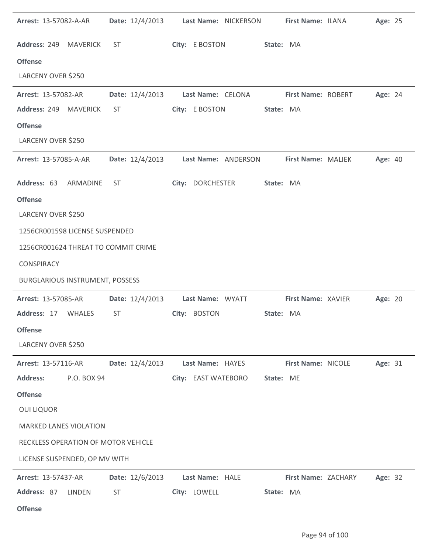| Arrest: 13-57082-A-AR                  |                 | Date: 12/4/2013 Last Name: NICKERSON | First Name: ILANA<br>Age: 25   |  |
|----------------------------------------|-----------------|--------------------------------------|--------------------------------|--|
| Address: 249 MAVERICK                  | <b>ST</b>       | City: E BOSTON                       | State: MA                      |  |
| <b>Offense</b>                         |                 |                                      |                                |  |
| LARCENY OVER \$250                     |                 |                                      |                                |  |
| Arrest: 13-57082-AR                    | Date: 12/4/2013 | Last Name: CELONA                    | First Name: ROBERT<br>Age: 24  |  |
| Address: 249 MAVERICK                  | <b>ST</b>       | City: E BOSTON                       | State: MA                      |  |
| <b>Offense</b>                         |                 |                                      |                                |  |
| LARCENY OVER \$250                     |                 |                                      |                                |  |
| Arrest: 13-57085-A-AR                  |                 | Date: 12/4/2013 Last Name: ANDERSON  | First Name: MALIEK<br>Age: 40  |  |
| Address: 63<br>ARMADINE                | <b>ST</b>       | City: DORCHESTER                     | State: MA                      |  |
| <b>Offense</b>                         |                 |                                      |                                |  |
| LARCENY OVER \$250                     |                 |                                      |                                |  |
| 1256CR001598 LICENSE SUSPENDED         |                 |                                      |                                |  |
| 1256CR001624 THREAT TO COMMIT CRIME    |                 |                                      |                                |  |
| CONSPIRACY                             |                 |                                      |                                |  |
| <b>BURGLARIOUS INSTRUMENT, POSSESS</b> |                 |                                      |                                |  |
| <b>Arrest: 13-57085-AR</b>             | Date: 12/4/2013 | Last Name: WYATT                     | First Name: XAVIER<br>Age: 20  |  |
| Address: 17 WHALES                     | <b>ST</b>       | City: BOSTON                         | State: MA                      |  |
| <b>Offense</b>                         |                 |                                      |                                |  |
| LARCENY OVER \$250                     |                 |                                      |                                |  |
| Arrest: 13-57116-AR                    | Date: 12/4/2013 | Last Name: HAYES                     | First Name: NICOLE<br>Age: 31  |  |
| <b>Address:</b><br>P.O. BOX 94         |                 | City: EAST WATEBORO                  | State: ME                      |  |
| <b>Offense</b>                         |                 |                                      |                                |  |
| <b>OUI LIQUOR</b>                      |                 |                                      |                                |  |
| <b>MARKED LANES VIOLATION</b>          |                 |                                      |                                |  |
| RECKLESS OPERATION OF MOTOR VEHICLE    |                 |                                      |                                |  |
| LICENSE SUSPENDED, OP MV WITH          |                 |                                      |                                |  |
| Arrest: 13-57437-AR                    | Date: 12/6/2013 | Last Name: HALE                      | First Name: ZACHARY<br>Age: 32 |  |
| Address: 87<br>LINDEN                  | <b>ST</b>       | City: LOWELL                         | State: MA                      |  |
|                                        |                 |                                      |                                |  |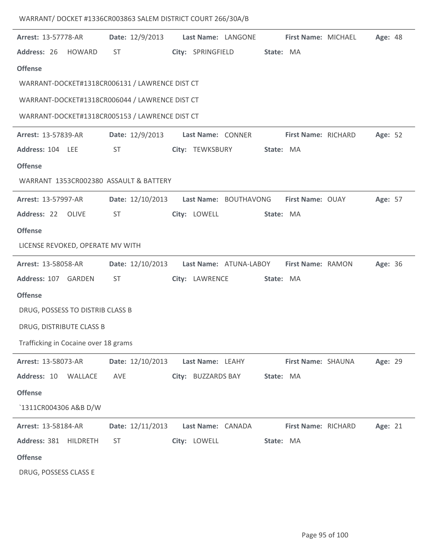|                                                             |                       | WARRANT/DOCKET #1336CR003863 SALEM DISTRICT COURT 266/30A/B |                                  |         |
|-------------------------------------------------------------|-----------------------|-------------------------------------------------------------|----------------------------------|---------|
| Arrest: 13-57778-AR<br>Address: 26 HOWARD<br><b>Offense</b> | Date: 12/9/2013<br>ST | Last Name: LANGONE<br>City: SPRINGFIELD                     | First Name: MICHAEL<br>State: MA | Age: 48 |
| WARRANT-DOCKET#1318CR006131 / LAWRENCE DIST CT              |                       |                                                             |                                  |         |
| WARRANT-DOCKET#1318CR006044 / LAWRENCE DIST CT              |                       |                                                             |                                  |         |
| WARRANT-DOCKET#1318CR005153 / LAWRENCE DIST CT              |                       |                                                             |                                  |         |
| Arrest: 13-57839-AR                                         | Date: 12/9/2013       | Last Name: CONNER                                           | First Name: RICHARD              | Age: 52 |
| Address: 104 LEE                                            | ST                    | City: TEWKSBURY                                             | State: MA                        |         |
| <b>Offense</b>                                              |                       |                                                             |                                  |         |
| WARRANT 1353CR002380 ASSAULT & BATTERY                      |                       |                                                             |                                  |         |
| <b>Arrest: 13-57997-AR</b>                                  | Date: 12/10/2013      | Last Name: BOUTHAVONG                                       | First Name: OUAY                 | Age: 57 |
| Address: 22 OLIVE                                           | ST                    | City: LOWELL                                                | State: MA                        |         |
| <b>Offense</b>                                              |                       |                                                             |                                  |         |
| LICENSE REVOKED, OPERATE MV WITH                            |                       |                                                             |                                  |         |
| Arrest: 13-58058-AR                                         | Date: 12/10/2013      | Last Name: ATUNA-LABOY                                      | First Name: RAMON                | Age: 36 |
| Address: 107 GARDEN                                         | ST                    | City: LAWRENCE                                              | State: MA                        |         |
| <b>Offense</b>                                              |                       |                                                             |                                  |         |
| DRUG, POSSESS TO DISTRIB CLASS B                            |                       |                                                             |                                  |         |
| DRUG, DISTRIBUTE CLASS B                                    |                       |                                                             |                                  |         |
| Trafficking in Cocaine over 18 grams                        |                       |                                                             |                                  |         |
| Arrest: 13-58073-AR                                         | Date: 12/10/2013      | Last Name: LEAHY                                            | First Name: SHAUNA               | Age: 29 |
| Address: 10 WALLACE                                         | AVE                   | City: BUZZARDS BAY                                          | State: MA                        |         |
| <b>Offense</b><br>`1311CR004306 A&B D/W                     |                       |                                                             |                                  |         |
| Arrest: 13-58184-AR                                         | Date: 12/11/2013      | Last Name: CANADA                                           | First Name: RICHARD              | Age: 21 |
| Address: 381<br>HILDRETH                                    | <b>ST</b>             | City: LOWELL                                                | State: MA                        |         |
| <b>Offense</b>                                              |                       |                                                             |                                  |         |

DRUG, POSSESS CLASS E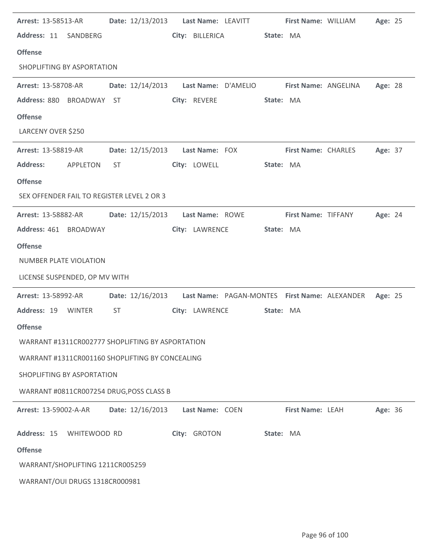| <b>Arrest: 13-58513-AR</b>                       |               |     |                                                             |  |                 |                |           |                  | Date: 12/13/2013 Last Name: LEAVITT First Name: WILLIAM              | Age: 25 |  |
|--------------------------------------------------|---------------|-----|-------------------------------------------------------------|--|-----------------|----------------|-----------|------------------|----------------------------------------------------------------------|---------|--|
| Address: 11 SANDBERG                             |               |     |                                                             |  | City: BILLERICA |                | State: MA |                  |                                                                      |         |  |
| <b>Offense</b>                                   |               |     |                                                             |  |                 |                |           |                  |                                                                      |         |  |
| SHOPLIFTING BY ASPORTATION                       |               |     |                                                             |  |                 |                |           |                  |                                                                      |         |  |
| Arrest: 13-58708-AR                              |               |     | Date: 12/14/2013  Last Name: D'AMELIO  First Name: ANGELINA |  |                 |                |           |                  |                                                                      | Age: 28 |  |
| Address: 880 BROADWAY ST                         |               |     |                                                             |  |                 | City: REVERE   | State: MA |                  |                                                                      |         |  |
| <b>Offense</b>                                   |               |     |                                                             |  |                 |                |           |                  |                                                                      |         |  |
| LARCENY OVER \$250                               |               |     |                                                             |  |                 |                |           |                  |                                                                      |         |  |
| Arrest: 13-58819-AR                              |               |     | Date: 12/15/2013    Last Name: FOX                          |  |                 |                |           |                  | <b>First Name: CHARLES</b>                                           | Age: 37 |  |
| <b>Address:</b>                                  | APPLETON      | ST  |                                                             |  | City: LOWELL    |                | State: MA |                  |                                                                      |         |  |
| <b>Offense</b>                                   |               |     |                                                             |  |                 |                |           |                  |                                                                      |         |  |
| SEX OFFENDER FAIL TO REGISTER LEVEL 2 OR 3       |               |     |                                                             |  |                 |                |           |                  |                                                                      |         |  |
| <b>Arrest: 13-58882-AR</b>                       |               |     | Date: 12/15/2013    Last Name: ROWE                         |  |                 |                |           |                  | <b>First Name: TIFFANY</b>                                           | Age: 24 |  |
| Address: 461 BROADWAY                            |               |     |                                                             |  |                 | City: LAWRENCE | State: MA |                  |                                                                      |         |  |
| <b>Offense</b>                                   |               |     |                                                             |  |                 |                |           |                  |                                                                      |         |  |
| <b>NUMBER PLATE VIOLATION</b>                    |               |     |                                                             |  |                 |                |           |                  |                                                                      |         |  |
| LICENSE SUSPENDED, OP MV WITH                    |               |     |                                                             |  |                 |                |           |                  |                                                                      |         |  |
| <b>Arrest: 13-58992-AR</b>                       |               |     |                                                             |  |                 |                |           |                  | Date: 12/16/2013    Last Name: PAGAN-MONTES    First Name: ALEXANDER | Age: 25 |  |
| Address: 19                                      | <b>WINTER</b> | ST. |                                                             |  |                 | City: LAWRENCE | State: MA |                  |                                                                      |         |  |
| <b>Offense</b>                                   |               |     |                                                             |  |                 |                |           |                  |                                                                      |         |  |
| WARRANT #1311CR002777 SHOPLIFTING BY ASPORTATION |               |     |                                                             |  |                 |                |           |                  |                                                                      |         |  |
| WARRANT #1311CR001160 SHOPLIFTING BY CONCEALING  |               |     |                                                             |  |                 |                |           |                  |                                                                      |         |  |
| SHOPLIFTING BY ASPORTATION                       |               |     |                                                             |  |                 |                |           |                  |                                                                      |         |  |
| WARRANT #0811CR007254 DRUG, POSS CLASS B         |               |     |                                                             |  |                 |                |           |                  |                                                                      |         |  |
| Arrest: 13-59002-A-AR                            |               |     | Date: 12/16/2013                                            |  | Last Name: COEN |                |           | First Name: LEAH |                                                                      | Age: 36 |  |
| Address: 15 WHITEWOOD RD                         |               |     |                                                             |  | City: GROTON    |                | State: MA |                  |                                                                      |         |  |
| <b>Offense</b>                                   |               |     |                                                             |  |                 |                |           |                  |                                                                      |         |  |
| WARRANT/SHOPLIFTING 1211CR005259                 |               |     |                                                             |  |                 |                |           |                  |                                                                      |         |  |
| WARRANT/OUI DRUGS 1318CR000981                   |               |     |                                                             |  |                 |                |           |                  |                                                                      |         |  |
|                                                  |               |     |                                                             |  |                 |                |           |                  |                                                                      |         |  |

j.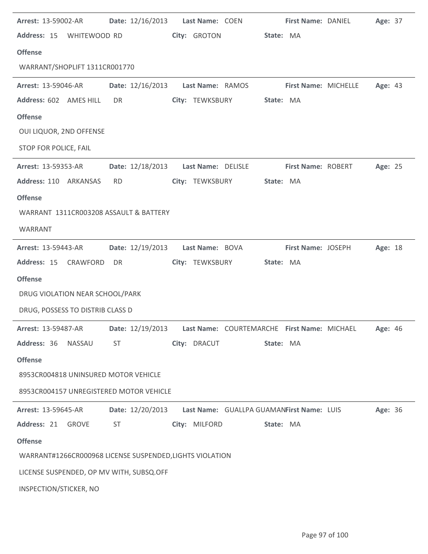| <b>Arrest: 13-59002-AR</b>                               |                  | Date: 12/16/2013    Last Name: COEN    | <b>First Name: DANIEL</b>                                            | Age: 37 |
|----------------------------------------------------------|------------------|----------------------------------------|----------------------------------------------------------------------|---------|
| Address: 15 WHITEWOOD RD                                 |                  | City: GROTON                           | State: MA                                                            |         |
| <b>Offense</b>                                           |                  |                                        |                                                                      |         |
| WARRANT/SHOPLIFT 1311CR001770                            |                  |                                        |                                                                      |         |
| <b>Arrest: 13-59046-AR</b>                               | Date: 12/16/2013 | Last Name: RAMOS                       | <b>First Name: MICHELLE</b>                                          | Age: 43 |
| Address: 602 AMES HILL                                   | DR               | City: TEWKSBURY                        | State: MA                                                            |         |
| <b>Offense</b>                                           |                  |                                        |                                                                      |         |
| OUI LIQUOR, 2ND OFFENSE                                  |                  |                                        |                                                                      |         |
| STOP FOR POLICE, FAIL                                    |                  |                                        |                                                                      |         |
| <b>Arrest: 13-59353-AR</b>                               |                  | Date: 12/18/2013    Last Name: DELISLE | <b>First Name: ROBERT</b>                                            | Age: 25 |
| Address: 110 ARKANSAS                                    | <b>RD</b>        | City: TEWKSBURY                        | State: MA                                                            |         |
| <b>Offense</b>                                           |                  |                                        |                                                                      |         |
| WARRANT 1311CR003208 ASSAULT & BATTERY                   |                  |                                        |                                                                      |         |
| WARRANT                                                  |                  |                                        |                                                                      |         |
| <b>Arrest: 13-59443-AR</b>                               |                  | Date: 12/19/2013    Last Name: BOVA    | First Name: JOSEPH                                                   | Age: 18 |
| Address: 15 CRAWFORD                                     | DR               | City: TEWKSBURY                        | State: MA                                                            |         |
| <b>Offense</b>                                           |                  |                                        |                                                                      |         |
| DRUG VIOLATION NEAR SCHOOL/PARK                          |                  |                                        |                                                                      |         |
| DRUG, POSSESS TO DISTRIB CLASS D                         |                  |                                        |                                                                      |         |
| Arrest: 13-59487-AR                                      |                  |                                        | Date: 12/19/2013 Last Name: COURTEMARCHE First Name: MICHAEL Age: 46 |         |
| Address: 36 NASSAU                                       | <b>ST</b>        | City: DRACUT                           | State: MA                                                            |         |
| <b>Offense</b>                                           |                  |                                        |                                                                      |         |
| 8953CR004818 UNINSURED MOTOR VEHICLE                     |                  |                                        |                                                                      |         |
| 8953CR004157 UNREGISTERED MOTOR VEHICLE                  |                  |                                        |                                                                      |         |
| Arrest: 13-59645-AR                                      | Date: 12/20/2013 |                                        | Last Name: GUALLPA GUAMANFirst Name: LUIS                            | Age: 36 |
| Address: 21 GROVE                                        | <b>ST</b>        | City: MILFORD                          | State: MA                                                            |         |
| <b>Offense</b>                                           |                  |                                        |                                                                      |         |
| WARRANT#1266CR000968 LICENSE SUSPENDED, LIGHTS VIOLATION |                  |                                        |                                                                      |         |
| LICENSE SUSPENDED, OP MV WITH, SUBSQ.OFF                 |                  |                                        |                                                                      |         |
| INSPECTION/STICKER, NO                                   |                  |                                        |                                                                      |         |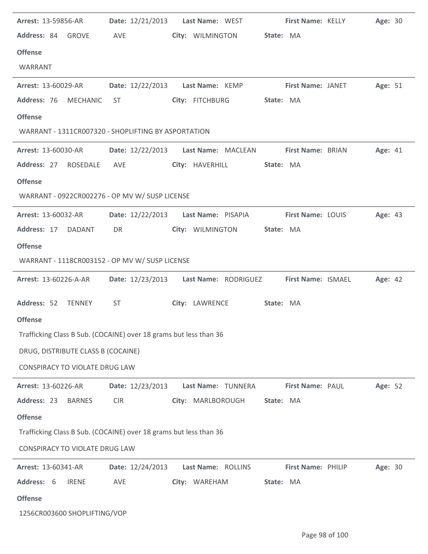| Address: 84 GROVE<br>AVE<br>City: WILMINGTON<br>State: MA<br><b>Offense</b>                                                                                                                                                                                                                      |  |
|--------------------------------------------------------------------------------------------------------------------------------------------------------------------------------------------------------------------------------------------------------------------------------------------------|--|
|                                                                                                                                                                                                                                                                                                  |  |
|                                                                                                                                                                                                                                                                                                  |  |
| WARRANT                                                                                                                                                                                                                                                                                          |  |
| Date: 12/22/2013    Last Name: KEMP    First Name: JANET<br><b>Arrest: 13-60029-AR</b><br>Age: 51                                                                                                                                                                                                |  |
| Address: 76<br><b>MECHANIC</b><br>City: FITCHBURG<br>State: MA<br>ST and the state of the state of the state of the state of the state of the state of the state of the state of the state of the state of the state of the state of the state of the state of the state of the state of the sta |  |
| <b>Offense</b>                                                                                                                                                                                                                                                                                   |  |
| WARRANT - 1311CR007320 - SHOPLIFTING BY ASPORTATION                                                                                                                                                                                                                                              |  |
| Arrest: 13-60030-AR<br>Date: 12/22/2013    Last Name: MACLEAN    First Name: BRIAN<br>Age: 41                                                                                                                                                                                                    |  |
| Address: 27 ROSEDALE<br>AVE<br>City: HAVERHILL<br>State: MA                                                                                                                                                                                                                                      |  |
| <b>Offense</b>                                                                                                                                                                                                                                                                                   |  |
| WARRANT - 0922CR002276 - OP MV W/ SUSP LICENSE                                                                                                                                                                                                                                                   |  |
| Date: 12/22/2013 Last Name: PISAPIA<br>Arrest: 13-60032-AR<br>First Name: LOUIS<br>Age: 43                                                                                                                                                                                                       |  |
| Address: 17 DADANT<br>DR<br>City: WILMINGTON<br>State: MA                                                                                                                                                                                                                                        |  |
| <b>Offense</b>                                                                                                                                                                                                                                                                                   |  |
| WARRANT - 1118CR003152 - OP MV W/ SUSP LICENSE                                                                                                                                                                                                                                                   |  |
| Date: 12/23/2013 Last Name: RODRIGUEZ First Name: ISMAEL<br>Age: 42<br><b>Arrest: 13-60226-A-AR</b>                                                                                                                                                                                              |  |
| Address: 52 TENNEY<br>ST<br>City: LAWRENCE<br>State: MA                                                                                                                                                                                                                                          |  |
| <b>Offense</b>                                                                                                                                                                                                                                                                                   |  |
| Trafficking Class B Sub. (COCAINE) over 18 grams but less than 36                                                                                                                                                                                                                                |  |
| DRUG, DISTRIBUTE CLASS B (COCAINE)                                                                                                                                                                                                                                                               |  |
| CONSPIRACY TO VIOLATE DRUG LAW                                                                                                                                                                                                                                                                   |  |
| Date: 12/23/2013<br>Last Name: TUNNERA<br>First Name: PAUL<br>Arrest: 13-60226-AR<br>Age: 52                                                                                                                                                                                                     |  |
| Address: 23<br><b>CIR</b><br>City: MARLBOROUGH<br><b>BARNES</b><br>State: MA                                                                                                                                                                                                                     |  |
| <b>Offense</b>                                                                                                                                                                                                                                                                                   |  |
| Trafficking Class B Sub. (COCAINE) over 18 grams but less than 36                                                                                                                                                                                                                                |  |
| CONSPIRACY TO VIOLATE DRUG LAW                                                                                                                                                                                                                                                                   |  |
|                                                                                                                                                                                                                                                                                                  |  |
| Date: 12/24/2013<br>Arrest: 13-60341-AR<br>First Name: PHILIP<br>Age: 30<br>Last Name: ROLLINS<br>Address: 6<br><b>IRENE</b><br>AVE<br>City: WAREHAM<br>State: MA                                                                                                                                |  |
|                                                                                                                                                                                                                                                                                                  |  |
| <b>Offense</b><br>1256CR003600 SHOPLIFTING/VOP                                                                                                                                                                                                                                                   |  |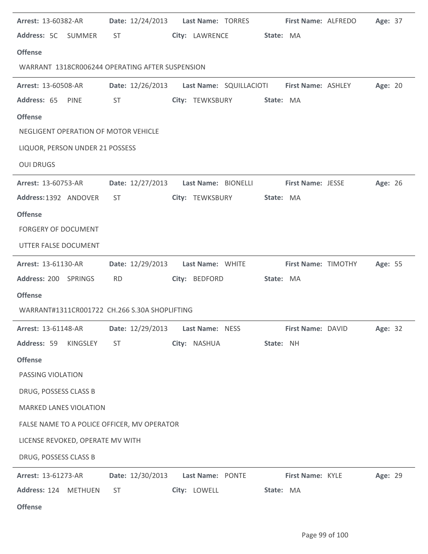| Arrest: 13-60382-AR                                        |                                                                                                                                                                                                                                | Date: 12/24/2013  Last Name: TORRES  First Name: ALFREDO          |                          |                            | Age: 37 |
|------------------------------------------------------------|--------------------------------------------------------------------------------------------------------------------------------------------------------------------------------------------------------------------------------|-------------------------------------------------------------------|--------------------------|----------------------------|---------|
| Address: 5C SUMMER ST                                      |                                                                                                                                                                                                                                | City: LAWRENCE State: MA                                          |                          |                            |         |
| <b>Offense</b>                                             |                                                                                                                                                                                                                                |                                                                   |                          |                            |         |
| WARRANT 1318CR006244 OPERATING AFTER SUSPENSION            |                                                                                                                                                                                                                                |                                                                   |                          |                            |         |
| <b>Arrest: 13-60508-AR</b>                                 |                                                                                                                                                                                                                                | Date: 12/26/2013    Last Name: SQUILLACIOTI    First Name: ASHLEY |                          |                            | Age: 20 |
| Address: 65<br><b>PINE</b>                                 | <b>ST</b>                                                                                                                                                                                                                      | City: TEWKSBURY State: MA                                         |                          |                            |         |
| <b>Offense</b>                                             |                                                                                                                                                                                                                                |                                                                   |                          |                            |         |
| NEGLIGENT OPERATION OF MOTOR VEHICLE                       |                                                                                                                                                                                                                                |                                                                   |                          |                            |         |
| LIQUOR, PERSON UNDER 21 POSSESS                            |                                                                                                                                                                                                                                |                                                                   |                          |                            |         |
| <b>OUI DRUGS</b>                                           |                                                                                                                                                                                                                                |                                                                   |                          |                            |         |
| <b>Arrest: 13-60753-AR</b>                                 |                                                                                                                                                                                                                                | Date: 12/27/2013    Last Name: BIONELLI                           | <b>First Name: JESSE</b> |                            | Age: 26 |
| Address: 1392 ANDOVER                                      | ST and the state of the state of the state of the state of the state of the state of the state of the state of the state of the state of the state of the state of the state of the state of the state of the state of the sta | City: TEWKSBURY                                                   | State: MA                |                            |         |
| <b>Offense</b>                                             |                                                                                                                                                                                                                                |                                                                   |                          |                            |         |
| <b>FORGERY OF DOCUMENT</b>                                 |                                                                                                                                                                                                                                |                                                                   |                          |                            |         |
| UTTER FALSE DOCUMENT                                       |                                                                                                                                                                                                                                |                                                                   |                          |                            |         |
| Arrest: 13-61130-AR                                        |                                                                                                                                                                                                                                | Date: 12/29/2013    Last Name: WHITE                              |                          | <b>First Name: TIMOTHY</b> | Age: 55 |
| Address: 200 SPRINGS                                       | <b>RD</b>                                                                                                                                                                                                                      | City: BEDFORD                                                     | State: MA                |                            |         |
| <b>Offense</b>                                             |                                                                                                                                                                                                                                |                                                                   |                          |                            |         |
| WARRANT#1311CR001722 CH.266 S.30A SHOPLIFTING              |                                                                                                                                                                                                                                |                                                                   |                          |                            |         |
| Arrest: 13-61148-AR    Date: 12/29/2013    Last Name: NESS |                                                                                                                                                                                                                                |                                                                   |                          | First Name: DAVID Age: 32  |         |
| Address: 59<br>KINGSLEY                                    | ST                                                                                                                                                                                                                             | City: NASHUA                                                      | State: NH                |                            |         |
| <b>Offense</b>                                             |                                                                                                                                                                                                                                |                                                                   |                          |                            |         |
| PASSING VIOLATION                                          |                                                                                                                                                                                                                                |                                                                   |                          |                            |         |
| DRUG, POSSESS CLASS B                                      |                                                                                                                                                                                                                                |                                                                   |                          |                            |         |
| <b>MARKED LANES VIOLATION</b>                              |                                                                                                                                                                                                                                |                                                                   |                          |                            |         |
| FALSE NAME TO A POLICE OFFICER, MV OPERATOR                |                                                                                                                                                                                                                                |                                                                   |                          |                            |         |
| LICENSE REVOKED, OPERATE MV WITH                           |                                                                                                                                                                                                                                |                                                                   |                          |                            |         |
| DRUG, POSSESS CLASS B                                      |                                                                                                                                                                                                                                |                                                                   |                          |                            |         |
| <b>Arrest: 13-61273-AR</b>                                 | Date: 12/30/2013                                                                                                                                                                                                               | Last Name: PONTE                                                  | <b>First Name: KYLE</b>  |                            | Age: 29 |
| Address: 124 METHUEN                                       | ST                                                                                                                                                                                                                             | City: LOWELL                                                      | State: MA                |                            |         |
| <b>Offense</b>                                             |                                                                                                                                                                                                                                |                                                                   |                          |                            |         |